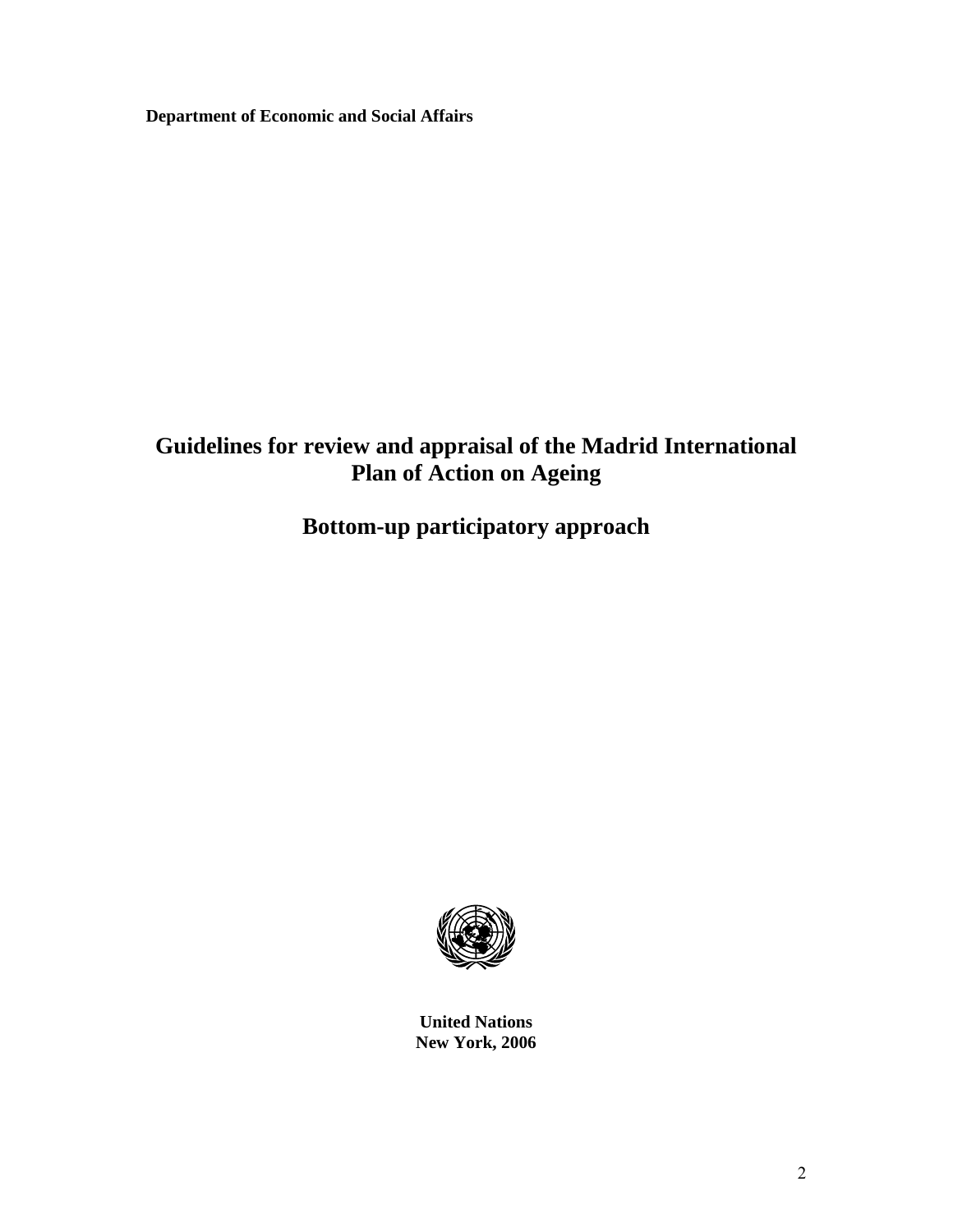**Department of Economic and Social Affairs**

# **Guidelines for review and appraisal of the Madrid International Plan of Action on Ageing**

# **Bottom-up participatory approach**



**United Nations New York, 2006**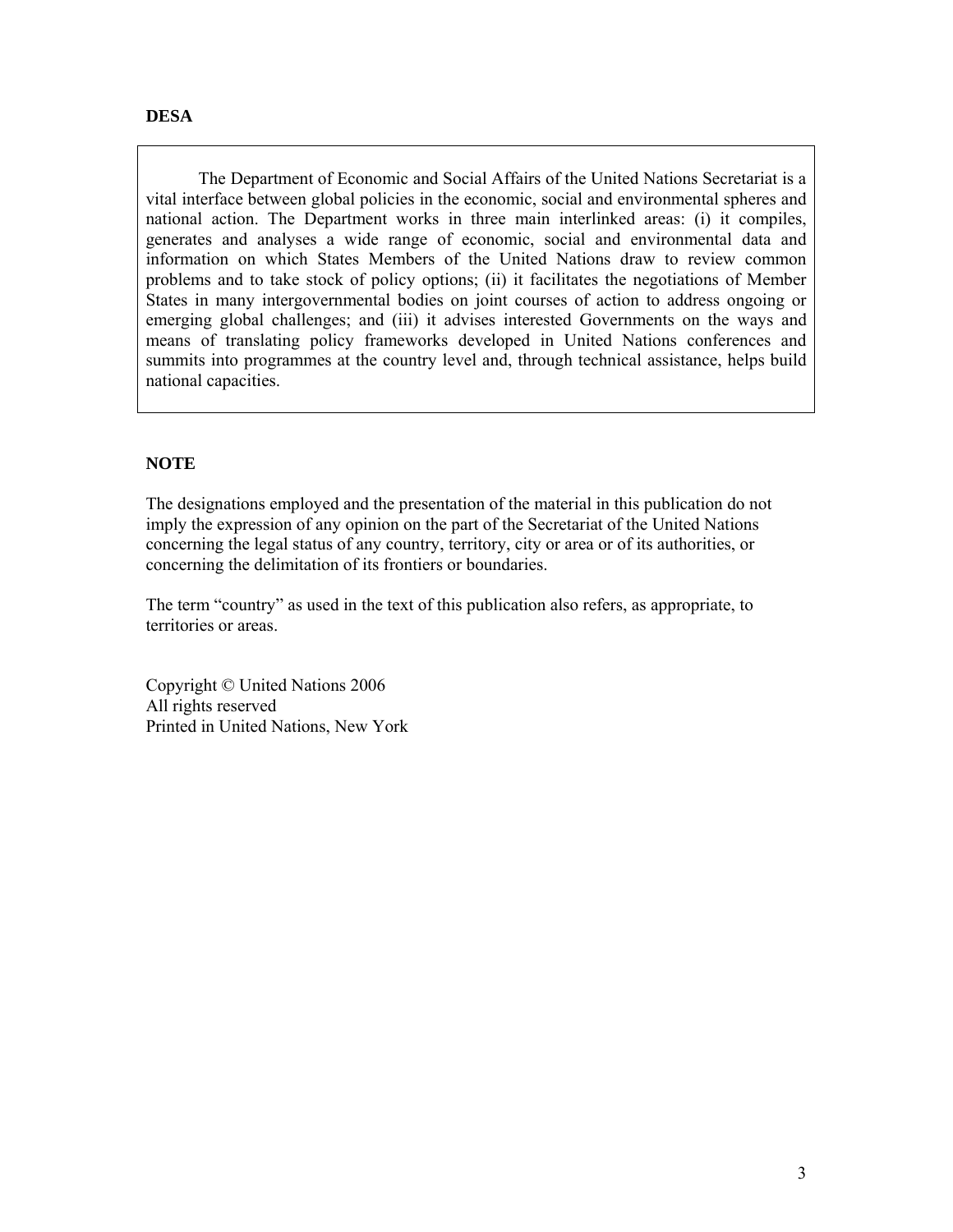The Department of Economic and Social Affairs of the United Nations Secretariat is a vital interface between global policies in the economic, social and environmental spheres and national action. The Department works in three main interlinked areas: (i) it compiles, generates and analyses a wide range of economic, social and environmental data and information on which States Members of the United Nations draw to review common problems and to take stock of policy options; (ii) it facilitates the negotiations of Member States in many intergovernmental bodies on joint courses of action to address ongoing or emerging global challenges; and (iii) it advises interested Governments on the ways and means of translating policy frameworks developed in United Nations conferences and summits into programmes at the country level and, through technical assistance, helps build national capacities.

# **NOTE**

The designations employed and the presentation of the material in this publication do not imply the expression of any opinion on the part of the Secretariat of the United Nations concerning the legal status of any country, territory, city or area or of its authorities, or concerning the delimitation of its frontiers or boundaries.

The term "country" as used in the text of this publication also refers, as appropriate, to territories or areas.

Copyright © United Nations 2006 All rights reserved Printed in United Nations, New York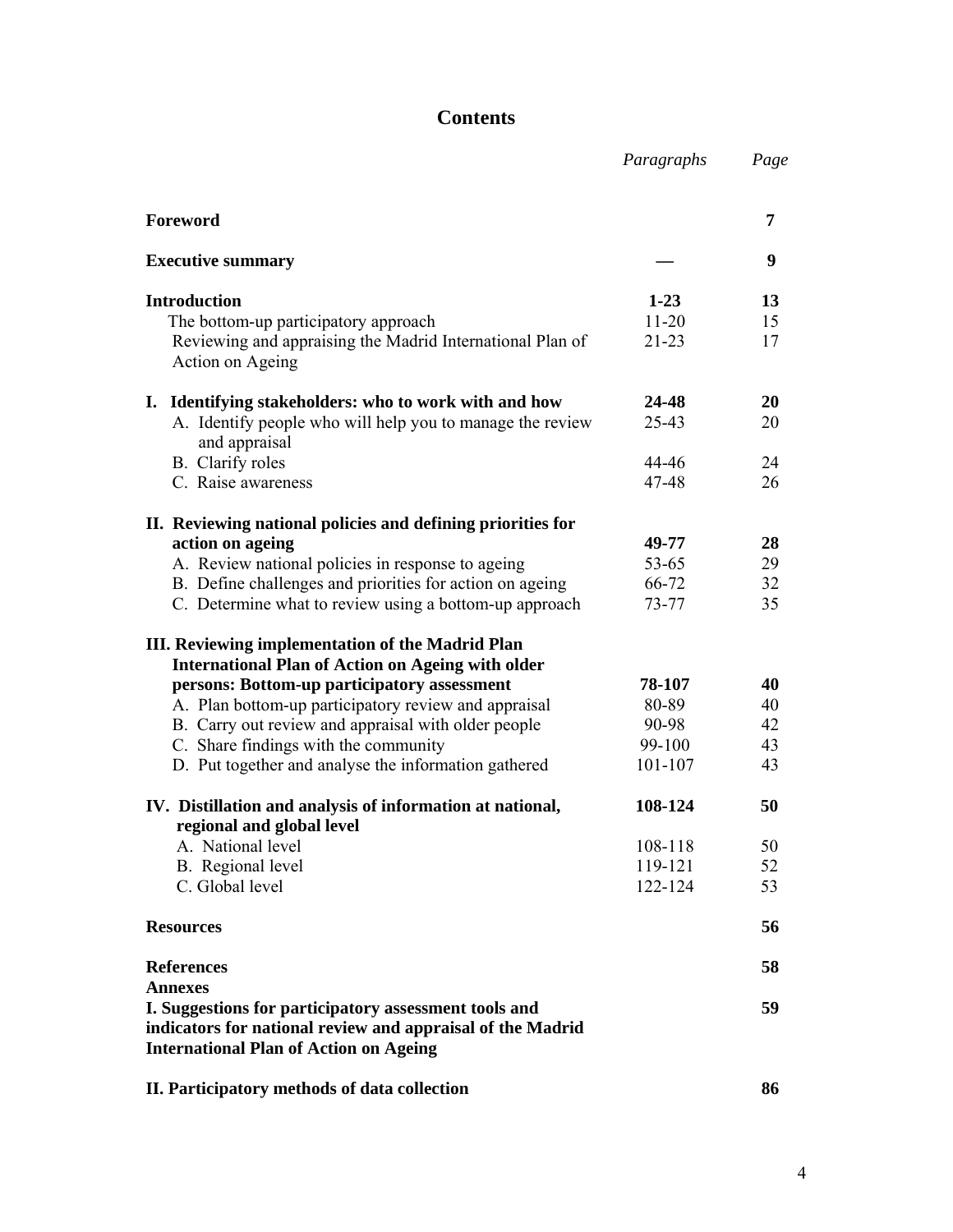# **Contents**

|                                                                                                                                                                      | Paragraphs         | Page     |
|----------------------------------------------------------------------------------------------------------------------------------------------------------------------|--------------------|----------|
| Foreword                                                                                                                                                             |                    | 7        |
| <b>Executive summary</b>                                                                                                                                             |                    | 9        |
| <b>Introduction</b>                                                                                                                                                  | $1-23$             | 13       |
| The bottom-up participatory approach                                                                                                                                 | $11-20$            | 15       |
| Reviewing and appraising the Madrid International Plan of<br>Action on Ageing                                                                                        | $21 - 23$          | 17       |
| I. Identifying stakeholders: who to work with and how                                                                                                                | 24-48              | 20       |
| A. Identify people who will help you to manage the review<br>and appraisal                                                                                           | 25-43              | 20       |
| B. Clarify roles                                                                                                                                                     | 44-46              | 24       |
| C. Raise awareness                                                                                                                                                   | 47-48              | 26       |
| II. Reviewing national policies and defining priorities for                                                                                                          |                    |          |
| action on ageing                                                                                                                                                     | 49-77              | 28       |
| A. Review national policies in response to ageing                                                                                                                    | 53-65              | 29       |
| B. Define challenges and priorities for action on ageing                                                                                                             | 66-72              | 32       |
| C. Determine what to review using a bottom-up approach                                                                                                               | 73-77              | 35       |
| III. Reviewing implementation of the Madrid Plan<br><b>International Plan of Action on Ageing with older</b>                                                         |                    |          |
| persons: Bottom-up participatory assessment                                                                                                                          | 78-107             | 40       |
| A. Plan bottom-up participatory review and appraisal                                                                                                                 | 80-89              | 40       |
| B. Carry out review and appraisal with older people                                                                                                                  | 90-98              | 42       |
| C. Share findings with the community                                                                                                                                 | 99-100             | 43       |
| D. Put together and analyse the information gathered                                                                                                                 | 101-107            | 43       |
| IV. Distillation and analysis of information at national,                                                                                                            | 108-124            | 50       |
| regional and global level                                                                                                                                            |                    |          |
| A. National level                                                                                                                                                    | 108-118            | 50       |
| B. Regional level<br>C. Global level                                                                                                                                 | 119-121<br>122-124 | 52<br>53 |
| <b>Resources</b>                                                                                                                                                     |                    | 56       |
| <b>References</b>                                                                                                                                                    |                    | 58       |
| <b>Annexes</b>                                                                                                                                                       |                    |          |
| I. Suggestions for participatory assessment tools and<br>indicators for national review and appraisal of the Madrid<br><b>International Plan of Action on Ageing</b> |                    | 59       |
| II. Participatory methods of data collection                                                                                                                         |                    | 86       |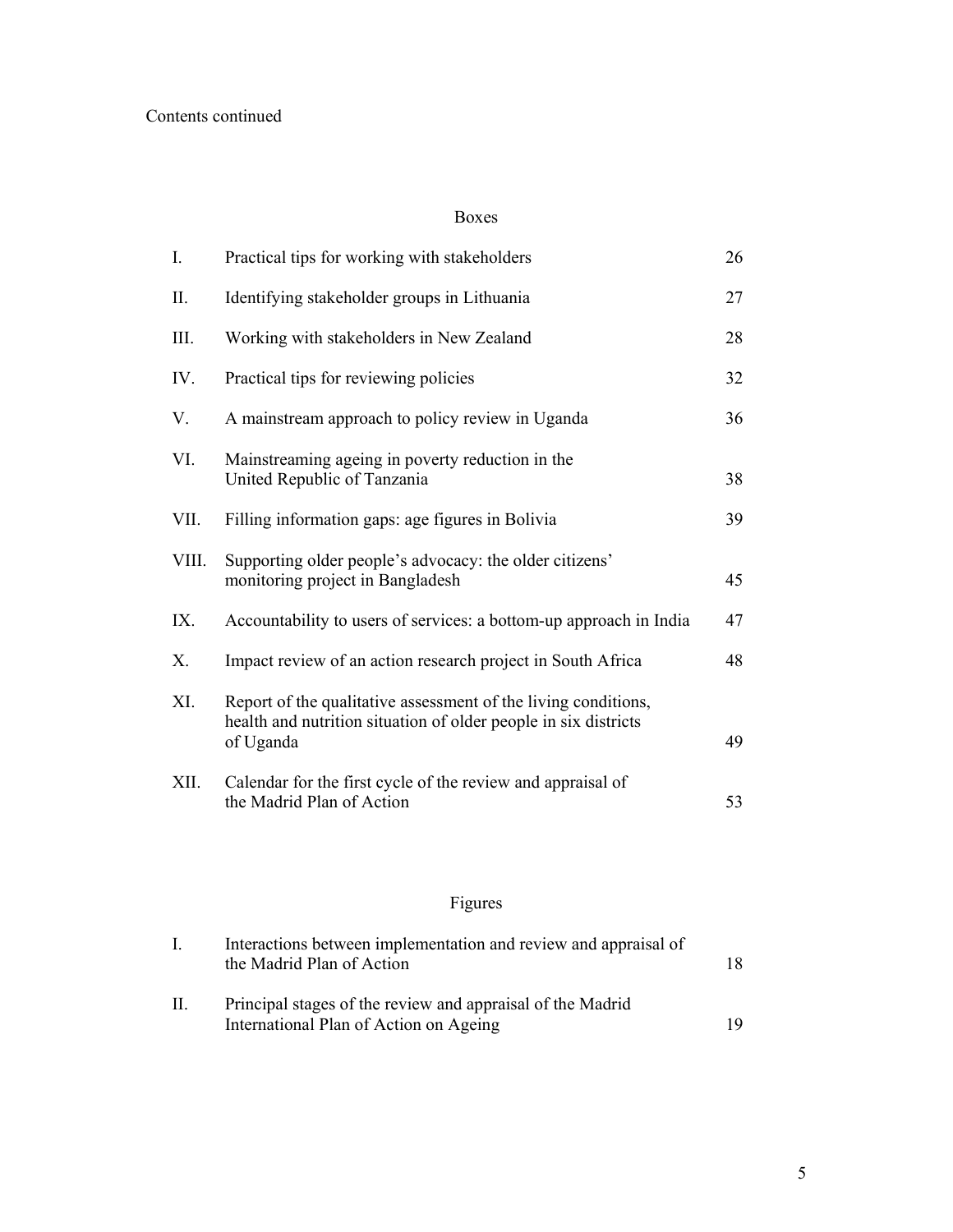## Boxes

| Ι.          | Practical tips for working with stakeholders                                                                                                   | 26 |
|-------------|------------------------------------------------------------------------------------------------------------------------------------------------|----|
| П.          | Identifying stakeholder groups in Lithuania                                                                                                    | 27 |
| III.        | Working with stakeholders in New Zealand                                                                                                       | 28 |
| IV.         | Practical tips for reviewing policies                                                                                                          | 32 |
| V.          | A mainstream approach to policy review in Uganda                                                                                               | 36 |
| VI.         | Mainstreaming ageing in poverty reduction in the<br>United Republic of Tanzania                                                                | 38 |
| VII.        | Filling information gaps: age figures in Bolivia                                                                                               | 39 |
| VIII.       | Supporting older people's advocacy: the older citizens'<br>monitoring project in Bangladesh                                                    | 45 |
| IX.         | Accountability to users of services: a bottom-up approach in India                                                                             | 47 |
| $X_{\cdot}$ | Impact review of an action research project in South Africa                                                                                    | 48 |
| XI.         | Report of the qualitative assessment of the living conditions,<br>health and nutrition situation of older people in six districts<br>of Uganda | 49 |
| XII.        | Calendar for the first cycle of the review and appraisal of<br>the Madrid Plan of Action                                                       | 53 |

# Figures

|    | Interactions between implementation and review and appraisal of<br>the Madrid Plan of Action         |     |
|----|------------------------------------------------------------------------------------------------------|-----|
| Н. | Principal stages of the review and appraisal of the Madrid<br>International Plan of Action on Ageing | 19. |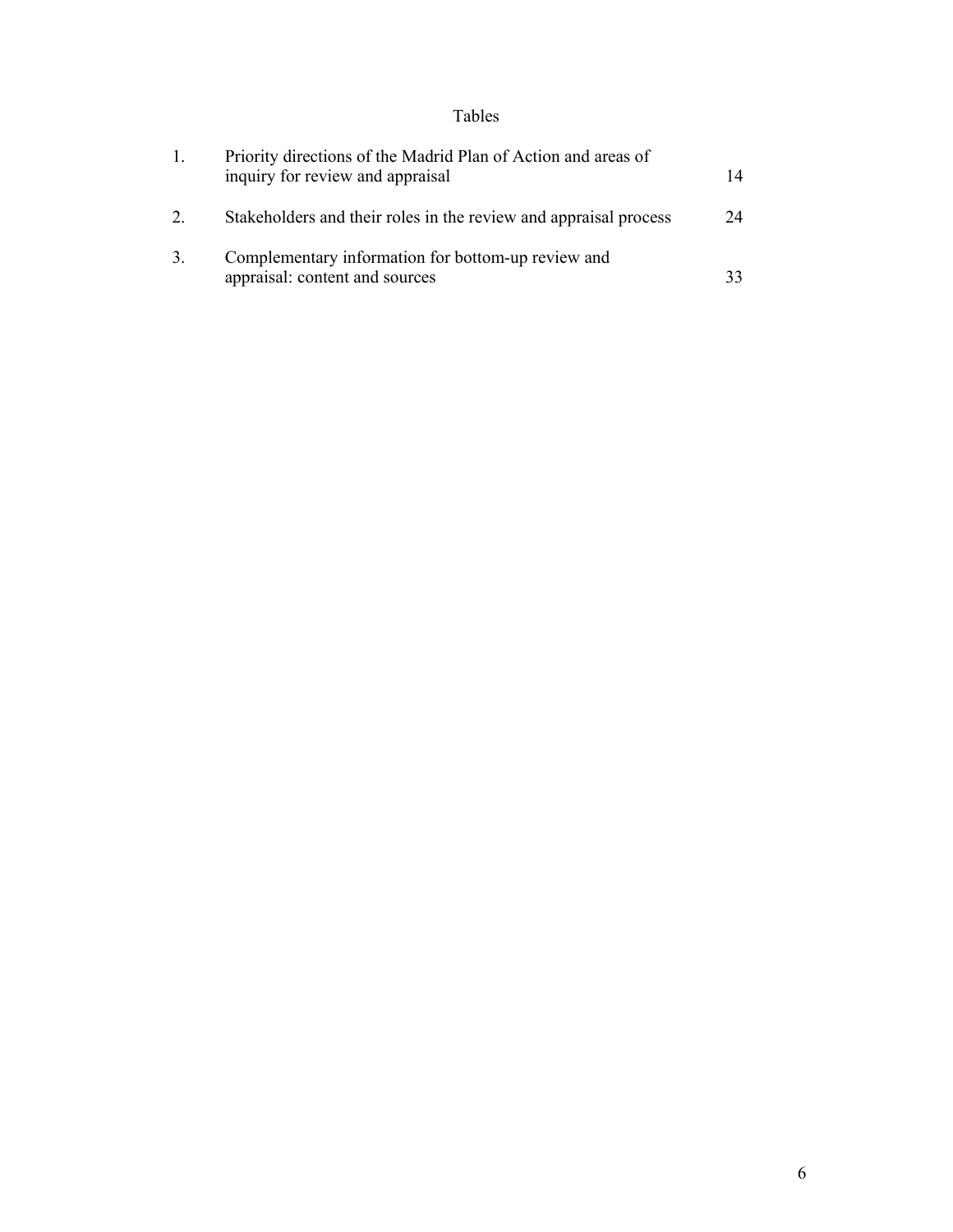# Tables

| $\mathbf{1}$ . | Priority directions of the Madrid Plan of Action and areas of<br>inquiry for review and appraisal | 14 |
|----------------|---------------------------------------------------------------------------------------------------|----|
| 2              | Stakeholders and their roles in the review and appraisal process                                  | 24 |
| 3.             | Complementary information for bottom-up review and<br>appraisal: content and sources              |    |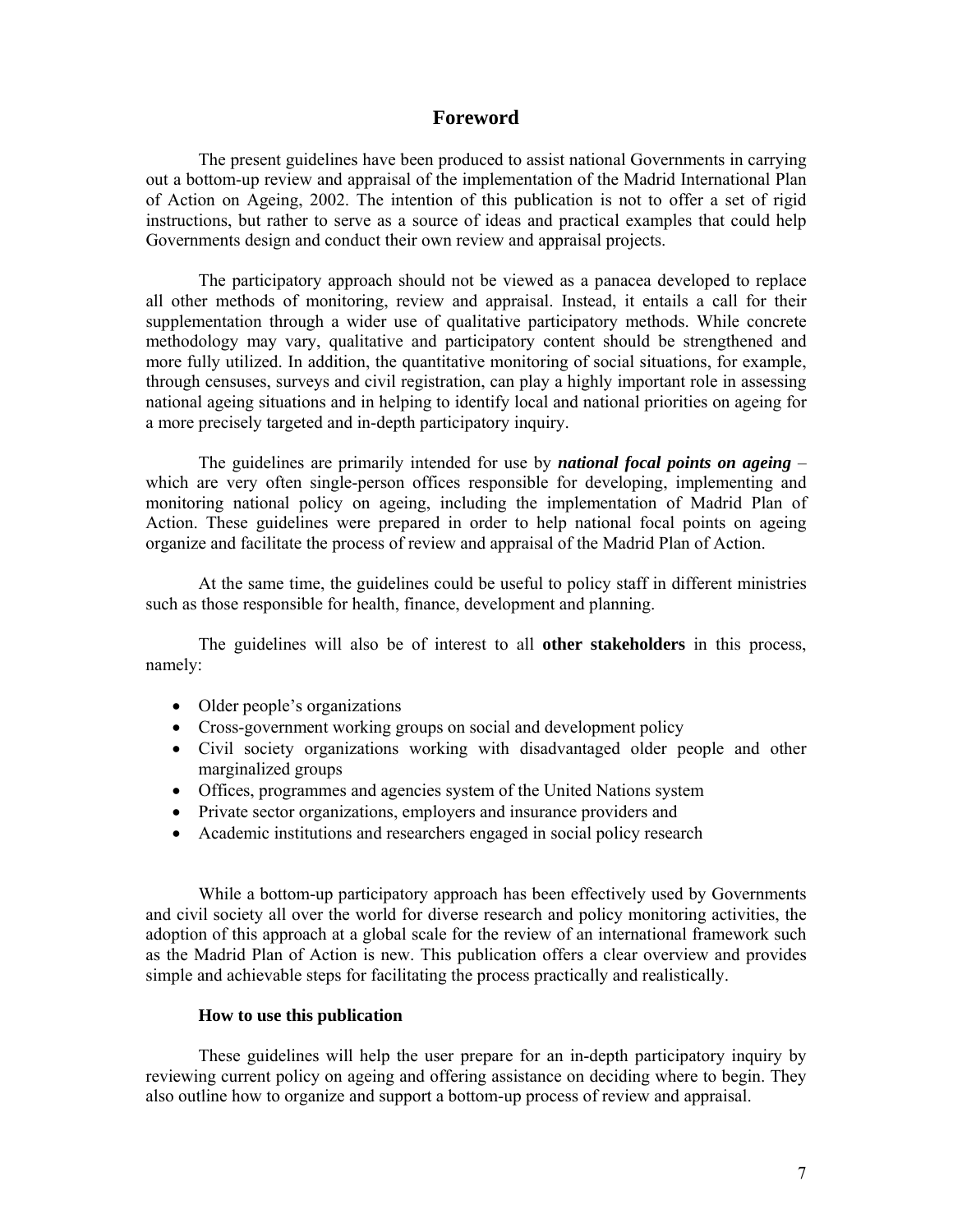## **Foreword**

The present guidelines have been produced to assist national Governments in carrying out a bottom-up review and appraisal of the implementation of the Madrid International Plan of Action on Ageing, 2002. The intention of this publication is not to offer a set of rigid instructions, but rather to serve as a source of ideas and practical examples that could help Governments design and conduct their own review and appraisal projects.

The participatory approach should not be viewed as a panacea developed to replace all other methods of monitoring, review and appraisal. Instead, it entails a call for their supplementation through a wider use of qualitative participatory methods. While concrete methodology may vary, qualitative and participatory content should be strengthened and more fully utilized. In addition, the quantitative monitoring of social situations, for example, through censuses, surveys and civil registration, can play a highly important role in assessing national ageing situations and in helping to identify local and national priorities on ageing for a more precisely targeted and in-depth participatory inquiry.

The guidelines are primarily intended for use by *national focal points on ageing* – which are very often single-person offices responsible for developing, implementing and monitoring national policy on ageing, including the implementation of Madrid Plan of Action. These guidelines were prepared in order to help national focal points on ageing organize and facilitate the process of review and appraisal of the Madrid Plan of Action.

At the same time, the guidelines could be useful to policy staff in different ministries such as those responsible for health, finance, development and planning.

 The guidelines will also be of interest to all **other stakeholders** in this process, namely:

- Older people's organizations
- Cross-government working groups on social and development policy
- Civil society organizations working with disadvantaged older people and other marginalized groups
- Offices, programmes and agencies system of the United Nations system
- Private sector organizations, employers and insurance providers and
- Academic institutions and researchers engaged in social policy research

While a bottom-up participatory approach has been effectively used by Governments and civil society all over the world for diverse research and policy monitoring activities, the adoption of this approach at a global scale for the review of an international framework such as the Madrid Plan of Action is new. This publication offers a clear overview and provides simple and achievable steps for facilitating the process practically and realistically.

#### **How to use this publication**

These guidelines will help the user prepare for an in-depth participatory inquiry by reviewing current policy on ageing and offering assistance on deciding where to begin. They also outline how to organize and support a bottom-up process of review and appraisal.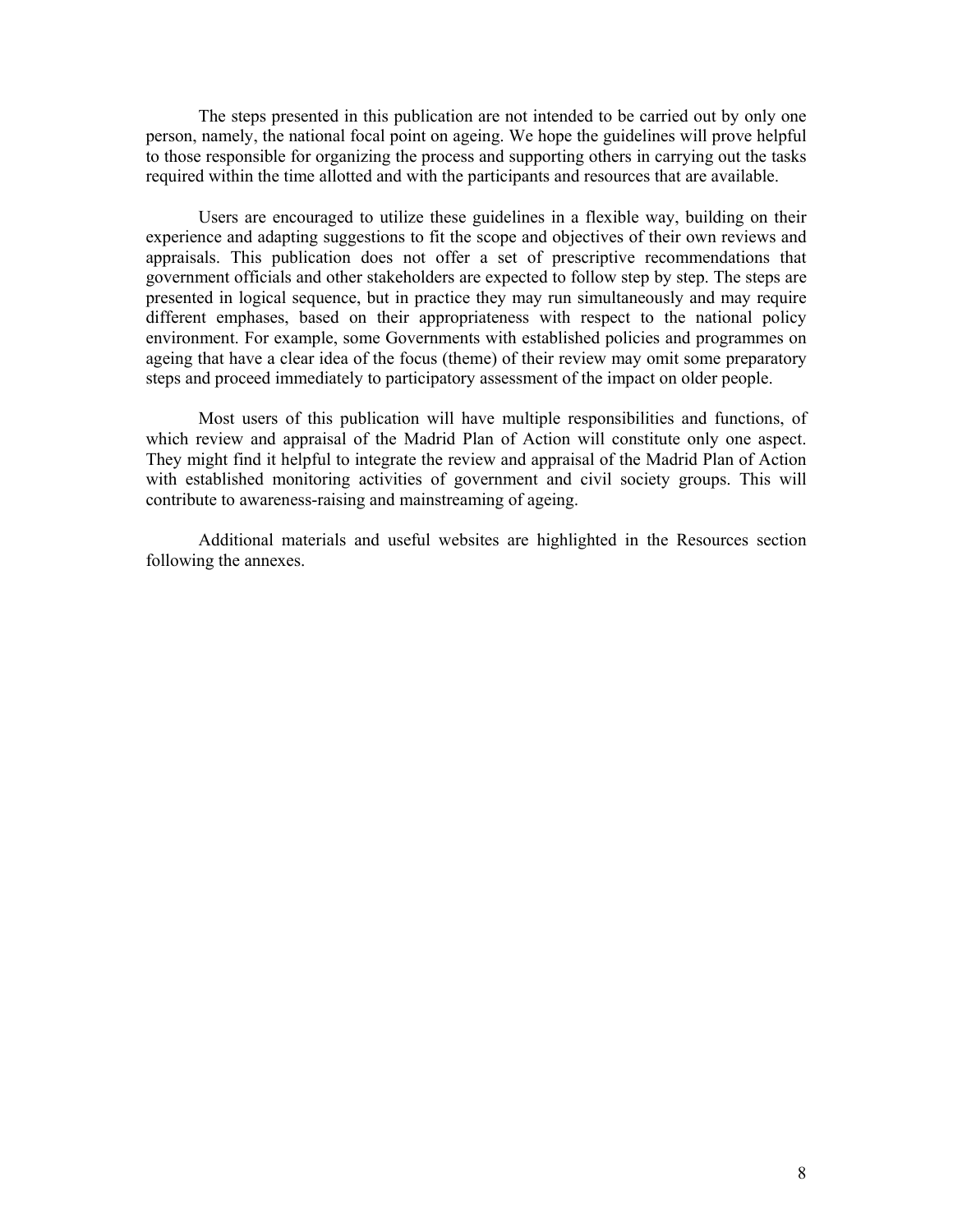The steps presented in this publication are not intended to be carried out by only one person, namely, the national focal point on ageing. We hope the guidelines will prove helpful to those responsible for organizing the process and supporting others in carrying out the tasks required within the time allotted and with the participants and resources that are available.

Users are encouraged to utilize these guidelines in a flexible way, building on their experience and adapting suggestions to fit the scope and objectives of their own reviews and appraisals. This publication does not offer a set of prescriptive recommendations that government officials and other stakeholders are expected to follow step by step. The steps are presented in logical sequence, but in practice they may run simultaneously and may require different emphases, based on their appropriateness with respect to the national policy environment. For example, some Governments with established policies and programmes on ageing that have a clear idea of the focus (theme) of their review may omit some preparatory steps and proceed immediately to participatory assessment of the impact on older people.

Most users of this publication will have multiple responsibilities and functions, of which review and appraisal of the Madrid Plan of Action will constitute only one aspect. They might find it helpful to integrate the review and appraisal of the Madrid Plan of Action with established monitoring activities of government and civil society groups. This will contribute to awareness-raising and mainstreaming of ageing.

Additional materials and useful websites are highlighted in the Resources section following the annexes.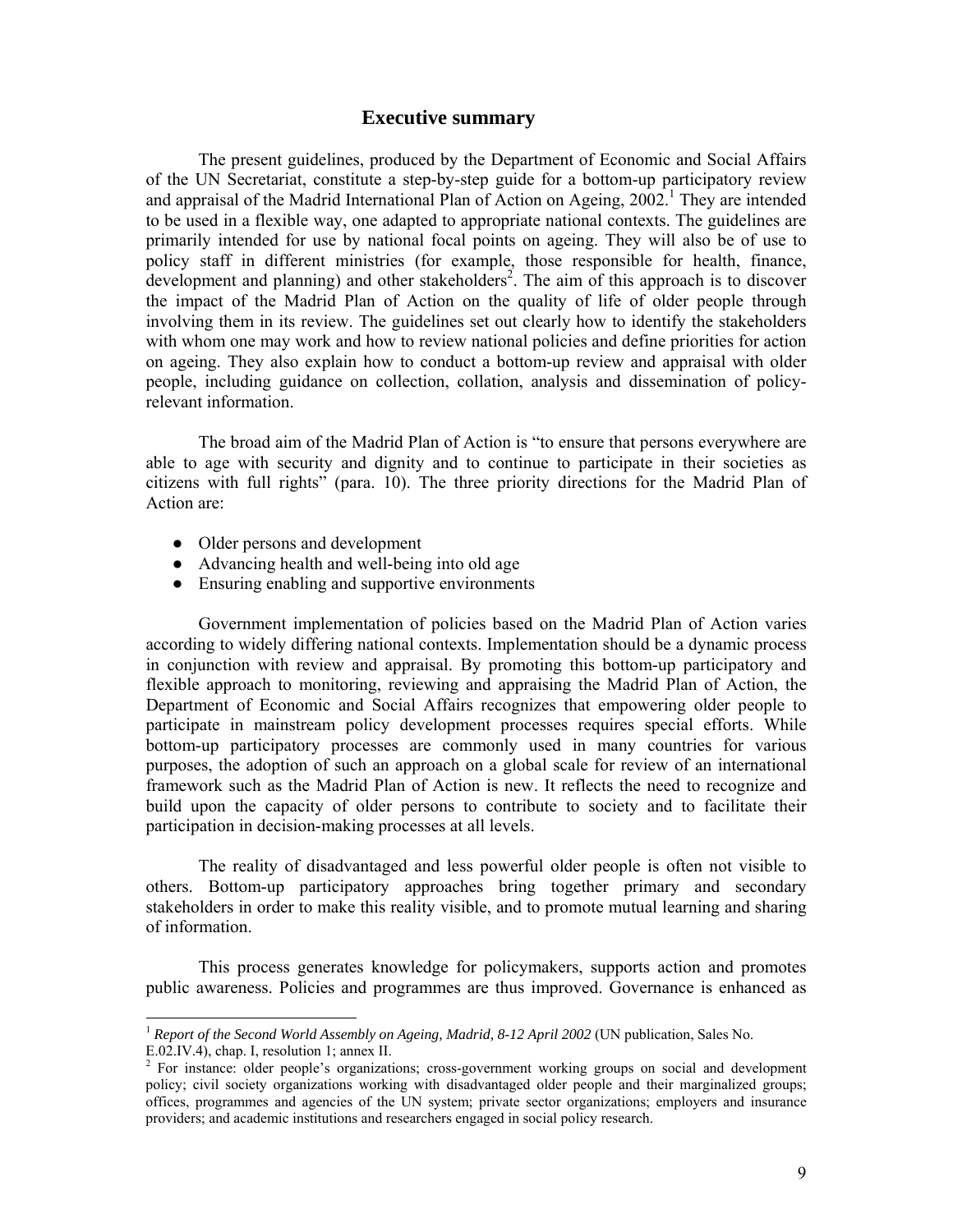#### **Executive summary**

The present guidelines, produced by the Department of Economic and Social Affairs of the UN Secretariat, constitute a step-by-step guide for a bottom-up participatory review and appraisal of the Madrid International Plan of Action on Ageing,  $2002$ <sup>1</sup>. They are intended to be used in a flexible way, one adapted to appropriate national contexts. The guidelines are primarily intended for use by national focal points on ageing. They will also be of use to policy staff in different ministries (for example, those responsible for health, finance, development and planning) and other stakeholders<sup>2</sup>. The aim of this approach is to discover the impact of the Madrid Plan of Action on the quality of life of older people through involving them in its review. The guidelines set out clearly how to identify the stakeholders with whom one may work and how to review national policies and define priorities for action on ageing. They also explain how to conduct a bottom-up review and appraisal with older people, including guidance on collection, collation, analysis and dissemination of policyrelevant information.

The broad aim of the Madrid Plan of Action is "to ensure that persons everywhere are able to age with security and dignity and to continue to participate in their societies as citizens with full rights" (para. 10). The three priority directions for the Madrid Plan of Action are:

• Older persons and development

-

- Advancing health and well-being into old age
- Ensuring enabling and supportive environments

Government implementation of policies based on the Madrid Plan of Action varies according to widely differing national contexts. Implementation should be a dynamic process in conjunction with review and appraisal. By promoting this bottom-up participatory and flexible approach to monitoring, reviewing and appraising the Madrid Plan of Action, the Department of Economic and Social Affairs recognizes that empowering older people to participate in mainstream policy development processes requires special efforts. While bottom-up participatory processes are commonly used in many countries for various purposes, the adoption of such an approach on a global scale for review of an international framework such as the Madrid Plan of Action is new. It reflects the need to recognize and build upon the capacity of older persons to contribute to society and to facilitate their participation in decision-making processes at all levels.

The reality of disadvantaged and less powerful older people is often not visible to others. Bottom-up participatory approaches bring together primary and secondary stakeholders in order to make this reality visible, and to promote mutual learning and sharing of information.

This process generates knowledge for policymakers, supports action and promotes public awareness. Policies and programmes are thus improved. Governance is enhanced as

<sup>&</sup>lt;sup>1</sup> Report of the Second World Assembly on Ageing, Madrid, 8-12 April 2002 (UN publication, Sales No. E.02.IV.4), chap. I, resolution 1; annex II.

<sup>&</sup>lt;sup>2</sup> For instance: older people's organizations; cross-government working groups on social and development policy; civil society organizations working with disadvantaged older people and their marginalized groups; offices, programmes and agencies of the UN system; private sector organizations; employers and insurance providers; and academic institutions and researchers engaged in social policy research.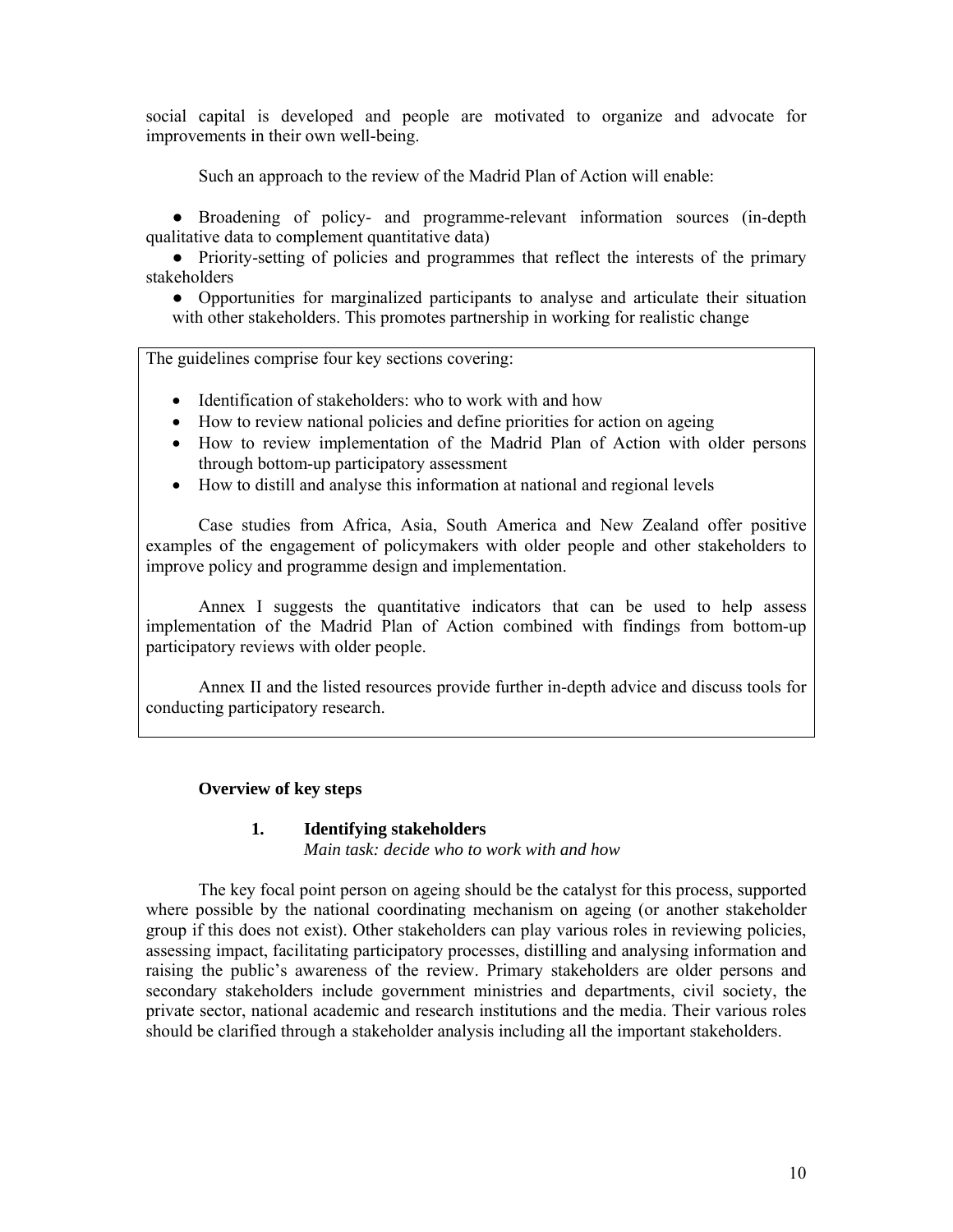social capital is developed and people are motivated to organize and advocate for improvements in their own well-being.

Such an approach to the review of the Madrid Plan of Action will enable:

● Broadening of policy- and programme-relevant information sources (in-depth qualitative data to complement quantitative data)

● Priority-setting of policies and programmes that reflect the interests of the primary stakeholders

● Opportunities for marginalized participants to analyse and articulate their situation with other stakeholders. This promotes partnership in working for realistic change

The guidelines comprise four key sections covering:

- Identification of stakeholders: who to work with and how
- How to review national policies and define priorities for action on ageing
- How to review implementation of the Madrid Plan of Action with older persons through bottom-up participatory assessment
- How to distill and analyse this information at national and regional levels

Case studies from Africa, Asia, South America and New Zealand offer positive examples of the engagement of policymakers with older people and other stakeholders to improve policy and programme design and implementation.

Annex I suggests the quantitative indicators that can be used to help assess implementation of the Madrid Plan of Action combined with findings from bottom-up participatory reviews with older people.

Annex II and the listed resources provide further in-depth advice and discuss tools for conducting participatory research.

#### **Overview of key steps**

#### **1. Identifying stakeholders**

*Main task: decide who to work with and how* 

The key focal point person on ageing should be the catalyst for this process, supported where possible by the national coordinating mechanism on ageing (or another stakeholder group if this does not exist). Other stakeholders can play various roles in reviewing policies, assessing impact, facilitating participatory processes, distilling and analysing information and raising the public's awareness of the review. Primary stakeholders are older persons and secondary stakeholders include government ministries and departments, civil society, the private sector, national academic and research institutions and the media. Their various roles should be clarified through a stakeholder analysis including all the important stakeholders.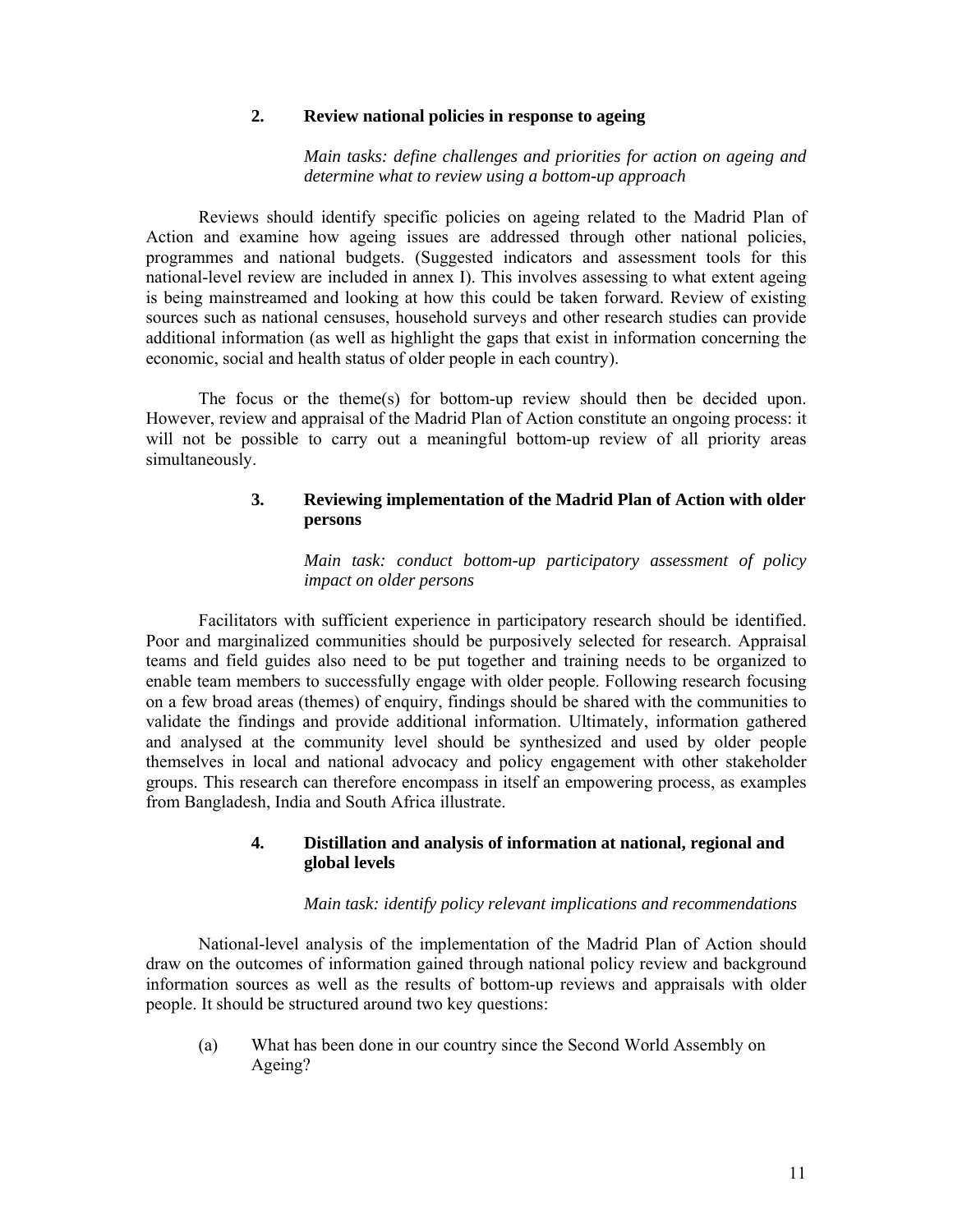#### **2. Review national policies in response to ageing**

*Main tasks: define challenges and priorities for action on ageing and determine what to review using a bottom-up approach* 

Reviews should identify specific policies on ageing related to the Madrid Plan of Action and examine how ageing issues are addressed through other national policies, programmes and national budgets. (Suggested indicators and assessment tools for this national-level review are included in annex I). This involves assessing to what extent ageing is being mainstreamed and looking at how this could be taken forward. Review of existing sources such as national censuses, household surveys and other research studies can provide additional information (as well as highlight the gaps that exist in information concerning the economic, social and health status of older people in each country).

The focus or the theme(s) for bottom-up review should then be decided upon. However, review and appraisal of the Madrid Plan of Action constitute an ongoing process: it will not be possible to carry out a meaningful bottom-up review of all priority areas simultaneously.

#### **3. Reviewing implementation of the Madrid Plan of Action with older persons**

*Main task: conduct bottom-up participatory assessment of policy impact on older persons* 

Facilitators with sufficient experience in participatory research should be identified. Poor and marginalized communities should be purposively selected for research. Appraisal teams and field guides also need to be put together and training needs to be organized to enable team members to successfully engage with older people. Following research focusing on a few broad areas (themes) of enquiry, findings should be shared with the communities to validate the findings and provide additional information. Ultimately, information gathered and analysed at the community level should be synthesized and used by older people themselves in local and national advocacy and policy engagement with other stakeholder groups. This research can therefore encompass in itself an empowering process, as examples from Bangladesh, India and South Africa illustrate.

#### **4. Distillation and analysis of information at national, regional and global levels**

#### *Main task: identify policy relevant implications and recommendations*

National-level analysis of the implementation of the Madrid Plan of Action should draw on the outcomes of information gained through national policy review and background information sources as well as the results of bottom-up reviews and appraisals with older people. It should be structured around two key questions:

 (a) What has been done in our country since the Second World Assembly on Ageing?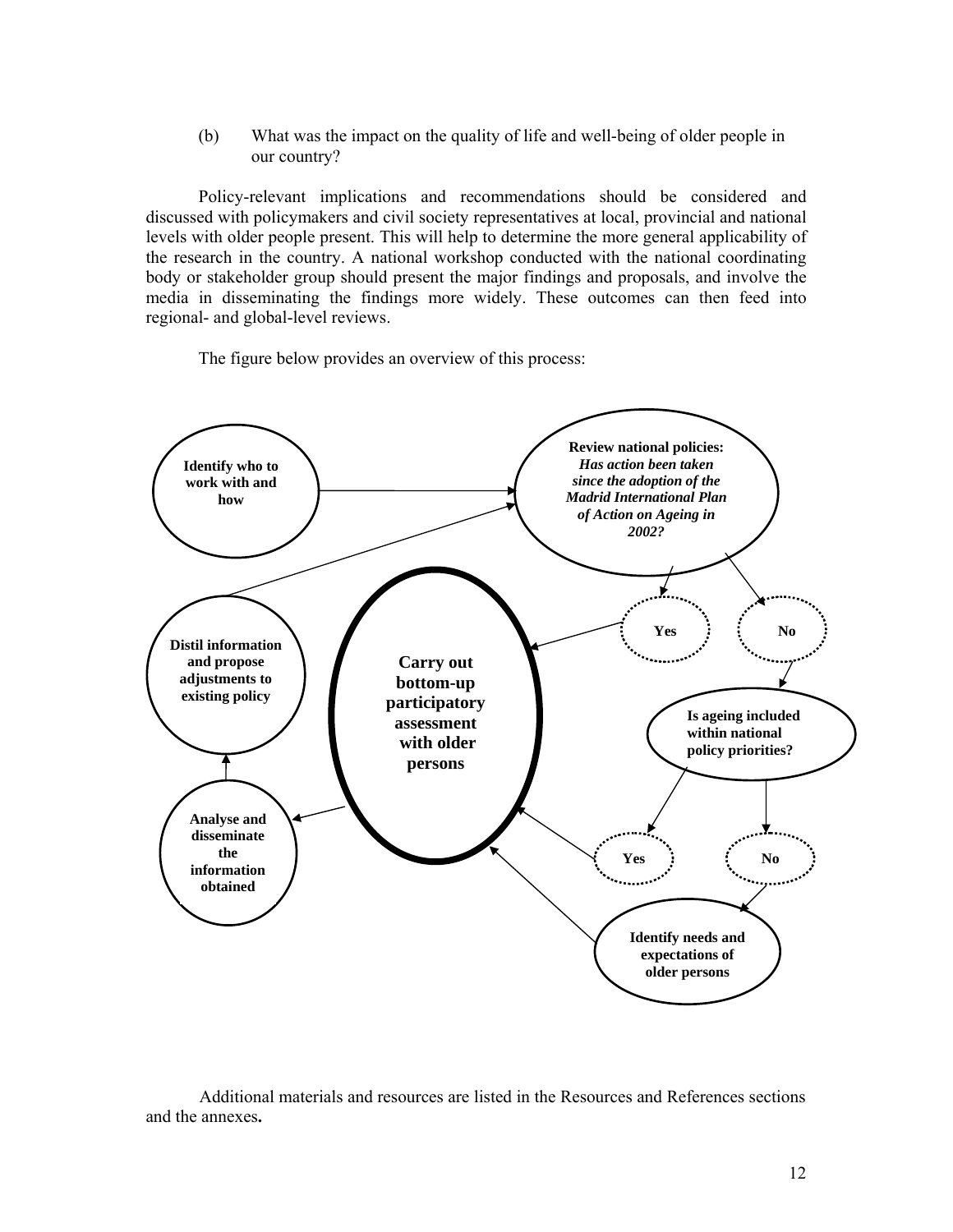(b) What was the impact on the quality of life and well-being of older people in our country?

Policy-relevant implications and recommendations should be considered and discussed with policymakers and civil society representatives at local, provincial and national levels with older people present. This will help to determine the more general applicability of the research in the country. A national workshop conducted with the national coordinating body or stakeholder group should present the major findings and proposals, and involve the media in disseminating the findings more widely. These outcomes can then feed into regional- and global-level reviews.

The figure below provides an overview of this process:



Additional materials and resources are listed in the Resources and References sections and the annexes**.**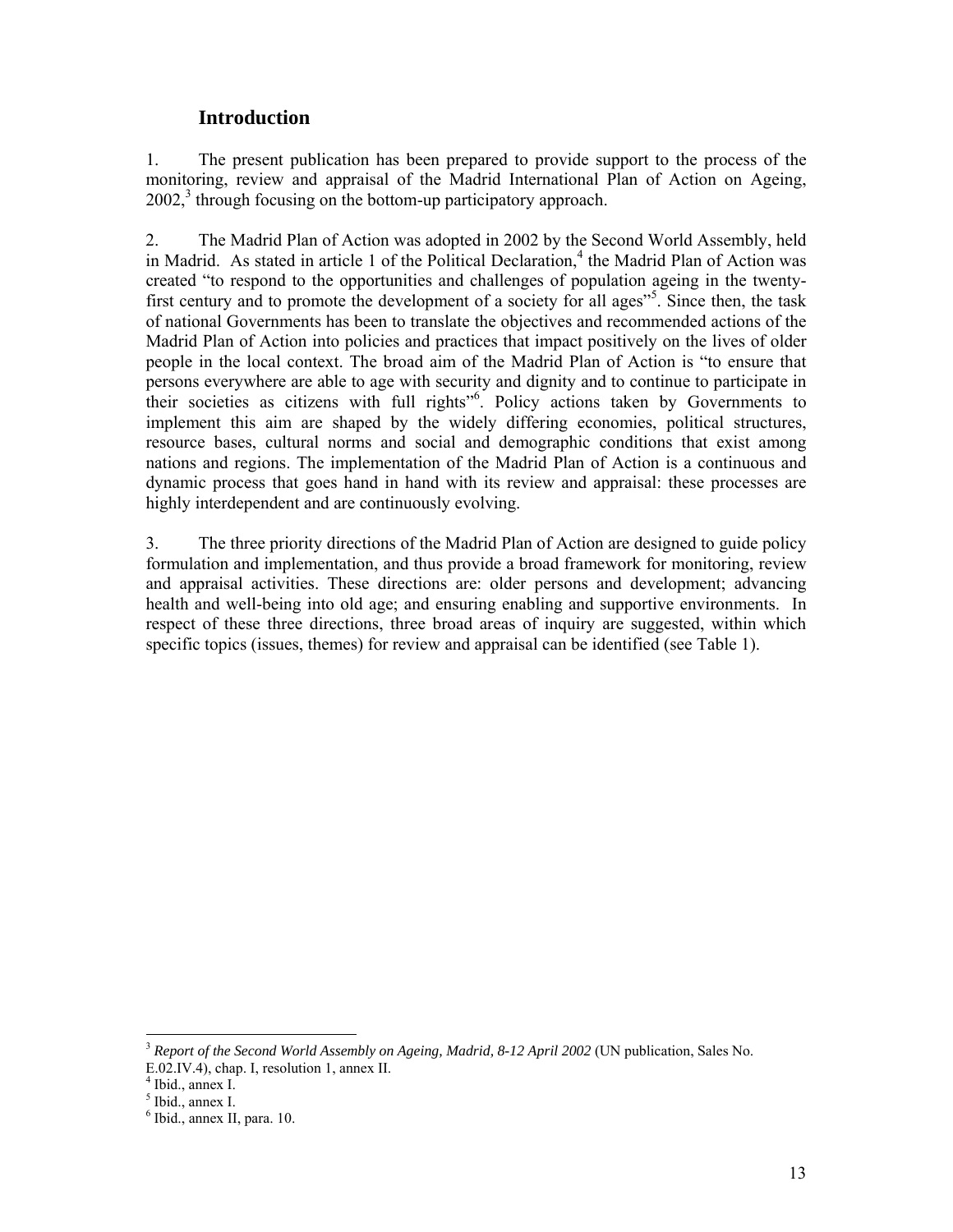# **Introduction**

1. The present publication has been prepared to provide support to the process of the monitoring, review and appraisal of the Madrid International Plan of Action on Ageing, 2002,<sup>3</sup> through focusing on the bottom-up participatory approach.

2. The Madrid Plan of Action was adopted in 2002 by the Second World Assembly, held in Madrid. As stated in article 1 of the Political Declaration,<sup>4</sup> the Madrid Plan of Action was created "to respond to the opportunities and challenges of population ageing in the twentyfirst century and to promote the development of a society for all ages<sup>55</sup>. Since then, the task of national Governments has been to translate the objectives and recommended actions of the Madrid Plan of Action into policies and practices that impact positively on the lives of older people in the local context. The broad aim of the Madrid Plan of Action is "to ensure that persons everywhere are able to age with security and dignity and to continue to participate in their societies as citizens with full rights"<sup>6</sup>. Policy actions taken by Governments to implement this aim are shaped by the widely differing economies, political structures, resource bases, cultural norms and social and demographic conditions that exist among nations and regions. The implementation of the Madrid Plan of Action is a continuous and dynamic process that goes hand in hand with its review and appraisal: these processes are highly interdependent and are continuously evolving.

3. The three priority directions of the Madrid Plan of Action are designed to guide policy formulation and implementation, and thus provide a broad framework for monitoring, review and appraisal activities. These directions are: older persons and development; advancing health and well-being into old age; and ensuring enabling and supportive environments. In respect of these three directions, three broad areas of inquiry are suggested, within which specific topics (issues, themes) for review and appraisal can be identified (see Table 1).

<sup>-</sup><sup>3</sup> *Report of the Second World Assembly on Ageing, Madrid, 8-12 April 2002* (UN publication, Sales No. E.02.IV.4), chap. I, resolution 1, annex II.

<sup>4</sup> Ibid., annex I.

<sup>5</sup> Ibid., annex I.

<sup>6</sup> Ibid., annex II, para. 10.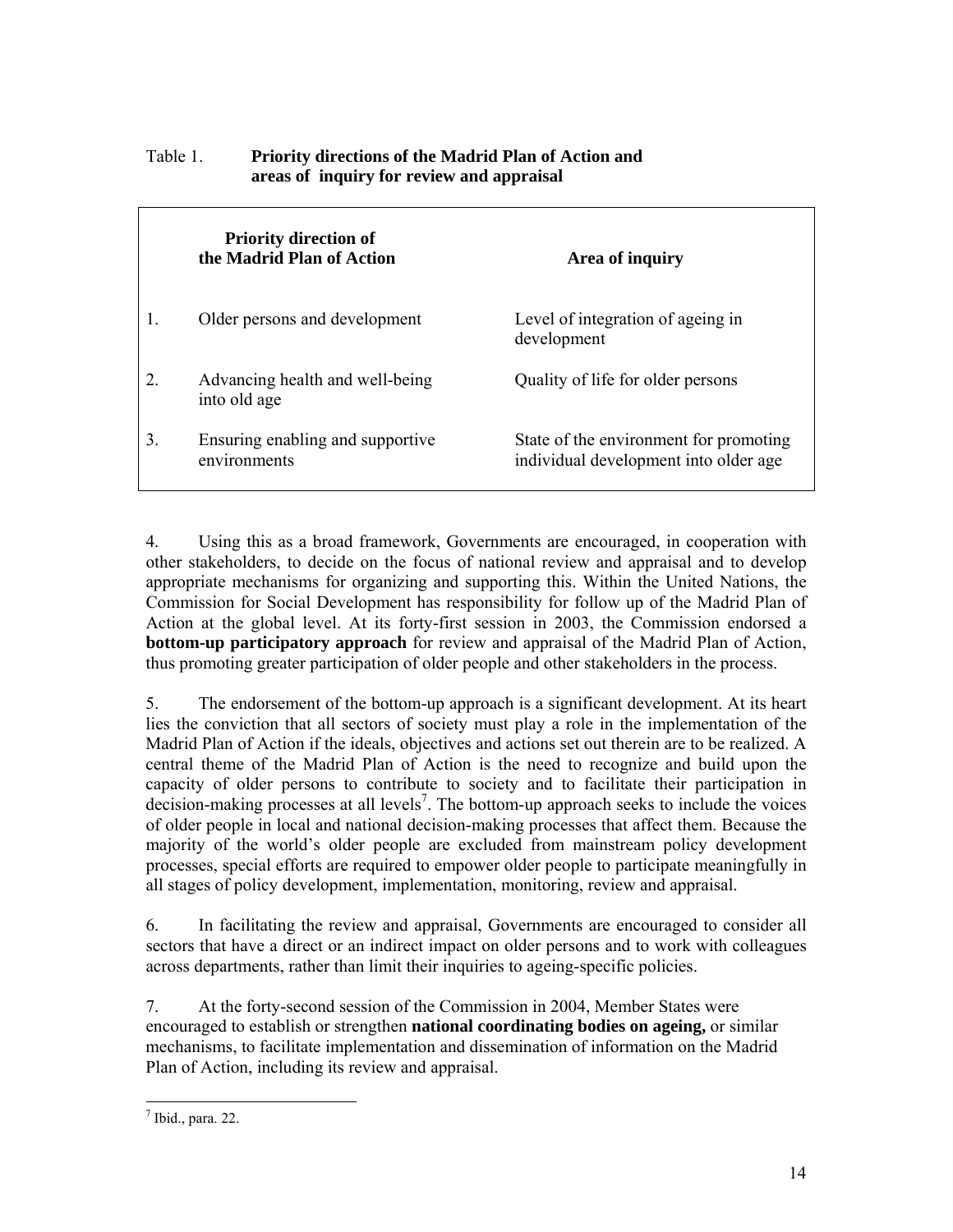|    | <b>Priority direction of</b><br>the Madrid Plan of Action | Area of inquiry                                                                 |
|----|-----------------------------------------------------------|---------------------------------------------------------------------------------|
|    | Older persons and development                             | Level of integration of ageing in<br>development                                |
| 2  | Advancing health and well-being<br>into old age           | Quality of life for older persons                                               |
| 3. | Ensuring enabling and supportive<br>environments          | State of the environment for promoting<br>individual development into older age |

## Table 1. **Priority directions of the Madrid Plan of Action and areas of inquiry for review and appraisal**

4. Using this as a broad framework, Governments are encouraged, in cooperation with other stakeholders, to decide on the focus of national review and appraisal and to develop appropriate mechanisms for organizing and supporting this. Within the United Nations, the Commission for Social Development has responsibility for follow up of the Madrid Plan of Action at the global level. At its forty-first session in 2003, the Commission endorsed a **bottom-up participatory approach** for review and appraisal of the Madrid Plan of Action, thus promoting greater participation of older people and other stakeholders in the process.

5. The endorsement of the bottom-up approach is a significant development. At its heart lies the conviction that all sectors of society must play a role in the implementation of the Madrid Plan of Action if the ideals, objectives and actions set out therein are to be realized. A central theme of the Madrid Plan of Action is the need to recognize and build upon the capacity of older persons to contribute to society and to facilitate their participation in  $decision$ -making processes at all levels<sup>7</sup>. The bottom-up approach seeks to include the voices of older people in local and national decision-making processes that affect them. Because the majority of the world's older people are excluded from mainstream policy development processes, special efforts are required to empower older people to participate meaningfully in all stages of policy development, implementation, monitoring, review and appraisal.

6. In facilitating the review and appraisal, Governments are encouraged to consider all sectors that have a direct or an indirect impact on older persons and to work with colleagues across departments, rather than limit their inquiries to ageing-specific policies.

7. At the forty-second session of the Commission in 2004, Member States were encouraged to establish or strengthen **national coordinating bodies on ageing,** or similar mechanisms, to facilitate implementation and dissemination of information on the Madrid Plan of Action, including its review and appraisal.

 $\frac{1}{7}$  Ibid., para. 22.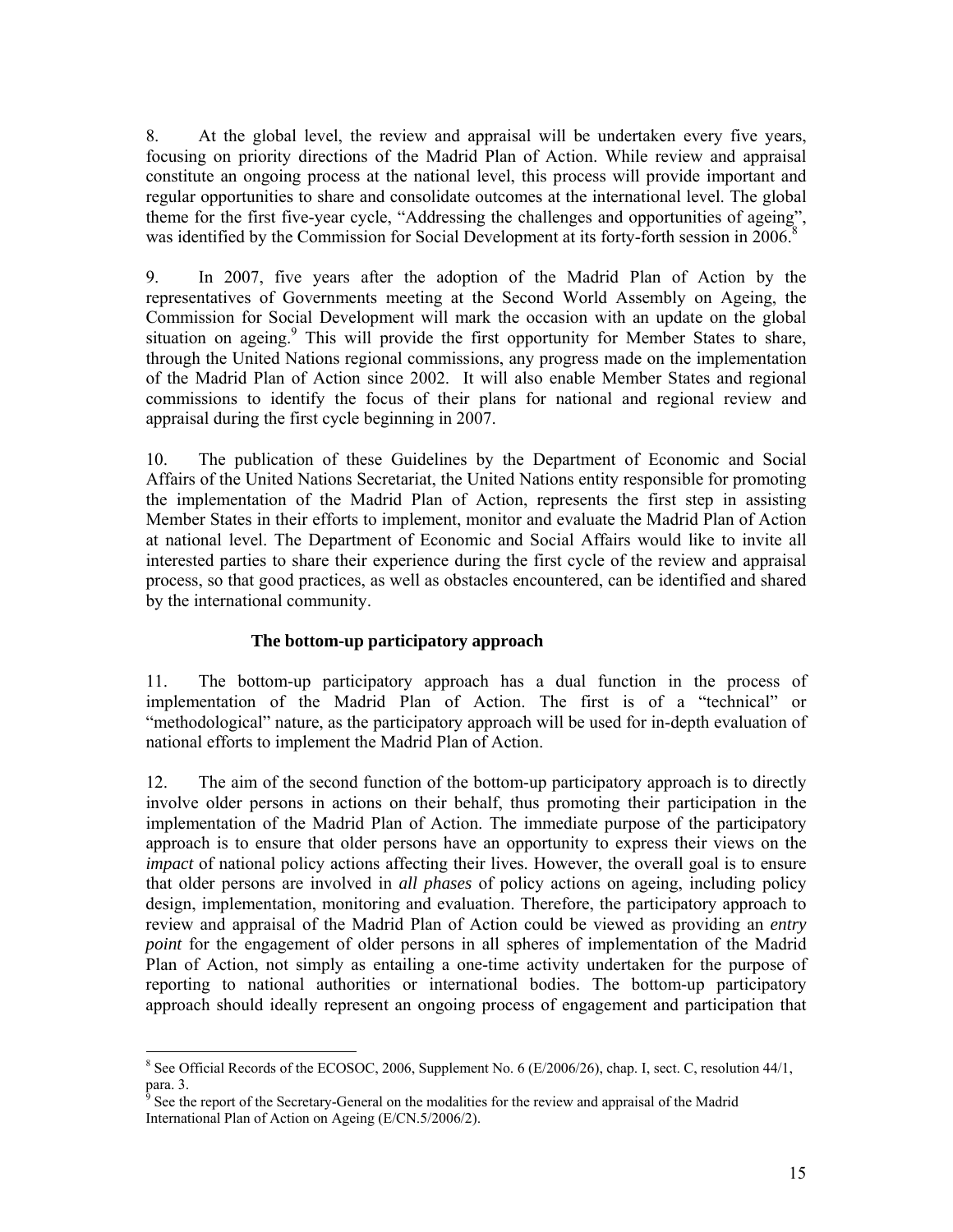8. At the global level, the review and appraisal will be undertaken every five years, focusing on priority directions of the Madrid Plan of Action. While review and appraisal constitute an ongoing process at the national level, this process will provide important and regular opportunities to share and consolidate outcomes at the international level. The global theme for the first five-year cycle, "Addressing the challenges and opportunities of ageing", was identified by the Commission for Social Development at its forty-forth session in 2006.<sup>8</sup>

9. In 2007, five years after the adoption of the Madrid Plan of Action by the representatives of Governments meeting at the Second World Assembly on Ageing, the Commission for Social Development will mark the occasion with an update on the global situation on ageing.<sup>9</sup> This will provide the first opportunity for Member States to share, through the United Nations regional commissions, any progress made on the implementation of the Madrid Plan of Action since 2002. It will also enable Member States and regional commissions to identify the focus of their plans for national and regional review and appraisal during the first cycle beginning in 2007.

10. The publication of these Guidelines by the Department of Economic and Social Affairs of the United Nations Secretariat, the United Nations entity responsible for promoting the implementation of the Madrid Plan of Action, represents the first step in assisting Member States in their efforts to implement, monitor and evaluate the Madrid Plan of Action at national level. The Department of Economic and Social Affairs would like to invite all interested parties to share their experience during the first cycle of the review and appraisal process, so that good practices, as well as obstacles encountered, can be identified and shared by the international community.

## **The bottom-up participatory approach**

11. The bottom-up participatory approach has a dual function in the process of implementation of the Madrid Plan of Action. The first is of a "technical" or "methodological" nature, as the participatory approach will be used for in-depth evaluation of national efforts to implement the Madrid Plan of Action.

12. The aim of the second function of the bottom-up participatory approach is to directly involve older persons in actions on their behalf, thus promoting their participation in the implementation of the Madrid Plan of Action. The immediate purpose of the participatory approach is to ensure that older persons have an opportunity to express their views on the *impact* of national policy actions affecting their lives. However, the overall goal is to ensure that older persons are involved in *all phases* of policy actions on ageing, including policy design, implementation, monitoring and evaluation. Therefore, the participatory approach to review and appraisal of the Madrid Plan of Action could be viewed as providing an *entry point* for the engagement of older persons in all spheres of implementation of the Madrid Plan of Action, not simply as entailing a one-time activity undertaken for the purpose of reporting to national authorities or international bodies. The bottom-up participatory approach should ideally represent an ongoing process of engagement and participation that

-

<sup>&</sup>lt;sup>8</sup> See Official Records of the ECOSOC, 2006, Supplement No. 6 (E/2006/26), chap. I, sect. C, resolution 44/1, para. 3.

See the report of the Secretary-General on the modalities for the review and appraisal of the Madrid International Plan of Action on Ageing (E/CN.5/2006/2).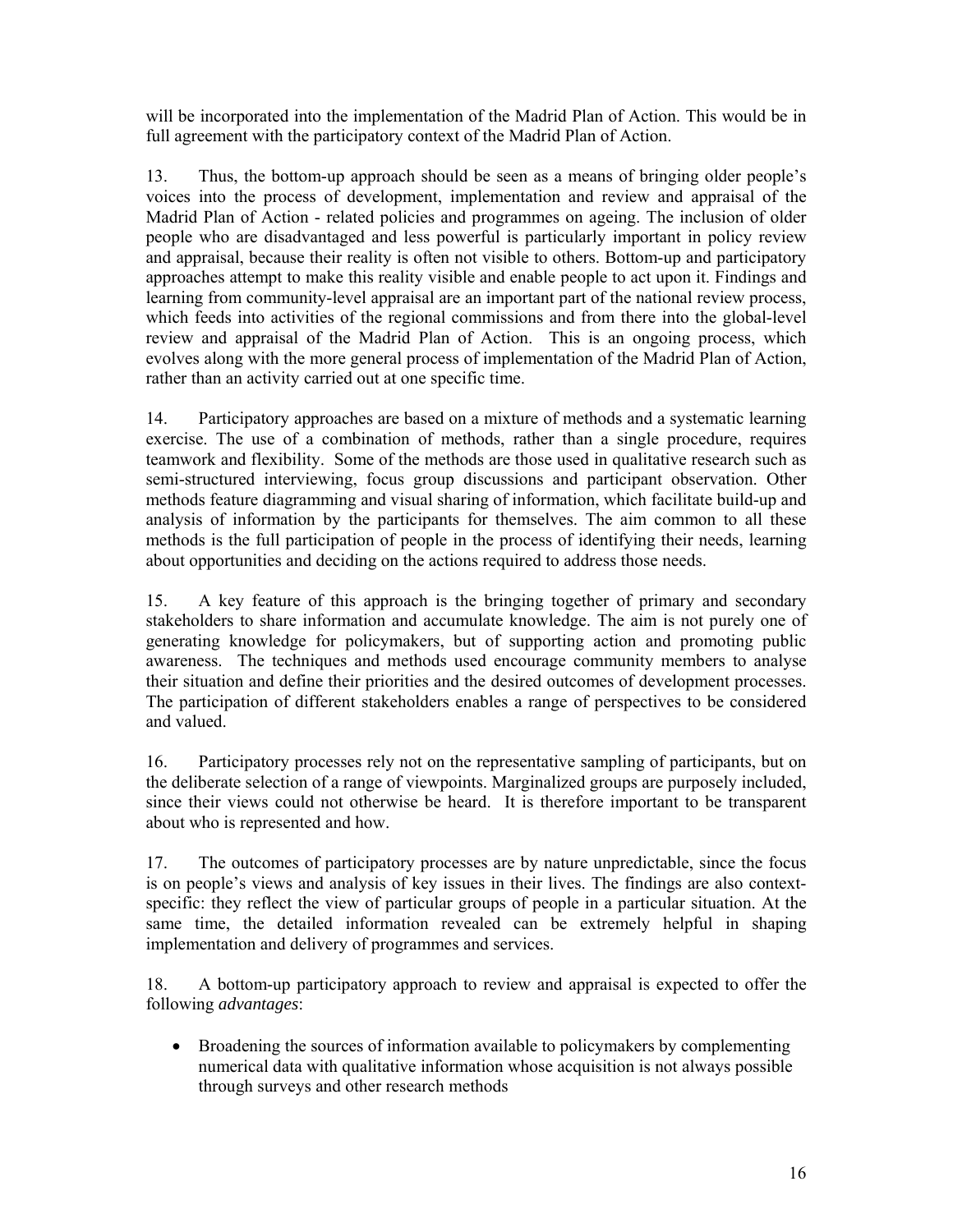will be incorporated into the implementation of the Madrid Plan of Action. This would be in full agreement with the participatory context of the Madrid Plan of Action.

13. Thus, the bottom-up approach should be seen as a means of bringing older people's voices into the process of development, implementation and review and appraisal of the Madrid Plan of Action - related policies and programmes on ageing. The inclusion of older people who are disadvantaged and less powerful is particularly important in policy review and appraisal, because their reality is often not visible to others. Bottom-up and participatory approaches attempt to make this reality visible and enable people to act upon it. Findings and learning from community-level appraisal are an important part of the national review process, which feeds into activities of the regional commissions and from there into the global-level review and appraisal of the Madrid Plan of Action. This is an ongoing process, which evolves along with the more general process of implementation of the Madrid Plan of Action, rather than an activity carried out at one specific time.

14. Participatory approaches are based on a mixture of methods and a systematic learning exercise. The use of a combination of methods, rather than a single procedure, requires teamwork and flexibility. Some of the methods are those used in qualitative research such as semi-structured interviewing, focus group discussions and participant observation. Other methods feature diagramming and visual sharing of information, which facilitate build-up and analysis of information by the participants for themselves. The aim common to all these methods is the full participation of people in the process of identifying their needs, learning about opportunities and deciding on the actions required to address those needs.

15. A key feature of this approach is the bringing together of primary and secondary stakeholders to share information and accumulate knowledge. The aim is not purely one of generating knowledge for policymakers, but of supporting action and promoting public awareness. The techniques and methods used encourage community members to analyse their situation and define their priorities and the desired outcomes of development processes. The participation of different stakeholders enables a range of perspectives to be considered and valued.

16. Participatory processes rely not on the representative sampling of participants, but on the deliberate selection of a range of viewpoints. Marginalized groups are purposely included, since their views could not otherwise be heard. It is therefore important to be transparent about who is represented and how.

17. The outcomes of participatory processes are by nature unpredictable, since the focus is on people's views and analysis of key issues in their lives. The findings are also contextspecific: they reflect the view of particular groups of people in a particular situation. At the same time, the detailed information revealed can be extremely helpful in shaping implementation and delivery of programmes and services.

18. A bottom-up participatory approach to review and appraisal is expected to offer the following *advantages*:

• Broadening the sources of information available to policymakers by complementing numerical data with qualitative information whose acquisition is not always possible through surveys and other research methods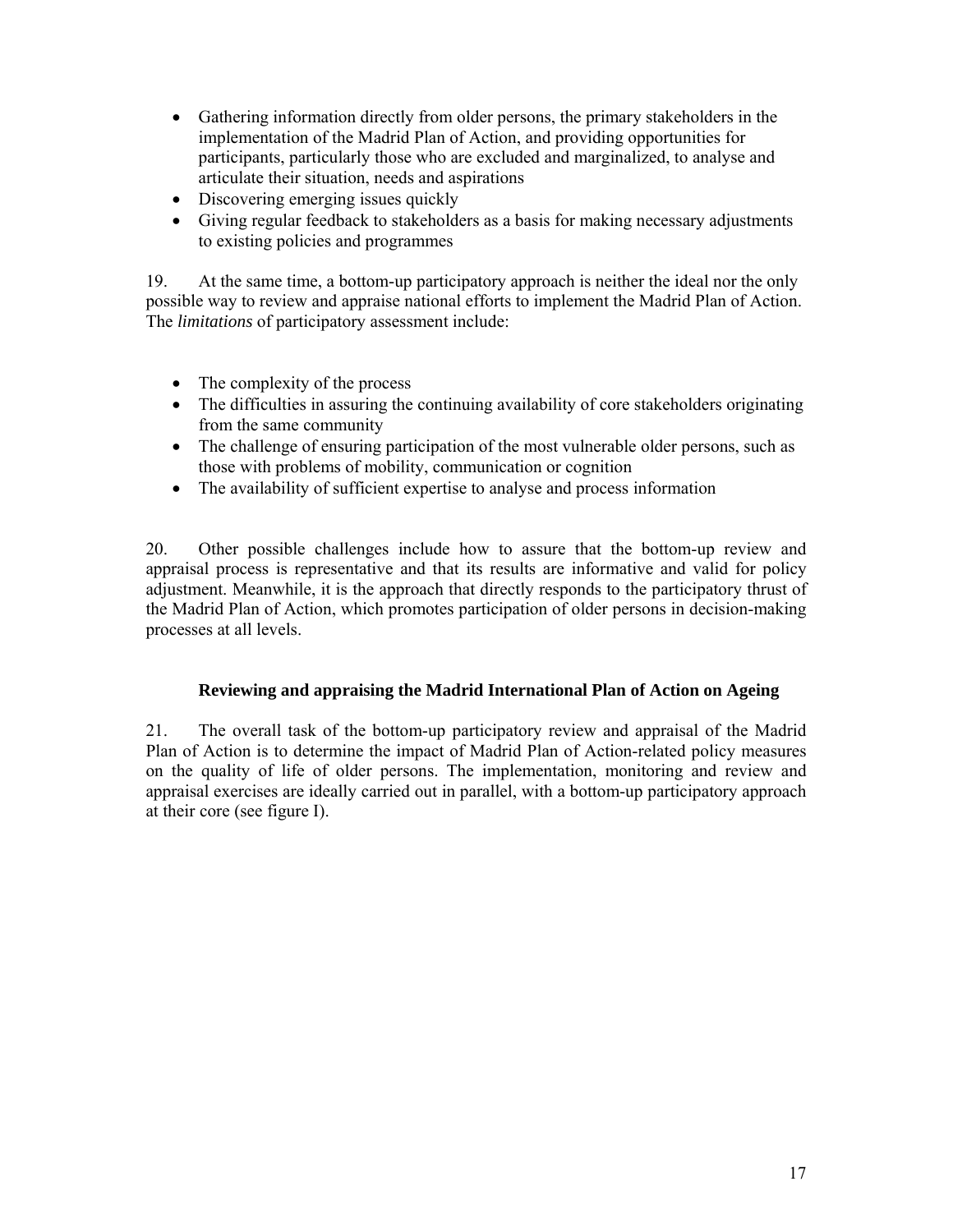- Gathering information directly from older persons, the primary stakeholders in the implementation of the Madrid Plan of Action, and providing opportunities for participants, particularly those who are excluded and marginalized, to analyse and articulate their situation, needs and aspirations
- Discovering emerging issues quickly
- Giving regular feedback to stakeholders as a basis for making necessary adjustments to existing policies and programmes

19. At the same time, a bottom-up participatory approach is neither the ideal nor the only possible way to review and appraise national efforts to implement the Madrid Plan of Action. The *limitations* of participatory assessment include:

- The complexity of the process
- The difficulties in assuring the continuing availability of core stakeholders originating from the same community
- The challenge of ensuring participation of the most vulnerable older persons, such as those with problems of mobility, communication or cognition
- The availability of sufficient expertise to analyse and process information

20. Other possible challenges include how to assure that the bottom-up review and appraisal process is representative and that its results are informative and valid for policy adjustment. Meanwhile, it is the approach that directly responds to the participatory thrust of the Madrid Plan of Action, which promotes participation of older persons in decision-making processes at all levels.

## **Reviewing and appraising the Madrid International Plan of Action on Ageing**

21. The overall task of the bottom-up participatory review and appraisal of the Madrid Plan of Action is to determine the impact of Madrid Plan of Action-related policy measures on the quality of life of older persons. The implementation, monitoring and review and appraisal exercises are ideally carried out in parallel, with a bottom-up participatory approach at their core (see figure I).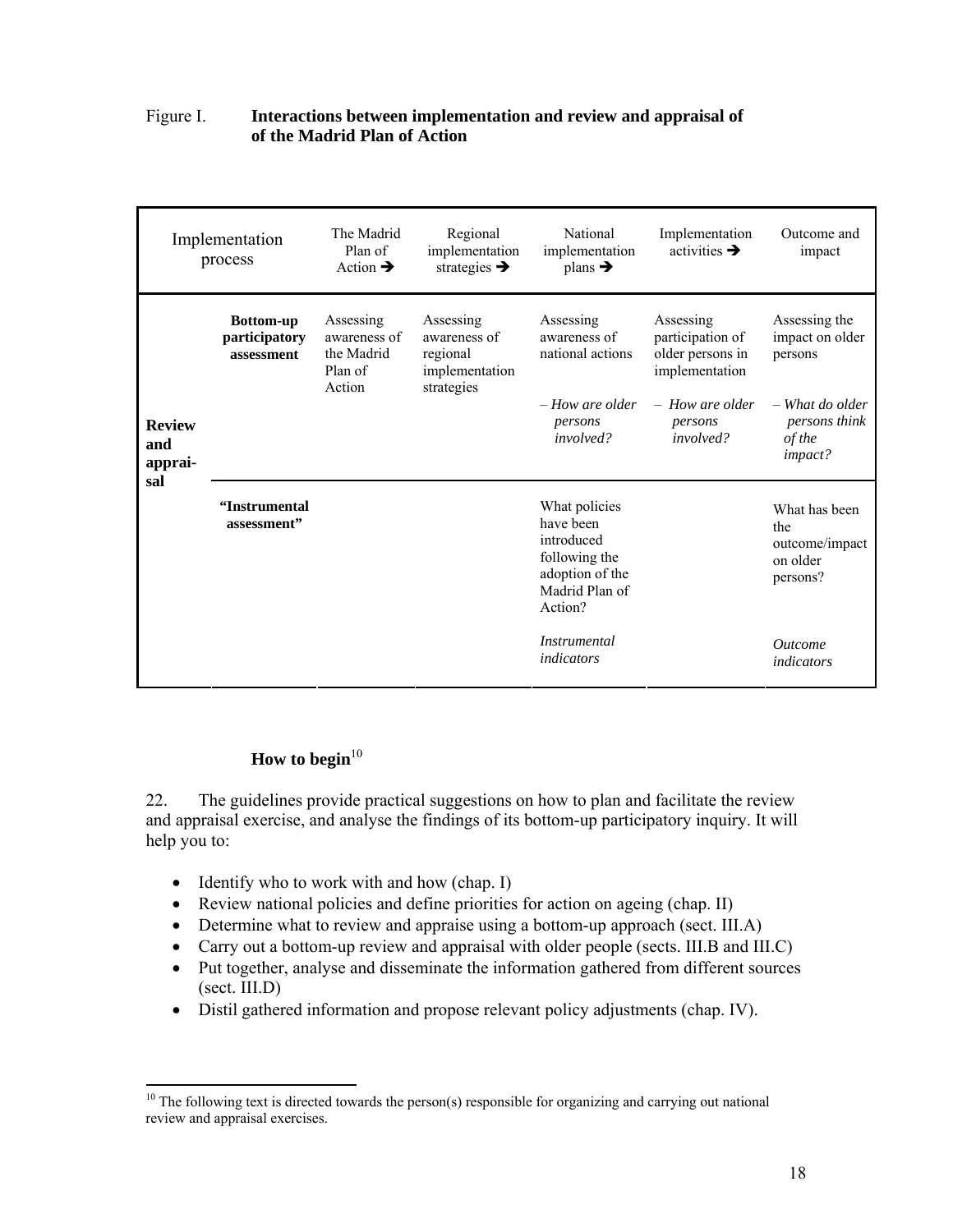## Figure I. **Interactions between implementation and review and appraisal of of the Madrid Plan of Action**

|                                 | Implementation<br>process                       | The Madrid<br>Plan of<br>Action $\rightarrow$                | Regional<br>implementation<br>strategies $\rightarrow$                | National<br>implementation<br>plans $\rightarrow$                                                         | Implementation<br>activities $\rightarrow$                          | Outcome and<br>impact                                          |
|---------------------------------|-------------------------------------------------|--------------------------------------------------------------|-----------------------------------------------------------------------|-----------------------------------------------------------------------------------------------------------|---------------------------------------------------------------------|----------------------------------------------------------------|
|                                 | <b>Bottom-up</b><br>participatory<br>assessment | Assessing<br>awareness of<br>the Madrid<br>Plan of<br>Action | Assessing<br>awareness of<br>regional<br>implementation<br>strategies | Assessing<br>awareness of<br>national actions                                                             | Assessing<br>participation of<br>older persons in<br>implementation | Assessing the<br>impact on older<br>persons                    |
| <b>Review</b><br>and<br>apprai- |                                                 |                                                              |                                                                       | $-$ How are older<br>persons<br><i>involved?</i>                                                          | $-$ How are older<br>persons<br>involved?                           | - What do older<br>persons think<br>of the<br>impact?          |
| sal                             | "Instrumental<br>assessment"                    |                                                              |                                                                       | What policies<br>have been<br>introduced<br>following the<br>adoption of the<br>Madrid Plan of<br>Action? |                                                                     | What has been<br>the<br>outcome/impact<br>on older<br>persons? |
|                                 |                                                 |                                                              |                                                                       | <i>Instrumental</i><br>indicators                                                                         |                                                                     | <i><u><b>Outcome</b></u></i><br>indicators                     |

# How to begin<sup>10</sup>

22. The guidelines provide practical suggestions on how to plan and facilitate the review and appraisal exercise, and analyse the findings of its bottom-up participatory inquiry. It will help you to:

- Identify who to work with and how (chap. I)
- Review national policies and define priorities for action on ageing (chap. II)
- Determine what to review and appraise using a bottom-up approach (sect. III.A)
- Carry out a bottom-up review and appraisal with older people (sects. III.B and III.C)
- Put together, analyse and disseminate the information gathered from different sources (sect. III.D)
- Distil gathered information and propose relevant policy adjustments (chap. IV).

<sup>-</sup> $10$  The following text is directed towards the person(s) responsible for organizing and carrying out national review and appraisal exercises.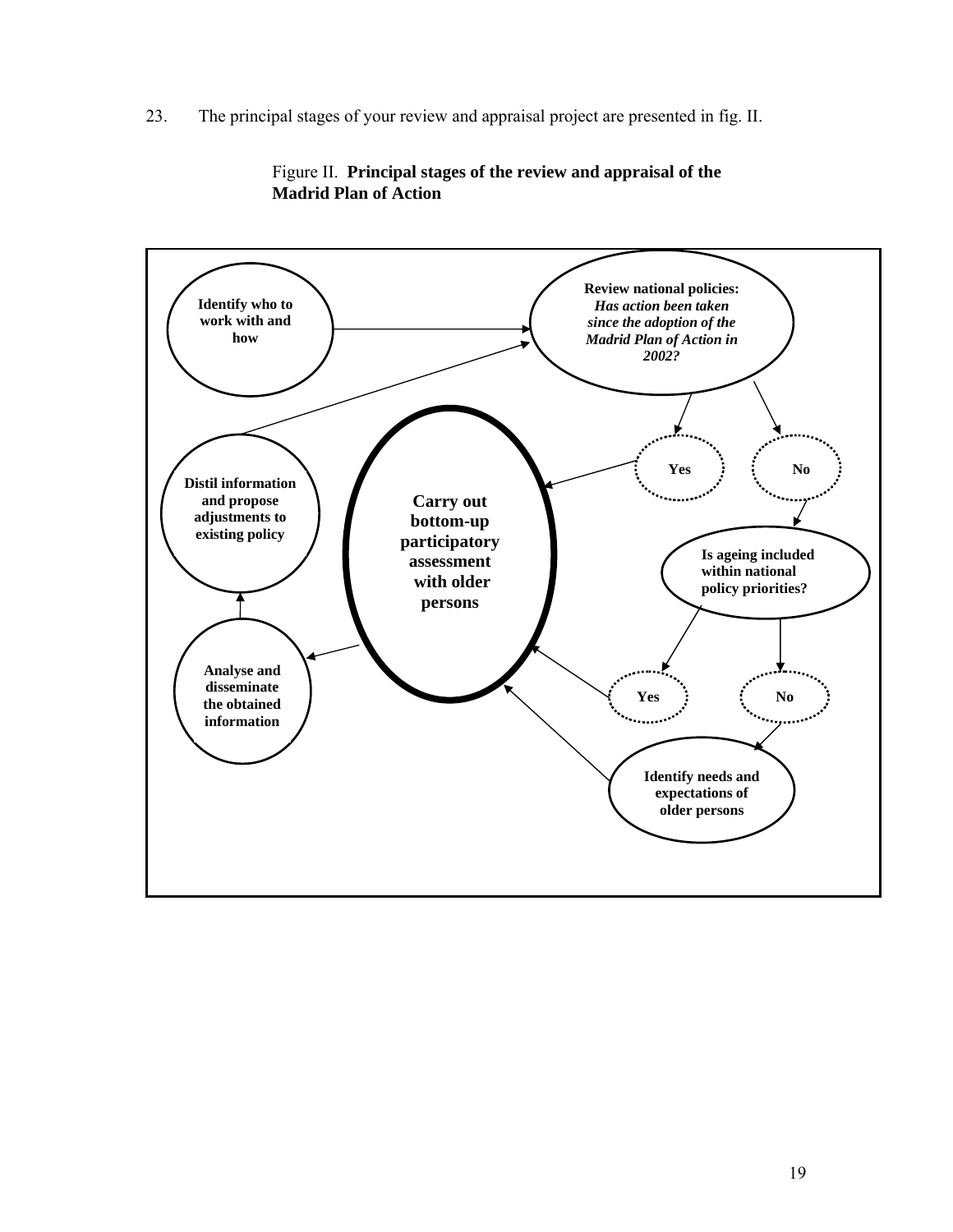23. The principal stages of your review and appraisal project are presented in fig. II.



Figure II. **Principal stages of the review and appraisal of the Madrid Plan of Action**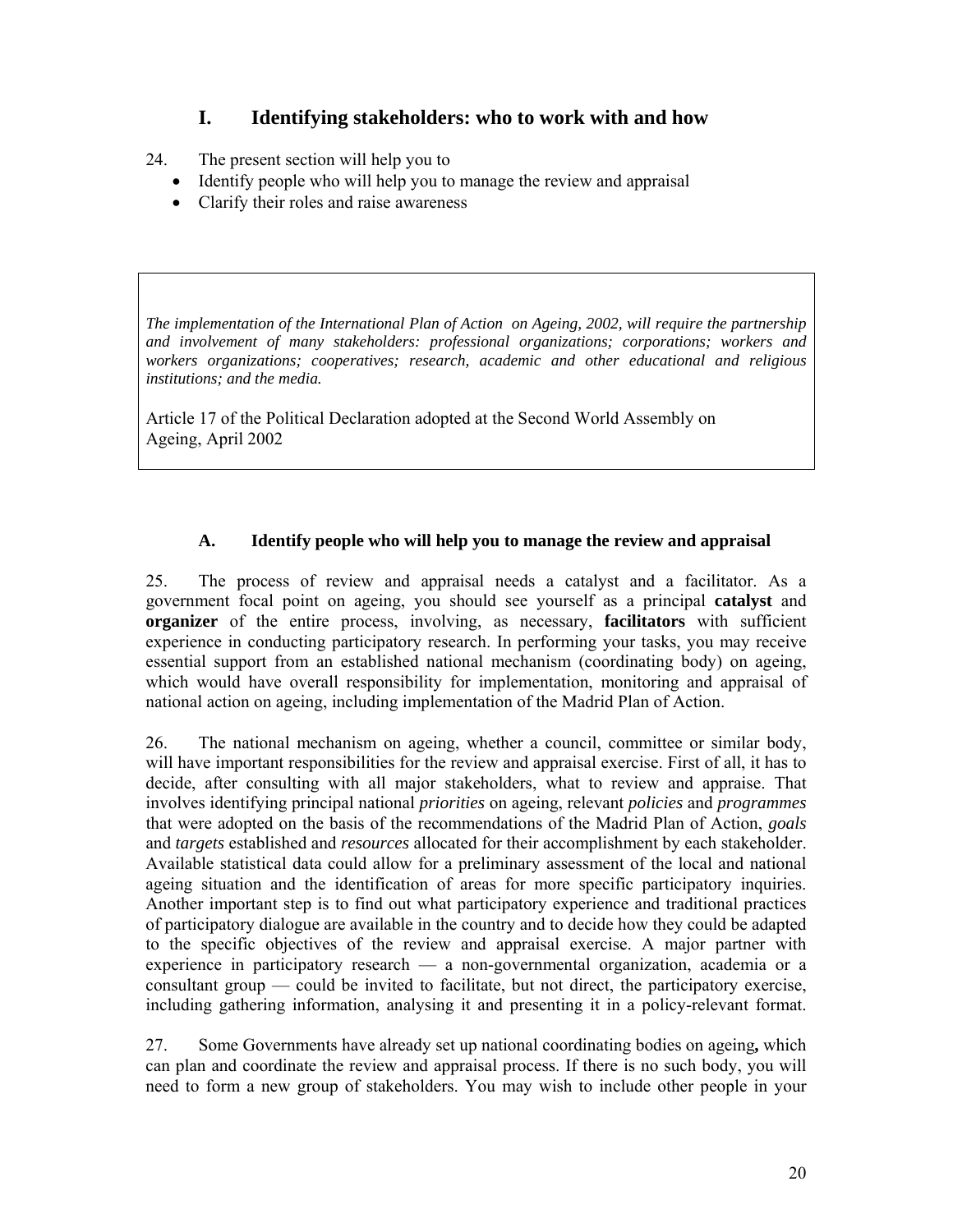# **I. Identifying stakeholders: who to work with and how**

- 24. The present section will help you to
	- Identify people who will help you to manage the review and appraisal
	- Clarify their roles and raise awareness

*The implementation of the International Plan of Action on Ageing, 2002, will require the partnership and involvement of many stakeholders: professional organizations; corporations; workers and workers organizations; cooperatives; research, academic and other educational and religious institutions; and the media.* 

Article 17 of the Political Declaration adopted at the Second World Assembly on Ageing, April 2002

## **A. Identify people who will help you to manage the review and appraisal**

25. The process of review and appraisal needs a catalyst and a facilitator. As a government focal point on ageing, you should see yourself as a principal **catalyst** and **organizer** of the entire process, involving, as necessary, **facilitators** with sufficient experience in conducting participatory research. In performing your tasks, you may receive essential support from an established national mechanism (coordinating body) on ageing, which would have overall responsibility for implementation, monitoring and appraisal of national action on ageing, including implementation of the Madrid Plan of Action.

26. The national mechanism on ageing, whether a council, committee or similar body, will have important responsibilities for the review and appraisal exercise. First of all, it has to decide, after consulting with all major stakeholders, what to review and appraise. That involves identifying principal national *priorities* on ageing, relevant *policies* and *programmes* that were adopted on the basis of the recommendations of the Madrid Plan of Action, *goals* and *targets* established and *resources* allocated for their accomplishment by each stakeholder. Available statistical data could allow for a preliminary assessment of the local and national ageing situation and the identification of areas for more specific participatory inquiries. Another important step is to find out what participatory experience and traditional practices of participatory dialogue are available in the country and to decide how they could be adapted to the specific objectives of the review and appraisal exercise. A major partner with experience in participatory research — a non-governmental organization, academia or a consultant group — could be invited to facilitate, but not direct, the participatory exercise, including gathering information, analysing it and presenting it in a policy-relevant format.

27. Some Governments have already set up national coordinating bodies on ageing**,** which can plan and coordinate the review and appraisal process. If there is no such body, you will need to form a new group of stakeholders. You may wish to include other people in your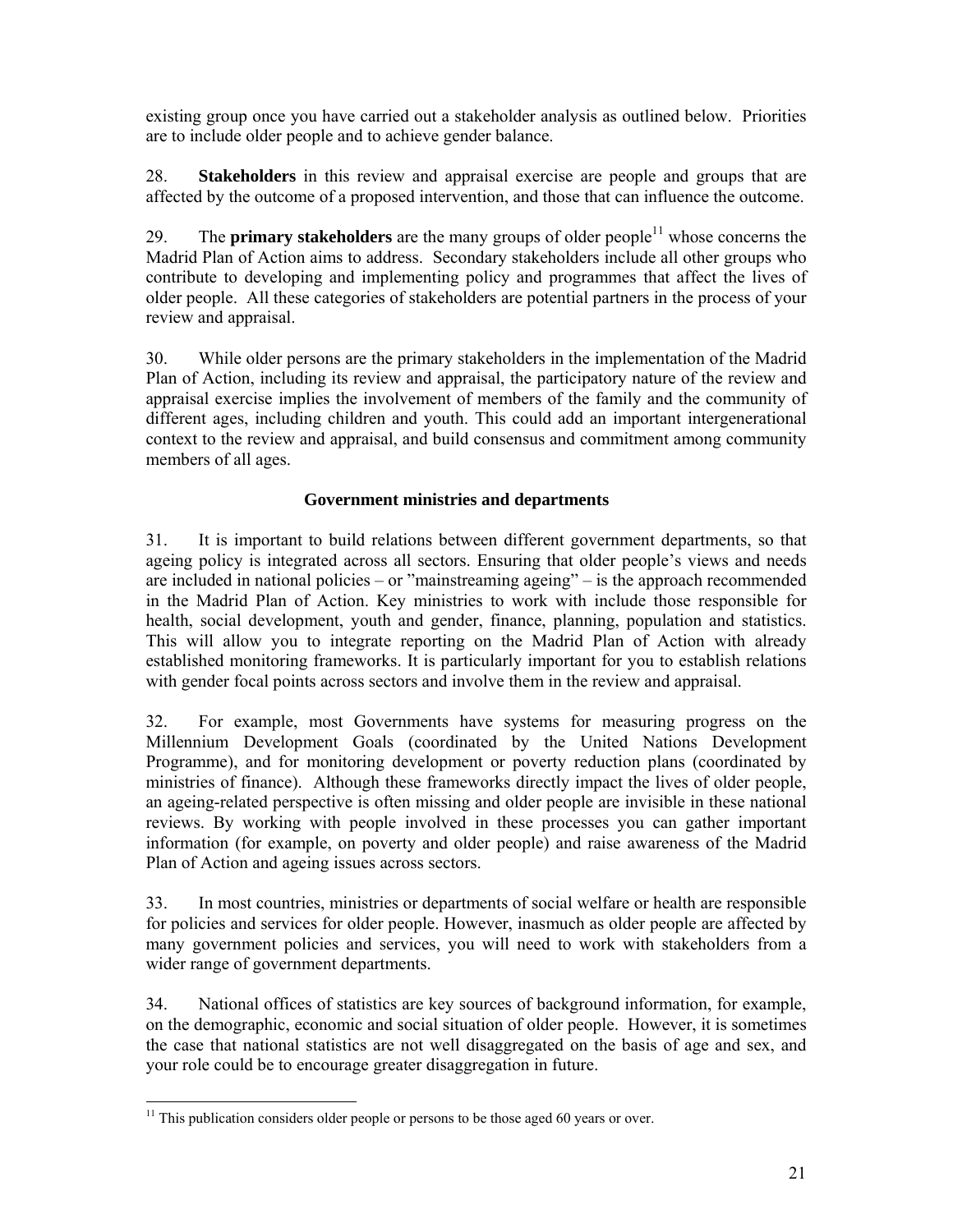existing group once you have carried out a stakeholder analysis as outlined below. Priorities are to include older people and to achieve gender balance.

28. **Stakeholders** in this review and appraisal exercise are people and groups that are affected by the outcome of a proposed intervention, and those that can influence the outcome.

29. The **primary stakeholders** are the many groups of older people<sup>11</sup> whose concerns the Madrid Plan of Action aims to address. Secondary stakeholders include all other groups who contribute to developing and implementing policy and programmes that affect the lives of older people. All these categories of stakeholders are potential partners in the process of your review and appraisal.

30. While older persons are the primary stakeholders in the implementation of the Madrid Plan of Action, including its review and appraisal, the participatory nature of the review and appraisal exercise implies the involvement of members of the family and the community of different ages, including children and youth. This could add an important intergenerational context to the review and appraisal, and build consensus and commitment among community members of all ages.

## **Government ministries and departments**

31. It is important to build relations between different government departments, so that ageing policy is integrated across all sectors. Ensuring that older people's views and needs are included in national policies – or "mainstreaming ageing" – is the approach recommended in the Madrid Plan of Action. Key ministries to work with include those responsible for health, social development, youth and gender, finance, planning, population and statistics. This will allow you to integrate reporting on the Madrid Plan of Action with already established monitoring frameworks. It is particularly important for you to establish relations with gender focal points across sectors and involve them in the review and appraisal.

32. For example, most Governments have systems for measuring progress on the Millennium Development Goals (coordinated by the United Nations Development Programme), and for monitoring development or poverty reduction plans (coordinated by ministries of finance). Although these frameworks directly impact the lives of older people, an ageing-related perspective is often missing and older people are invisible in these national reviews. By working with people involved in these processes you can gather important information (for example, on poverty and older people) and raise awareness of the Madrid Plan of Action and ageing issues across sectors.

33. In most countries, ministries or departments of social welfare or health are responsible for policies and services for older people. However, inasmuch as older people are affected by many government policies and services, you will need to work with stakeholders from a wider range of government departments.

34. National offices of statistics are key sources of background information, for example, on the demographic, economic and social situation of older people. However, it is sometimes the case that national statistics are not well disaggregated on the basis of age and sex, and your role could be to encourage greater disaggregation in future.

<sup>-</sup> $11$  This publication considers older people or persons to be those aged 60 years or over.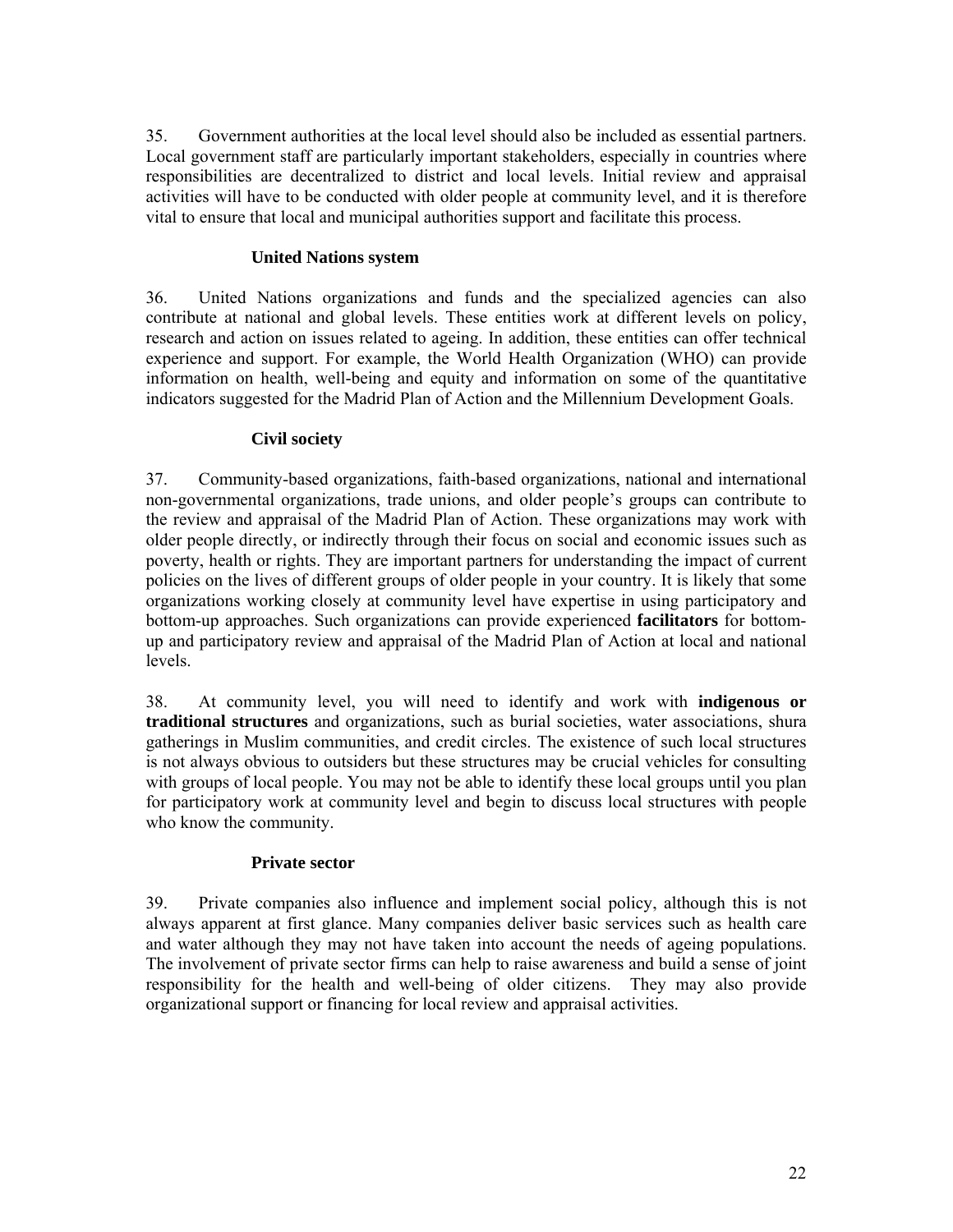35. Government authorities at the local level should also be included as essential partners. Local government staff are particularly important stakeholders, especially in countries where responsibilities are decentralized to district and local levels. Initial review and appraisal activities will have to be conducted with older people at community level, and it is therefore vital to ensure that local and municipal authorities support and facilitate this process.

#### **United Nations system**

36. United Nations organizations and funds and the specialized agencies can also contribute at national and global levels. These entities work at different levels on policy, research and action on issues related to ageing. In addition, these entities can offer technical experience and support. For example, the World Health Organization (WHO) can provide information on health, well-being and equity and information on some of the quantitative indicators suggested for the Madrid Plan of Action and the Millennium Development Goals.

#### **Civil society**

37. Community-based organizations, faith-based organizations, national and international non-governmental organizations, trade unions, and older people's groups can contribute to the review and appraisal of the Madrid Plan of Action. These organizations may work with older people directly, or indirectly through their focus on social and economic issues such as poverty, health or rights. They are important partners for understanding the impact of current policies on the lives of different groups of older people in your country. It is likely that some organizations working closely at community level have expertise in using participatory and bottom-up approaches. Such organizations can provide experienced **facilitators** for bottomup and participatory review and appraisal of the Madrid Plan of Action at local and national levels.

38. At community level, you will need to identify and work with **indigenous or traditional structures** and organizations, such as burial societies, water associations, shura gatherings in Muslim communities, and credit circles. The existence of such local structures is not always obvious to outsiders but these structures may be crucial vehicles for consulting with groups of local people. You may not be able to identify these local groups until you plan for participatory work at community level and begin to discuss local structures with people who know the community.

## **Private sector**

39. Private companies also influence and implement social policy, although this is not always apparent at first glance. Many companies deliver basic services such as health care and water although they may not have taken into account the needs of ageing populations. The involvement of private sector firms can help to raise awareness and build a sense of joint responsibility for the health and well-being of older citizens. They may also provide organizational support or financing for local review and appraisal activities.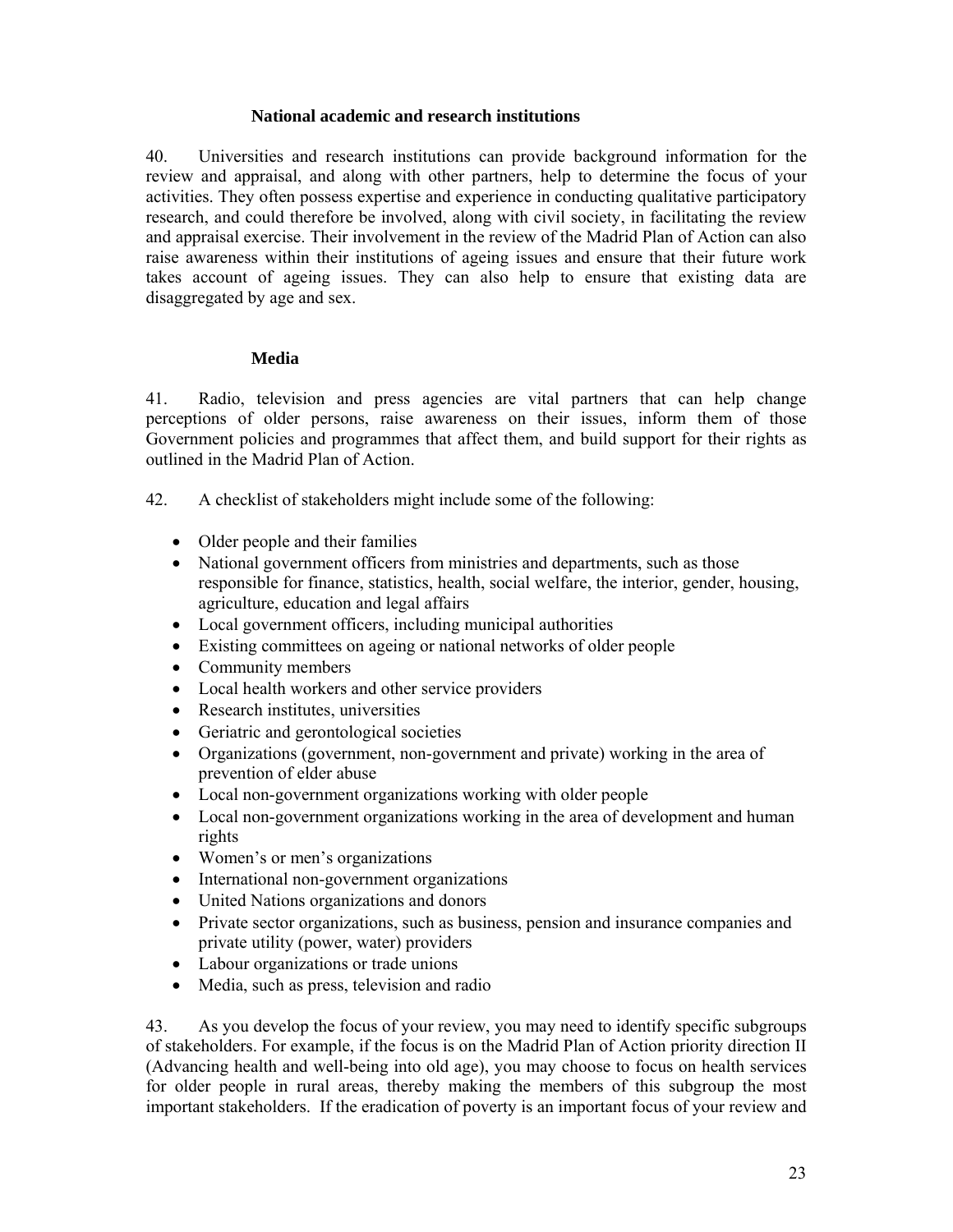#### **National academic and research institutions**

40. Universities and research institutions can provide background information for the review and appraisal, and along with other partners, help to determine the focus of your activities. They often possess expertise and experience in conducting qualitative participatory research, and could therefore be involved, along with civil society, in facilitating the review and appraisal exercise. Their involvement in the review of the Madrid Plan of Action can also raise awareness within their institutions of ageing issues and ensure that their future work takes account of ageing issues. They can also help to ensure that existing data are disaggregated by age and sex.

#### **Media**

41. Radio, television and press agencies are vital partners that can help change perceptions of older persons, raise awareness on their issues, inform them of those Government policies and programmes that affect them, and build support for their rights as outlined in the Madrid Plan of Action.

- 42. A checklist of stakeholders might include some of the following:
	- Older people and their families
	- National government officers from ministries and departments, such as those responsible for finance, statistics, health, social welfare, the interior, gender, housing, agriculture, education and legal affairs
	- Local government officers, including municipal authorities
	- Existing committees on ageing or national networks of older people
	- Community members
	- Local health workers and other service providers
	- Research institutes, universities
	- Geriatric and gerontological societies
	- Organizations (government, non-government and private) working in the area of prevention of elder abuse
	- Local non-government organizations working with older people
	- Local non-government organizations working in the area of development and human rights
	- Women's or men's organizations
	- International non-government organizations
	- United Nations organizations and donors
	- Private sector organizations, such as business, pension and insurance companies and private utility (power, water) providers
	- Labour organizations or trade unions
	- Media, such as press, television and radio

43. As you develop the focus of your review, you may need to identify specific subgroups of stakeholders. For example, if the focus is on the Madrid Plan of Action priority direction II (Advancing health and well-being into old age), you may choose to focus on health services for older people in rural areas, thereby making the members of this subgroup the most important stakeholders. If the eradication of poverty is an important focus of your review and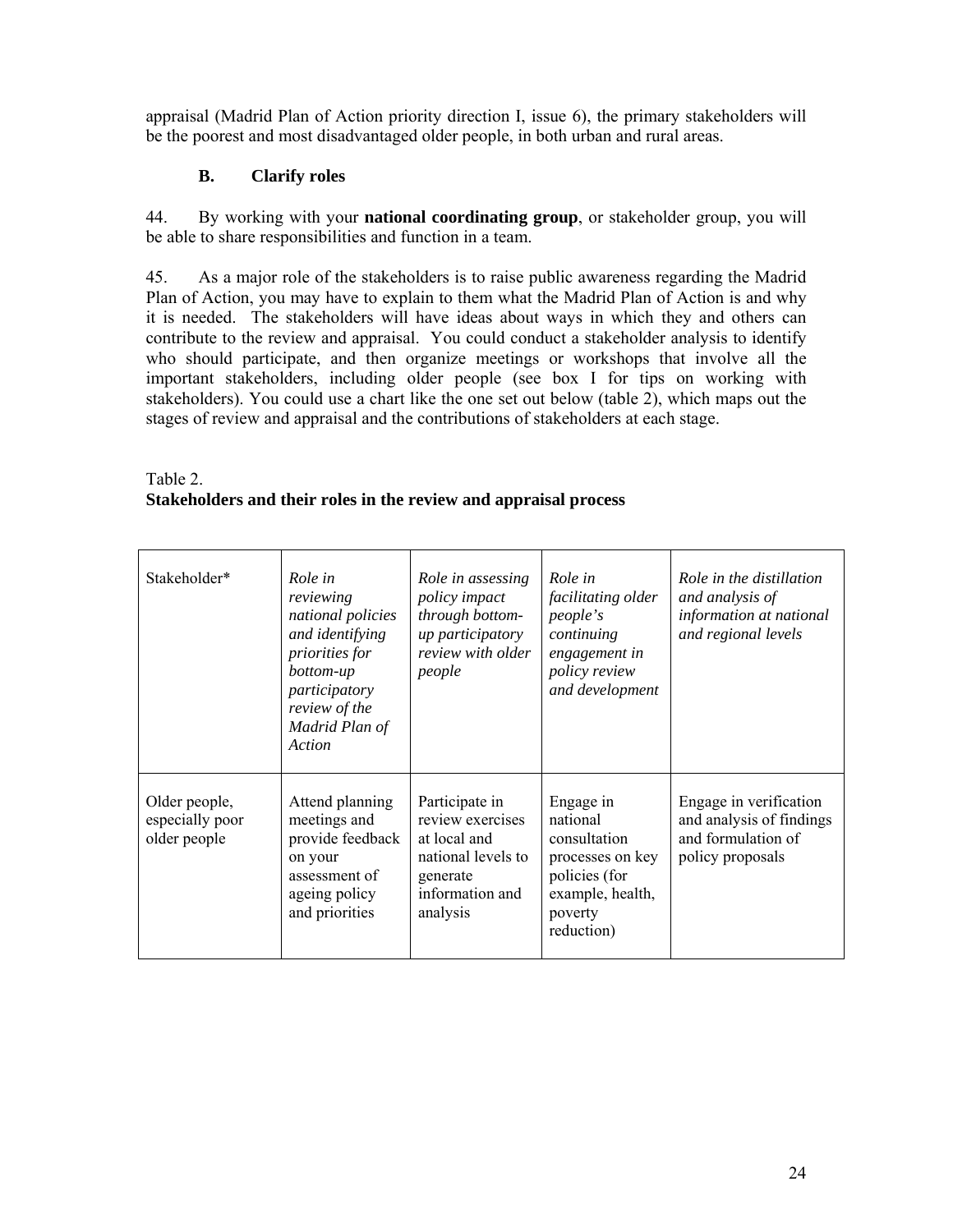appraisal (Madrid Plan of Action priority direction I, issue 6), the primary stakeholders will be the poorest and most disadvantaged older people, in both urban and rural areas.

## **B. Clarify roles**

44. By working with your **national coordinating group**, or stakeholder group, you will be able to share responsibilities and function in a team.

45. As a major role of the stakeholders is to raise public awareness regarding the Madrid Plan of Action, you may have to explain to them what the Madrid Plan of Action is and why it is needed. The stakeholders will have ideas about ways in which they and others can contribute to the review and appraisal. You could conduct a stakeholder analysis to identify who should participate, and then organize meetings or workshops that involve all the important stakeholders, including older people (see box I for tips on working with stakeholders). You could use a chart like the one set out below (table 2), which maps out the stages of review and appraisal and the contributions of stakeholders at each stage.

## Table 2. **Stakeholders and their roles in the review and appraisal process**

| Stakeholder*                                     | Role in<br>reviewing<br>national policies<br>and identifying<br>priorities for<br>bottom-up<br>participatory<br>review of the<br>Madrid Plan of<br>Action | Role in assessing<br>policy impact<br>through bottom-<br>up participatory<br>review with older<br>people            | Role in<br>facilitating older<br><i>people's</i><br>continuing<br>engagement in<br>policy review<br>and development     | Role in the distillation<br>and analysis of<br>information at national<br>and regional levels |
|--------------------------------------------------|-----------------------------------------------------------------------------------------------------------------------------------------------------------|---------------------------------------------------------------------------------------------------------------------|-------------------------------------------------------------------------------------------------------------------------|-----------------------------------------------------------------------------------------------|
| Older people,<br>especially poor<br>older people | Attend planning<br>meetings and<br>provide feedback<br>on your<br>assessment of<br>ageing policy<br>and priorities                                        | Participate in<br>review exercises<br>at local and<br>national levels to<br>generate<br>information and<br>analysis | Engage in<br>national<br>consultation<br>processes on key<br>policies (for<br>example, health,<br>poverty<br>reduction) | Engage in verification<br>and analysis of findings<br>and formulation of<br>policy proposals  |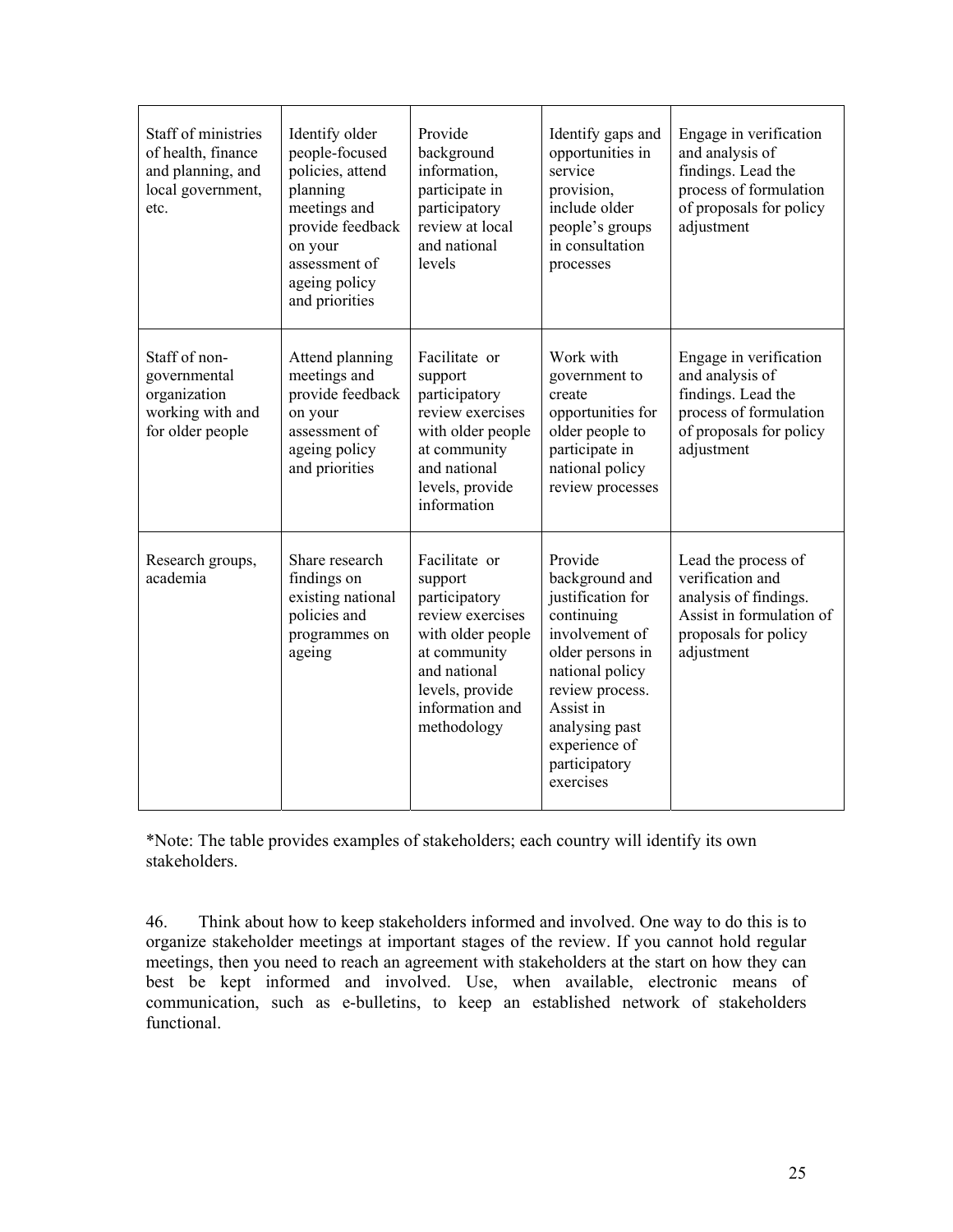| Staff of ministries<br>of health, finance<br>and planning, and<br>local government,<br>etc. | Identify older<br>people-focused<br>policies, attend<br>planning<br>meetings and<br>provide feedback<br>on your<br>assessment of<br>ageing policy<br>and priorities | Provide<br>background<br>information,<br>participate in<br>participatory<br>review at local<br>and national<br>levels                                                   | Identify gaps and<br>opportunities in<br>service<br>provision,<br>include older<br>people's groups<br>in consultation<br>processes                                                                                     | Engage in verification<br>and analysis of<br>findings. Lead the<br>process of formulation<br>of proposals for policy<br>adjustment |
|---------------------------------------------------------------------------------------------|---------------------------------------------------------------------------------------------------------------------------------------------------------------------|-------------------------------------------------------------------------------------------------------------------------------------------------------------------------|------------------------------------------------------------------------------------------------------------------------------------------------------------------------------------------------------------------------|------------------------------------------------------------------------------------------------------------------------------------|
| Staff of non-<br>governmental<br>organization<br>working with and<br>for older people       | Attend planning<br>meetings and<br>provide feedback<br>on your<br>assessment of<br>ageing policy<br>and priorities                                                  | Facilitate or<br>support<br>participatory<br>review exercises<br>with older people<br>at community<br>and national<br>levels, provide<br>information                    | Work with<br>government to<br>create<br>opportunities for<br>older people to<br>participate in<br>national policy<br>review processes                                                                                  | Engage in verification<br>and analysis of<br>findings. Lead the<br>process of formulation<br>of proposals for policy<br>adjustment |
| Research groups,<br>academia                                                                | Share research<br>findings on<br>existing national<br>policies and<br>programmes on<br>ageing                                                                       | Facilitate or<br>support<br>participatory<br>review exercises<br>with older people<br>at community<br>and national<br>levels, provide<br>information and<br>methodology | Provide<br>background and<br>justification for<br>continuing<br>involvement of<br>older persons in<br>national policy<br>review process.<br>Assist in<br>analysing past<br>experience of<br>participatory<br>exercises | Lead the process of<br>verification and<br>analysis of findings.<br>Assist in formulation of<br>proposals for policy<br>adjustment |

\*Note: The table provides examples of stakeholders; each country will identify its own stakeholders.

46. Think about how to keep stakeholders informed and involved. One way to do this is to organize stakeholder meetings at important stages of the review. If you cannot hold regular meetings, then you need to reach an agreement with stakeholders at the start on how they can best be kept informed and involved. Use, when available, electronic means of communication, such as e-bulletins, to keep an established network of stakeholders functional.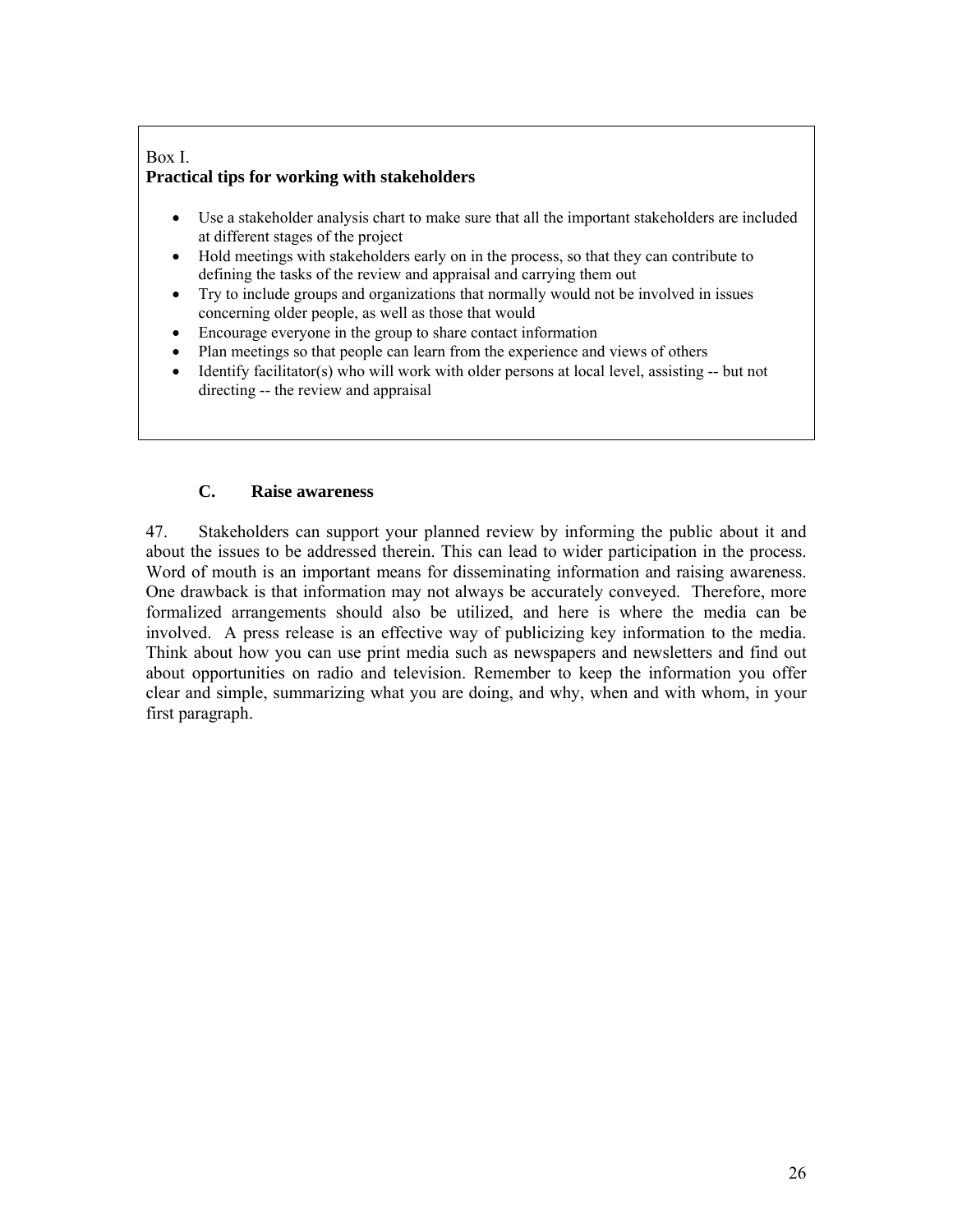#### Box I. **Practical tips for working with stakeholders**

- Use a stakeholder analysis chart to make sure that all the important stakeholders are included at different stages of the project
- Hold meetings with stakeholders early on in the process, so that they can contribute to defining the tasks of the review and appraisal and carrying them out
- Try to include groups and organizations that normally would not be involved in issues concerning older people, as well as those that would
- Encourage everyone in the group to share contact information
- Plan meetings so that people can learn from the experience and views of others
- Identify facilitator(s) who will work with older persons at local level, assisting -- but not directing -- the review and appraisal

## **C. Raise awareness**

47. Stakeholders can support your planned review by informing the public about it and about the issues to be addressed therein. This can lead to wider participation in the process. Word of mouth is an important means for disseminating information and raising awareness. One drawback is that information may not always be accurately conveyed. Therefore, more formalized arrangements should also be utilized, and here is where the media can be involved. A press release is an effective way of publicizing key information to the media. Think about how you can use print media such as newspapers and newsletters and find out about opportunities on radio and television. Remember to keep the information you offer clear and simple, summarizing what you are doing, and why, when and with whom, in your first paragraph.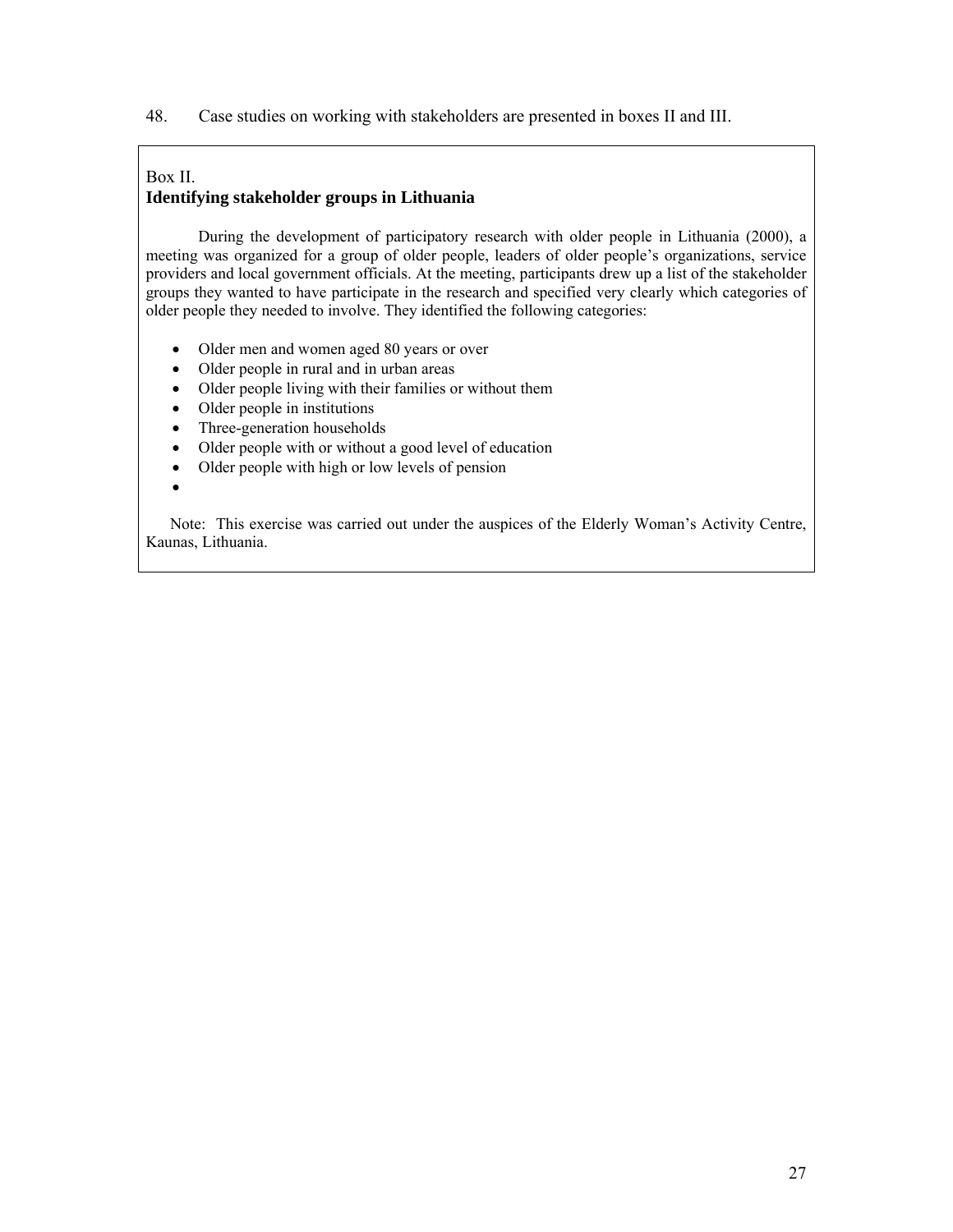48. Case studies on working with stakeholders are presented in boxes II and III.

#### Box II. **Identifying stakeholder groups in Lithuania**

 During the development of participatory research with older people in Lithuania (2000), a meeting was organized for a group of older people, leaders of older people's organizations, service providers and local government officials. At the meeting, participants drew up a list of the stakeholder groups they wanted to have participate in the research and specified very clearly which categories of older people they needed to involve. They identified the following categories:

- Older men and women aged 80 years or over
- Older people in rural and in urban areas
- Older people living with their families or without them
- Older people in institutions
- Three-generation households
- Older people with or without a good level of education
- Older people with high or low levels of pension
- •

 Note: This exercise was carried out under the auspices of the Elderly Woman's Activity Centre, Kaunas, Lithuania.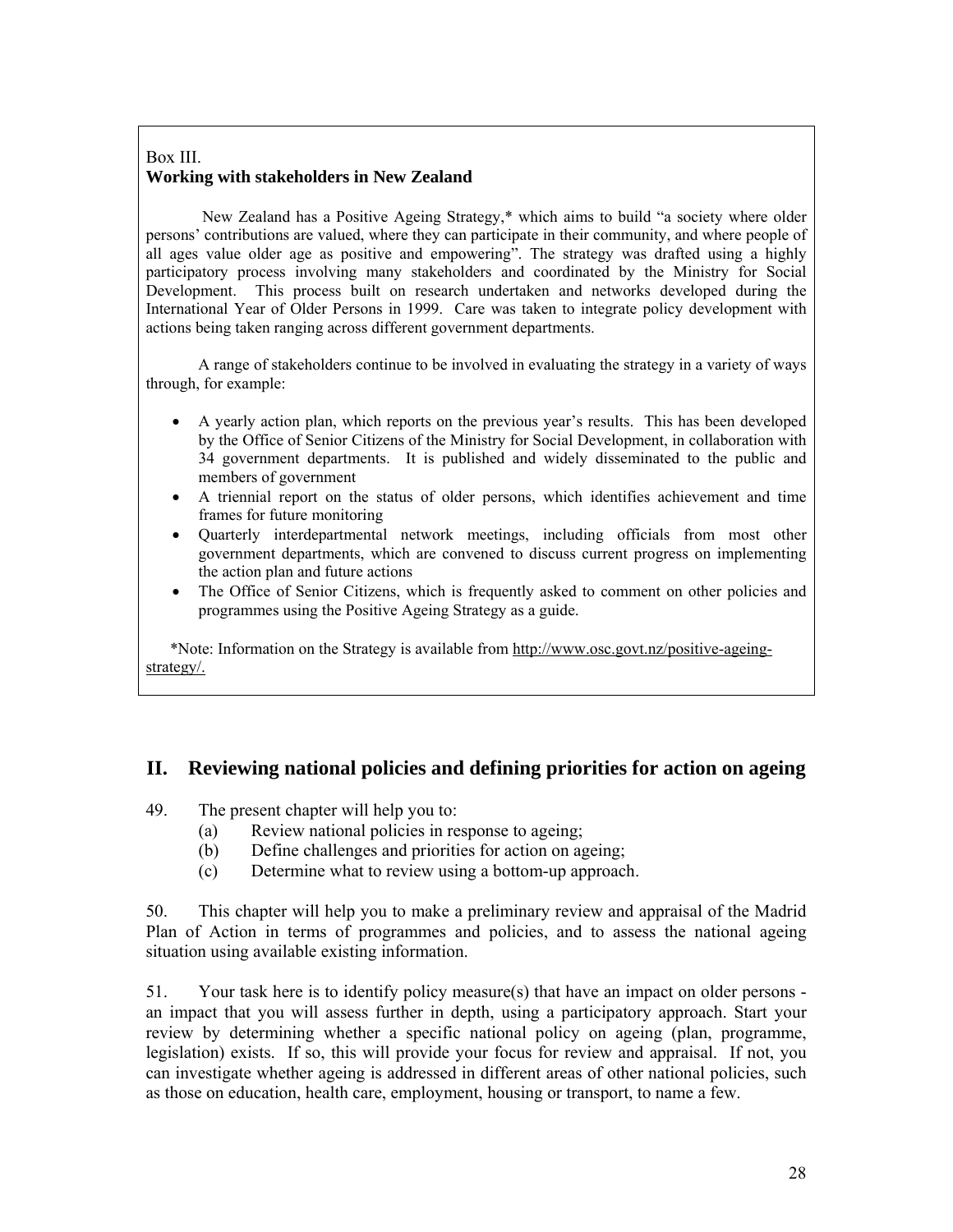### Box III. **Working with stakeholders in New Zealand**

 New Zealand has a Positive Ageing Strategy,\* which aims to build "a society where older persons' contributions are valued, where they can participate in their community, and where people of all ages value older age as positive and empowering". The strategy was drafted using a highly participatory process involving many stakeholders and coordinated by the Ministry for Social Development. This process built on research undertaken and networks developed during the International Year of Older Persons in 1999. Care was taken to integrate policy development with actions being taken ranging across different government departments.

 A range of stakeholders continue to be involved in evaluating the strategy in a variety of ways through, for example:

- A yearly action plan, which reports on the previous year's results. This has been developed by the Office of Senior Citizens of the Ministry for Social Development, in collaboration with 34 government departments. It is published and widely disseminated to the public and members of government
- A triennial report on the status of older persons, which identifies achievement and time frames for future monitoring
- Quarterly interdepartmental network meetings, including officials from most other government departments, which are convened to discuss current progress on implementing the action plan and future actions
- The Office of Senior Citizens, which is frequently asked to comment on other policies and programmes using the Positive Ageing Strategy as a guide.

 \*Note: Information on the Strategy is available from http://www.osc.govt.nz/positive-ageingstrategy/.

## **II. Reviewing national policies and defining priorities for action on ageing**

- 49. The present chapter will help you to:
	- (a) Review national policies in response to ageing;
	- (b) Define challenges and priorities for action on ageing;
	- (c) Determine what to review using a bottom-up approach.

50. This chapter will help you to make a preliminary review and appraisal of the Madrid Plan of Action in terms of programmes and policies, and to assess the national ageing situation using available existing information.

51. Your task here is to identify policy measure(s) that have an impact on older persons an impact that you will assess further in depth, using a participatory approach. Start your review by determining whether a specific national policy on ageing (plan, programme, legislation) exists. If so, this will provide your focus for review and appraisal. If not, you can investigate whether ageing is addressed in different areas of other national policies, such as those on education, health care, employment, housing or transport, to name a few.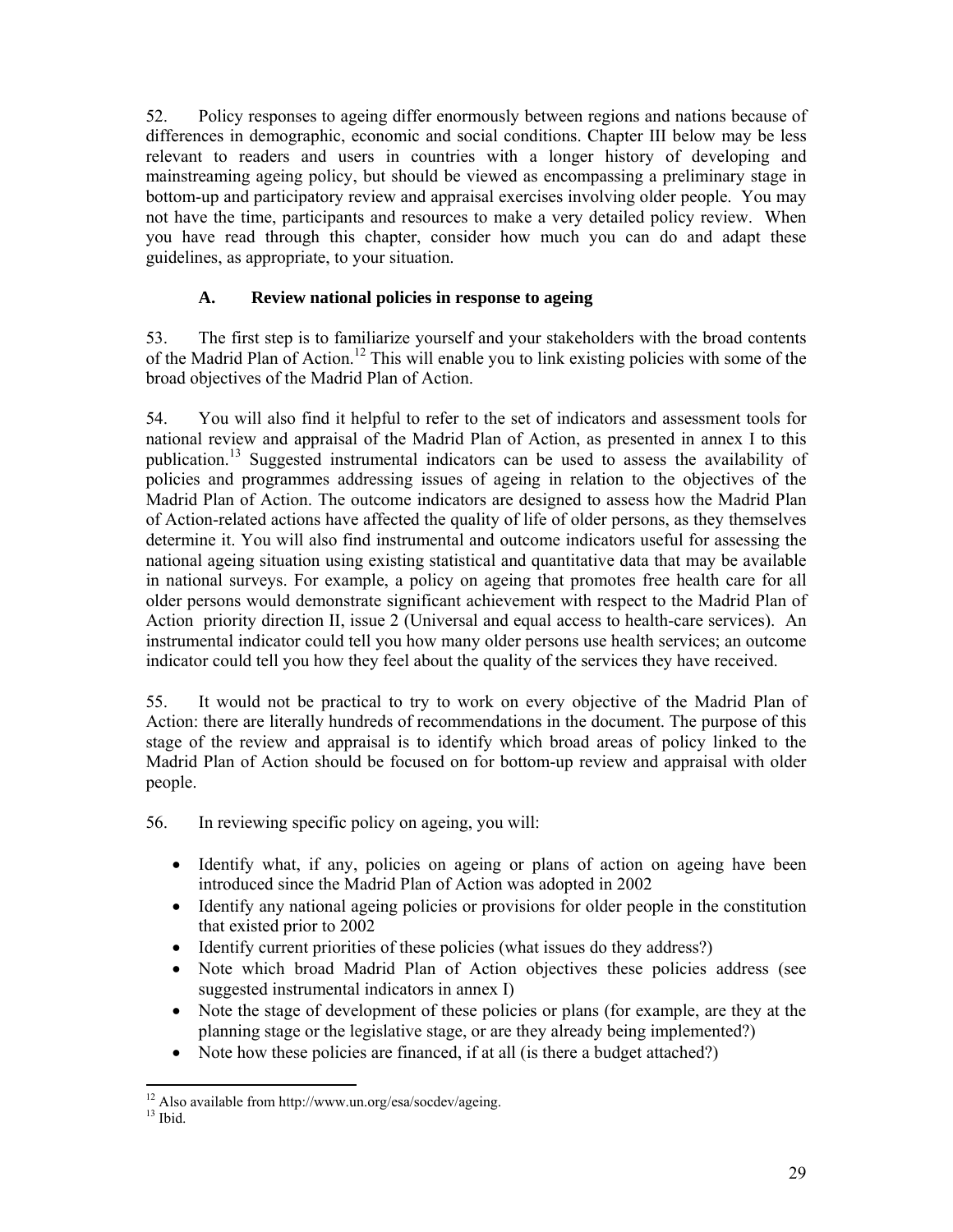52. Policy responses to ageing differ enormously between regions and nations because of differences in demographic, economic and social conditions. Chapter III below may be less relevant to readers and users in countries with a longer history of developing and mainstreaming ageing policy, but should be viewed as encompassing a preliminary stage in bottom-up and participatory review and appraisal exercises involving older people. You may not have the time, participants and resources to make a very detailed policy review. When you have read through this chapter, consider how much you can do and adapt these guidelines, as appropriate, to your situation.

# **A. Review national policies in response to ageing**

53. The first step is to familiarize yourself and your stakeholders with the broad contents of the Madrid Plan of Action.<sup>12</sup> This will enable you to link existing policies with some of the broad objectives of the Madrid Plan of Action.

54. You will also find it helpful to refer to the set of indicators and assessment tools for national review and appraisal of the Madrid Plan of Action, as presented in annex I to this publication.13 Suggested instrumental indicators can be used to assess the availability of policies and programmes addressing issues of ageing in relation to the objectives of the Madrid Plan of Action. The outcome indicators are designed to assess how the Madrid Plan of Action-related actions have affected the quality of life of older persons, as they themselves determine it. You will also find instrumental and outcome indicators useful for assessing the national ageing situation using existing statistical and quantitative data that may be available in national surveys. For example, a policy on ageing that promotes free health care for all older persons would demonstrate significant achievement with respect to the Madrid Plan of Action priority direction II, issue 2 (Universal and equal access to health-care services). An instrumental indicator could tell you how many older persons use health services; an outcome indicator could tell you how they feel about the quality of the services they have received.

55. It would not be practical to try to work on every objective of the Madrid Plan of Action: there are literally hundreds of recommendations in the document. The purpose of this stage of the review and appraisal is to identify which broad areas of policy linked to the Madrid Plan of Action should be focused on for bottom-up review and appraisal with older people.

56. In reviewing specific policy on ageing, you will:

- Identify what, if any, policies on ageing or plans of action on ageing have been introduced since the Madrid Plan of Action was adopted in 2002
- Identify any national ageing policies or provisions for older people in the constitution that existed prior to 2002
- Identify current priorities of these policies (what issues do they address?)
- Note which broad Madrid Plan of Action objectives these policies address (see suggested instrumental indicators in annex I)
- Note the stage of development of these policies or plans (for example, are they at the planning stage or the legislative stage, or are they already being implemented?)
- Note how these policies are financed, if at all (is there a budget attached?)

<sup>-</sup>12 Also available from http://www.un.org/esa/socdev/ageing.

 $13$  Ibid.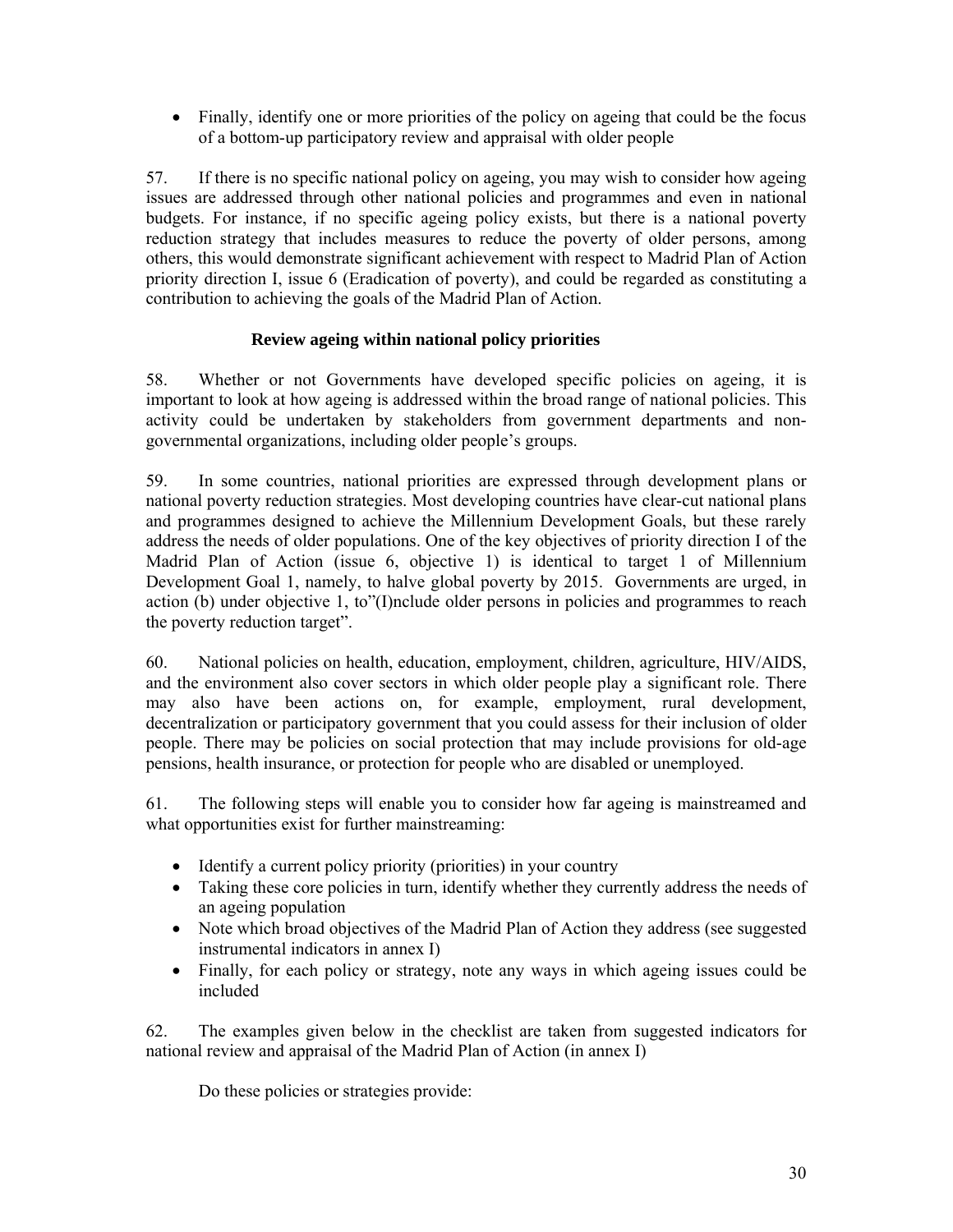• Finally, identify one or more priorities of the policy on ageing that could be the focus of a bottom-up participatory review and appraisal with older people

57. If there is no specific national policy on ageing, you may wish to consider how ageing issues are addressed through other national policies and programmes and even in national budgets. For instance, if no specific ageing policy exists, but there is a national poverty reduction strategy that includes measures to reduce the poverty of older persons, among others, this would demonstrate significant achievement with respect to Madrid Plan of Action priority direction I, issue 6 (Eradication of poverty), and could be regarded as constituting a contribution to achieving the goals of the Madrid Plan of Action.

## **Review ageing within national policy priorities**

58. Whether or not Governments have developed specific policies on ageing, it is important to look at how ageing is addressed within the broad range of national policies. This activity could be undertaken by stakeholders from government departments and nongovernmental organizations, including older people's groups.

59. In some countries, national priorities are expressed through development plans or national poverty reduction strategies. Most developing countries have clear-cut national plans and programmes designed to achieve the Millennium Development Goals, but these rarely address the needs of older populations. One of the key objectives of priority direction I of the Madrid Plan of Action (issue 6, objective 1) is identical to target 1 of Millennium Development Goal 1, namely, to halve global poverty by 2015. Governments are urged, in action (b) under objective 1, to"(I)nclude older persons in policies and programmes to reach the poverty reduction target".

60. National policies on health, education, employment, children, agriculture, HIV/AIDS, and the environment also cover sectors in which older people play a significant role. There may also have been actions on, for example, employment, rural development, decentralization or participatory government that you could assess for their inclusion of older people. There may be policies on social protection that may include provisions for old-age pensions, health insurance, or protection for people who are disabled or unemployed.

61. The following steps will enable you to consider how far ageing is mainstreamed and what opportunities exist for further mainstreaming:

- Identify a current policy priority (priorities) in your country
- Taking these core policies in turn, identify whether they currently address the needs of an ageing population
- Note which broad objectives of the Madrid Plan of Action they address (see suggested instrumental indicators in annex I)
- Finally, for each policy or strategy, note any ways in which ageing issues could be included

62. The examples given below in the checklist are taken from suggested indicators for national review and appraisal of the Madrid Plan of Action (in annex I)

Do these policies or strategies provide: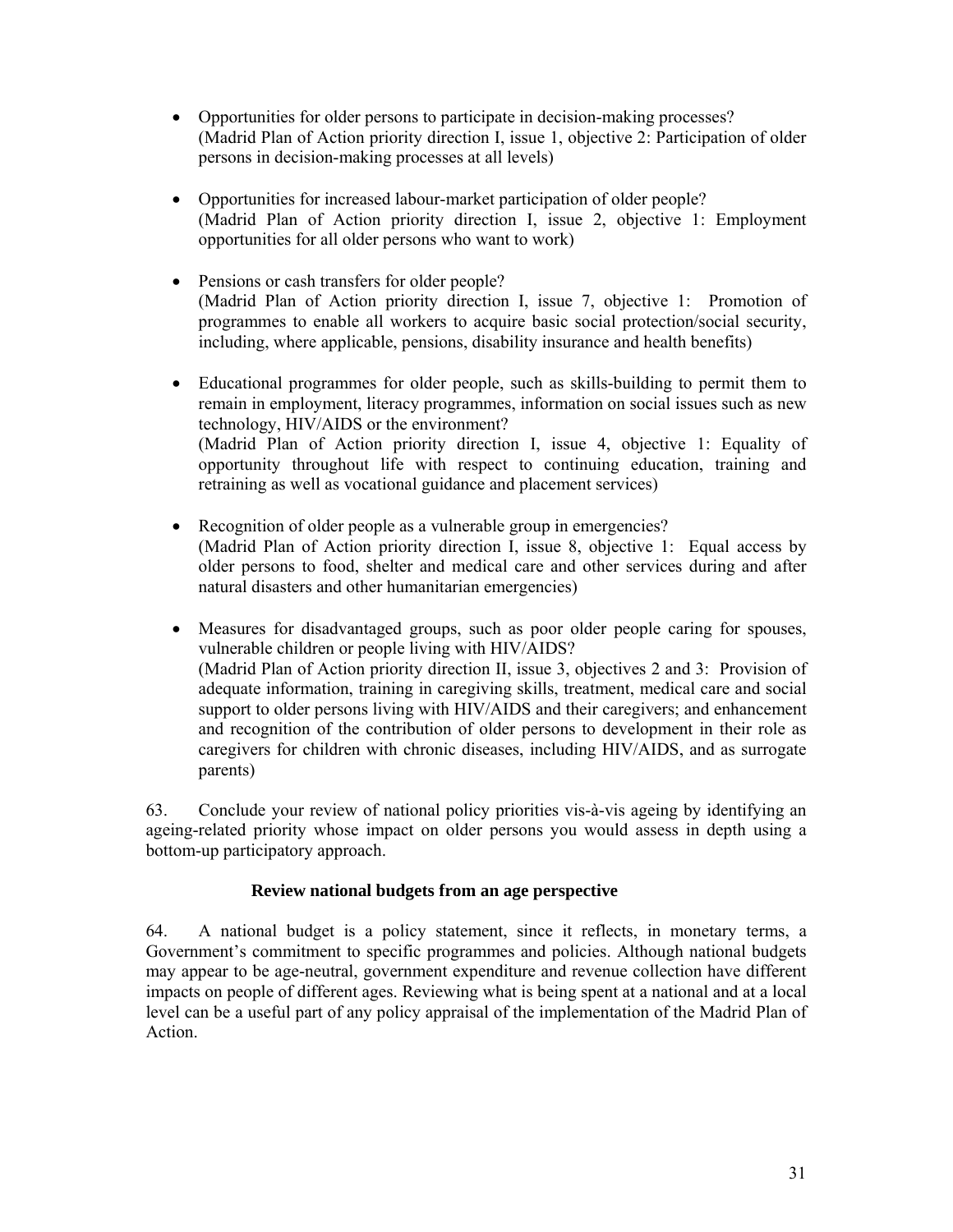- Opportunities for older persons to participate in decision-making processes? (Madrid Plan of Action priority direction I, issue 1, objective 2: Participation of older persons in decision-making processes at all levels)
- Opportunities for increased labour-market participation of older people? (Madrid Plan of Action priority direction I, issue 2, objective 1: Employment opportunities for all older persons who want to work)
- Pensions or cash transfers for older people? (Madrid Plan of Action priority direction I, issue 7, objective 1: Promotion of programmes to enable all workers to acquire basic social protection/social security, including, where applicable, pensions, disability insurance and health benefits)
- Educational programmes for older people, such as skills-building to permit them to remain in employment, literacy programmes, information on social issues such as new technology, HIV/AIDS or the environment? (Madrid Plan of Action priority direction I, issue 4, objective 1: Equality of opportunity throughout life with respect to continuing education, training and retraining as well as vocational guidance and placement services)
- Recognition of older people as a vulnerable group in emergencies? (Madrid Plan of Action priority direction I, issue 8, objective 1: Equal access by older persons to food, shelter and medical care and other services during and after natural disasters and other humanitarian emergencies)
- Measures for disadvantaged groups, such as poor older people caring for spouses, vulnerable children or people living with HIV/AIDS? (Madrid Plan of Action priority direction II, issue 3, objectives 2 and 3: Provision of adequate information, training in caregiving skills, treatment, medical care and social support to older persons living with HIV/AIDS and their caregivers; and enhancement and recognition of the contribution of older persons to development in their role as caregivers for children with chronic diseases, including HIV/AIDS, and as surrogate parents)

63. Conclude your review of national policy priorities vis-à-vis ageing by identifying an ageing-related priority whose impact on older persons you would assess in depth using a bottom-up participatory approach.

## **Review national budgets from an age perspective**

64. A national budget is a policy statement, since it reflects, in monetary terms, a Government's commitment to specific programmes and policies. Although national budgets may appear to be age-neutral, government expenditure and revenue collection have different impacts on people of different ages. Reviewing what is being spent at a national and at a local level can be a useful part of any policy appraisal of the implementation of the Madrid Plan of Action.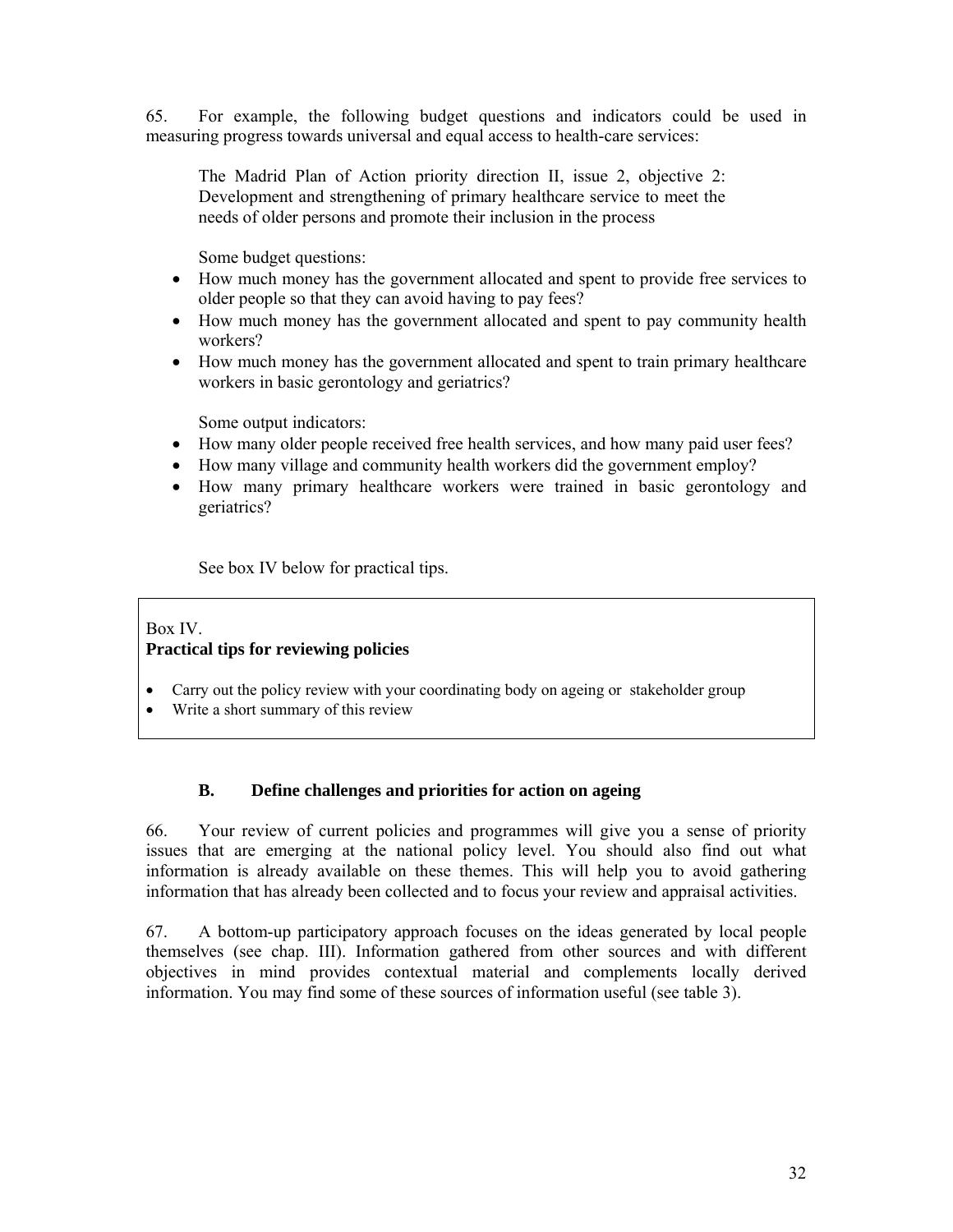65. For example, the following budget questions and indicators could be used in measuring progress towards universal and equal access to health-care services:

The Madrid Plan of Action priority direction II, issue 2, objective 2: Development and strengthening of primary healthcare service to meet the needs of older persons and promote their inclusion in the process

Some budget questions:

- How much money has the government allocated and spent to provide free services to older people so that they can avoid having to pay fees?
- How much money has the government allocated and spent to pay community health workers?
- How much money has the government allocated and spent to train primary healthcare workers in basic gerontology and geriatrics?

Some output indicators:

- How many older people received free health services, and how many paid user fees?
- How many village and community health workers did the government employ?
- How many primary healthcare workers were trained in basic gerontology and geriatrics?

See box IV below for practical tips.

## Box IV. **Practical tips for reviewing policies**

- Carry out the policy review with your coordinating body on ageing or stakeholder group
- Write a short summary of this review

## **B. Define challenges and priorities for action on ageing**

66. Your review of current policies and programmes will give you a sense of priority issues that are emerging at the national policy level. You should also find out what information is already available on these themes. This will help you to avoid gathering information that has already been collected and to focus your review and appraisal activities.

67. A bottom-up participatory approach focuses on the ideas generated by local people themselves (see chap. III). Information gathered from other sources and with different objectives in mind provides contextual material and complements locally derived information. You may find some of these sources of information useful (see table 3).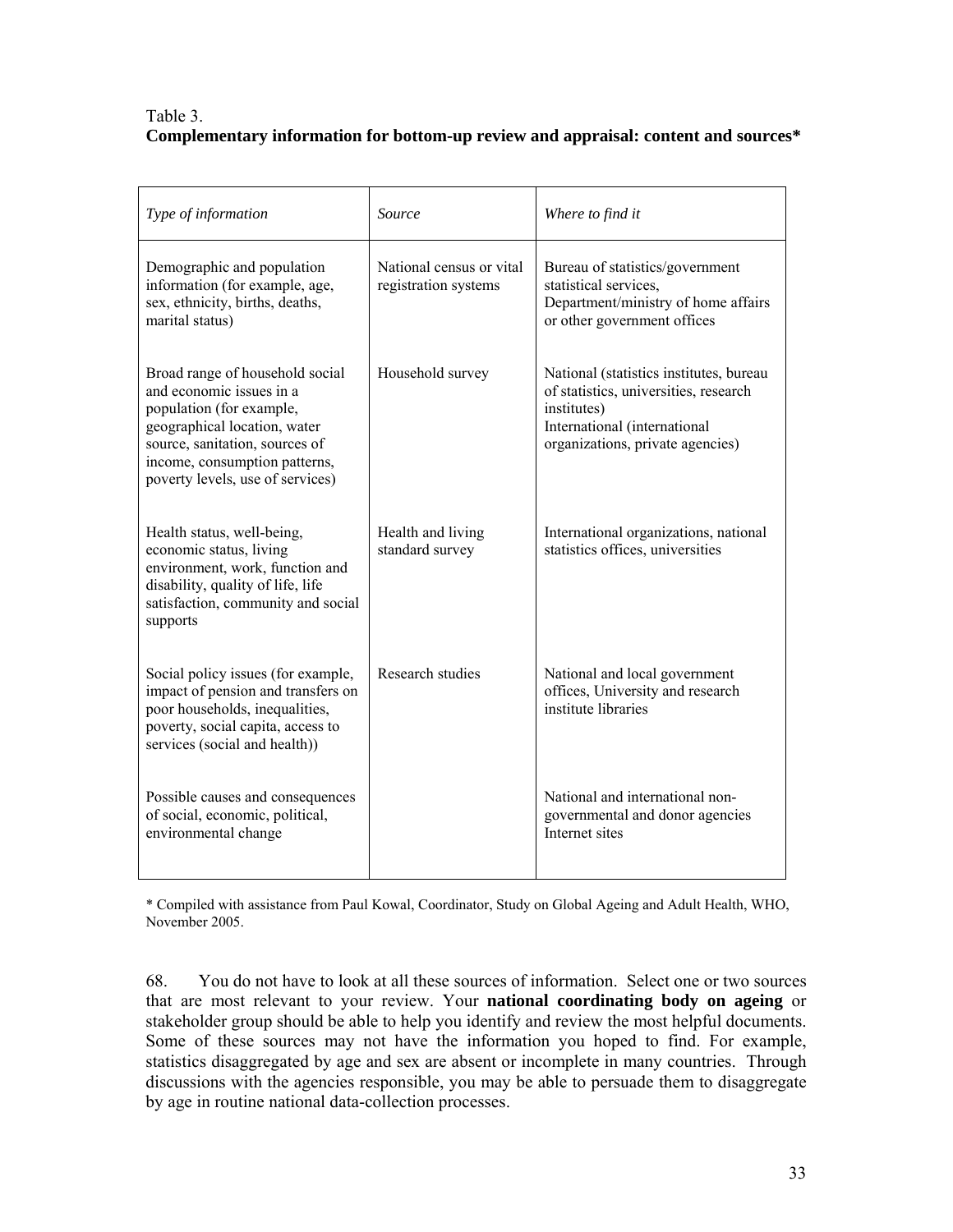## Table 3. **Complementary information for bottom-up review and appraisal: content and sources\***

| Type of information                                                                                                                                                                                                            | Source                                           | Where to find it                                                                                                                                                    |
|--------------------------------------------------------------------------------------------------------------------------------------------------------------------------------------------------------------------------------|--------------------------------------------------|---------------------------------------------------------------------------------------------------------------------------------------------------------------------|
| Demographic and population<br>information (for example, age,<br>sex, ethnicity, births, deaths,<br>marital status)                                                                                                             | National census or vital<br>registration systems | Bureau of statistics/government<br>statistical services.<br>Department/ministry of home affairs<br>or other government offices                                      |
| Broad range of household social<br>and economic issues in a<br>population (for example,<br>geographical location, water<br>source, sanitation, sources of<br>income, consumption patterns,<br>poverty levels, use of services) | Household survey                                 | National (statistics institutes, bureau<br>of statistics, universities, research<br>institutes)<br>International (international<br>organizations, private agencies) |
| Health status, well-being,<br>economic status, living<br>environment, work, function and<br>disability, quality of life, life<br>satisfaction, community and social<br>supports                                                | Health and living<br>standard survey             | International organizations, national<br>statistics offices, universities                                                                                           |
| Social policy issues (for example,<br>impact of pension and transfers on<br>poor households, inequalities,<br>poverty, social capita, access to<br>services (social and health))                                               | <b>Research studies</b>                          | National and local government<br>offices, University and research<br>institute libraries                                                                            |
| Possible causes and consequences<br>of social, economic, political,<br>environmental change                                                                                                                                    |                                                  | National and international non-<br>governmental and donor agencies<br>Internet sites                                                                                |

\* Compiled with assistance from Paul Kowal, Coordinator, Study on Global Ageing and Adult Health, WHO, November 2005.

68. You do not have to look at all these sources of information. Select one or two sources that are most relevant to your review. Your **national coordinating body on ageing** or stakeholder group should be able to help you identify and review the most helpful documents. Some of these sources may not have the information you hoped to find. For example, statistics disaggregated by age and sex are absent or incomplete in many countries. Through discussions with the agencies responsible, you may be able to persuade them to disaggregate by age in routine national data-collection processes.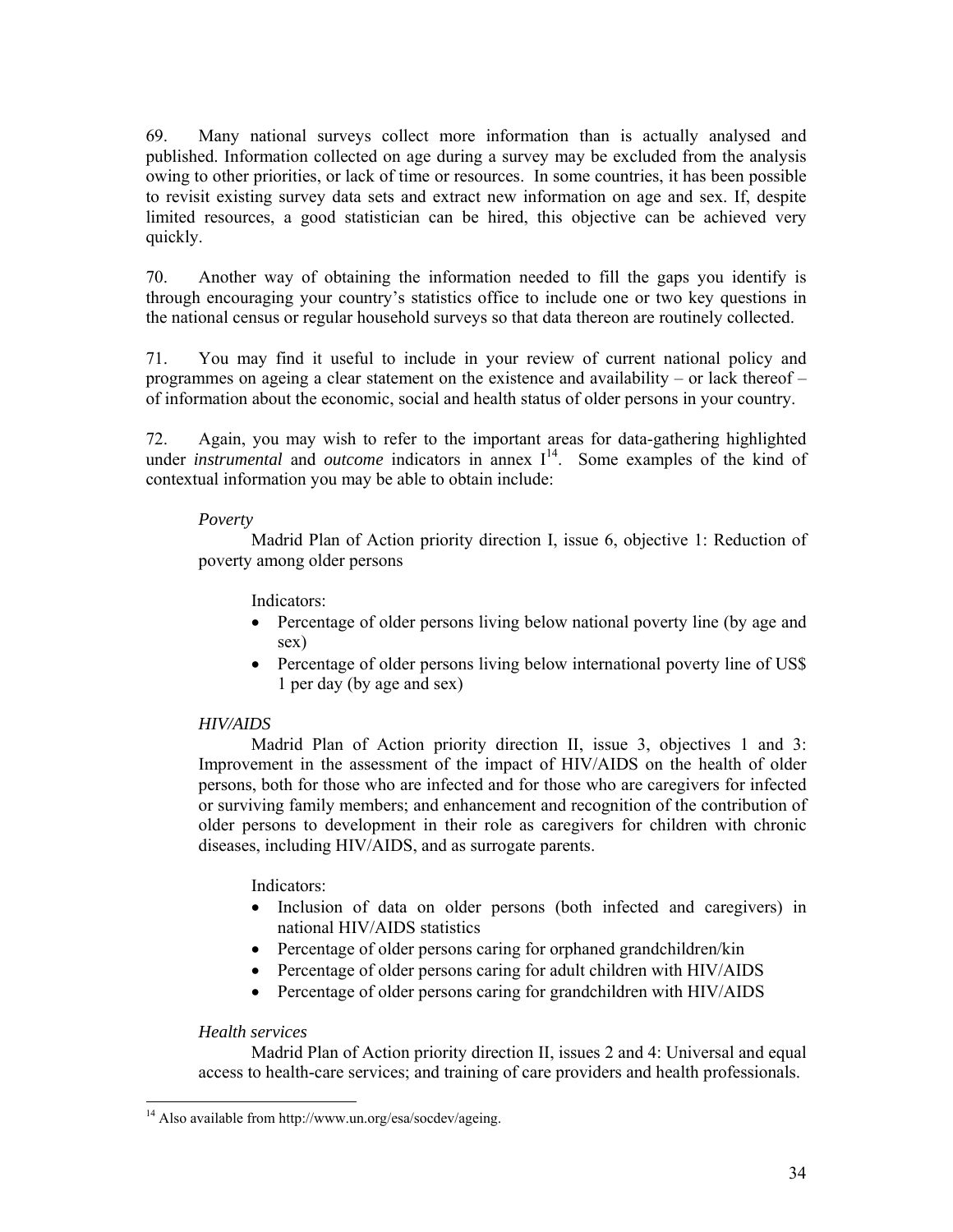69. Many national surveys collect more information than is actually analysed and published. Information collected on age during a survey may be excluded from the analysis owing to other priorities, or lack of time or resources. In some countries, it has been possible to revisit existing survey data sets and extract new information on age and sex. If, despite limited resources, a good statistician can be hired, this objective can be achieved very quickly.

70. Another way of obtaining the information needed to fill the gaps you identify is through encouraging your country's statistics office to include one or two key questions in the national census or regular household surveys so that data thereon are routinely collected.

71. You may find it useful to include in your review of current national policy and programmes on ageing a clear statement on the existence and availability – or lack thereof – of information about the economic, social and health status of older persons in your country.

72. Again, you may wish to refer to the important areas for data-gathering highlighted under *instrumental* and *outcome* indicators in annex  $I<sup>14</sup>$ . Some examples of the kind of contextual information you may be able to obtain include:

#### *Poverty*

Madrid Plan of Action priority direction I, issue 6, objective 1: Reduction of poverty among older persons

## Indicators:

- Percentage of older persons living below national poverty line (by age and sex)
- Percentage of older persons living below international poverty line of US\$ 1 per day (by age and sex)

## *HIV/AIDS*

Madrid Plan of Action priority direction II, issue 3, objectives 1 and 3: Improvement in the assessment of the impact of HIV/AIDS on the health of older persons, both for those who are infected and for those who are caregivers for infected or surviving family members; and enhancement and recognition of the contribution of older persons to development in their role as caregivers for children with chronic diseases, including HIV/AIDS, and as surrogate parents.

## Indicators:

- Inclusion of data on older persons (both infected and caregivers) in national HIV/AIDS statistics
- Percentage of older persons caring for orphaned grandchildren/kin
- Percentage of older persons caring for adult children with HIV/AIDS
- Percentage of older persons caring for grandchildren with HIV/AIDS

## *Health services*

Madrid Plan of Action priority direction II, issues 2 and 4: Universal and equal access to health-care services; and training of care providers and health professionals.

<sup>-</sup><sup>14</sup> Also available from http://www.un.org/esa/socdev/ageing.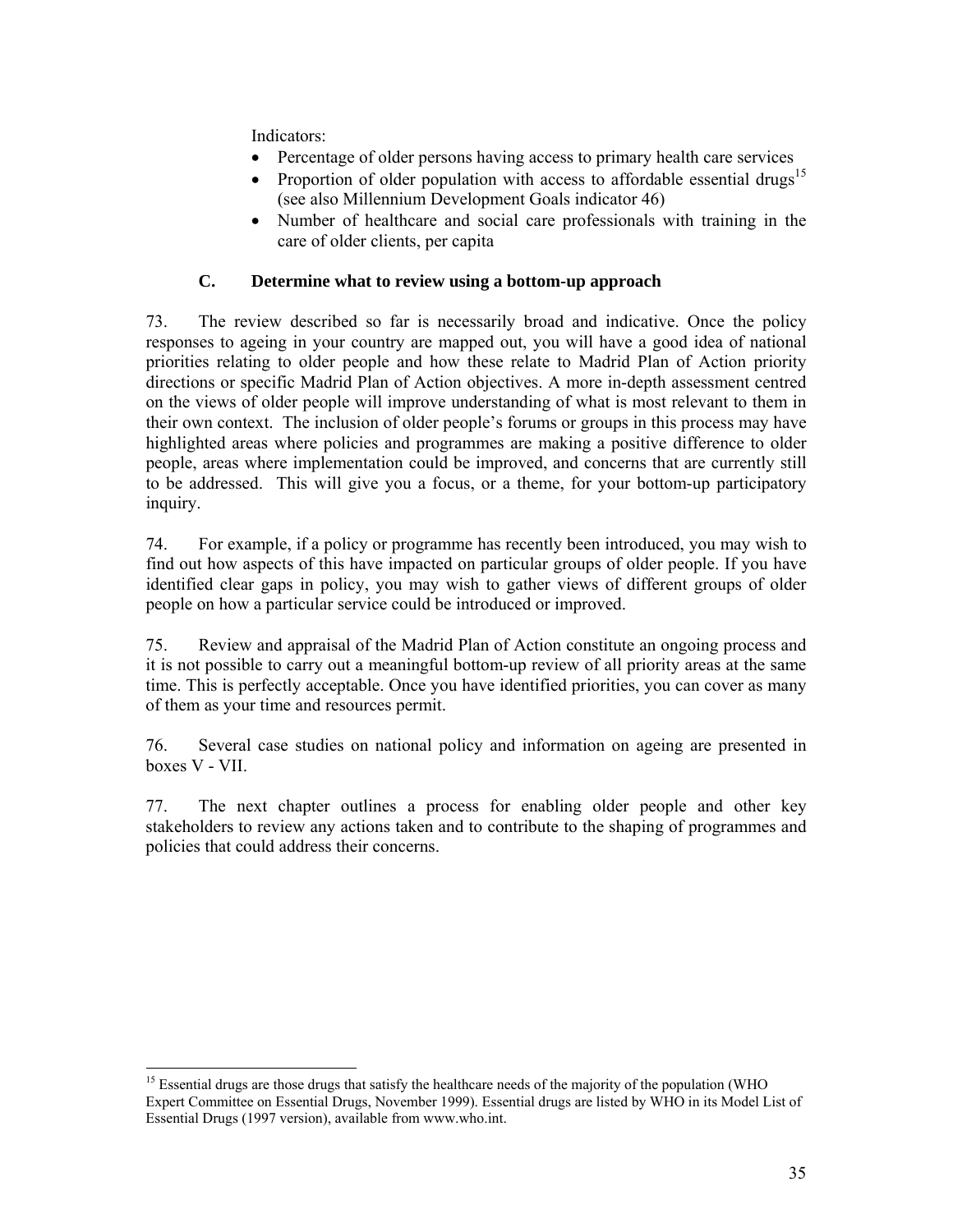Indicators:

- Percentage of older persons having access to primary health care services
- Proportion of older population with access to affordable essential drugs<sup>15</sup> (see also Millennium Development Goals indicator 46)
- Number of healthcare and social care professionals with training in the care of older clients, per capita

# **C. Determine what to review using a bottom-up approach**

73. The review described so far is necessarily broad and indicative. Once the policy responses to ageing in your country are mapped out, you will have a good idea of national priorities relating to older people and how these relate to Madrid Plan of Action priority directions or specific Madrid Plan of Action objectives. A more in-depth assessment centred on the views of older people will improve understanding of what is most relevant to them in their own context. The inclusion of older people's forums or groups in this process may have highlighted areas where policies and programmes are making a positive difference to older people, areas where implementation could be improved, and concerns that are currently still to be addressed. This will give you a focus, or a theme, for your bottom-up participatory inquiry.

74. For example, if a policy or programme has recently been introduced, you may wish to find out how aspects of this have impacted on particular groups of older people. If you have identified clear gaps in policy, you may wish to gather views of different groups of older people on how a particular service could be introduced or improved.

75. Review and appraisal of the Madrid Plan of Action constitute an ongoing process and it is not possible to carry out a meaningful bottom-up review of all priority areas at the same time. This is perfectly acceptable. Once you have identified priorities, you can cover as many of them as your time and resources permit.

76. Several case studies on national policy and information on ageing are presented in boxes V - VII.

77. The next chapter outlines a process for enabling older people and other key stakeholders to review any actions taken and to contribute to the shaping of programmes and policies that could address their concerns.

<sup>-</sup><sup>15</sup> Essential drugs are those drugs that satisfy the healthcare needs of the majority of the population (WHO Expert Committee on Essential Drugs, November 1999). Essential drugs are listed by WHO in its Model List of Essential Drugs (1997 version), available from www.who.int.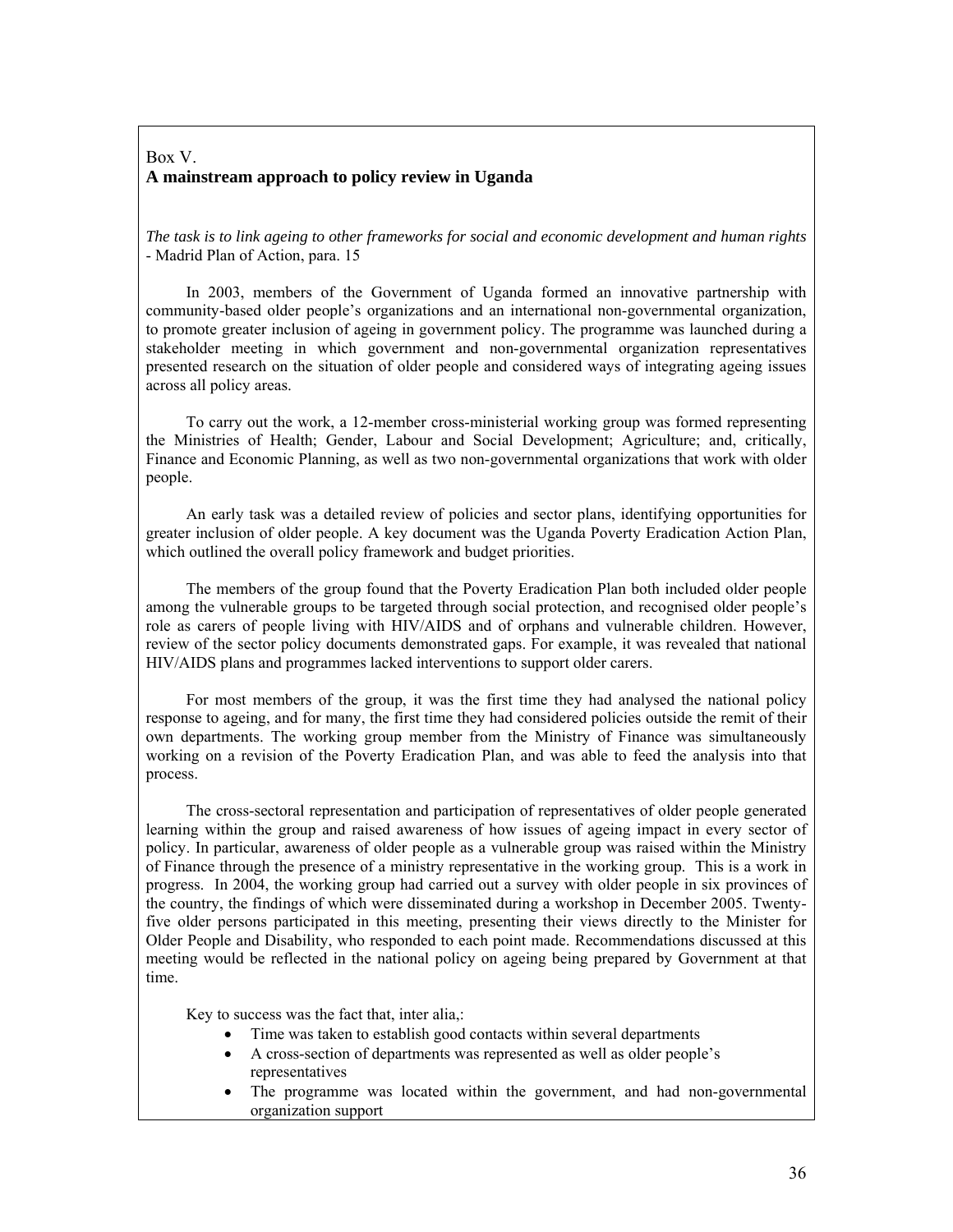#### Box V. **A mainstream approach to policy review in Uganda**

*The task is to link ageing to other frameworks for social and economic development and human rights*  - Madrid Plan of Action, para. 15

 In 2003, members of the Government of Uganda formed an innovative partnership with community-based older people's organizations and an international non-governmental organization, to promote greater inclusion of ageing in government policy. The programme was launched during a stakeholder meeting in which government and non-governmental organization representatives presented research on the situation of older people and considered ways of integrating ageing issues across all policy areas.

 To carry out the work, a 12-member cross-ministerial working group was formed representing the Ministries of Health; Gender, Labour and Social Development; Agriculture; and, critically, Finance and Economic Planning, as well as two non-governmental organizations that work with older people.

 An early task was a detailed review of policies and sector plans, identifying opportunities for greater inclusion of older people. A key document was the Uganda Poverty Eradication Action Plan, which outlined the overall policy framework and budget priorities.

 The members of the group found that the Poverty Eradication Plan both included older people among the vulnerable groups to be targeted through social protection, and recognised older people's role as carers of people living with HIV/AIDS and of orphans and vulnerable children. However, review of the sector policy documents demonstrated gaps. For example, it was revealed that national HIV/AIDS plans and programmes lacked interventions to support older carers.

 For most members of the group, it was the first time they had analysed the national policy response to ageing, and for many, the first time they had considered policies outside the remit of their own departments. The working group member from the Ministry of Finance was simultaneously working on a revision of the Poverty Eradication Plan, and was able to feed the analysis into that process.

 The cross-sectoral representation and participation of representatives of older people generated learning within the group and raised awareness of how issues of ageing impact in every sector of policy. In particular, awareness of older people as a vulnerable group was raised within the Ministry of Finance through the presence of a ministry representative in the working group. This is a work in progress. In 2004, the working group had carried out a survey with older people in six provinces of the country, the findings of which were disseminated during a workshop in December 2005. Twentyfive older persons participated in this meeting, presenting their views directly to the Minister for Older People and Disability, who responded to each point made. Recommendations discussed at this meeting would be reflected in the national policy on ageing being prepared by Government at that time.

Key to success was the fact that, inter alia,:

- Time was taken to establish good contacts within several departments
- A cross-section of departments was represented as well as older people's representatives
- The programme was located within the government, and had non-governmental organization support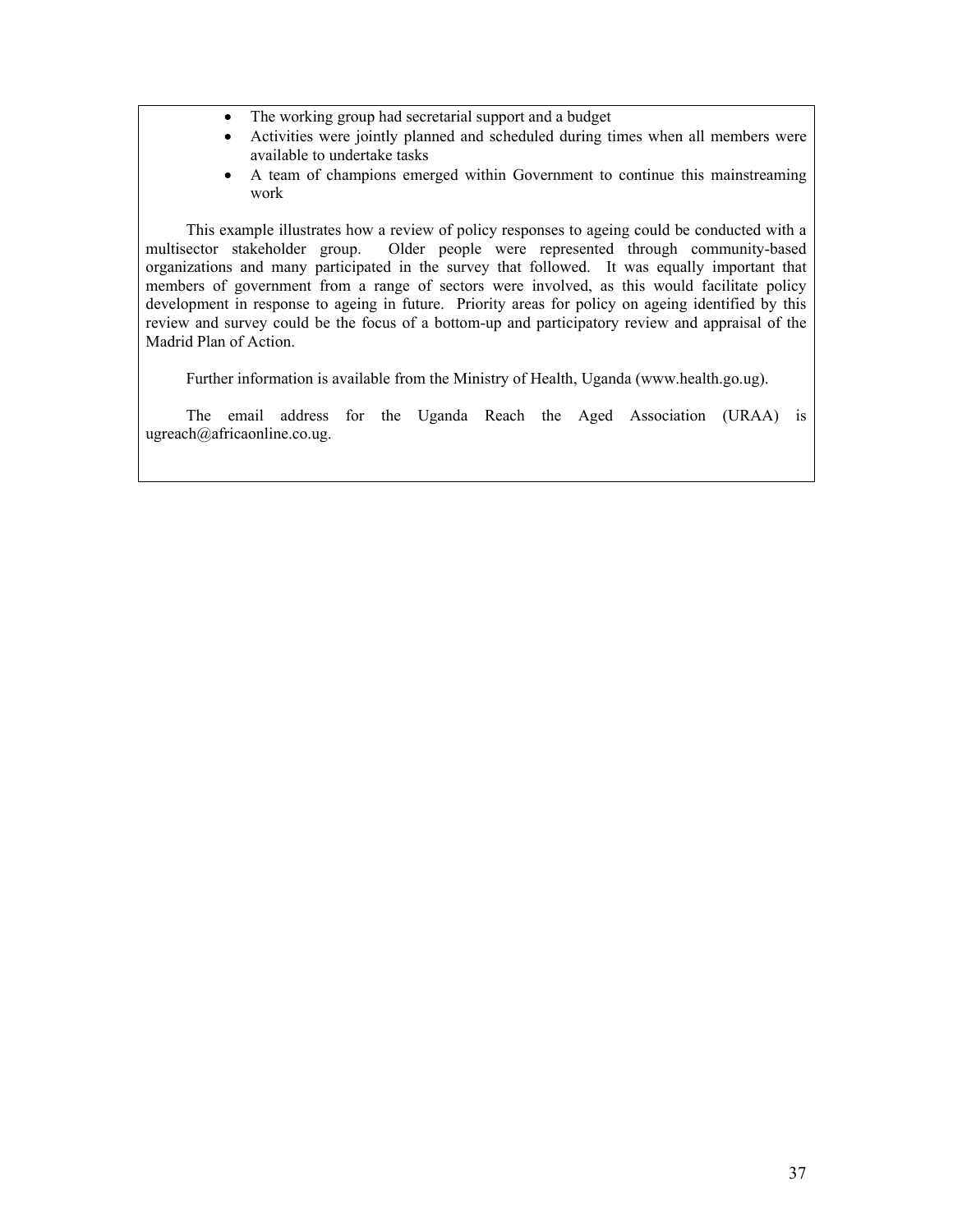- The working group had secretarial support and a budget
- Activities were jointly planned and scheduled during times when all members were available to undertake tasks
- A team of champions emerged within Government to continue this mainstreaming work

 This example illustrates how a review of policy responses to ageing could be conducted with a multisector stakeholder group. Older people were represented through community-based organizations and many participated in the survey that followed. It was equally important that members of government from a range of sectors were involved, as this would facilitate policy development in response to ageing in future. Priority areas for policy on ageing identified by this review and survey could be the focus of a bottom-up and participatory review and appraisal of the Madrid Plan of Action.

Further information is available from the Ministry of Health, Uganda (www.health.go.ug).

 The email address for the Uganda Reach the Aged Association (URAA) is ugreach@africaonline.co.ug.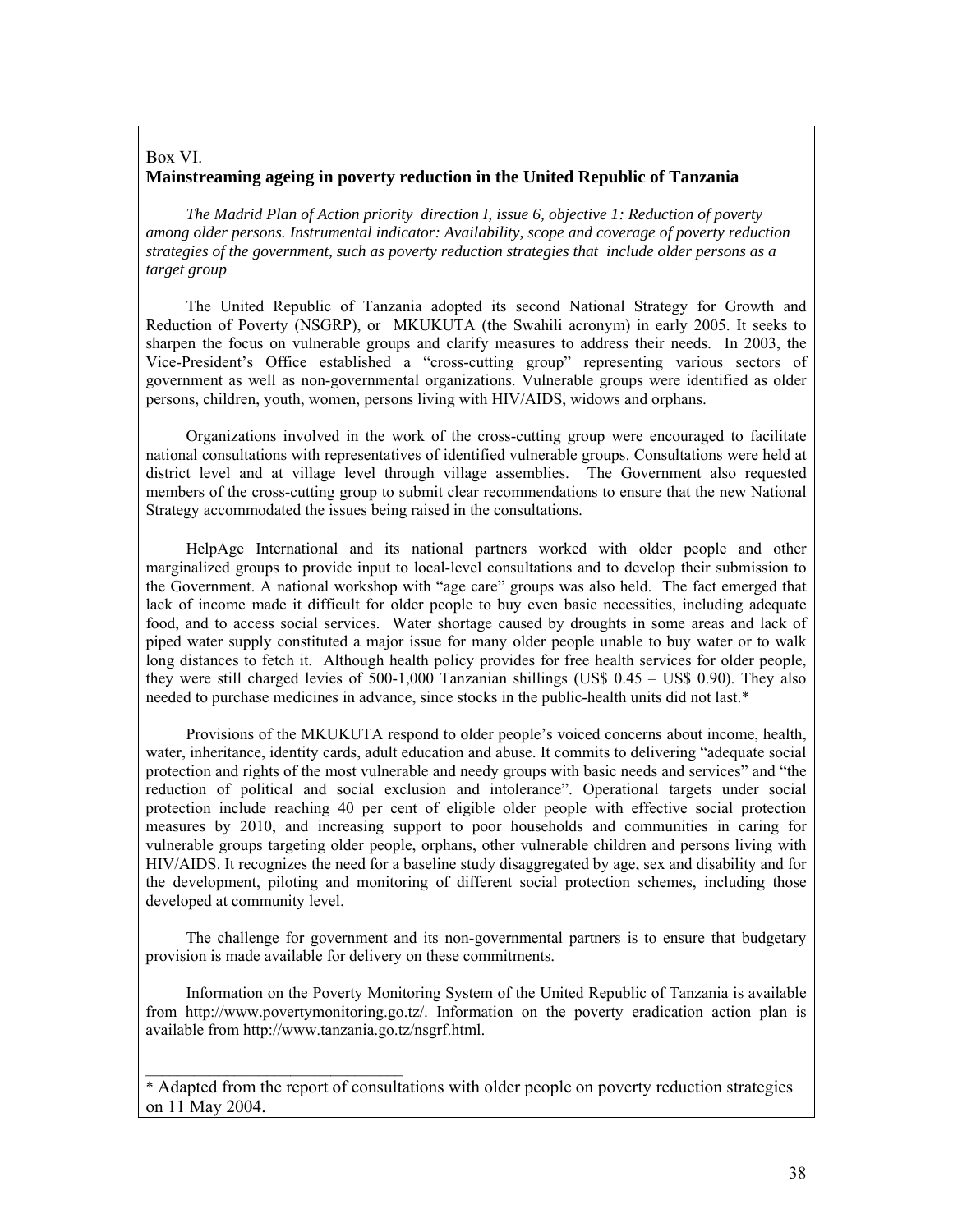## Box VI. **Mainstreaming ageing in poverty reduction in the United Republic of Tanzania**

 *The Madrid Plan of Action priority direction I, issue 6, objective 1: Reduction of poverty among older persons. Instrumental indicator: Availability, scope and coverage of poverty reduction strategies of the government, such as poverty reduction strategies that include older persons as a target group* 

 The United Republic of Tanzania adopted its second National Strategy for Growth and Reduction of Poverty (NSGRP), or MKUKUTA (the Swahili acronym) in early 2005. It seeks to sharpen the focus on vulnerable groups and clarify measures to address their needs. In 2003, the Vice-President's Office established a "cross-cutting group" representing various sectors of government as well as non-governmental organizations. Vulnerable groups were identified as older persons, children, youth, women, persons living with HIV/AIDS, widows and orphans.

 Organizations involved in the work of the cross-cutting group were encouraged to facilitate national consultations with representatives of identified vulnerable groups. Consultations were held at district level and at village level through village assemblies. The Government also requested members of the cross-cutting group to submit clear recommendations to ensure that the new National Strategy accommodated the issues being raised in the consultations.

 HelpAge International and its national partners worked with older people and other marginalized groups to provide input to local-level consultations and to develop their submission to the Government. A national workshop with "age care" groups was also held. The fact emerged that lack of income made it difficult for older people to buy even basic necessities, including adequate food, and to access social services. Water shortage caused by droughts in some areas and lack of piped water supply constituted a major issue for many older people unable to buy water or to walk long distances to fetch it. Although health policy provides for free health services for older people, they were still charged levies of 500-1,000 Tanzanian shillings (US\$ 0.45 – US\$ 0.90). They also needed to purchase medicines in advance, since stocks in the public-health units did not last.\*

 Provisions of the MKUKUTA respond to older people's voiced concerns about income, health, water, inheritance, identity cards, adult education and abuse. It commits to delivering "adequate social protection and rights of the most vulnerable and needy groups with basic needs and services" and "the reduction of political and social exclusion and intolerance". Operational targets under social protection include reaching 40 per cent of eligible older people with effective social protection measures by 2010, and increasing support to poor households and communities in caring for vulnerable groups targeting older people, orphans, other vulnerable children and persons living with HIV/AIDS. It recognizes the need for a baseline study disaggregated by age, sex and disability and for the development, piloting and monitoring of different social protection schemes, including those developed at community level.

 The challenge for government and its non-governmental partners is to ensure that budgetary provision is made available for delivery on these commitments.

 Information on the Poverty Monitoring System of the United Republic of Tanzania is available from http://www.povertymonitoring.go.tz/. Information on the poverty eradication action plan is available from http://www.tanzania.go.tz/nsgrf.html.

 $\mathcal{L}=\mathcal{L}=\mathcal{L}=\mathcal{L}=\mathcal{L}=\mathcal{L}=\mathcal{L}=\mathcal{L}=\mathcal{L}=\mathcal{L}=\mathcal{L}=\mathcal{L}=\mathcal{L}=\mathcal{L}=\mathcal{L}=\mathcal{L}=\mathcal{L}=\mathcal{L}=\mathcal{L}=\mathcal{L}=\mathcal{L}=\mathcal{L}=\mathcal{L}=\mathcal{L}=\mathcal{L}=\mathcal{L}=\mathcal{L}=\mathcal{L}=\mathcal{L}=\mathcal{L}=\mathcal{L}=\mathcal{L}=\mathcal{L}=\mathcal{L}=\mathcal{L}=\mathcal{L}=\mathcal{$ 

<sup>\*</sup> Adapted from the report of consultations with older people on poverty reduction strategies on 11 May 2004.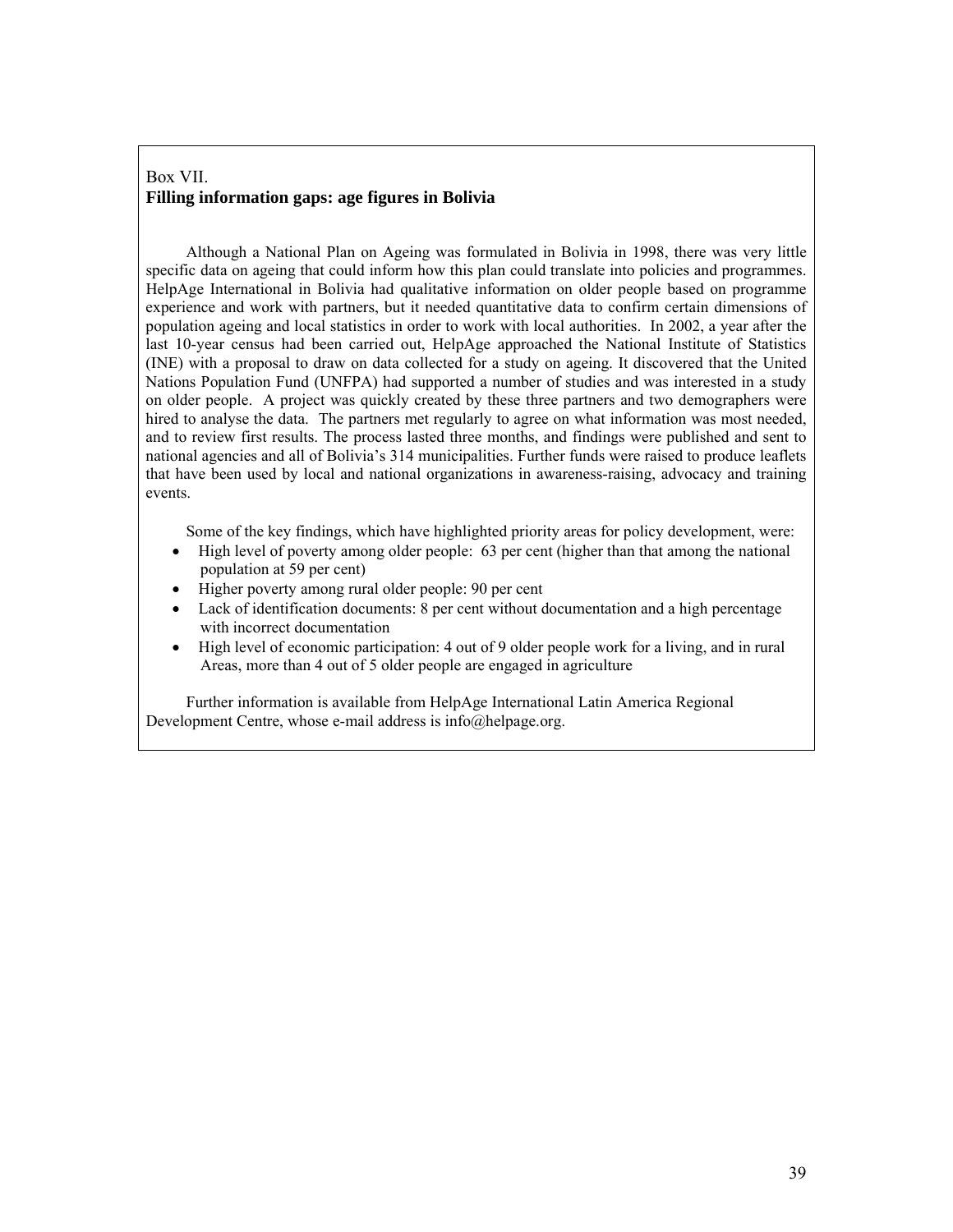### Box VII. **Filling information gaps: age figures in Bolivia**

 Although a National Plan on Ageing was formulated in Bolivia in 1998, there was very little specific data on ageing that could inform how this plan could translate into policies and programmes. HelpAge International in Bolivia had qualitative information on older people based on programme experience and work with partners, but it needed quantitative data to confirm certain dimensions of population ageing and local statistics in order to work with local authorities. In 2002, a year after the last 10-year census had been carried out, HelpAge approached the National Institute of Statistics (INE) with a proposal to draw on data collected for a study on ageing. It discovered that the United Nations Population Fund (UNFPA) had supported a number of studies and was interested in a study on older people. A project was quickly created by these three partners and two demographers were hired to analyse the data. The partners met regularly to agree on what information was most needed, and to review first results. The process lasted three months, and findings were published and sent to national agencies and all of Bolivia's 314 municipalities. Further funds were raised to produce leaflets that have been used by local and national organizations in awareness-raising, advocacy and training events.

Some of the key findings, which have highlighted priority areas for policy development, were:

- High level of poverty among older people: 63 per cent (higher than that among the national population at 59 per cent)
- Higher poverty among rural older people: 90 per cent
- Lack of identification documents: 8 per cent without documentation and a high percentage with incorrect documentation
- High level of economic participation: 4 out of 9 older people work for a living, and in rural Areas, more than 4 out of 5 older people are engaged in agriculture

Further information is available from HelpAge International Latin America Regional Development Centre, whose e-mail address is info@helpage.org.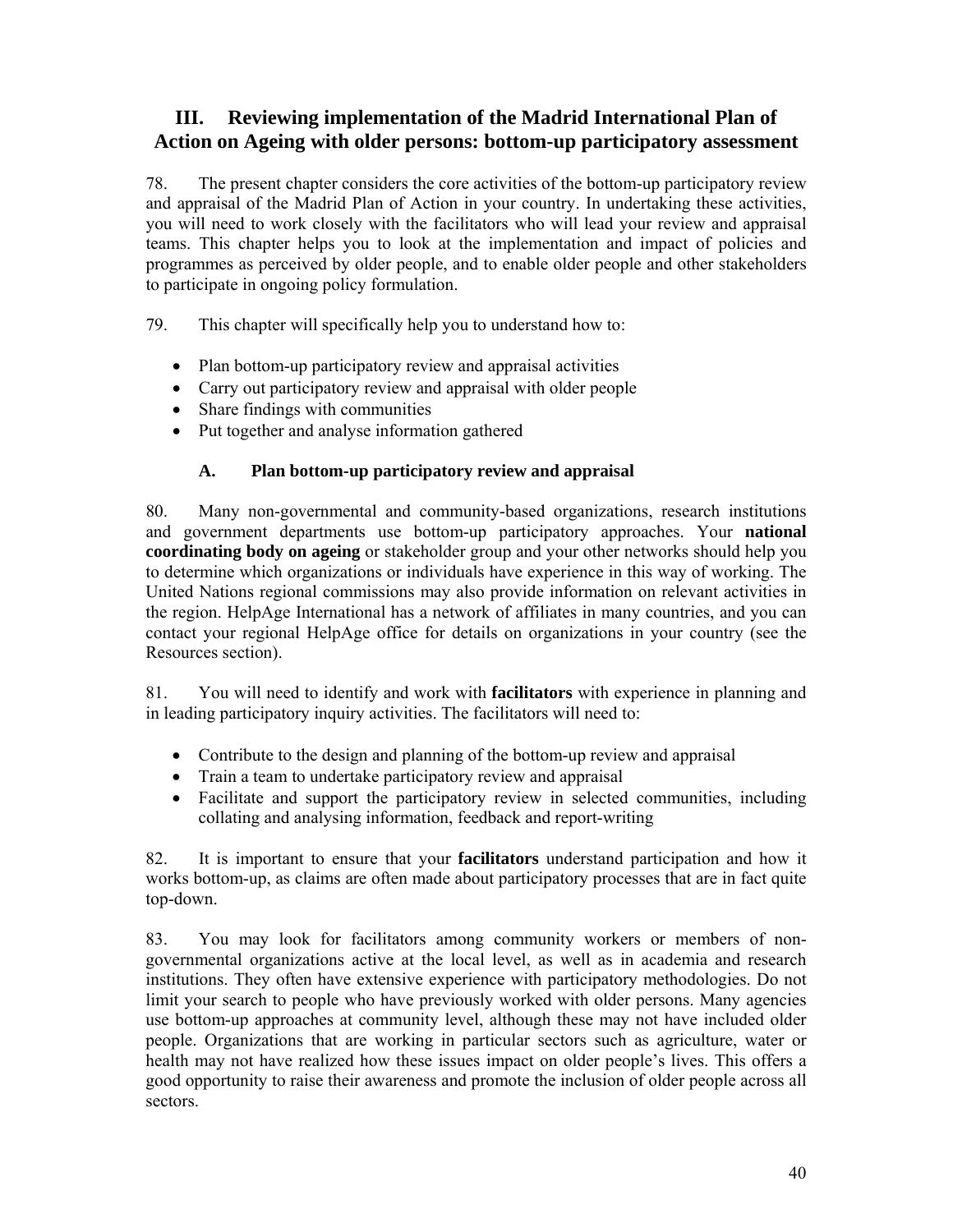# **III. Reviewing implementation of the Madrid International Plan of Action on Ageing with older persons: bottom-up participatory assessment**

78. The present chapter considers the core activities of the bottom-up participatory review and appraisal of the Madrid Plan of Action in your country. In undertaking these activities, you will need to work closely with the facilitators who will lead your review and appraisal teams. This chapter helps you to look at the implementation and impact of policies and programmes as perceived by older people, and to enable older people and other stakeholders to participate in ongoing policy formulation.

79. This chapter will specifically help you to understand how to:

- Plan bottom-up participatory review and appraisal activities
- Carry out participatory review and appraisal with older people
- Share findings with communities
- Put together and analyse information gathered

## **A. Plan bottom-up participatory review and appraisal**

80. Many non-governmental and community-based organizations, research institutions and government departments use bottom-up participatory approaches. Your **national coordinating body on ageing** or stakeholder group and your other networks should help you to determine which organizations or individuals have experience in this way of working. The United Nations regional commissions may also provide information on relevant activities in the region. HelpAge International has a network of affiliates in many countries, and you can contact your regional HelpAge office for details on organizations in your country (see the Resources section).

81. You will need to identify and work with **facilitators** with experience in planning and in leading participatory inquiry activities. The facilitators will need to:

- Contribute to the design and planning of the bottom-up review and appraisal
- Train a team to undertake participatory review and appraisal
- Facilitate and support the participatory review in selected communities, including collating and analysing information, feedback and report-writing

82. It is important to ensure that your **facilitators** understand participation and how it works bottom-up, as claims are often made about participatory processes that are in fact quite top-down.

83. You may look for facilitators among community workers or members of nongovernmental organizations active at the local level, as well as in academia and research institutions. They often have extensive experience with participatory methodologies. Do not limit your search to people who have previously worked with older persons. Many agencies use bottom-up approaches at community level, although these may not have included older people. Organizations that are working in particular sectors such as agriculture, water or health may not have realized how these issues impact on older people's lives. This offers a good opportunity to raise their awareness and promote the inclusion of older people across all sectors.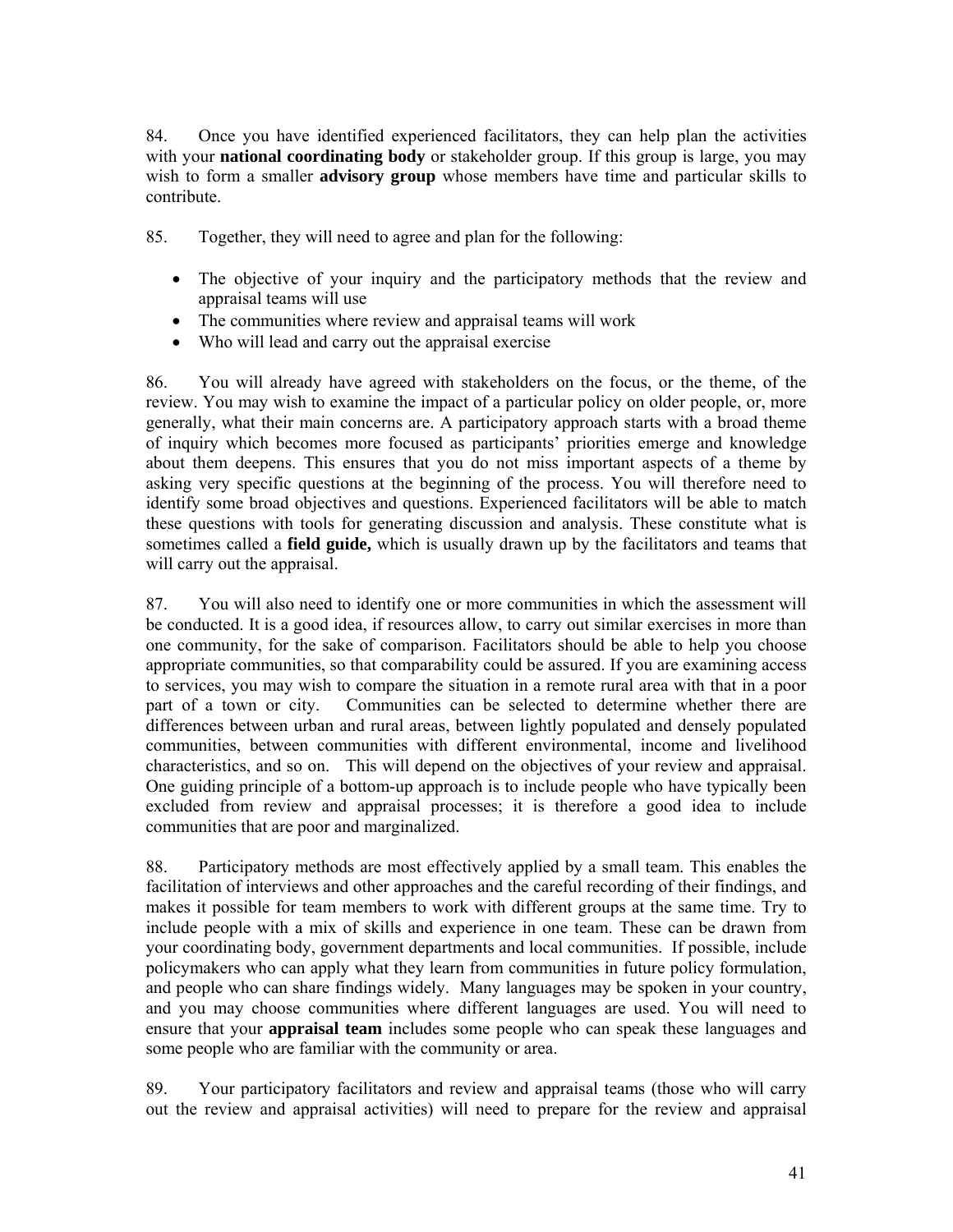84. Once you have identified experienced facilitators, they can help plan the activities with your **national coordinating body** or stakeholder group. If this group is large, you may wish to form a smaller **advisory group** whose members have time and particular skills to contribute.

85. Together, they will need to agree and plan for the following:

- The objective of your inquiry and the participatory methods that the review and appraisal teams will use
- The communities where review and appraisal teams will work
- Who will lead and carry out the appraisal exercise

86. You will already have agreed with stakeholders on the focus, or the theme, of the review. You may wish to examine the impact of a particular policy on older people, or, more generally, what their main concerns are. A participatory approach starts with a broad theme of inquiry which becomes more focused as participants' priorities emerge and knowledge about them deepens. This ensures that you do not miss important aspects of a theme by asking very specific questions at the beginning of the process. You will therefore need to identify some broad objectives and questions. Experienced facilitators will be able to match these questions with tools for generating discussion and analysis. These constitute what is sometimes called a **field guide,** which is usually drawn up by the facilitators and teams that will carry out the appraisal.

87. You will also need to identify one or more communities in which the assessment will be conducted. It is a good idea, if resources allow, to carry out similar exercises in more than one community, for the sake of comparison. Facilitators should be able to help you choose appropriate communities, so that comparability could be assured. If you are examining access to services, you may wish to compare the situation in a remote rural area with that in a poor part of a town or city. Communities can be selected to determine whether there are differences between urban and rural areas, between lightly populated and densely populated communities, between communities with different environmental, income and livelihood characteristics, and so on. This will depend on the objectives of your review and appraisal. One guiding principle of a bottom-up approach is to include people who have typically been excluded from review and appraisal processes; it is therefore a good idea to include communities that are poor and marginalized.

88. Participatory methods are most effectively applied by a small team. This enables the facilitation of interviews and other approaches and the careful recording of their findings, and makes it possible for team members to work with different groups at the same time. Try to include people with a mix of skills and experience in one team. These can be drawn from your coordinating body, government departments and local communities. If possible, include policymakers who can apply what they learn from communities in future policy formulation, and people who can share findings widely. Many languages may be spoken in your country, and you may choose communities where different languages are used. You will need to ensure that your **appraisal team** includes some people who can speak these languages and some people who are familiar with the community or area.

89. Your participatory facilitators and review and appraisal teams (those who will carry out the review and appraisal activities) will need to prepare for the review and appraisal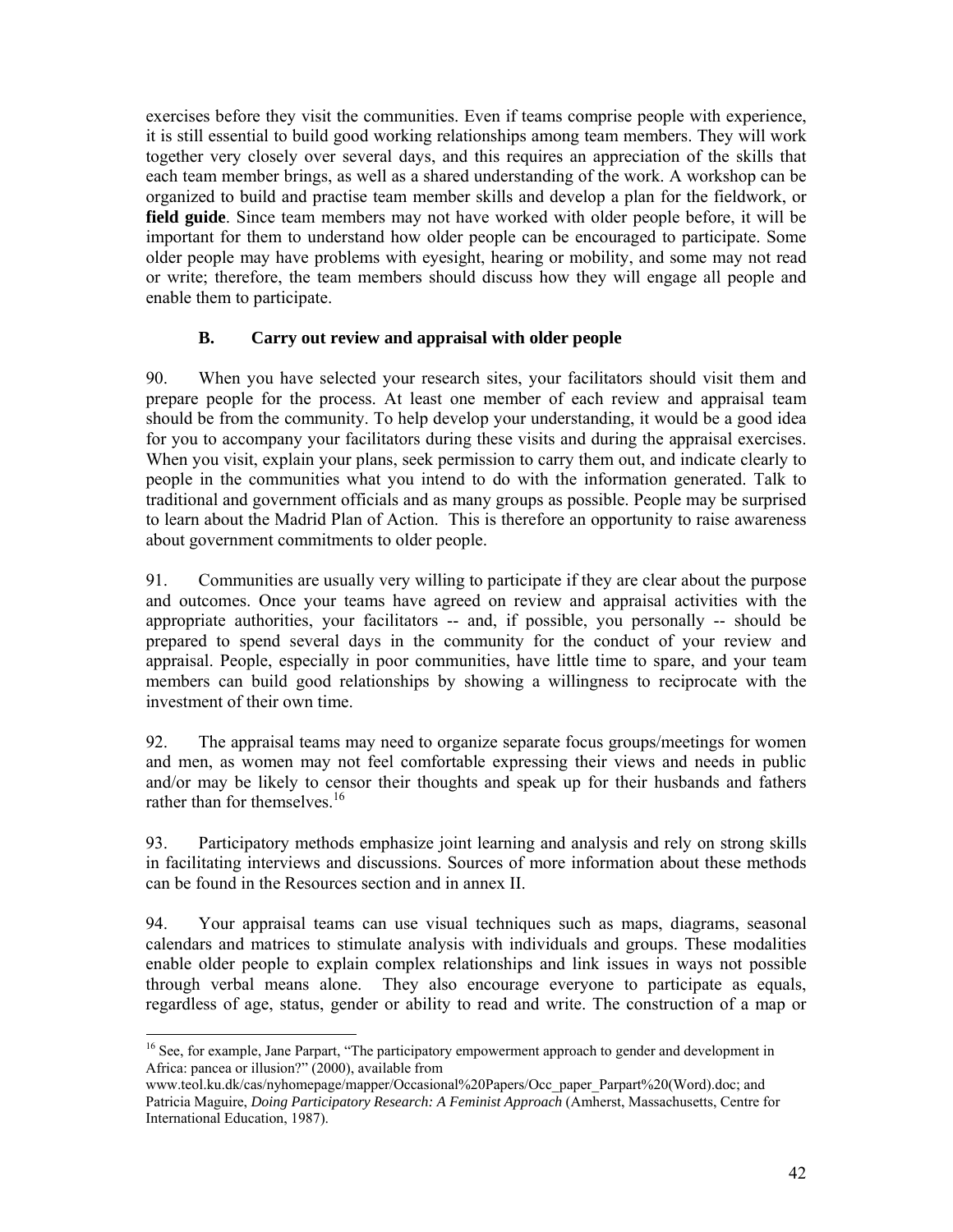exercises before they visit the communities. Even if teams comprise people with experience, it is still essential to build good working relationships among team members. They will work together very closely over several days, and this requires an appreciation of the skills that each team member brings, as well as a shared understanding of the work. A workshop can be organized to build and practise team member skills and develop a plan for the fieldwork, or **field guide**. Since team members may not have worked with older people before, it will be important for them to understand how older people can be encouraged to participate. Some older people may have problems with eyesight, hearing or mobility, and some may not read or write; therefore, the team members should discuss how they will engage all people and enable them to participate.

# **B. Carry out review and appraisal with older people**

90. When you have selected your research sites, your facilitators should visit them and prepare people for the process. At least one member of each review and appraisal team should be from the community. To help develop your understanding, it would be a good idea for you to accompany your facilitators during these visits and during the appraisal exercises. When you visit, explain your plans, seek permission to carry them out, and indicate clearly to people in the communities what you intend to do with the information generated. Talk to traditional and government officials and as many groups as possible. People may be surprised to learn about the Madrid Plan of Action. This is therefore an opportunity to raise awareness about government commitments to older people.

91. Communities are usually very willing to participate if they are clear about the purpose and outcomes. Once your teams have agreed on review and appraisal activities with the appropriate authorities, your facilitators -- and, if possible, you personally -- should be prepared to spend several days in the community for the conduct of your review and appraisal. People, especially in poor communities, have little time to spare, and your team members can build good relationships by showing a willingness to reciprocate with the investment of their own time.

92. The appraisal teams may need to organize separate focus groups/meetings for women and men, as women may not feel comfortable expressing their views and needs in public and/or may be likely to censor their thoughts and speak up for their husbands and fathers rather than for themselves.<sup>16</sup>

93. Participatory methods emphasize joint learning and analysis and rely on strong skills in facilitating interviews and discussions. Sources of more information about these methods can be found in the Resources section and in annex II.

94. Your appraisal teams can use visual techniques such as maps, diagrams, seasonal calendars and matrices to stimulate analysis with individuals and groups. These modalities enable older people to explain complex relationships and link issues in ways not possible through verbal means alone. They also encourage everyone to participate as equals, regardless of age, status, gender or ability to read and write. The construction of a map or

-

<sup>&</sup>lt;sup>16</sup> See, for example, Jane Parpart, "The participatory empowerment approach to gender and development in Africa: pancea or illusion?" (2000), available from

www.teol.ku.dk/cas/nyhomepage/mapper/Occasional%20Papers/Occ\_paper\_Parpart%20(Word).doc; and Patricia Maguire, *Doing Participatory Research: A Feminist Approach* (Amherst, Massachusetts, Centre for International Education, 1987).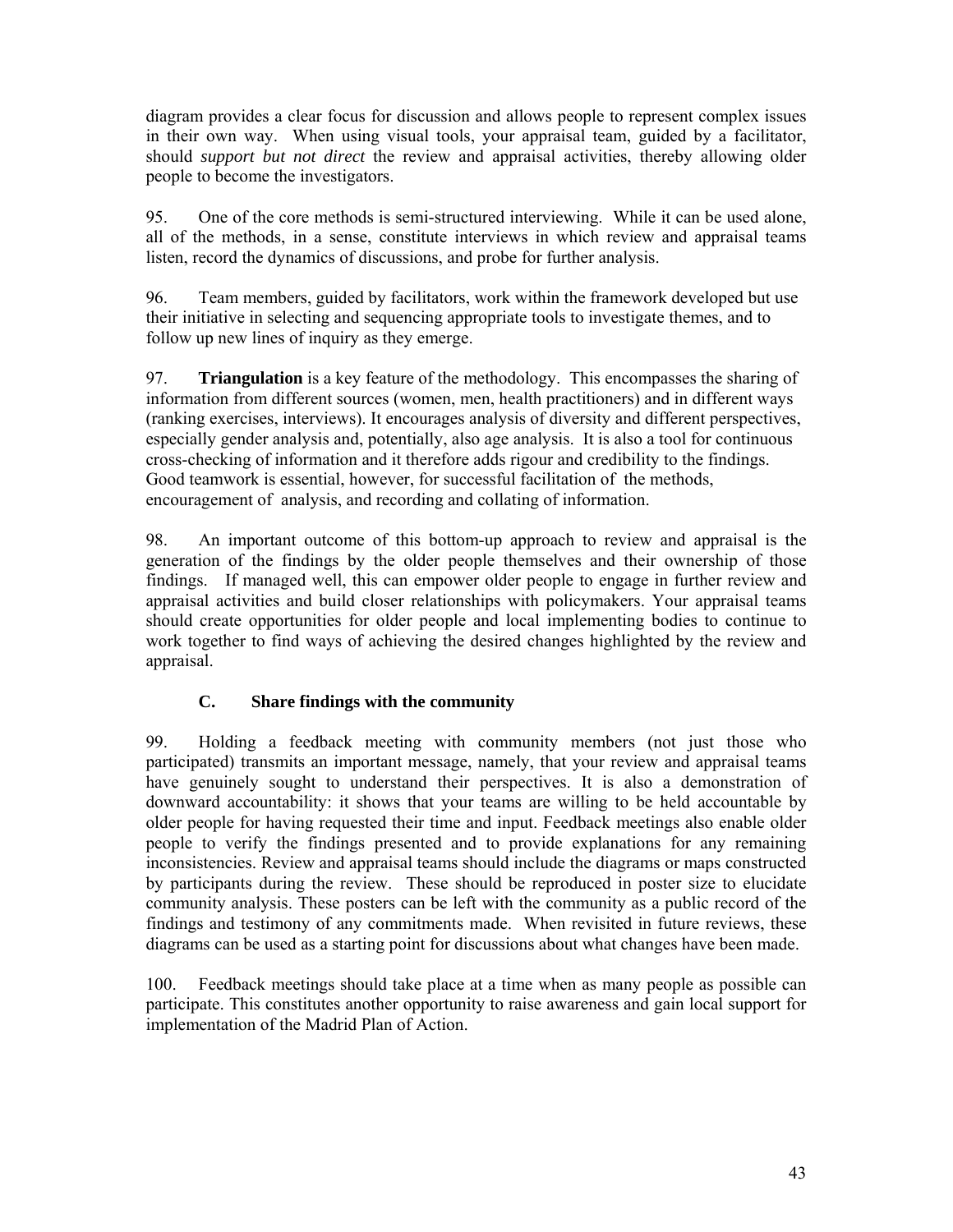diagram provides a clear focus for discussion and allows people to represent complex issues in their own way. When using visual tools, your appraisal team, guided by a facilitator, should *support but not direct* the review and appraisal activities, thereby allowing older people to become the investigators.

95. One of the core methods is semi-structured interviewing. While it can be used alone, all of the methods, in a sense, constitute interviews in which review and appraisal teams listen, record the dynamics of discussions, and probe for further analysis.

96. Team members, guided by facilitators, work within the framework developed but use their initiative in selecting and sequencing appropriate tools to investigate themes, and to follow up new lines of inquiry as they emerge.

97. **Triangulation** is a key feature of the methodology. This encompasses the sharing of information from different sources (women, men, health practitioners) and in different ways (ranking exercises, interviews). It encourages analysis of diversity and different perspectives, especially gender analysis and, potentially, also age analysis. It is also a tool for continuous cross-checking of information and it therefore adds rigour and credibility to the findings. Good teamwork is essential, however, for successful facilitation of the methods, encouragement of analysis, and recording and collating of information.

98. An important outcome of this bottom-up approach to review and appraisal is the generation of the findings by the older people themselves and their ownership of those findings. If managed well, this can empower older people to engage in further review and appraisal activities and build closer relationships with policymakers. Your appraisal teams should create opportunities for older people and local implementing bodies to continue to work together to find ways of achieving the desired changes highlighted by the review and appraisal.

# **C. Share findings with the community**

99. Holding a feedback meeting with community members (not just those who participated) transmits an important message, namely, that your review and appraisal teams have genuinely sought to understand their perspectives. It is also a demonstration of downward accountability: it shows that your teams are willing to be held accountable by older people for having requested their time and input. Feedback meetings also enable older people to verify the findings presented and to provide explanations for any remaining inconsistencies. Review and appraisal teams should include the diagrams or maps constructed by participants during the review. These should be reproduced in poster size to elucidate community analysis. These posters can be left with the community as a public record of the findings and testimony of any commitments made. When revisited in future reviews, these diagrams can be used as a starting point for discussions about what changes have been made.

100. Feedback meetings should take place at a time when as many people as possible can participate. This constitutes another opportunity to raise awareness and gain local support for implementation of the Madrid Plan of Action.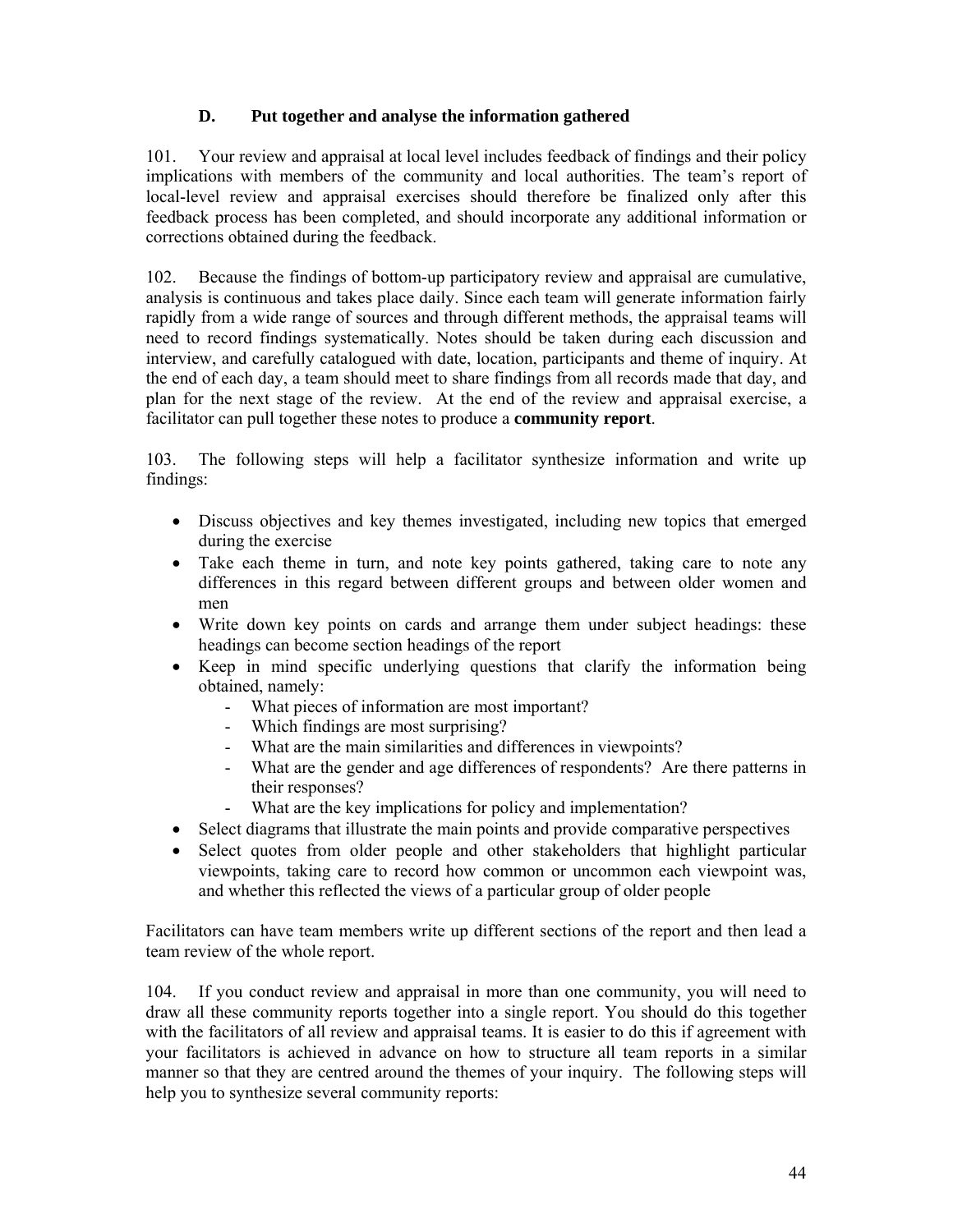# **D. Put together and analyse the information gathered**

101. Your review and appraisal at local level includes feedback of findings and their policy implications with members of the community and local authorities. The team's report of local-level review and appraisal exercises should therefore be finalized only after this feedback process has been completed, and should incorporate any additional information or corrections obtained during the feedback.

102. Because the findings of bottom-up participatory review and appraisal are cumulative, analysis is continuous and takes place daily. Since each team will generate information fairly rapidly from a wide range of sources and through different methods, the appraisal teams will need to record findings systematically. Notes should be taken during each discussion and interview, and carefully catalogued with date, location, participants and theme of inquiry. At the end of each day, a team should meet to share findings from all records made that day, and plan for the next stage of the review. At the end of the review and appraisal exercise, a facilitator can pull together these notes to produce a **community report**.

103. The following steps will help a facilitator synthesize information and write up findings:

- Discuss objectives and key themes investigated, including new topics that emerged during the exercise
- Take each theme in turn, and note key points gathered, taking care to note any differences in this regard between different groups and between older women and men
- Write down key points on cards and arrange them under subject headings: these headings can become section headings of the report
- Keep in mind specific underlying questions that clarify the information being obtained, namely:
	- What pieces of information are most important?
	- Which findings are most surprising?
	- What are the main similarities and differences in viewpoints?
	- What are the gender and age differences of respondents? Are there patterns in their responses?
	- What are the key implications for policy and implementation?
- Select diagrams that illustrate the main points and provide comparative perspectives
- Select quotes from older people and other stakeholders that highlight particular viewpoints, taking care to record how common or uncommon each viewpoint was, and whether this reflected the views of a particular group of older people

Facilitators can have team members write up different sections of the report and then lead a team review of the whole report.

104. If you conduct review and appraisal in more than one community, you will need to draw all these community reports together into a single report. You should do this together with the facilitators of all review and appraisal teams. It is easier to do this if agreement with your facilitators is achieved in advance on how to structure all team reports in a similar manner so that they are centred around the themes of your inquiry. The following steps will help you to synthesize several community reports: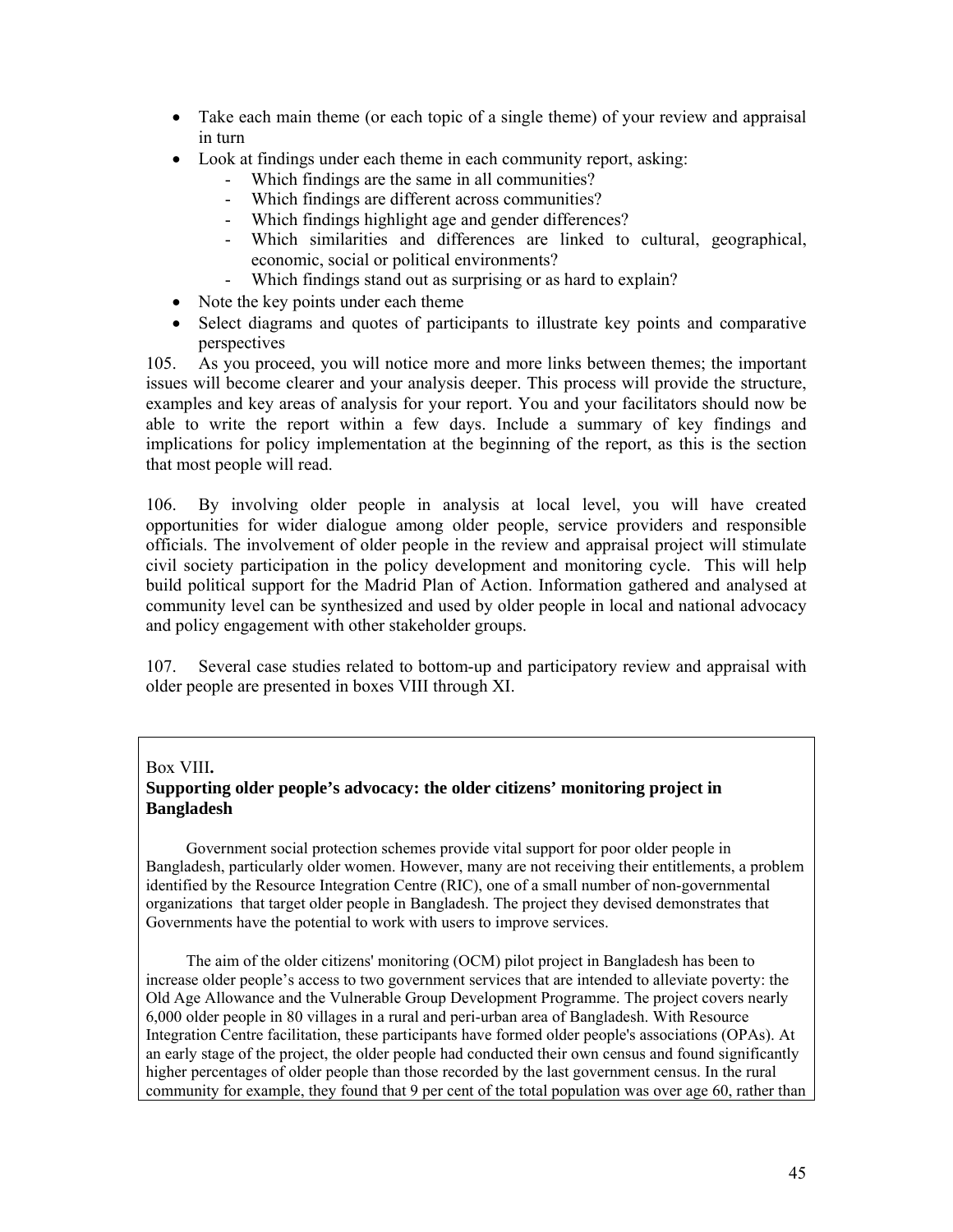- Take each main theme (or each topic of a single theme) of your review and appraisal in turn
- Look at findings under each theme in each community report, asking:
	- Which findings are the same in all communities?
	- Which findings are different across communities?
	- Which findings highlight age and gender differences?
	- Which similarities and differences are linked to cultural, geographical, economic, social or political environments?
	- Which findings stand out as surprising or as hard to explain?
- Note the key points under each theme
- Select diagrams and quotes of participants to illustrate key points and comparative perspectives

105. As you proceed, you will notice more and more links between themes; the important issues will become clearer and your analysis deeper. This process will provide the structure, examples and key areas of analysis for your report. You and your facilitators should now be able to write the report within a few days. Include a summary of key findings and implications for policy implementation at the beginning of the report, as this is the section that most people will read.

106. By involving older people in analysis at local level, you will have created opportunities for wider dialogue among older people, service providers and responsible officials. The involvement of older people in the review and appraisal project will stimulate civil society participation in the policy development and monitoring cycle. This will help build political support for the Madrid Plan of Action. Information gathered and analysed at community level can be synthesized and used by older people in local and national advocacy and policy engagement with other stakeholder groups.

107. Several case studies related to bottom-up and participatory review and appraisal with older people are presented in boxes VIII through XI.

## Box VIII**.**

## **Supporting older people's advocacy: the older citizens' monitoring project in Bangladesh**

 Government social protection schemes provide vital support for poor older people in Bangladesh, particularly older women. However, many are not receiving their entitlements, a problem identified by the Resource Integration Centre (RIC), one of a small number of non-governmental organizations that target older people in Bangladesh. The project they devised demonstrates that Governments have the potential to work with users to improve services.

 The aim of the older citizens' monitoring (OCM) pilot project in Bangladesh has been to increase older people's access to two government services that are intended to alleviate poverty: the Old Age Allowance and the Vulnerable Group Development Programme. The project covers nearly 6,000 older people in 80 villages in a rural and peri-urban area of Bangladesh. With Resource Integration Centre facilitation, these participants have formed older people's associations (OPAs). At an early stage of the project, the older people had conducted their own census and found significantly higher percentages of older people than those recorded by the last government census. In the rural community for example, they found that 9 per cent of the total population was over age 60, rather than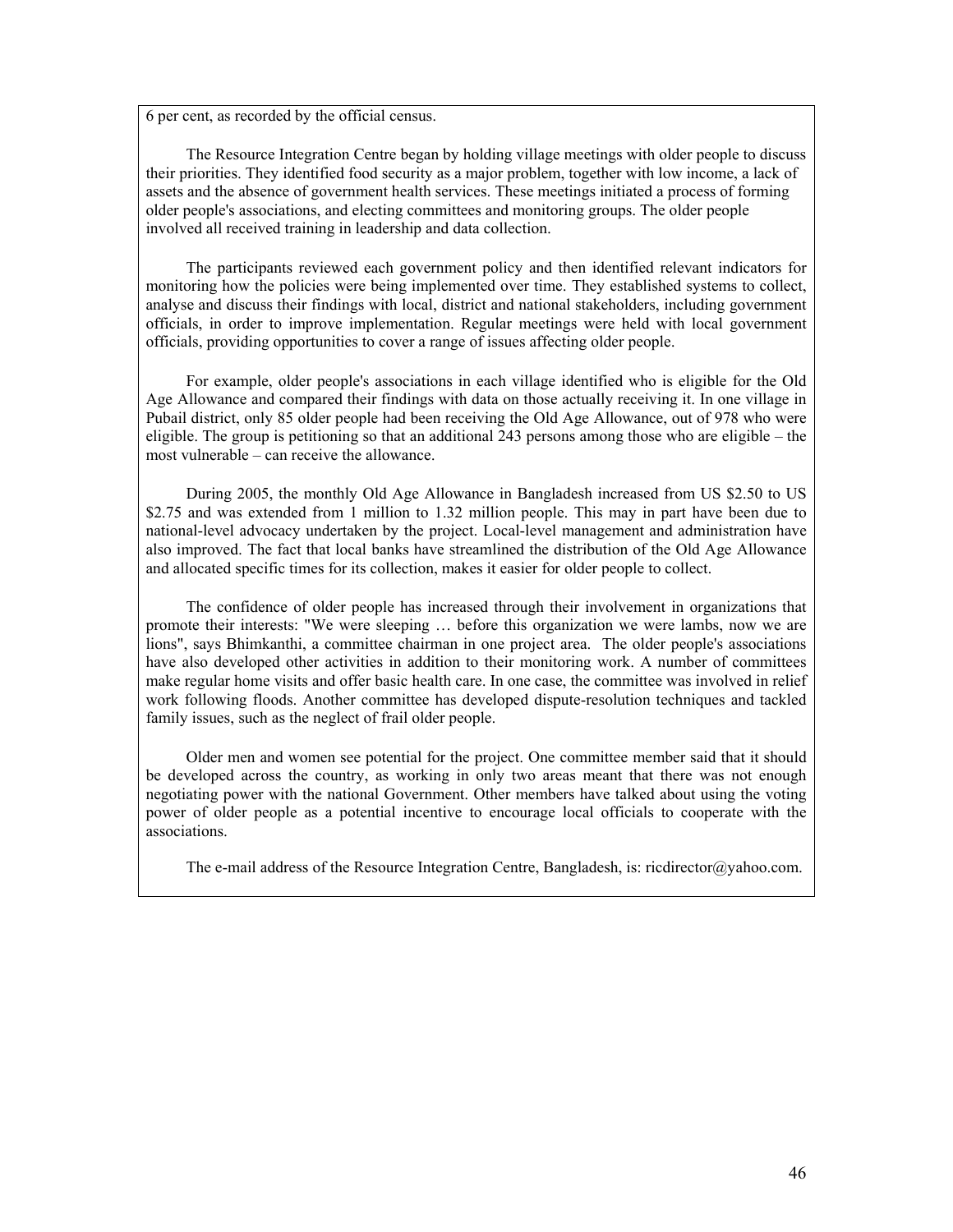6 per cent, as recorded by the official census.

 The Resource Integration Centre began by holding village meetings with older people to discuss their priorities. They identified food security as a major problem, together with low income, a lack of assets and the absence of government health services. These meetings initiated a process of forming older people's associations, and electing committees and monitoring groups. The older people involved all received training in leadership and data collection.

 The participants reviewed each government policy and then identified relevant indicators for monitoring how the policies were being implemented over time. They established systems to collect, analyse and discuss their findings with local, district and national stakeholders, including government officials, in order to improve implementation. Regular meetings were held with local government officials, providing opportunities to cover a range of issues affecting older people.

 For example, older people's associations in each village identified who is eligible for the Old Age Allowance and compared their findings with data on those actually receiving it. In one village in Pubail district, only 85 older people had been receiving the Old Age Allowance, out of 978 who were eligible. The group is petitioning so that an additional 243 persons among those who are eligible – the most vulnerable – can receive the allowance.

 During 2005, the monthly Old Age Allowance in Bangladesh increased from US \$2.50 to US \$2.75 and was extended from 1 million to 1.32 million people. This may in part have been due to national-level advocacy undertaken by the project. Local-level management and administration have also improved. The fact that local banks have streamlined the distribution of the Old Age Allowance and allocated specific times for its collection, makes it easier for older people to collect.

 The confidence of older people has increased through their involvement in organizations that promote their interests: "We were sleeping … before this organization we were lambs, now we are lions", says Bhimkanthi, a committee chairman in one project area. The older people's associations have also developed other activities in addition to their monitoring work. A number of committees make regular home visits and offer basic health care. In one case, the committee was involved in relief work following floods. Another committee has developed dispute-resolution techniques and tackled family issues, such as the neglect of frail older people.

 Older men and women see potential for the project. One committee member said that it should be developed across the country, as working in only two areas meant that there was not enough negotiating power with the national Government. Other members have talked about using the voting power of older people as a potential incentive to encourage local officials to cooperate with the associations.

The e-mail address of the Resource Integration Centre, Bangladesh, is: ricdirector@yahoo.com.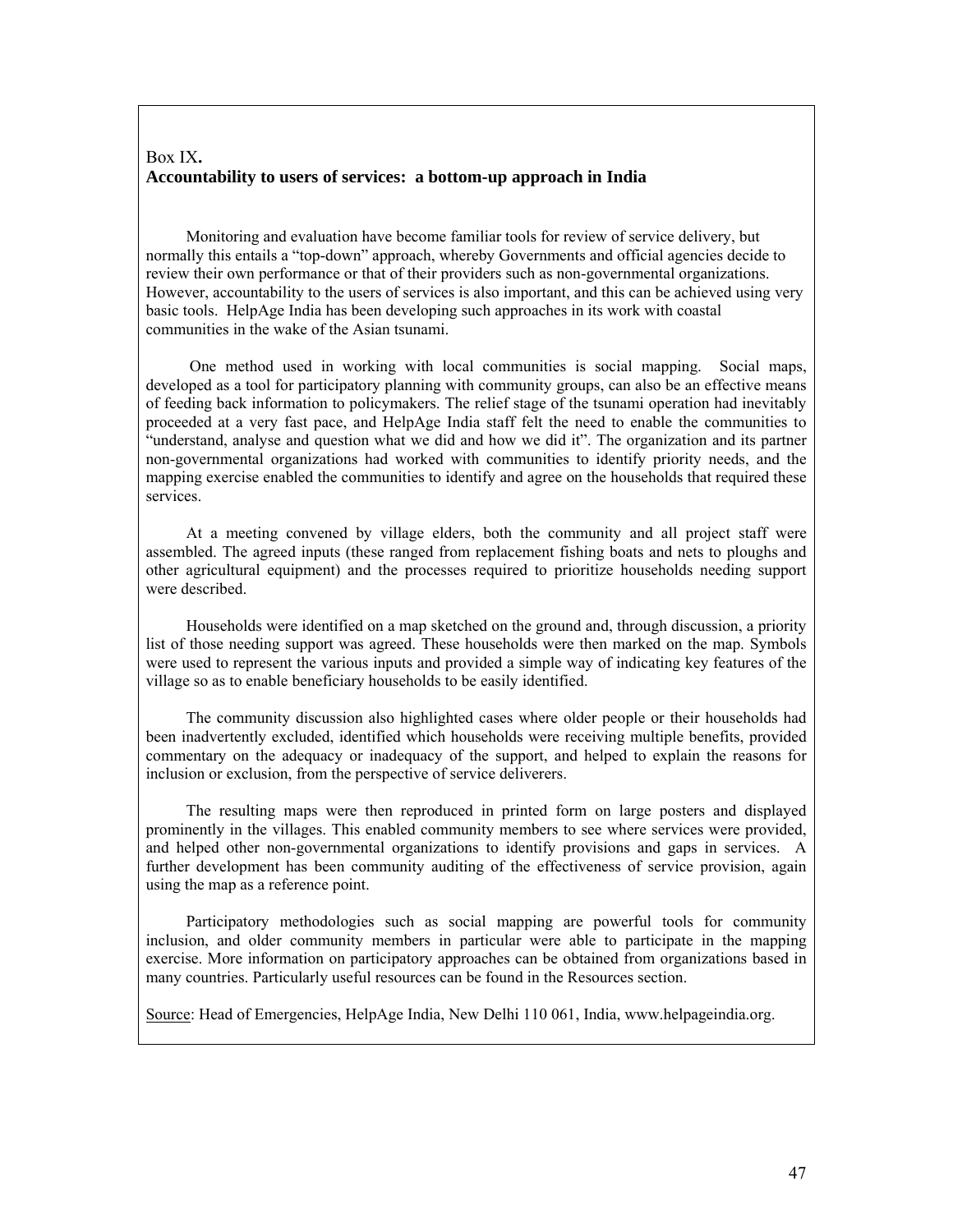### Box IX**. Accountability to users of services: a bottom-up approach in India**

 Monitoring and evaluation have become familiar tools for review of service delivery, but normally this entails a "top-down" approach, whereby Governments and official agencies decide to review their own performance or that of their providers such as non-governmental organizations. However, accountability to the users of services is also important, and this can be achieved using very basic tools. HelpAge India has been developing such approaches in its work with coastal communities in the wake of the Asian tsunami.

 One method used in working with local communities is social mapping. Social maps, developed as a tool for participatory planning with community groups, can also be an effective means of feeding back information to policymakers. The relief stage of the tsunami operation had inevitably proceeded at a very fast pace, and HelpAge India staff felt the need to enable the communities to "understand, analyse and question what we did and how we did it". The organization and its partner non-governmental organizations had worked with communities to identify priority needs, and the mapping exercise enabled the communities to identify and agree on the households that required these services.

 At a meeting convened by village elders, both the community and all project staff were assembled. The agreed inputs (these ranged from replacement fishing boats and nets to ploughs and other agricultural equipment) and the processes required to prioritize households needing support were described.

 Households were identified on a map sketched on the ground and, through discussion, a priority list of those needing support was agreed. These households were then marked on the map. Symbols were used to represent the various inputs and provided a simple way of indicating key features of the village so as to enable beneficiary households to be easily identified.

 The community discussion also highlighted cases where older people or their households had been inadvertently excluded, identified which households were receiving multiple benefits, provided commentary on the adequacy or inadequacy of the support, and helped to explain the reasons for inclusion or exclusion, from the perspective of service deliverers.

 The resulting maps were then reproduced in printed form on large posters and displayed prominently in the villages. This enabled community members to see where services were provided, and helped other non-governmental organizations to identify provisions and gaps in services. A further development has been community auditing of the effectiveness of service provision, again using the map as a reference point.

 Participatory methodologies such as social mapping are powerful tools for community inclusion, and older community members in particular were able to participate in the mapping exercise. More information on participatory approaches can be obtained from organizations based in many countries. Particularly useful resources can be found in the Resources section.

Source: Head of Emergencies, HelpAge India, New Delhi 110 061, India, www.helpageindia.org.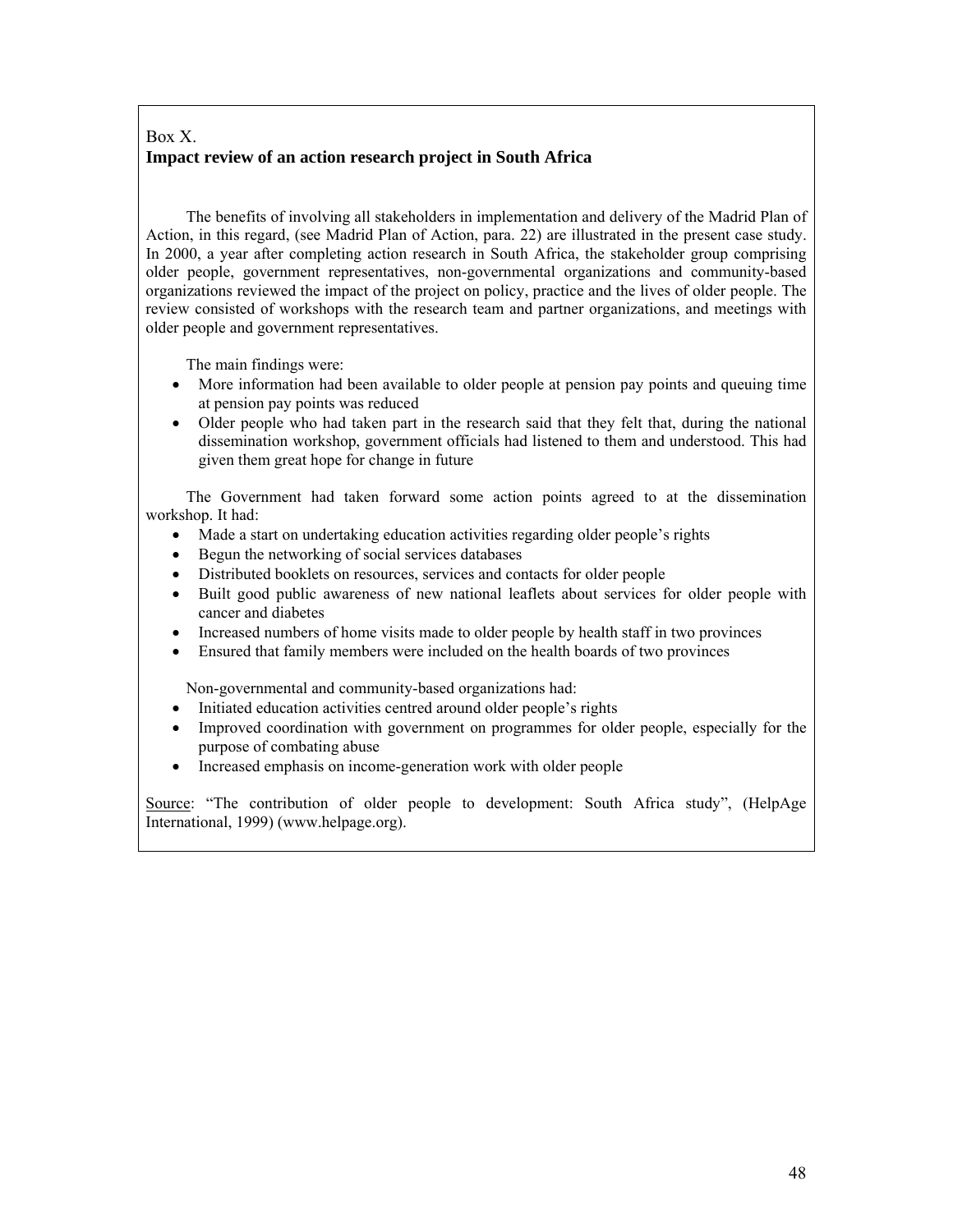# Box X. **Impact review of an action research project in South Africa**

 The benefits of involving all stakeholders in implementation and delivery of the Madrid Plan of Action, in this regard, (see Madrid Plan of Action, para. 22) are illustrated in the present case study. In 2000, a year after completing action research in South Africa, the stakeholder group comprising older people, government representatives, non-governmental organizations and community-based organizations reviewed the impact of the project on policy, practice and the lives of older people. The review consisted of workshops with the research team and partner organizations, and meetings with older people and government representatives.

The main findings were:

- More information had been available to older people at pension pay points and queuing time at pension pay points was reduced
- Older people who had taken part in the research said that they felt that, during the national dissemination workshop, government officials had listened to them and understood. This had given them great hope for change in future

 The Government had taken forward some action points agreed to at the dissemination workshop. It had:

- Made a start on undertaking education activities regarding older people's rights
- Begun the networking of social services databases
- Distributed booklets on resources, services and contacts for older people
- Built good public awareness of new national leaflets about services for older people with cancer and diabetes
- Increased numbers of home visits made to older people by health staff in two provinces
- Ensured that family members were included on the health boards of two provinces

Non-governmental and community-based organizations had:

- Initiated education activities centred around older people's rights
- Improved coordination with government on programmes for older people, especially for the purpose of combating abuse
- Increased emphasis on income-generation work with older people

Source: "The contribution of older people to development: South Africa study", (HelpAge International, 1999) (www.helpage.org).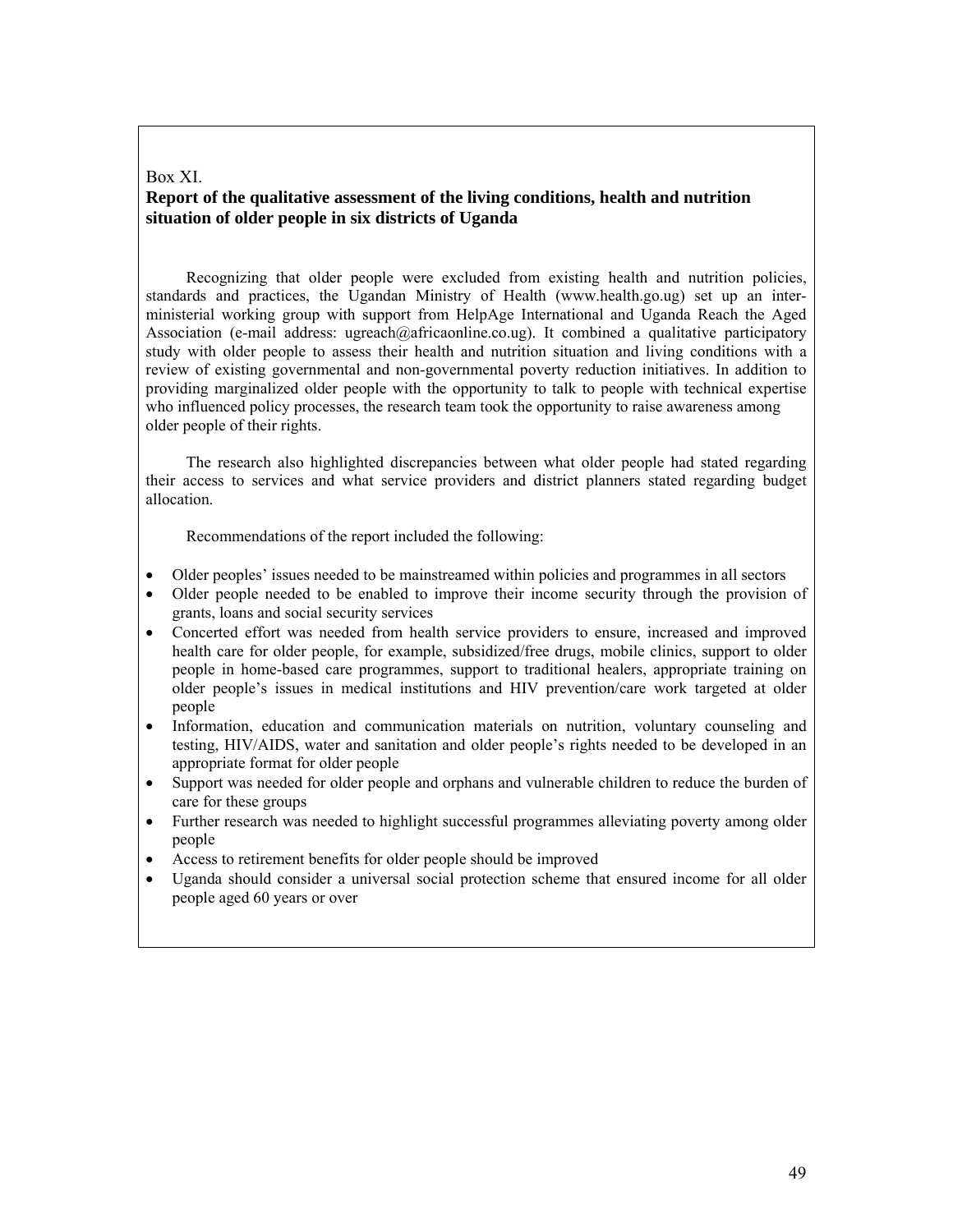#### Box XI. **Report of the qualitative assessment of the living conditions, health and nutrition situation of older people in six districts of Uganda**

 Recognizing that older people were excluded from existing health and nutrition policies, standards and practices, the Ugandan Ministry of Health (www.health.go.ug) set up an interministerial working group with support from HelpAge International and Uganda Reach the Aged Association (e-mail address: ugreach@africaonline.co.ug). It combined a qualitative participatory study with older people to assess their health and nutrition situation and living conditions with a review of existing governmental and non-governmental poverty reduction initiatives. In addition to providing marginalized older people with the opportunity to talk to people with technical expertise who influenced policy processes, the research team took the opportunity to raise awareness among older people of their rights.

 The research also highlighted discrepancies between what older people had stated regarding their access to services and what service providers and district planners stated regarding budget allocation.

Recommendations of the report included the following:

- Older peoples' issues needed to be mainstreamed within policies and programmes in all sectors
- Older people needed to be enabled to improve their income security through the provision of grants, loans and social security services
- Concerted effort was needed from health service providers to ensure, increased and improved health care for older people, for example, subsidized/free drugs, mobile clinics, support to older people in home-based care programmes, support to traditional healers, appropriate training on older people's issues in medical institutions and HIV prevention/care work targeted at older people
- Information, education and communication materials on nutrition, voluntary counseling and testing, HIV/AIDS, water and sanitation and older people's rights needed to be developed in an appropriate format for older people
- Support was needed for older people and orphans and vulnerable children to reduce the burden of care for these groups
- Further research was needed to highlight successful programmes alleviating poverty among older people
- Access to retirement benefits for older people should be improved
- Uganda should consider a universal social protection scheme that ensured income for all older people aged 60 years or over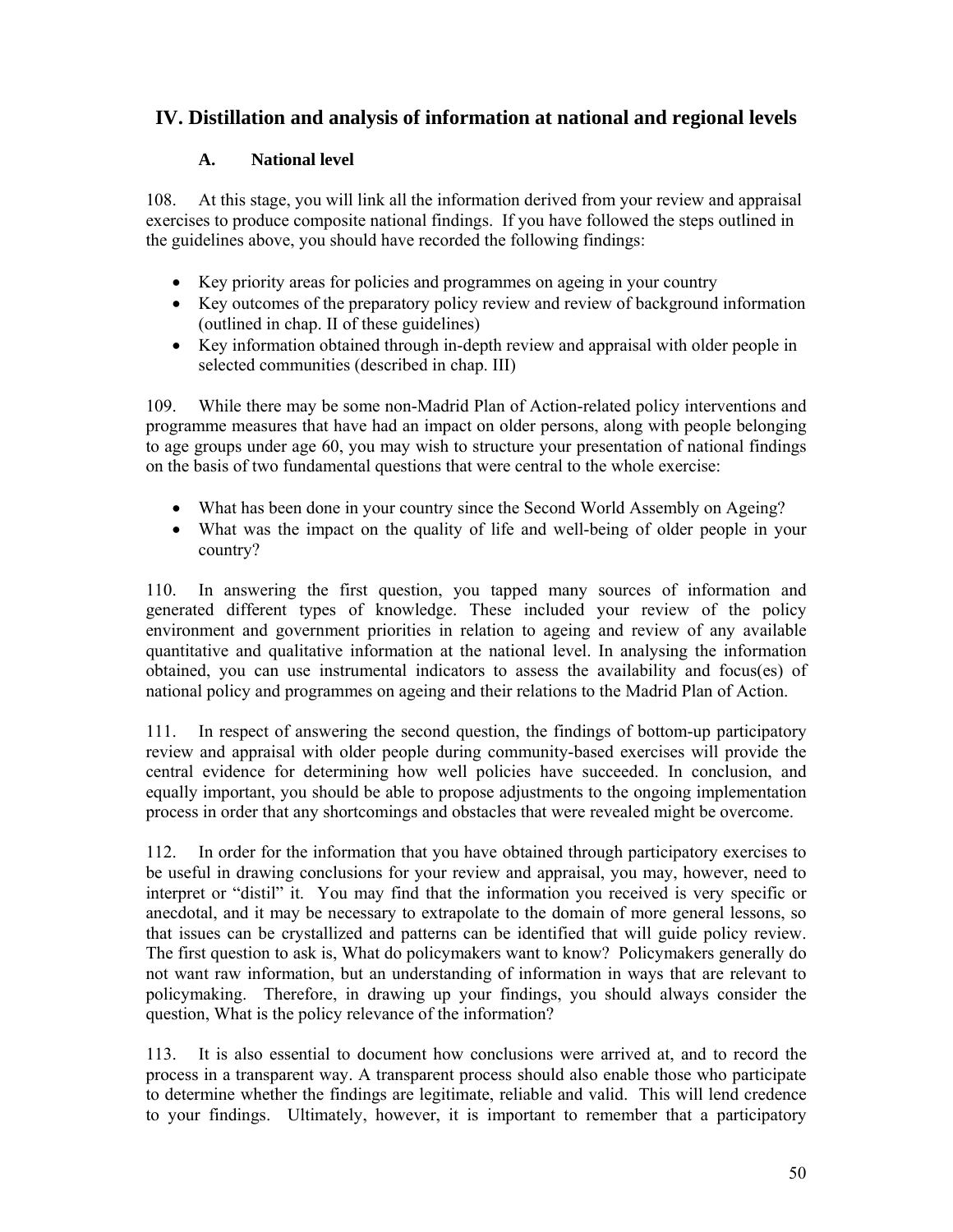# **IV. Distillation and analysis of information at national and regional levels**

# **A. National level**

108. At this stage, you will link all the information derived from your review and appraisal exercises to produce composite national findings. If you have followed the steps outlined in the guidelines above, you should have recorded the following findings:

- Key priority areas for policies and programmes on ageing in your country
- Key outcomes of the preparatory policy review and review of background information (outlined in chap. II of these guidelines)
- Key information obtained through in-depth review and appraisal with older people in selected communities (described in chap. III)

109. While there may be some non-Madrid Plan of Action-related policy interventions and programme measures that have had an impact on older persons, along with people belonging to age groups under age 60, you may wish to structure your presentation of national findings on the basis of two fundamental questions that were central to the whole exercise:

- What has been done in your country since the Second World Assembly on Ageing?
- What was the impact on the quality of life and well-being of older people in your country?

110. In answering the first question, you tapped many sources of information and generated different types of knowledge. These included your review of the policy environment and government priorities in relation to ageing and review of any available quantitative and qualitative information at the national level. In analysing the information obtained, you can use instrumental indicators to assess the availability and focus(es) of national policy and programmes on ageing and their relations to the Madrid Plan of Action.

111. In respect of answering the second question, the findings of bottom-up participatory review and appraisal with older people during community-based exercises will provide the central evidence for determining how well policies have succeeded. In conclusion, and equally important, you should be able to propose adjustments to the ongoing implementation process in order that any shortcomings and obstacles that were revealed might be overcome.

112. In order for the information that you have obtained through participatory exercises to be useful in drawing conclusions for your review and appraisal, you may, however, need to interpret or "distil" it. You may find that the information you received is very specific or anecdotal, and it may be necessary to extrapolate to the domain of more general lessons, so that issues can be crystallized and patterns can be identified that will guide policy review. The first question to ask is, What do policymakers want to know? Policymakers generally do not want raw information, but an understanding of information in ways that are relevant to policymaking. Therefore, in drawing up your findings, you should always consider the question, What is the policy relevance of the information?

113. It is also essential to document how conclusions were arrived at, and to record the process in a transparent way. A transparent process should also enable those who participate to determine whether the findings are legitimate, reliable and valid. This will lend credence to your findings. Ultimately, however, it is important to remember that a participatory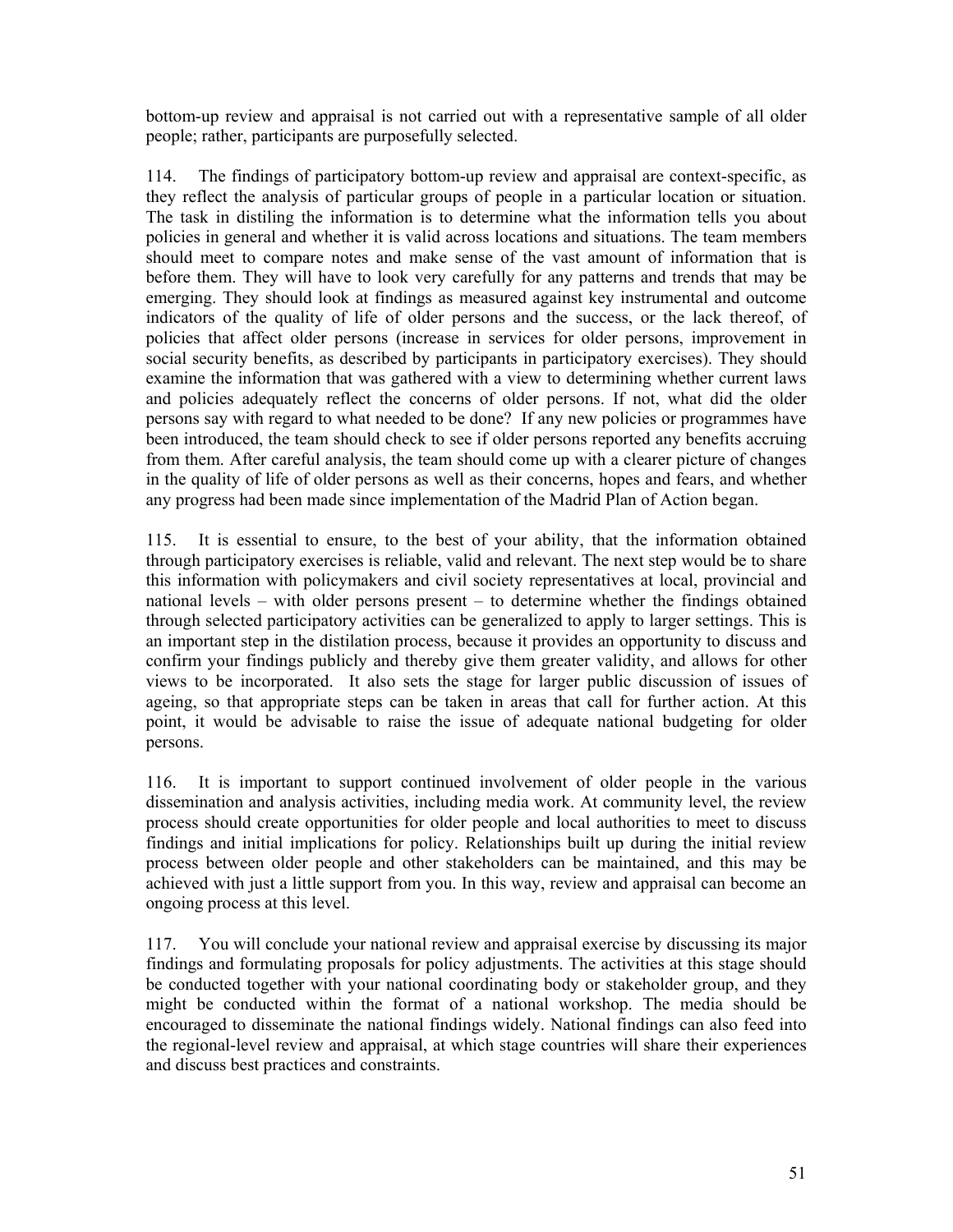bottom-up review and appraisal is not carried out with a representative sample of all older people; rather, participants are purposefully selected.

114. The findings of participatory bottom-up review and appraisal are context-specific, as they reflect the analysis of particular groups of people in a particular location or situation. The task in distiling the information is to determine what the information tells you about policies in general and whether it is valid across locations and situations. The team members should meet to compare notes and make sense of the vast amount of information that is before them. They will have to look very carefully for any patterns and trends that may be emerging. They should look at findings as measured against key instrumental and outcome indicators of the quality of life of older persons and the success, or the lack thereof, of policies that affect older persons (increase in services for older persons, improvement in social security benefits, as described by participants in participatory exercises). They should examine the information that was gathered with a view to determining whether current laws and policies adequately reflect the concerns of older persons. If not, what did the older persons say with regard to what needed to be done? If any new policies or programmes have been introduced, the team should check to see if older persons reported any benefits accruing from them. After careful analysis, the team should come up with a clearer picture of changes in the quality of life of older persons as well as their concerns, hopes and fears, and whether any progress had been made since implementation of the Madrid Plan of Action began.

115. It is essential to ensure, to the best of your ability, that the information obtained through participatory exercises is reliable, valid and relevant. The next step would be to share this information with policymakers and civil society representatives at local, provincial and national levels – with older persons present – to determine whether the findings obtained through selected participatory activities can be generalized to apply to larger settings. This is an important step in the distilation process, because it provides an opportunity to discuss and confirm your findings publicly and thereby give them greater validity, and allows for other views to be incorporated. It also sets the stage for larger public discussion of issues of ageing, so that appropriate steps can be taken in areas that call for further action. At this point, it would be advisable to raise the issue of adequate national budgeting for older persons.

116. It is important to support continued involvement of older people in the various dissemination and analysis activities, including media work. At community level, the review process should create opportunities for older people and local authorities to meet to discuss findings and initial implications for policy. Relationships built up during the initial review process between older people and other stakeholders can be maintained, and this may be achieved with just a little support from you. In this way, review and appraisal can become an ongoing process at this level.

117. You will conclude your national review and appraisal exercise by discussing its major findings and formulating proposals for policy adjustments. The activities at this stage should be conducted together with your national coordinating body or stakeholder group, and they might be conducted within the format of a national workshop. The media should be encouraged to disseminate the national findings widely. National findings can also feed into the regional-level review and appraisal, at which stage countries will share their experiences and discuss best practices and constraints.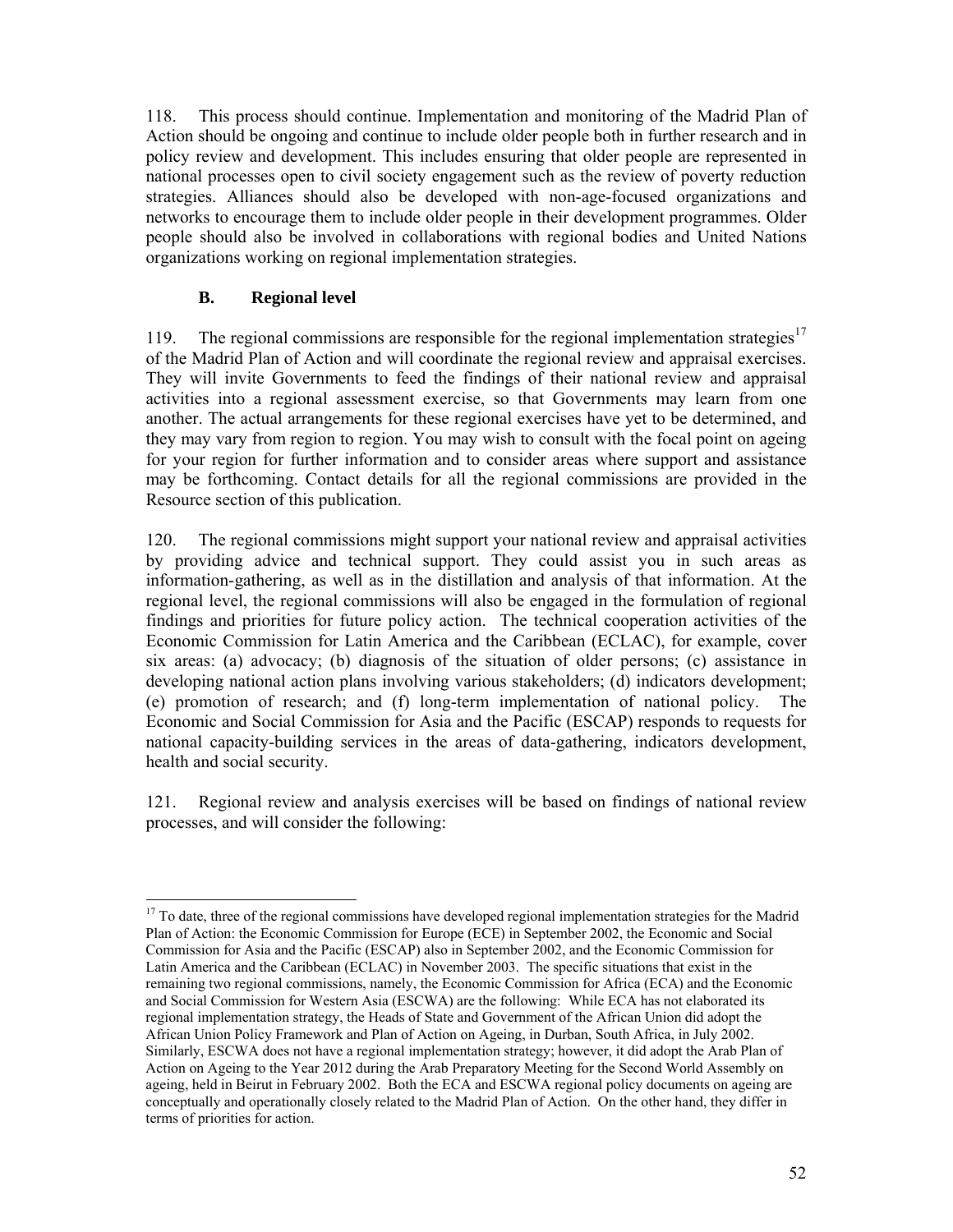118. This process should continue. Implementation and monitoring of the Madrid Plan of Action should be ongoing and continue to include older people both in further research and in policy review and development. This includes ensuring that older people are represented in national processes open to civil society engagement such as the review of poverty reduction strategies. Alliances should also be developed with non-age-focused organizations and networks to encourage them to include older people in their development programmes. Older people should also be involved in collaborations with regional bodies and United Nations organizations working on regional implementation strategies.

# **B. Regional level**

119. The regional commissions are responsible for the regional implementation strategies<sup>17</sup> of the Madrid Plan of Action and will coordinate the regional review and appraisal exercises. They will invite Governments to feed the findings of their national review and appraisal activities into a regional assessment exercise, so that Governments may learn from one another. The actual arrangements for these regional exercises have yet to be determined, and they may vary from region to region. You may wish to consult with the focal point on ageing for your region for further information and to consider areas where support and assistance may be forthcoming. Contact details for all the regional commissions are provided in the Resource section of this publication.

120. The regional commissions might support your national review and appraisal activities by providing advice and technical support. They could assist you in such areas as information-gathering, as well as in the distillation and analysis of that information. At the regional level, the regional commissions will also be engaged in the formulation of regional findings and priorities for future policy action. The technical cooperation activities of the Economic Commission for Latin America and the Caribbean (ECLAC), for example, cover six areas: (a) advocacy; (b) diagnosis of the situation of older persons; (c) assistance in developing national action plans involving various stakeholders; (d) indicators development; (e) promotion of research; and (f) long-term implementation of national policy. The Economic and Social Commission for Asia and the Pacific (ESCAP) responds to requests for national capacity-building services in the areas of data-gathering, indicators development, health and social security.

121. Regional review and analysis exercises will be based on findings of national review processes, and will consider the following:

<sup>-</sup><sup>17</sup> To date, three of the regional commissions have developed regional implementation strategies for the Madrid Plan of Action: the Economic Commission for Europe (ECE) in September 2002, the Economic and Social Commission for Asia and the Pacific (ESCAP) also in September 2002, and the Economic Commission for Latin America and the Caribbean (ECLAC) in November 2003. The specific situations that exist in the remaining two regional commissions, namely, the Economic Commission for Africa (ECA) and the Economic and Social Commission for Western Asia (ESCWA) are the following: While ECA has not elaborated its regional implementation strategy, the Heads of State and Government of the African Union did adopt the African Union Policy Framework and Plan of Action on Ageing, in Durban, South Africa, in July 2002. Similarly, ESCWA does not have a regional implementation strategy; however, it did adopt the Arab Plan of Action on Ageing to the Year 2012 during the Arab Preparatory Meeting for the Second World Assembly on ageing, held in Beirut in February 2002. Both the ECA and ESCWA regional policy documents on ageing are conceptually and operationally closely related to the Madrid Plan of Action. On the other hand, they differ in terms of priorities for action.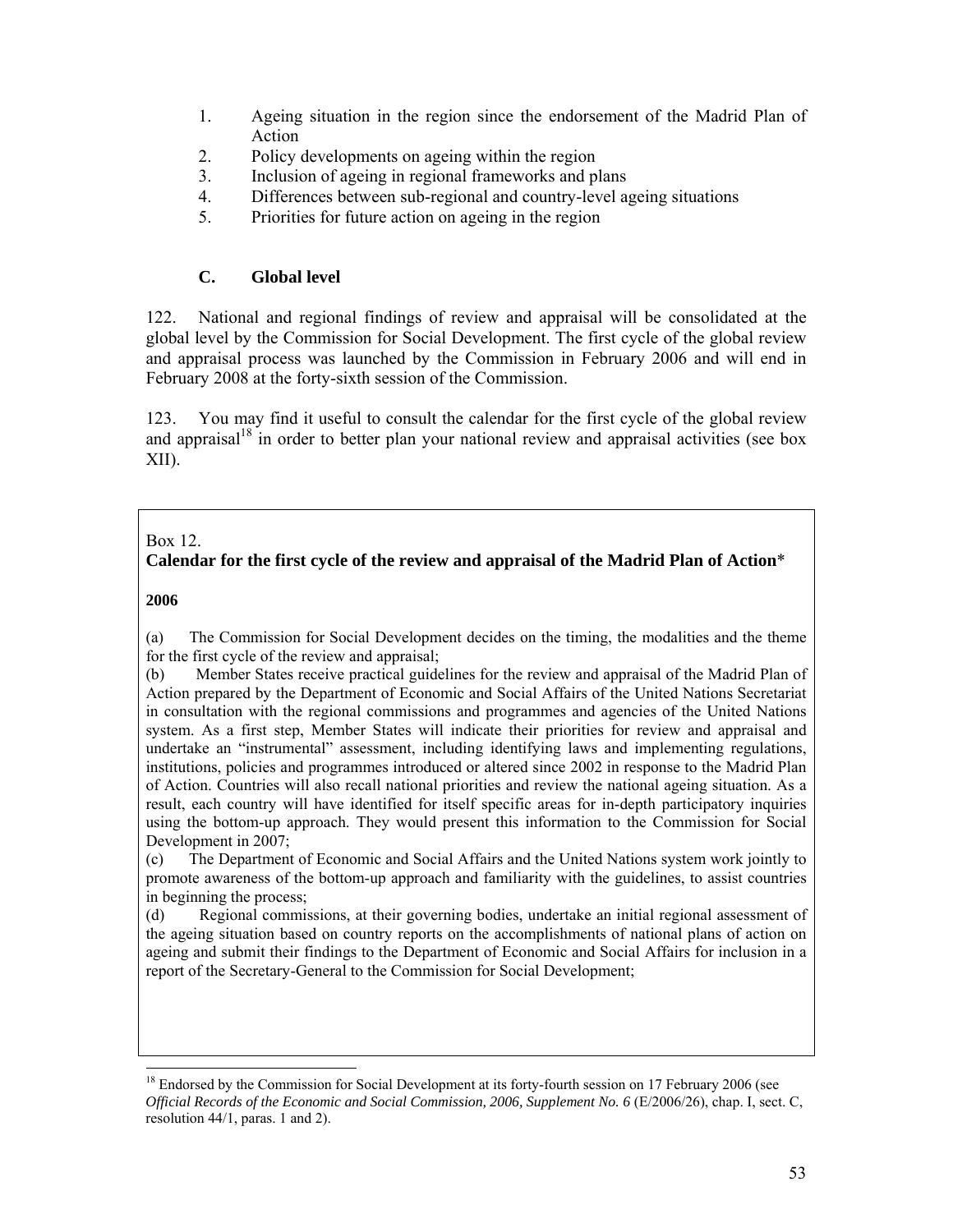- 1. Ageing situation in the region since the endorsement of the Madrid Plan of Action
- 2. Policy developments on ageing within the region
- 3. Inclusion of ageing in regional frameworks and plans
- 4. Differences between sub-regional and country-level ageing situations
- 5. Priorities for future action on ageing in the region

# **C. Global level**

122. National and regional findings of review and appraisal will be consolidated at the global level by the Commission for Social Development. The first cycle of the global review and appraisal process was launched by the Commission in February 2006 and will end in February 2008 at the forty-sixth session of the Commission.

123. You may find it useful to consult the calendar for the first cycle of the global review and appraisal<sup>18</sup> in order to better plan your national review and appraisal activities (see box XII).

### Box 12.

## **Calendar for the first cycle of the review and appraisal of the Madrid Plan of Action**\*

#### **2006**

-

(a) The Commission for Social Development decides on the timing, the modalities and the theme for the first cycle of the review and appraisal;

(b) Member States receive practical guidelines for the review and appraisal of the Madrid Plan of Action prepared by the Department of Economic and Social Affairs of the United Nations Secretariat in consultation with the regional commissions and programmes and agencies of the United Nations system. As a first step, Member States will indicate their priorities for review and appraisal and undertake an "instrumental" assessment, including identifying laws and implementing regulations, institutions, policies and programmes introduced or altered since 2002 in response to the Madrid Plan of Action. Countries will also recall national priorities and review the national ageing situation. As a result, each country will have identified for itself specific areas for in-depth participatory inquiries using the bottom-up approach. They would present this information to the Commission for Social Development in 2007;

(c) The Department of Economic and Social Affairs and the United Nations system work jointly to promote awareness of the bottom-up approach and familiarity with the guidelines, to assist countries in beginning the process;

(d) Regional commissions, at their governing bodies, undertake an initial regional assessment of the ageing situation based on country reports on the accomplishments of national plans of action on ageing and submit their findings to the Department of Economic and Social Affairs for inclusion in a report of the Secretary-General to the Commission for Social Development;

<sup>&</sup>lt;sup>18</sup> Endorsed by the Commission for Social Development at its forty-fourth session on 17 February 2006 (see *Official Records of the Economic and Social Commission, 2006, Supplement No. 6* (E/2006/26), chap. I, sect. C, resolution 44/1, paras. 1 and 2).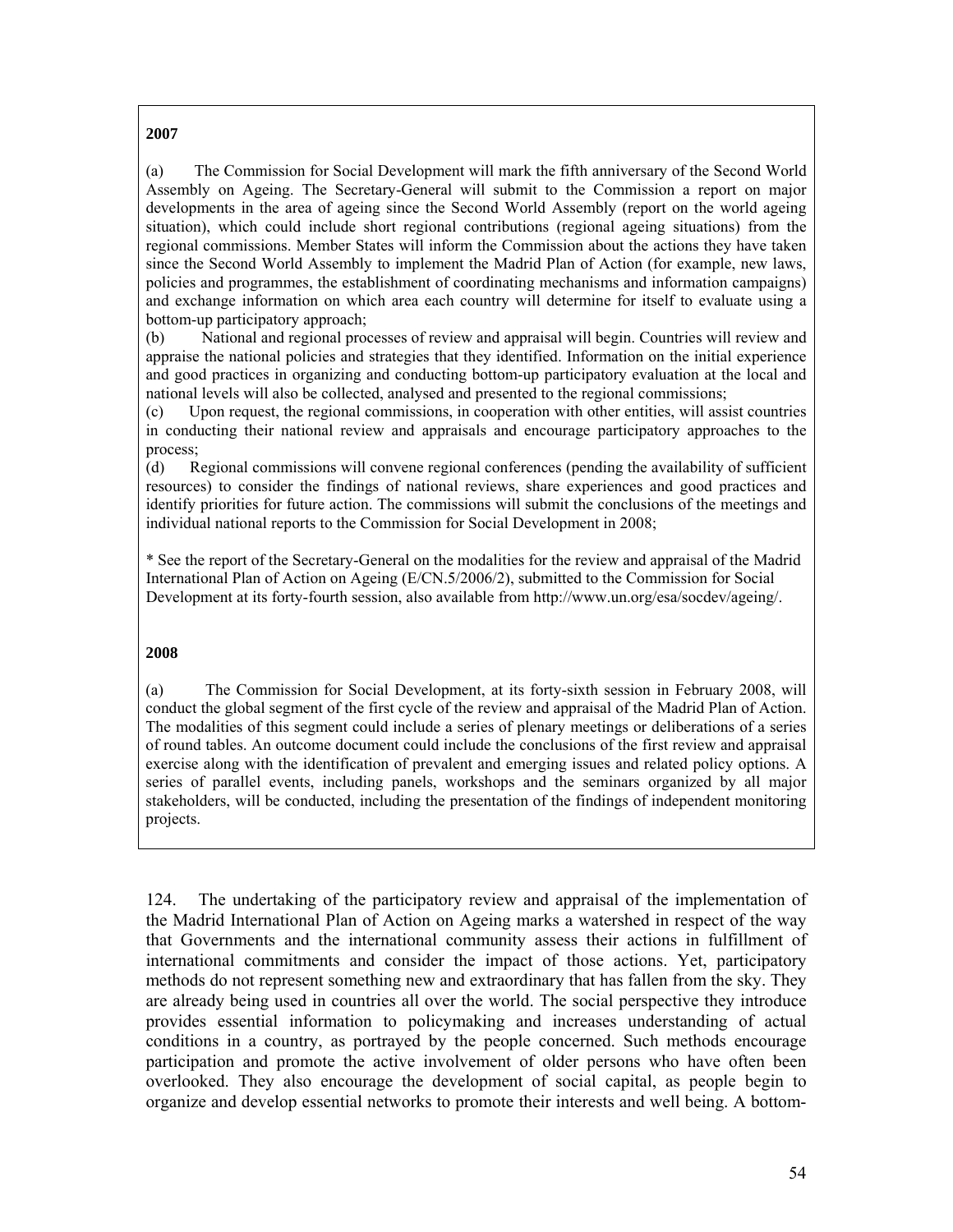#### **2007**

(a) The Commission for Social Development will mark the fifth anniversary of the Second World Assembly on Ageing. The Secretary-General will submit to the Commission a report on major developments in the area of ageing since the Second World Assembly (report on the world ageing situation), which could include short regional contributions (regional ageing situations) from the regional commissions. Member States will inform the Commission about the actions they have taken since the Second World Assembly to implement the Madrid Plan of Action (for example, new laws, policies and programmes, the establishment of coordinating mechanisms and information campaigns) and exchange information on which area each country will determine for itself to evaluate using a bottom-up participatory approach;

(b) National and regional processes of review and appraisal will begin. Countries will review and appraise the national policies and strategies that they identified. Information on the initial experience and good practices in organizing and conducting bottom-up participatory evaluation at the local and national levels will also be collected, analysed and presented to the regional commissions;

(c) Upon request, the regional commissions, in cooperation with other entities, will assist countries in conducting their national review and appraisals and encourage participatory approaches to the process;

(d) Regional commissions will convene regional conferences (pending the availability of sufficient resources) to consider the findings of national reviews, share experiences and good practices and identify priorities for future action. The commissions will submit the conclusions of the meetings and individual national reports to the Commission for Social Development in 2008;

\* See the report of the Secretary-General on the modalities for the review and appraisal of the Madrid International Plan of Action on Ageing (E/CN.5/2006/2), submitted to the Commission for Social Development at its forty-fourth session, also available from http://www.un.org/esa/socdev/ageing/.

#### **2008**

(a) The Commission for Social Development, at its forty-sixth session in February 2008, will conduct the global segment of the first cycle of the review and appraisal of the Madrid Plan of Action. The modalities of this segment could include a series of plenary meetings or deliberations of a series of round tables. An outcome document could include the conclusions of the first review and appraisal exercise along with the identification of prevalent and emerging issues and related policy options. A series of parallel events, including panels, workshops and the seminars organized by all major stakeholders, will be conducted, including the presentation of the findings of independent monitoring projects.

124. The undertaking of the participatory review and appraisal of the implementation of the Madrid International Plan of Action on Ageing marks a watershed in respect of the way that Governments and the international community assess their actions in fulfillment of international commitments and consider the impact of those actions. Yet, participatory methods do not represent something new and extraordinary that has fallen from the sky. They are already being used in countries all over the world. The social perspective they introduce provides essential information to policymaking and increases understanding of actual conditions in a country, as portrayed by the people concerned. Such methods encourage participation and promote the active involvement of older persons who have often been overlooked. They also encourage the development of social capital, as people begin to organize and develop essential networks to promote their interests and well being. A bottom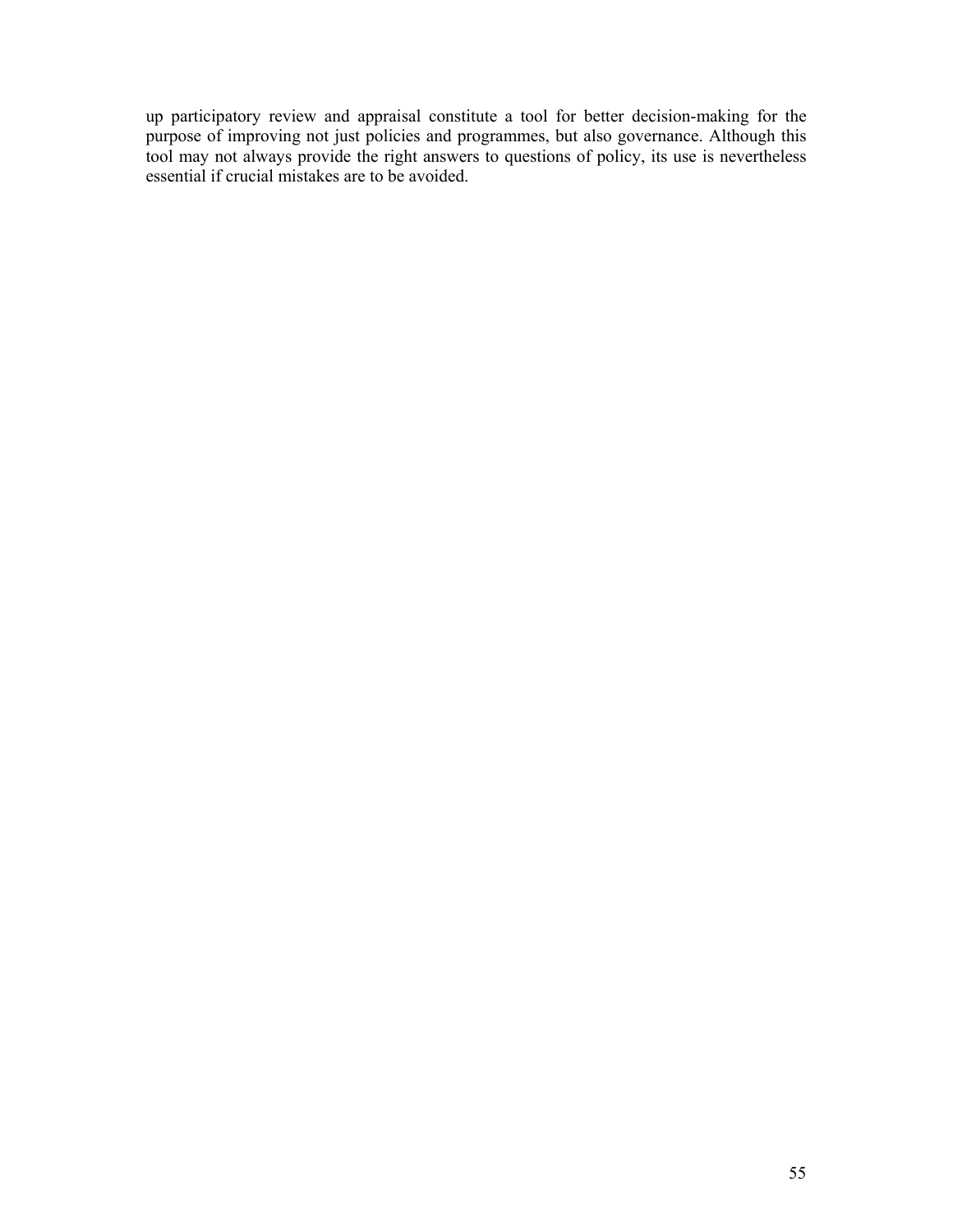up participatory review and appraisal constitute a tool for better decision-making for the purpose of improving not just policies and programmes, but also governance. Although this tool may not always provide the right answers to questions of policy, its use is nevertheless essential if crucial mistakes are to be avoided.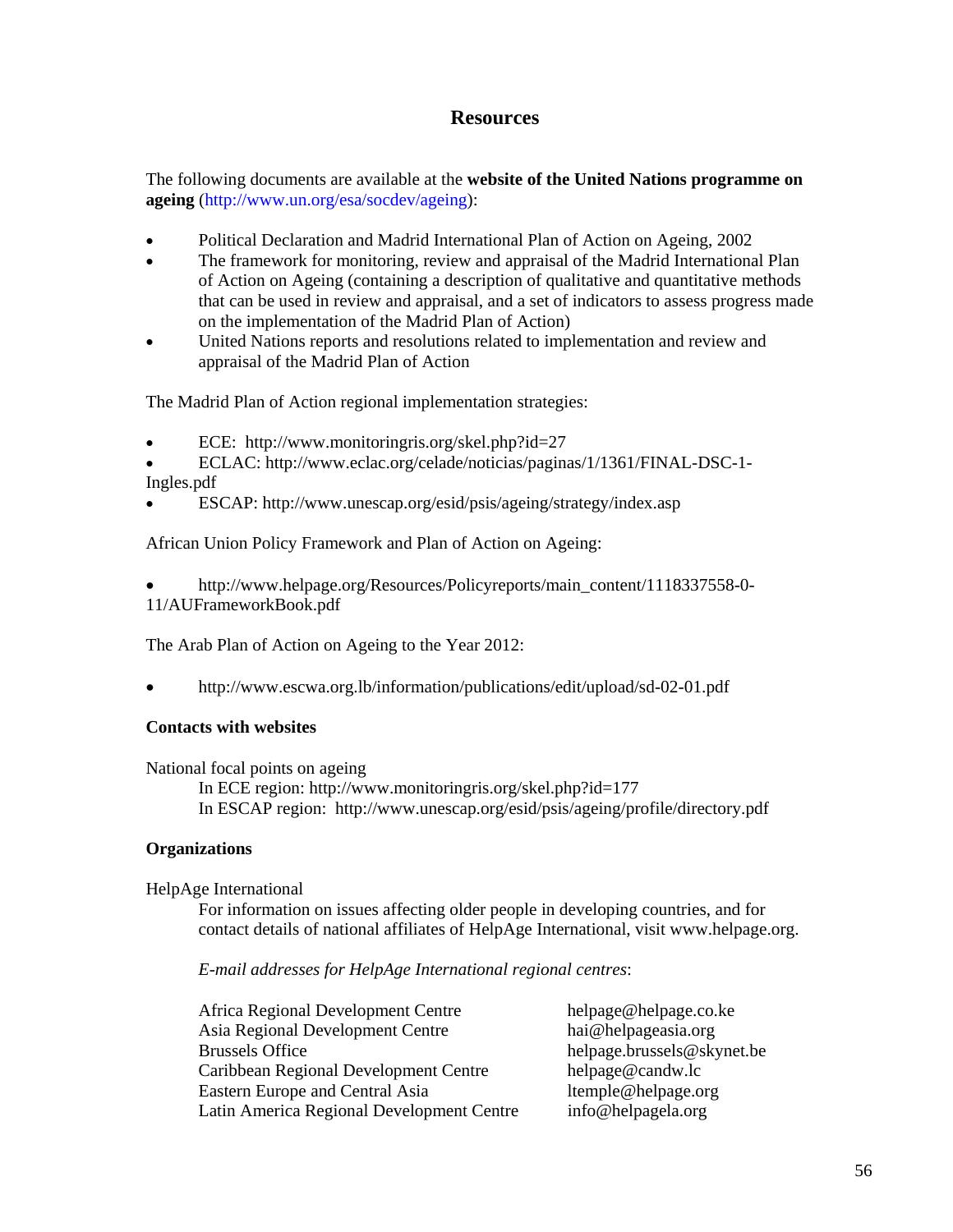# **Resources**

The following documents are available at the **website of the United Nations programme on ageing** (http://www.un.org/esa/socdev/ageing):

- Political Declaration and Madrid International Plan of Action on Ageing, 2002
- The framework for monitoring, review and appraisal of the Madrid International Plan of Action on Ageing (containing a description of qualitative and quantitative methods that can be used in review and appraisal, and a set of indicators to assess progress made on the implementation of the Madrid Plan of Action)
- United Nations reports and resolutions related to implementation and review and appraisal of the Madrid Plan of Action

The Madrid Plan of Action regional implementation strategies:

- ECE: http://www.monitoringris.org/skel.php?id=27
- ECLAC: http://www.eclac.org/celade/noticias/paginas/1/1361/FINAL-DSC-1- Ingles.pdf
- ESCAP: http://www.unescap.org/esid/psis/ageing/strategy/index.asp

African Union Policy Framework and Plan of Action on Ageing:

• http://www.helpage.org/Resources/Policyreports/main\_content/1118337558-0- 11/AUFrameworkBook.pdf

The Arab Plan of Action on Ageing to the Year 2012:

• http://www.escwa.org.lb/information/publications/edit/upload/sd-02-01.pdf

## **Contacts with websites**

National focal points on ageing

In ECE region: http://www.monitoringris.org/skel.php?id=177 In ESCAP region: http://www.unescap.org/esid/psis/ageing/profile/directory.pdf

## **Organizations**

#### HelpAge International

For information on issues affecting older people in developing countries, and for contact details of national affiliates of HelpAge International, visit www.helpage.org.

#### *E-mail addresses for HelpAge International regional centres*:

Africa Regional Development Centre helpage@helpage.co.ke Asia Regional Development Centre hai@helpageasia.org Brussels Office helpage.brussels@skynet.be Caribbean Regional Development Centre helpage@candw.lc Eastern Europe and Central Asia ltemple@helpage.org Latin America Regional Development Centre info@helpagela.org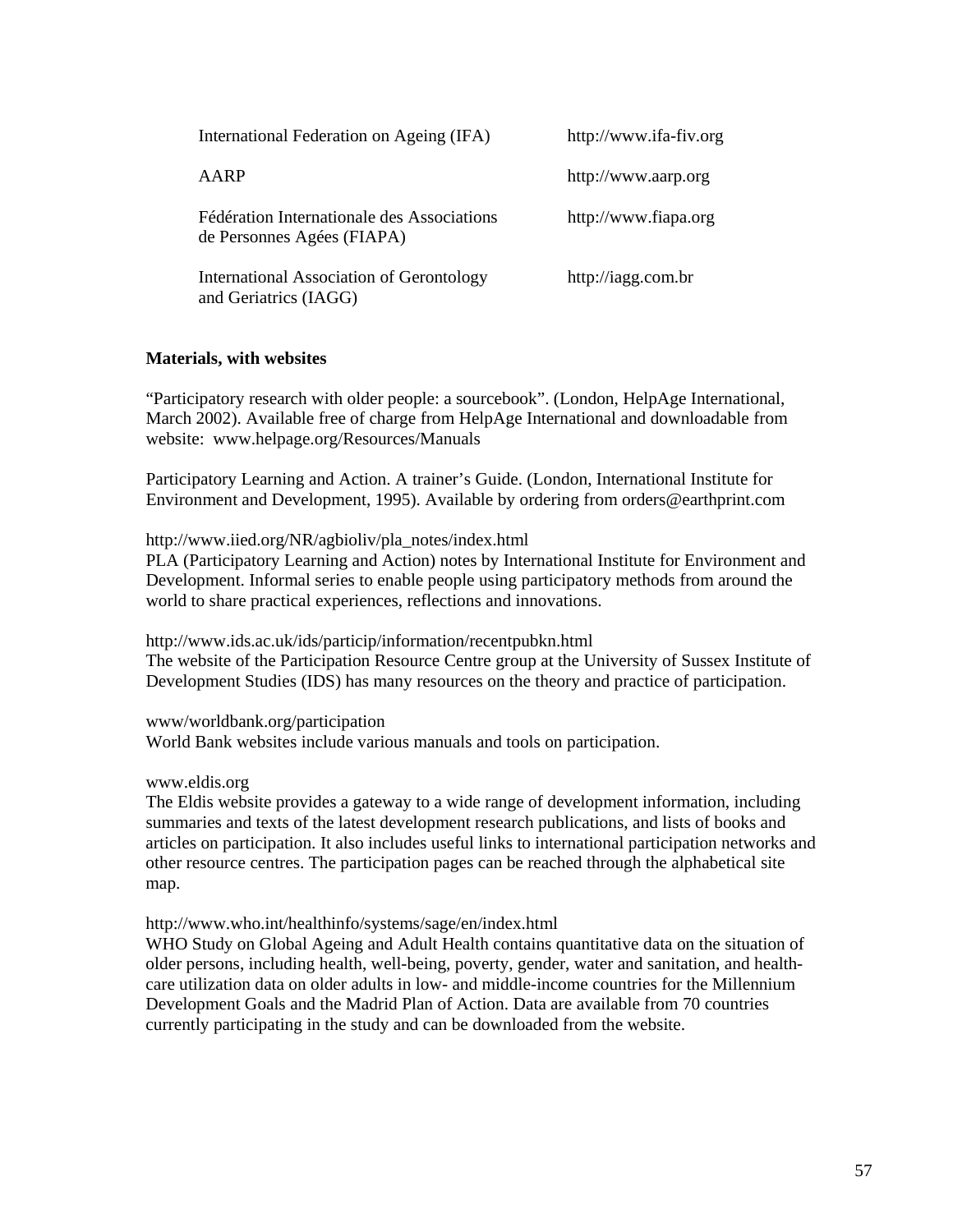| International Federation on Ageing (IFA)                                 | http://www.ifa-fiv.org |
|--------------------------------------------------------------------------|------------------------|
| AARP                                                                     | http://www.aarp.org    |
| Fédération Internationale des Associations<br>de Personnes Agées (FIAPA) | http://www.fiapa.org   |
| International Association of Gerontology<br>and Geriatrics (IAGG)        | http://iagg.com.br     |

### **Materials, with websites**

"Participatory research with older people: a sourcebook". (London, HelpAge International, March 2002). Available free of charge from HelpAge International and downloadable from website: www.helpage.org/Resources/Manuals

Participatory Learning and Action. A trainer's Guide. (London, International Institute for Environment and Development, 1995). Available by ordering from orders@earthprint.com

#### http://www.iied.org/NR/agbioliv/pla\_notes/index.html

PLA (Participatory Learning and Action) notes by International Institute for Environment and Development. Informal series to enable people using participatory methods from around the world to share practical experiences, reflections and innovations.

http://www.ids.ac.uk/ids/particip/information/recentpubkn.html The website of the Participation Resource Centre group at the University of Sussex Institute of Development Studies (IDS) has many resources on the theory and practice of participation.

www/worldbank.org/participation World Bank websites include various manuals and tools on participation.

#### www.eldis.org

The Eldis website provides a gateway to a wide range of development information, including summaries and texts of the latest development research publications, and lists of books and articles on participation. It also includes useful links to international participation networks and other resource centres. The participation pages can be reached through the alphabetical site map.

#### http://www.who.int/healthinfo/systems/sage/en/index.html

WHO Study on Global Ageing and Adult Health contains quantitative data on the situation of older persons, including health, well-being, poverty, gender, water and sanitation, and healthcare utilization data on older adults in low- and middle-income countries for the Millennium Development Goals and the Madrid Plan of Action. Data are available from 70 countries currently participating in the study and can be downloaded from the website.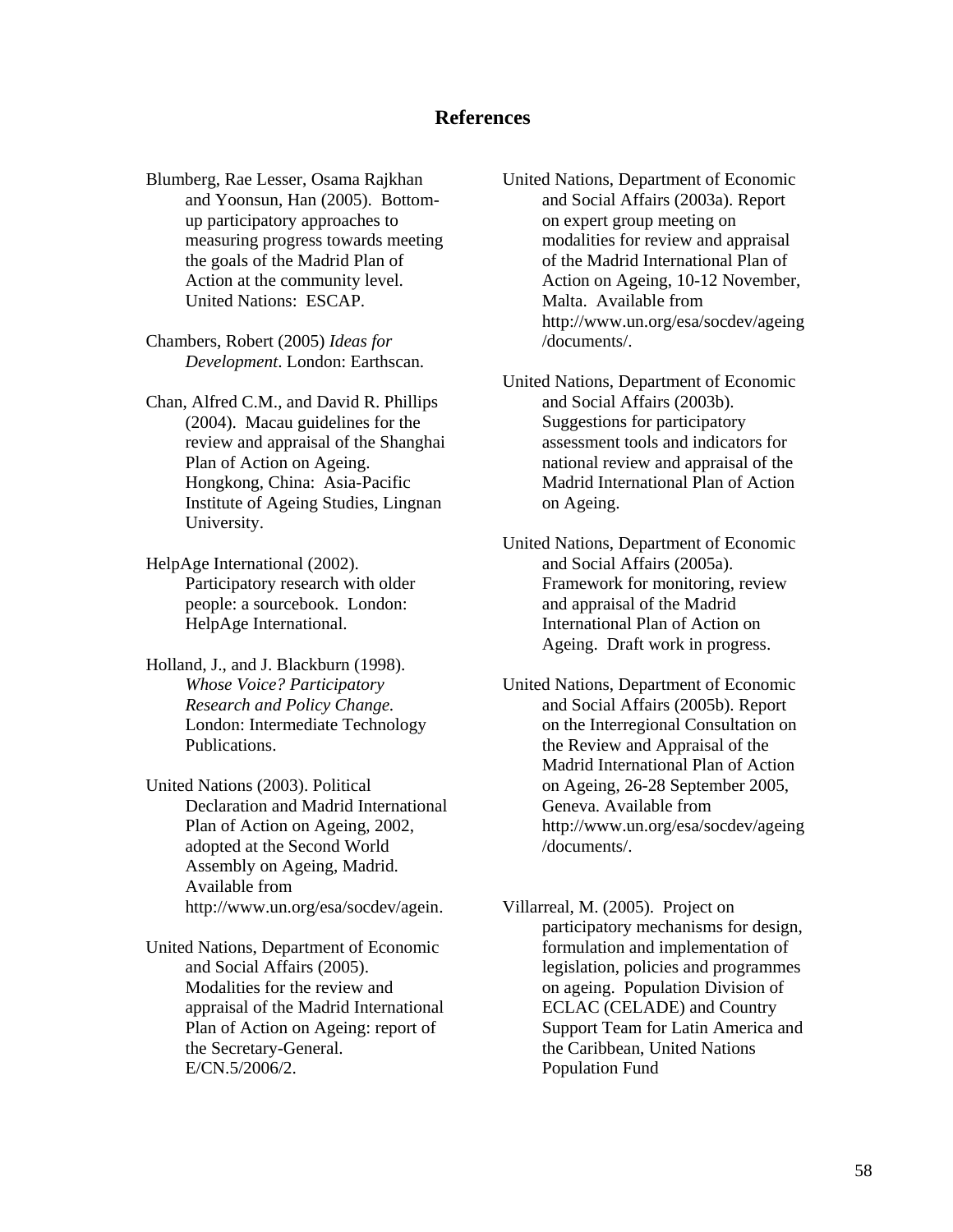# **References**

Blumberg, Rae Lesser, Osama Rajkhan and Yoonsun, Han (2005). Bottomup participatory approaches to measuring progress towards meeting the goals of the Madrid Plan of Action at the community level. United Nations: ESCAP.

Chambers, Robert (2005) *Ideas for Development*. London: Earthscan.

Chan, Alfred C.M., and David R. Phillips (2004). Macau guidelines for the review and appraisal of the Shanghai Plan of Action on Ageing. Hongkong, China: Asia-Pacific Institute of Ageing Studies, Lingnan University.

HelpAge International (2002). Participatory research with older people: a sourcebook. London: HelpAge International.

Holland, J., and J. Blackburn (1998). *Whose Voice? Participatory Research and Policy Change.* London: Intermediate Technology Publications.

United Nations (2003). Political Declaration and Madrid International Plan of Action on Ageing, 2002, adopted at the Second World Assembly on Ageing, Madrid. Available from http://www.un.org/esa/socdev/agein.

United Nations, Department of Economic and Social Affairs (2005). Modalities for the review and appraisal of the Madrid International Plan of Action on Ageing: report of the Secretary-General. E/CN.5/2006/2.

United Nations, Department of Economic and Social Affairs (2003a). Report on expert group meeting on modalities for review and appraisal of the Madrid International Plan of Action on Ageing, 10-12 November, Malta. Available from http://www.un.org/esa/socdev/ageing /documents/.

United Nations, Department of Economic and Social Affairs (2003b). Suggestions for participatory assessment tools and indicators for national review and appraisal of the Madrid International Plan of Action on Ageing.

United Nations, Department of Economic and Social Affairs (2005a). Framework for monitoring, review and appraisal of the Madrid International Plan of Action on Ageing. Draft work in progress.

United Nations, Department of Economic and Social Affairs (2005b). Report on the Interregional Consultation on the Review and Appraisal of the Madrid International Plan of Action on Ageing, 26-28 September 2005, Geneva. Available from http://www.un.org/esa/socdev/ageing /documents/.

Villarreal, M. (2005). Project on participatory mechanisms for design, formulation and implementation of legislation, policies and programmes on ageing. Population Division of ECLAC (CELADE) and Country Support Team for Latin America and the Caribbean, United Nations Population Fund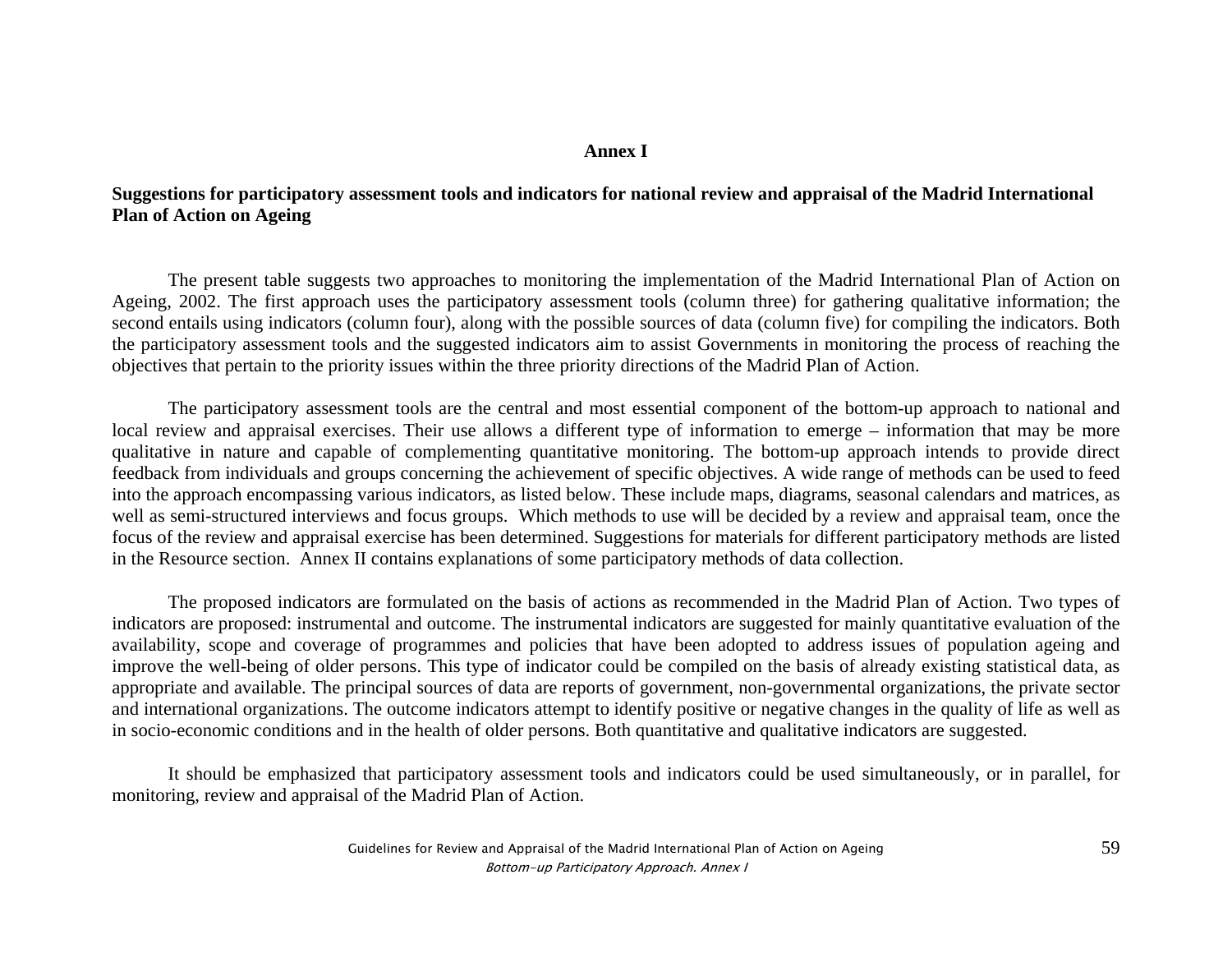### **Annex I**

# **Suggestions for participatory assessment tools and indicators for national review and appraisal of the Madrid International Plan of Action on Ageing**

The present table suggests two approaches to monitoring the implementation of the Madrid International Plan of Action on Ageing, 2002. The first approach uses the participatory assessment tools (column three) for gathering qualitative information; the second entails using indicators (column four), along with the possible sources of data (column five) for compiling the indicators. Both the participatory assessment tools and the suggested indicators aim to assist Governments in monitoring the process of reaching the objectives that pertain to the priority issues within the three priority directions of the Madrid Plan of Action.

The participatory assessment tools are the central and most essential component of the bottom-up approach to national and local review and appraisal exercises. Their use allows a different type of information to emerge – information that may be more qualitative in nature and capable of complementing quantitative monitoring. The bottom-up approach intends to provide direct feedback from individuals and groups concerning the achievement of specific objectives. A wide range of methods can be used to feed into the approach encompassing various indicators, as listed below. These include maps, diagrams, seasonal calendars and matrices, as well as semi-structured interviews and focus groups. Which methods to use will be decided by a review and appraisal team, once the focus of the review and appraisal exercise has been determined. Suggestions for materials for different participatory methods are listed in the Resource section. Annex II contains explanations of some participatory methods of data collection.

The proposed indicators are formulated on the basis of actions as recommended in the Madrid Plan of Action. Two types of indicators are proposed: instrumental and outcome. The instrumental indicators are suggested for mainly quantitative evaluation of the availability, scope and coverage of programmes and policies that have been adopted to address issues of population ageing and improve the well-being of older persons. This type of indicator could be compiled on the basis of already existing statistical data, as appropriate and available. The principal sources of data are reports of government, non-governmental organizations, the private sector and international organizations. The outcome indicators attempt to identify positive or negative changes in the quality of life as well as in socio-economic conditions and in the health of older persons. Both quantitative and qualitative indicators are suggested.

It should be emphasized that participatory assessment tools and indicators could be used simultaneously, or in parallel, for monitoring, review and appraisal of the Madrid Plan of Action.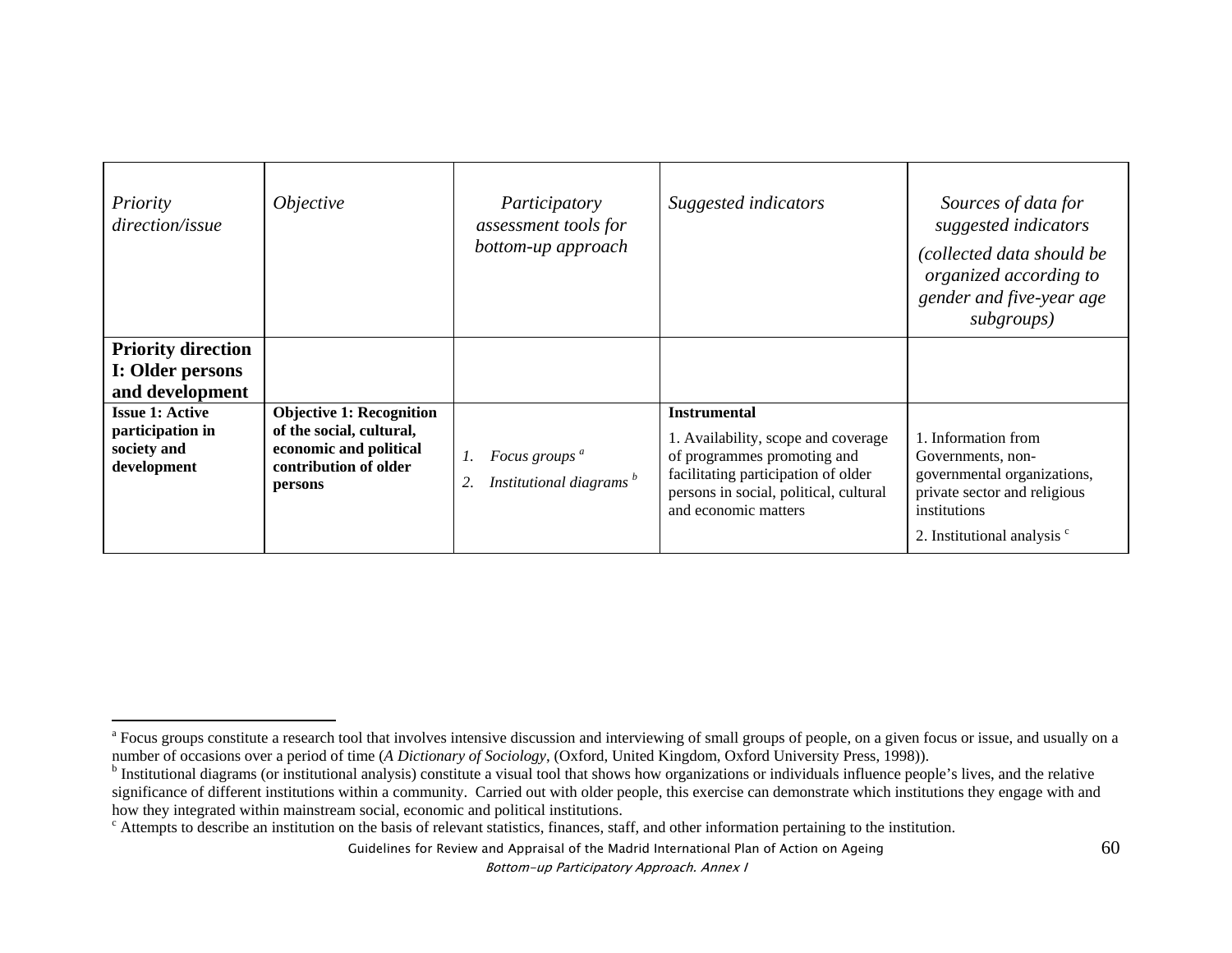| Priority<br>direction/issue                                              | <i>Objective</i>                                                                                                          | Participatory<br>assessment tools for<br>bottom-up approach            | Suggested indicators                                                                                                                                                                               | Sources of data for<br>suggested indicators<br>(collected data should be<br>organized according to<br>gender and five-year age<br>subgroups)                      |
|--------------------------------------------------------------------------|---------------------------------------------------------------------------------------------------------------------------|------------------------------------------------------------------------|----------------------------------------------------------------------------------------------------------------------------------------------------------------------------------------------------|-------------------------------------------------------------------------------------------------------------------------------------------------------------------|
| <b>Priority direction</b><br>I: Older persons<br>and development         |                                                                                                                           |                                                                        |                                                                                                                                                                                                    |                                                                                                                                                                   |
| <b>Issue 1: Active</b><br>participation in<br>society and<br>development | <b>Objective 1: Recognition</b><br>of the social, cultural,<br>economic and political<br>contribution of older<br>persons | Focus groups <sup>a</sup><br>1.<br>Institutional diagrams <sup>b</sup> | <b>Instrumental</b><br>1. Availability, scope and coverage<br>of programmes promoting and<br>facilitating participation of older<br>persons in social, political, cultural<br>and economic matters | 1. Information from<br>Governments, non-<br>governmental organizations,<br>private sector and religious<br>institutions<br>2. Institutional analysis <sup>c</sup> |

<sup>&</sup>lt;sup>a</sup> Focus groups constitute a research tool that involves intensive discussion and interviewing of small groups of people, on a given focus or issue, and usually on a number of occasions over a period of time (A Dictionary

<sup>&</sup>lt;sup>b</sup> Institutional diagrams (or institutional analysis) constitute a visual tool that shows how organizations or individuals influence people's lives, and the relative significance of different institutions within a community. Carried out with older people, this exercise can demonstrate which institutions they engage with and how they integrated within mainstream social, economic and political institutions.

c Attempts to describe an institution on the basis of relevant statistics, finances, staff, and other information pertaining to the institution.

Guidelines for Review and Appraisal of the Madrid International Plan of Action on Ageing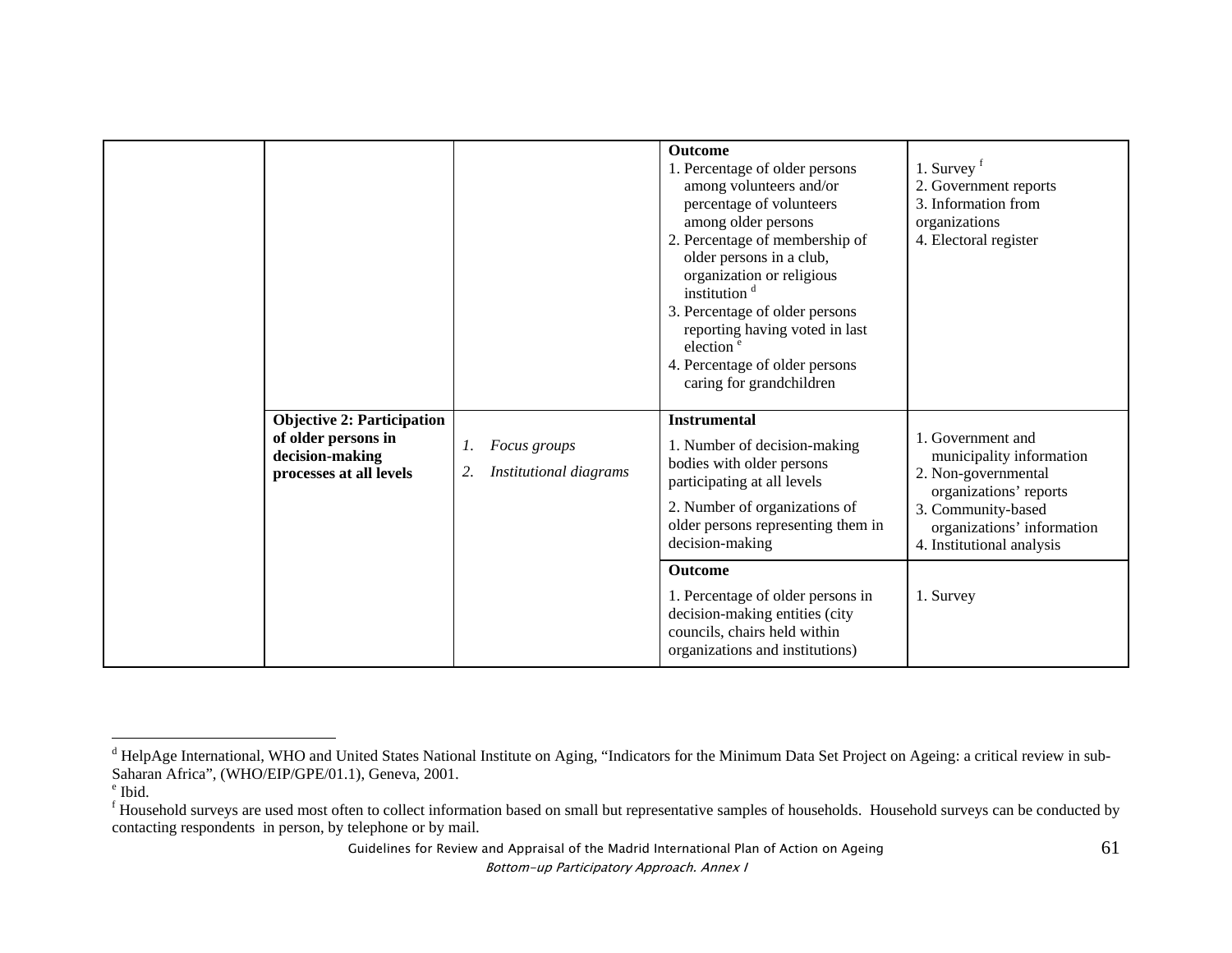|                                                                                                        |                                                    | <b>Outcome</b><br>1. Percentage of older persons<br>among volunteers and/or<br>percentage of volunteers<br>among older persons<br>2. Percentage of membership of<br>older persons in a club,<br>organization or religious<br>institution <sup>d</sup><br>3. Percentage of older persons<br>reporting having voted in last<br>election <sup>e</sup><br>4. Percentage of older persons<br>caring for grandchildren | 1. Survey $f$<br>2. Government reports<br>3. Information from<br>organizations<br>4. Electoral register                                                                         |
|--------------------------------------------------------------------------------------------------------|----------------------------------------------------|------------------------------------------------------------------------------------------------------------------------------------------------------------------------------------------------------------------------------------------------------------------------------------------------------------------------------------------------------------------------------------------------------------------|---------------------------------------------------------------------------------------------------------------------------------------------------------------------------------|
| <b>Objective 2: Participation</b><br>of older persons in<br>decision-making<br>processes at all levels | Focus groups<br>1.<br>Institutional diagrams<br>2. | <b>Instrumental</b><br>1. Number of decision-making<br>bodies with older persons<br>participating at all levels<br>2. Number of organizations of<br>older persons representing them in<br>decision-making                                                                                                                                                                                                        | 1. Government and<br>municipality information<br>2. Non-governmental<br>organizations' reports<br>3. Community-based<br>organizations' information<br>4. Institutional analysis |
|                                                                                                        |                                                    | Outcome<br>1. Percentage of older persons in<br>decision-making entities (city<br>councils, chairs held within<br>organizations and institutions)                                                                                                                                                                                                                                                                | 1. Survey                                                                                                                                                                       |

Guidelines for Review and Appraisal of the Madrid International Plan of Action on Ageing

<sup>&</sup>lt;sup>d</sup> HelpAge International, WHO and United States National Institute on Aging, "Indicators for the Minimum Data Set Project on Ageing: a critical review in sub-Saharan Africa", (WHO/EIP/GPE/01.1), Geneva, 2001.

e Ibid.

<sup>&</sup>lt;sup>f</sup> Household surveys are used most often to collect information based on small but representative samples of households. Household surveys can be conducted by contacting respondents in person, by telephone or by mail.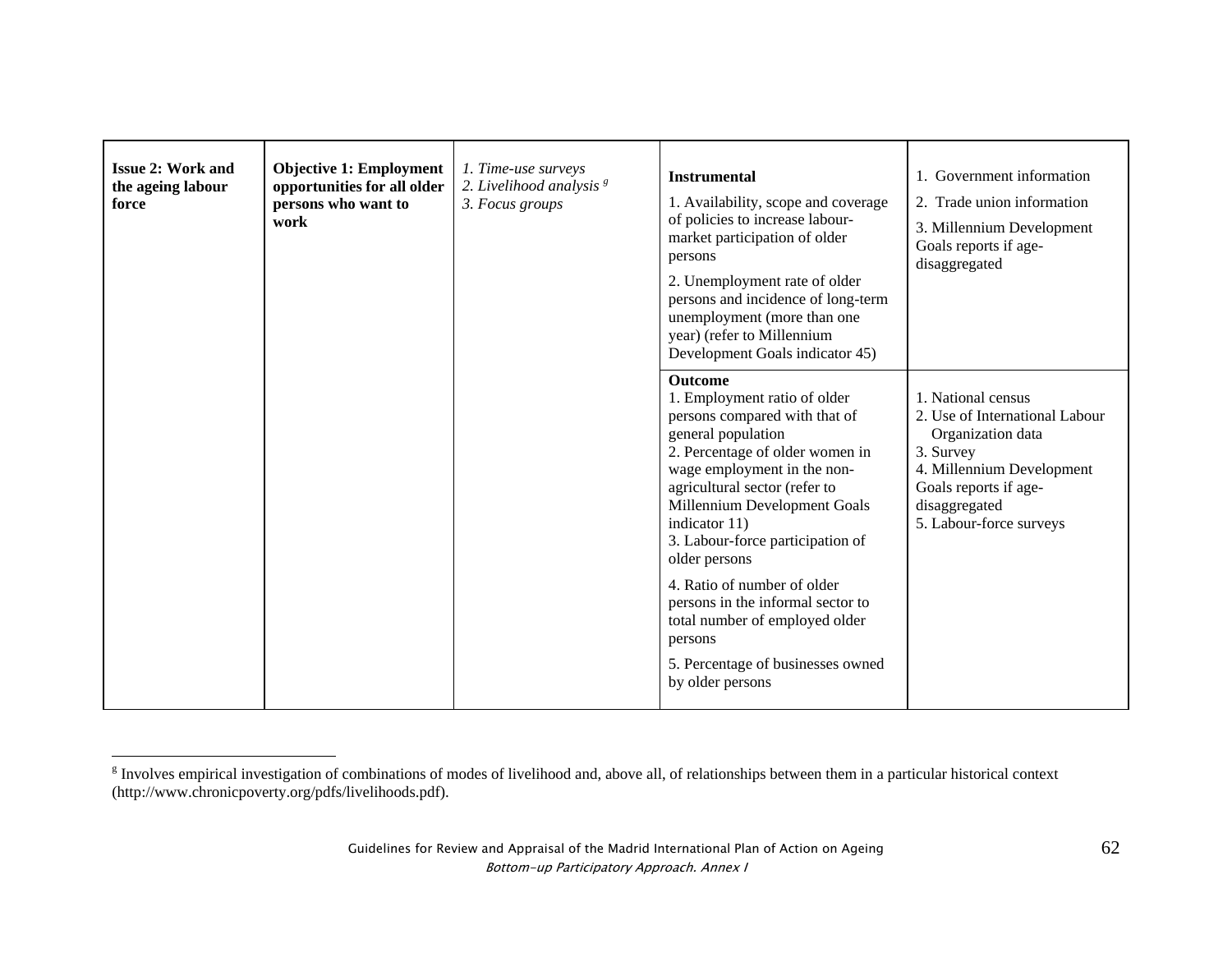| <b>Issue 2: Work and</b><br>the ageing labour<br>force | <b>Objective 1: Employment</b><br>opportunities for all older<br>persons who want to<br>work | 1. Time-use surveys<br>2. Livelihood analysis <sup>8</sup><br>3. Focus groups | <b>Instrumental</b><br>1. Availability, scope and coverage<br>of policies to increase labour-<br>market participation of older<br>persons<br>2. Unemployment rate of older<br>persons and incidence of long-term<br>unemployment (more than one<br>year) (refer to Millennium<br>Development Goals indicator 45)                                                                                                                                                                         | 1. Government information<br>2. Trade union information<br>3. Millennium Development<br>Goals reports if age-<br>disaggregated                                                           |
|--------------------------------------------------------|----------------------------------------------------------------------------------------------|-------------------------------------------------------------------------------|------------------------------------------------------------------------------------------------------------------------------------------------------------------------------------------------------------------------------------------------------------------------------------------------------------------------------------------------------------------------------------------------------------------------------------------------------------------------------------------|------------------------------------------------------------------------------------------------------------------------------------------------------------------------------------------|
|                                                        |                                                                                              |                                                                               | <b>Outcome</b><br>1. Employment ratio of older<br>persons compared with that of<br>general population<br>2. Percentage of older women in<br>wage employment in the non-<br>agricultural sector (refer to<br>Millennium Development Goals<br>indicator 11)<br>3. Labour-force participation of<br>older persons<br>4. Ratio of number of older<br>persons in the informal sector to<br>total number of employed older<br>persons<br>5. Percentage of businesses owned<br>by older persons | 1. National census<br>2. Use of International Labour<br>Organization data<br>3. Survey<br>4. Millennium Development<br>Goals reports if age-<br>disaggregated<br>5. Labour-force surveys |

<sup>&</sup>lt;sup>g</sup> Involves empirical investigation of combinations of modes of livelihood and, above all, of relationships between them in a particular historical context (http://www.chronicpoverty.org/pdfs/livelihoods.pdf).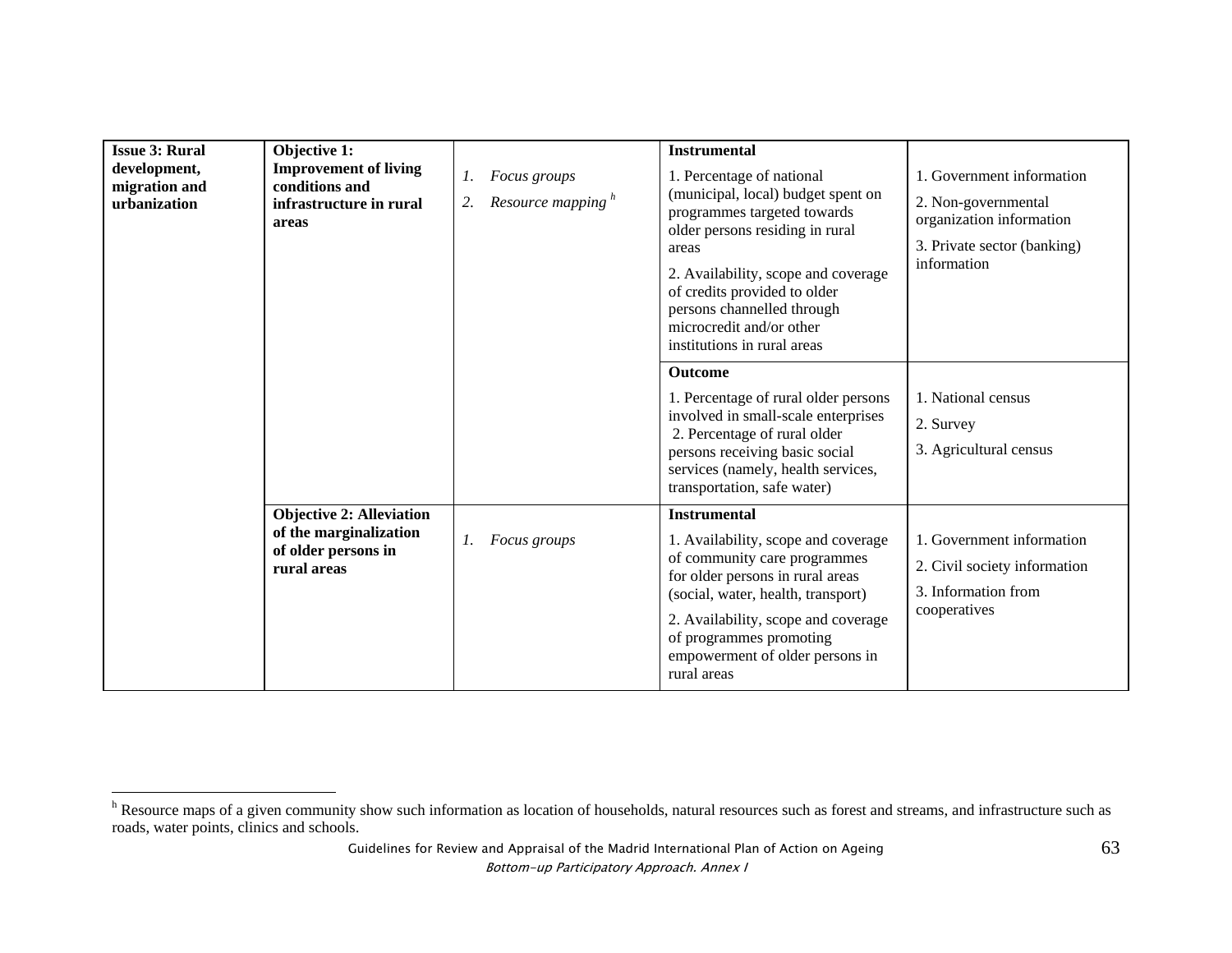| <b>Issue 3: Rural</b><br>development,<br>migration and<br>urbanization<br>areas | Objective 1:<br><b>Improvement of living</b><br>conditions and<br>infrastructure in rural       | Focus groups<br>1.<br>Resource mapping <sup>h</sup><br>2. | <b>Instrumental</b><br>1. Percentage of national<br>(municipal, local) budget spent on<br>programmes targeted towards<br>older persons residing in rural<br>areas<br>2. Availability, scope and coverage<br>of credits provided to older<br>persons channelled through<br>microcredit and/or other<br>institutions in rural areas | 1. Government information<br>2. Non-governmental<br>organization information<br>3. Private sector (banking)<br>information |
|---------------------------------------------------------------------------------|-------------------------------------------------------------------------------------------------|-----------------------------------------------------------|-----------------------------------------------------------------------------------------------------------------------------------------------------------------------------------------------------------------------------------------------------------------------------------------------------------------------------------|----------------------------------------------------------------------------------------------------------------------------|
|                                                                                 |                                                                                                 |                                                           | <b>Outcome</b><br>1. Percentage of rural older persons<br>involved in small-scale enterprises<br>2. Percentage of rural older<br>persons receiving basic social<br>services (namely, health services,<br>transportation, safe water)                                                                                              | 1. National census<br>2. Survey<br>3. Agricultural census                                                                  |
|                                                                                 | <b>Objective 2: Alleviation</b><br>of the marginalization<br>of older persons in<br>rural areas | $\mathfrak{1}.$<br><i>Focus groups</i>                    | <b>Instrumental</b><br>1. Availability, scope and coverage<br>of community care programmes<br>for older persons in rural areas<br>(social, water, health, transport)<br>2. Availability, scope and coverage<br>of programmes promoting<br>empowerment of older persons in<br>rural areas                                          | 1. Government information<br>2. Civil society information<br>3. Information from<br>cooperatives                           |

<sup>&</sup>lt;sup>h</sup> Resource maps of a given community show such information as location of households, natural resources such as forest and streams, and infrastructure such as roads, water points, clinics and schools.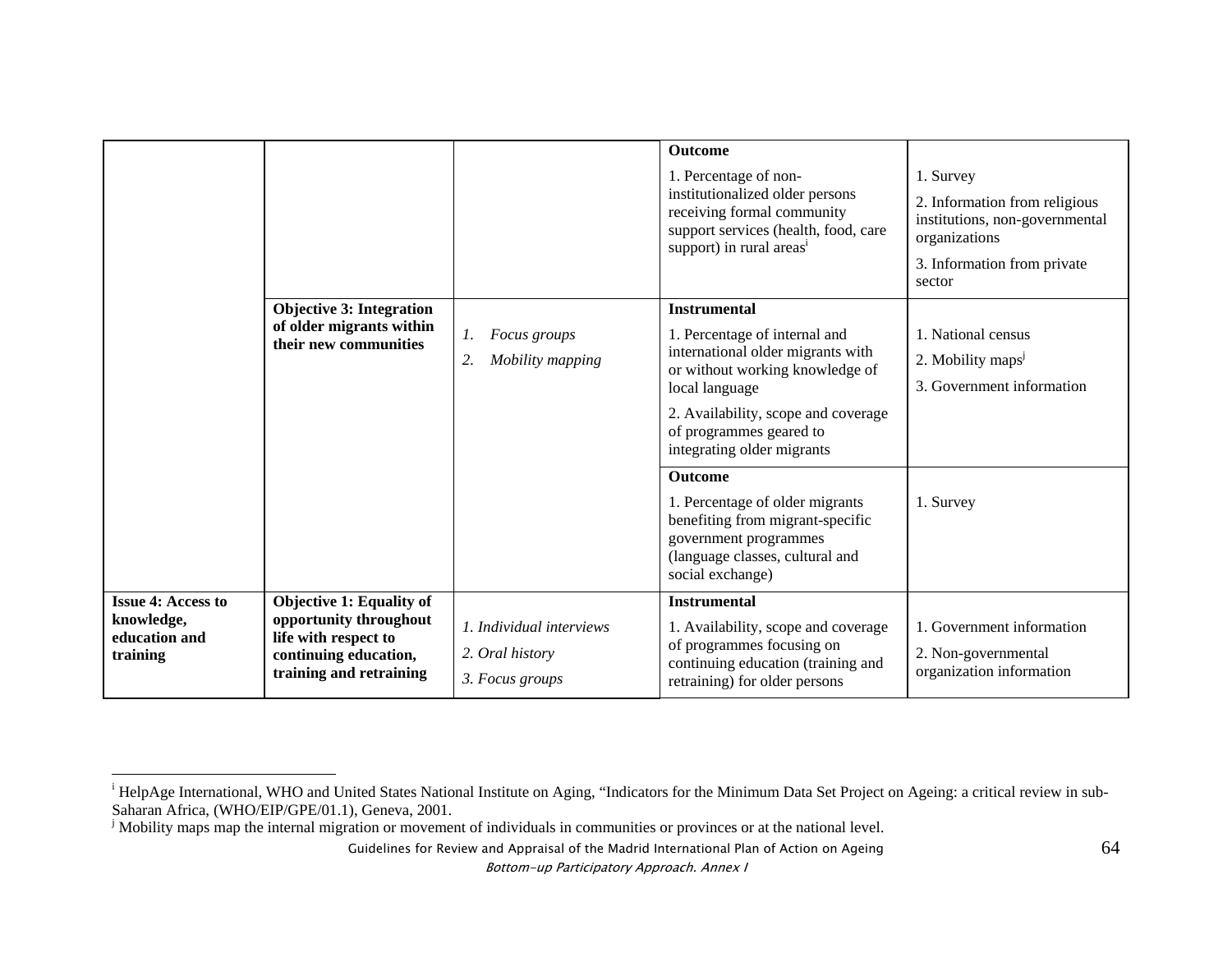|                                                                      |                                                                                                                                |                                                                | <b>Outcome</b><br>1. Percentage of non-<br>institutionalized older persons<br>receiving formal community<br>support services (health, food, care<br>support) in rural areas <sup>1</sup>                                                                                                                                                                                                            | 1. Survey<br>2. Information from religious<br>institutions, non-governmental<br>organizations<br>3. Information from private<br>sector |
|----------------------------------------------------------------------|--------------------------------------------------------------------------------------------------------------------------------|----------------------------------------------------------------|-----------------------------------------------------------------------------------------------------------------------------------------------------------------------------------------------------------------------------------------------------------------------------------------------------------------------------------------------------------------------------------------------------|----------------------------------------------------------------------------------------------------------------------------------------|
|                                                                      | <b>Objective 3: Integration</b><br>of older migrants within<br>their new communities                                           | Focus groups<br>1.<br>Mobility mapping<br>2.                   | <b>Instrumental</b><br>1. Percentage of internal and<br>international older migrants with<br>or without working knowledge of<br>local language<br>2. Availability, scope and coverage<br>of programmes geared to<br>integrating older migrants<br><b>Outcome</b><br>1. Percentage of older migrants<br>benefiting from migrant-specific<br>government programmes<br>(language classes, cultural and | 1. National census<br>2. Mobility maps <sup>j</sup><br>3. Government information<br>1. Survey                                          |
| <b>Issue 4: Access to</b><br>knowledge,<br>education and<br>training | Objective 1: Equality of<br>opportunity throughout<br>life with respect to<br>continuing education,<br>training and retraining | 1. Individual interviews<br>2. Oral history<br>3. Focus groups | social exchange)<br><b>Instrumental</b><br>1. Availability, scope and coverage<br>of programmes focusing on<br>continuing education (training and<br>retraining) for older persons                                                                                                                                                                                                                  | 1. Government information<br>2. Non-governmental<br>organization information                                                           |

<sup>&</sup>lt;sup>i</sup> HelpAge International, WHO and United States National Institute on Aging, "Indicators for the Minimum Data Set Project on Ageing: a critical review in sub-Saharan Africa, (WHO/EIP/GPE/01.1), Geneva, 2001.

 $\mathbf{S}$  Mobility maps map the internal migration or movement of individuals in communities or provinces or at the national level.

Guidelines for Review and Appraisal of the Madrid International Plan of Action on Ageing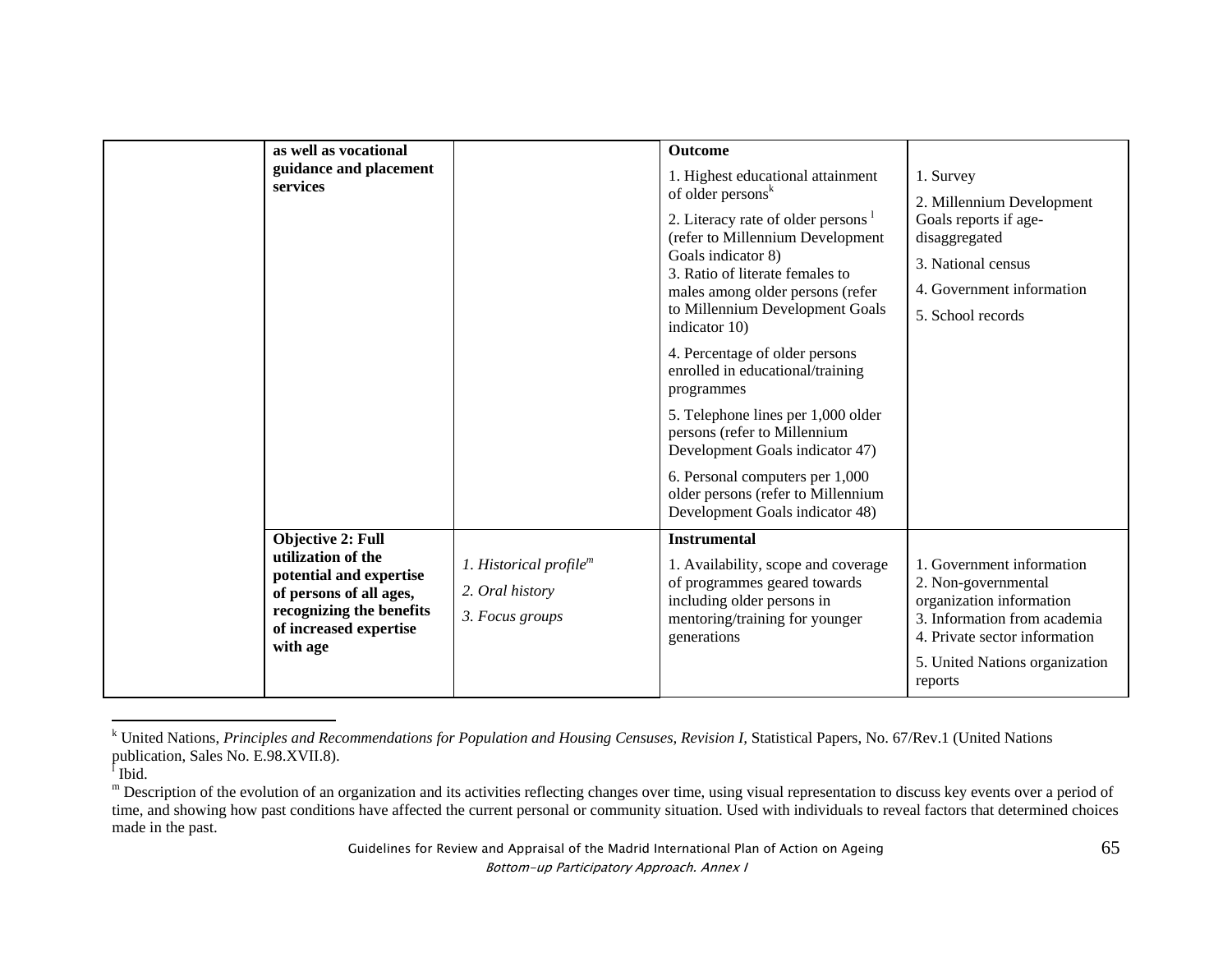| as well as vocational                                                                                                                                                  |                                                                 | <b>Outcome</b>                                                                                                                                                                                                                                                                                            |                                                                                                                                                                                            |
|------------------------------------------------------------------------------------------------------------------------------------------------------------------------|-----------------------------------------------------------------|-----------------------------------------------------------------------------------------------------------------------------------------------------------------------------------------------------------------------------------------------------------------------------------------------------------|--------------------------------------------------------------------------------------------------------------------------------------------------------------------------------------------|
| guidance and placement<br>services                                                                                                                                     |                                                                 | 1. Highest educational attainment<br>of older persons <sup>k</sup><br>2. Literacy rate of older persons <sup>1</sup><br>(refer to Millennium Development<br>Goals indicator 8)<br>3. Ratio of literate females to<br>males among older persons (refer<br>to Millennium Development Goals<br>indicator 10) | 1. Survey<br>2. Millennium Development<br>Goals reports if age-<br>disaggregated<br>3. National census<br>4. Government information<br>5. School records                                   |
|                                                                                                                                                                        |                                                                 | 4. Percentage of older persons<br>enrolled in educational/training<br>programmes<br>5. Telephone lines per 1,000 older<br>persons (refer to Millennium<br>Development Goals indicator 47)<br>6. Personal computers per 1,000<br>older persons (refer to Millennium<br>Development Goals indicator 48)     |                                                                                                                                                                                            |
| <b>Objective 2: Full</b><br>utilization of the<br>potential and expertise<br>of persons of all ages,<br>recognizing the benefits<br>of increased expertise<br>with age | 1. Historical profile $m$<br>2. Oral history<br>3. Focus groups | <b>Instrumental</b><br>1. Availability, scope and coverage<br>of programmes geared towards<br>including older persons in<br>mentoring/training for younger<br>generations                                                                                                                                 | 1. Government information<br>2. Non-governmental<br>organization information<br>3. Information from academia<br>4. Private sector information<br>5. United Nations organization<br>reports |

k United Nations, Principles and Recommendations for Population and Housing Censuses, Revision I, Statistical Papers, No. 67/Rev.1 (United Nations publication, Sales No. E.98.XVII.8).

 $<sup>1</sup>$  Ibid.</sup>

m Description of the evolution of an organization and its activities reflecting changes over time, using visual representation to discuss key events over a period of time, and showing how past conditions have affected the current personal or community situation. Used with individuals to reveal factors that determined choices made in the past.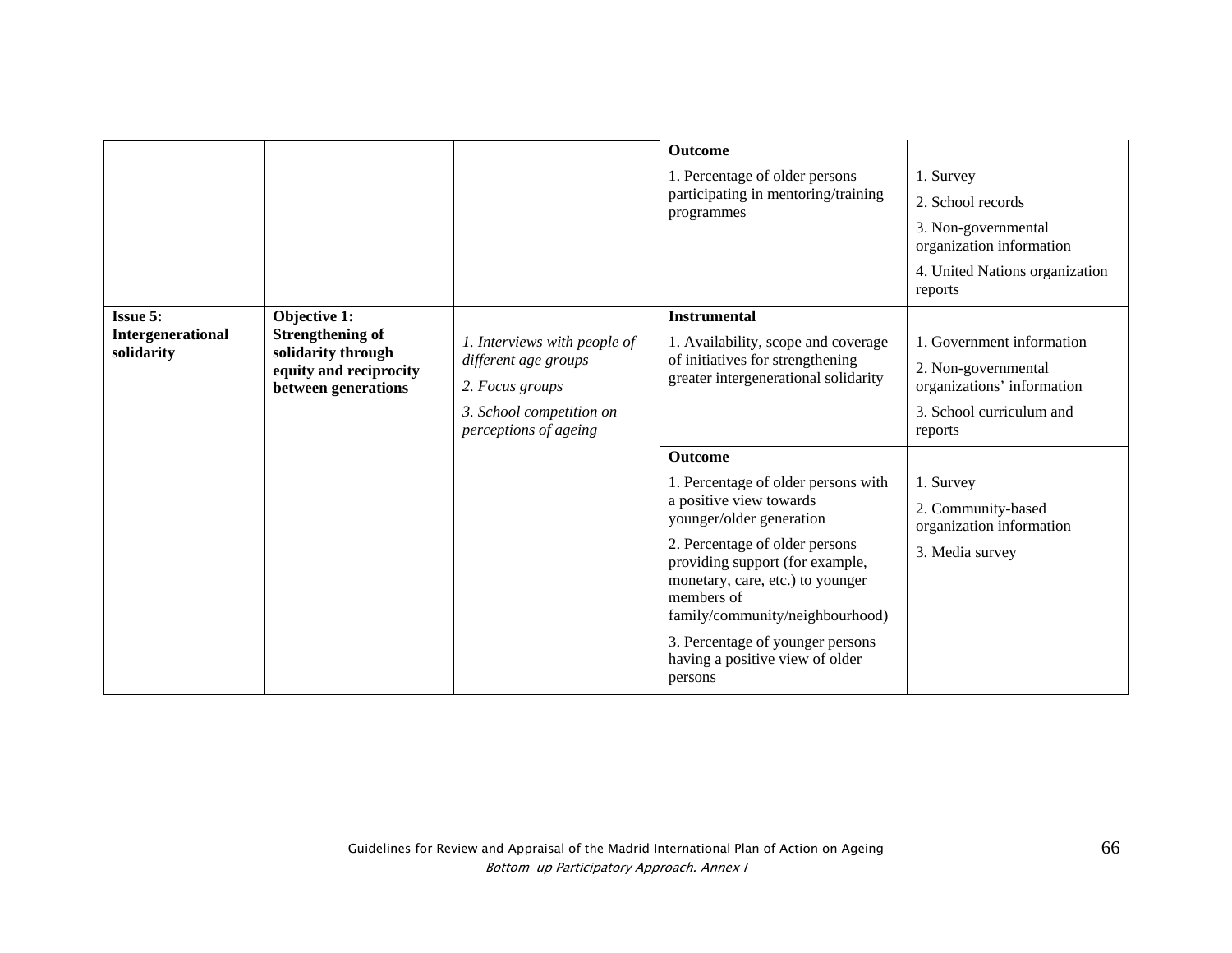|                                                    |                                                                                                                |                                                                                                                              | <b>Outcome</b><br>1. Percentage of older persons<br>participating in mentoring/training<br>programmes                                                                                                                                                                                                                                                           | 1. Survey<br>2. School records<br>3. Non-governmental<br>organization information<br>4. United Nations organization<br>reports                                                                          |
|----------------------------------------------------|----------------------------------------------------------------------------------------------------------------|------------------------------------------------------------------------------------------------------------------------------|-----------------------------------------------------------------------------------------------------------------------------------------------------------------------------------------------------------------------------------------------------------------------------------------------------------------------------------------------------------------|---------------------------------------------------------------------------------------------------------------------------------------------------------------------------------------------------------|
| <b>Issue 5:</b><br>Intergenerational<br>solidarity | Objective 1:<br><b>Strengthening of</b><br>solidarity through<br>equity and reciprocity<br>between generations | 1. Interviews with people of<br>different age groups<br>2. Focus groups<br>3. School competition on<br>perceptions of ageing | <b>Instrumental</b><br>1. Availability, scope and coverage<br>of initiatives for strengthening<br>greater intergenerational solidarity<br><b>Outcome</b><br>1. Percentage of older persons with<br>a positive view towards<br>younger/older generation<br>2. Percentage of older persons<br>providing support (for example,<br>monetary, care, etc.) to younger | 1. Government information<br>2. Non-governmental<br>organizations' information<br>3. School curriculum and<br>reports<br>1. Survey<br>2. Community-based<br>organization information<br>3. Media survey |
|                                                    |                                                                                                                |                                                                                                                              | members of<br>family/community/neighbourhood)<br>3. Percentage of younger persons<br>having a positive view of older<br>persons                                                                                                                                                                                                                                 |                                                                                                                                                                                                         |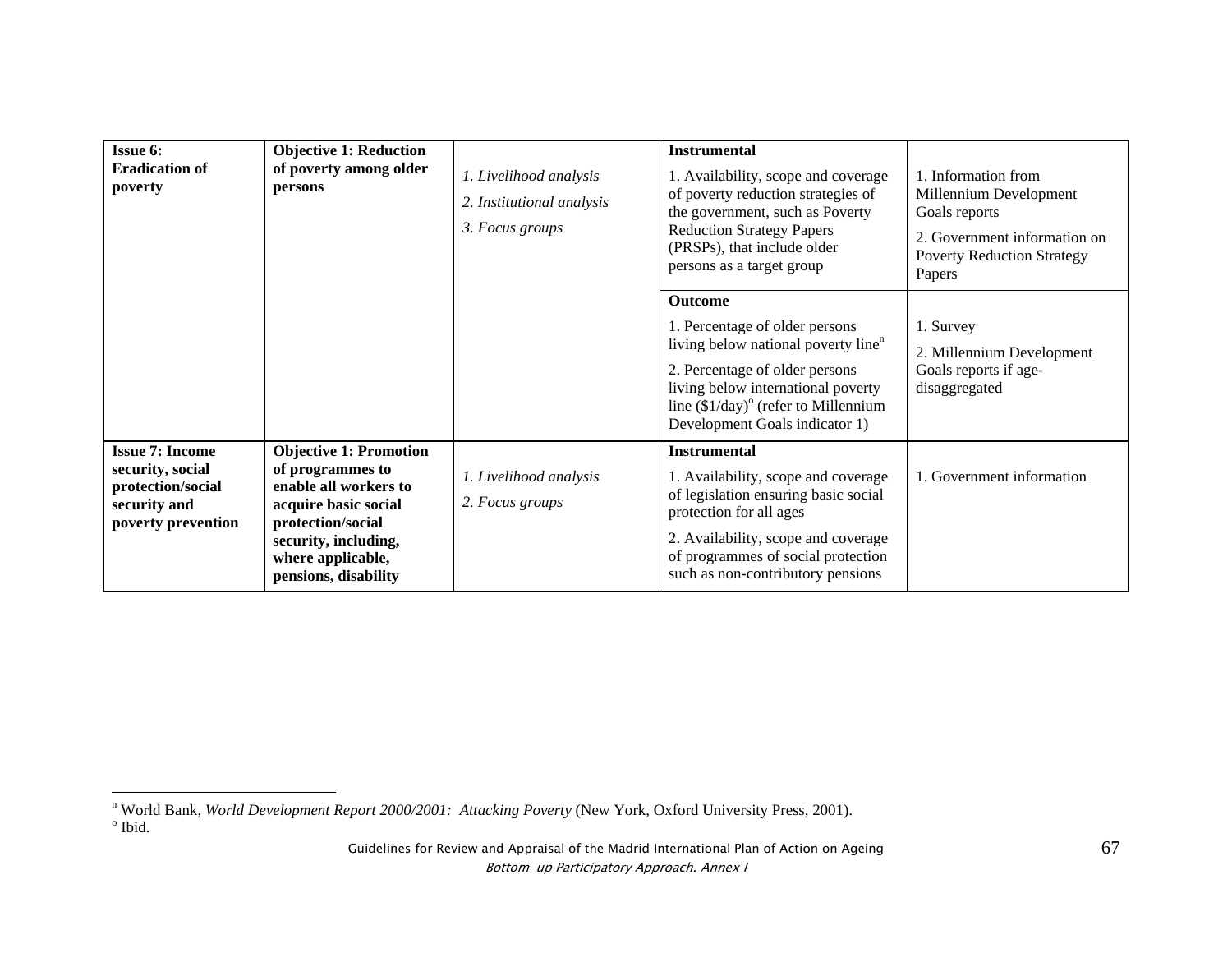| <b>Issue 6:</b><br><b>Eradication of</b><br>poverty<br>persons                                        | <b>Objective 1: Reduction</b><br>of poverty among older<br>1. Livelihood analysis<br>2. Institutional analysis<br>3. Focus groups                                                            | <b>Instrumental</b><br>1. Availability, scope and coverage<br>of poverty reduction strategies of<br>the government, such as Poverty<br><b>Reduction Strategy Papers</b><br>(PRSPs), that include older<br>persons as a target group | 1. Information from<br>Millennium Development<br>Goals reports<br>2. Government information on<br><b>Poverty Reduction Strategy</b><br>Papers                                                                                                                  |                                                                                  |
|-------------------------------------------------------------------------------------------------------|----------------------------------------------------------------------------------------------------------------------------------------------------------------------------------------------|-------------------------------------------------------------------------------------------------------------------------------------------------------------------------------------------------------------------------------------|----------------------------------------------------------------------------------------------------------------------------------------------------------------------------------------------------------------------------------------------------------------|----------------------------------------------------------------------------------|
|                                                                                                       |                                                                                                                                                                                              |                                                                                                                                                                                                                                     | <b>Outcome</b><br>1. Percentage of older persons<br>living below national poverty line <sup>n</sup><br>2. Percentage of older persons<br>living below international poverty<br>line $(\$1/day)^{\circ}$ (refer to Millennium<br>Development Goals indicator 1) | 1. Survey<br>2. Millennium Development<br>Goals reports if age-<br>disaggregated |
| <b>Issue 7: Income</b><br>security, social<br>protection/social<br>security and<br>poverty prevention | <b>Objective 1: Promotion</b><br>of programmes to<br>enable all workers to<br>acquire basic social<br>protection/social<br>security, including,<br>where applicable,<br>pensions, disability | 1. Livelihood analysis<br>2. Focus groups                                                                                                                                                                                           | <b>Instrumental</b><br>1. Availability, scope and coverage<br>of legislation ensuring basic social<br>protection for all ages<br>2. Availability, scope and coverage<br>of programmes of social protection<br>such as non-contributory pensions                | 1. Government information                                                        |

n World Bank, *World Development Report 2000/2001: Attacking Poverty* (New York, Oxford University Press, 2001).<br><sup>o</sup> Ibid.

Guidelines for Review and Appraisal of the Madrid International Plan of Action on Ageing Bottom-up Participatory Approach. Annex I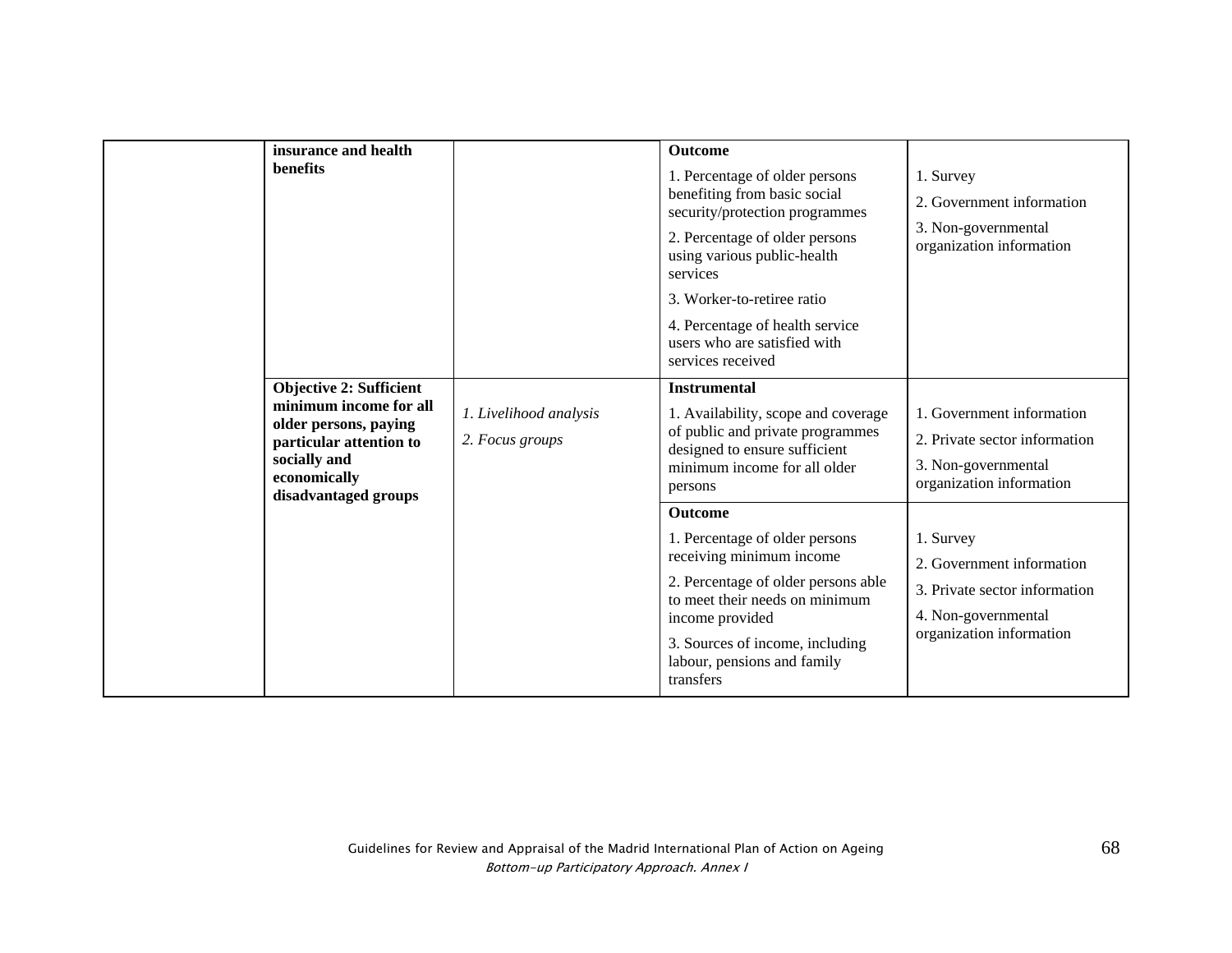| insurance and health                                                                                                               |                                           | <b>Outcome</b>                                                                                                                                                                                                           |                                                                                                                            |
|------------------------------------------------------------------------------------------------------------------------------------|-------------------------------------------|--------------------------------------------------------------------------------------------------------------------------------------------------------------------------------------------------------------------------|----------------------------------------------------------------------------------------------------------------------------|
| benefits                                                                                                                           |                                           | 1. Percentage of older persons<br>benefiting from basic social<br>security/protection programmes                                                                                                                         | 1. Survey<br>2. Government information                                                                                     |
|                                                                                                                                    |                                           | 2. Percentage of older persons<br>using various public-health<br>services                                                                                                                                                | 3. Non-governmental<br>organization information                                                                            |
|                                                                                                                                    |                                           | 3. Worker-to-retiree ratio                                                                                                                                                                                               |                                                                                                                            |
|                                                                                                                                    |                                           | 4. Percentage of health service<br>users who are satisfied with<br>services received                                                                                                                                     |                                                                                                                            |
| <b>Objective 2: Sufficient</b>                                                                                                     |                                           | <b>Instrumental</b>                                                                                                                                                                                                      |                                                                                                                            |
| minimum income for all<br>older persons, paying<br>particular attention to<br>socially and<br>economically<br>disadvantaged groups | 1. Livelihood analysis<br>2. Focus groups | 1. Availability, scope and coverage<br>of public and private programmes<br>designed to ensure sufficient<br>minimum income for all older<br>persons                                                                      | 1. Government information<br>2. Private sector information<br>3. Non-governmental<br>organization information              |
|                                                                                                                                    |                                           | Outcome                                                                                                                                                                                                                  |                                                                                                                            |
|                                                                                                                                    |                                           | 1. Percentage of older persons<br>receiving minimum income<br>2. Percentage of older persons able<br>to meet their needs on minimum<br>income provided<br>3. Sources of income, including<br>labour, pensions and family | 1. Survey<br>2. Government information<br>3. Private sector information<br>4. Non-governmental<br>organization information |
|                                                                                                                                    |                                           | transfers                                                                                                                                                                                                                |                                                                                                                            |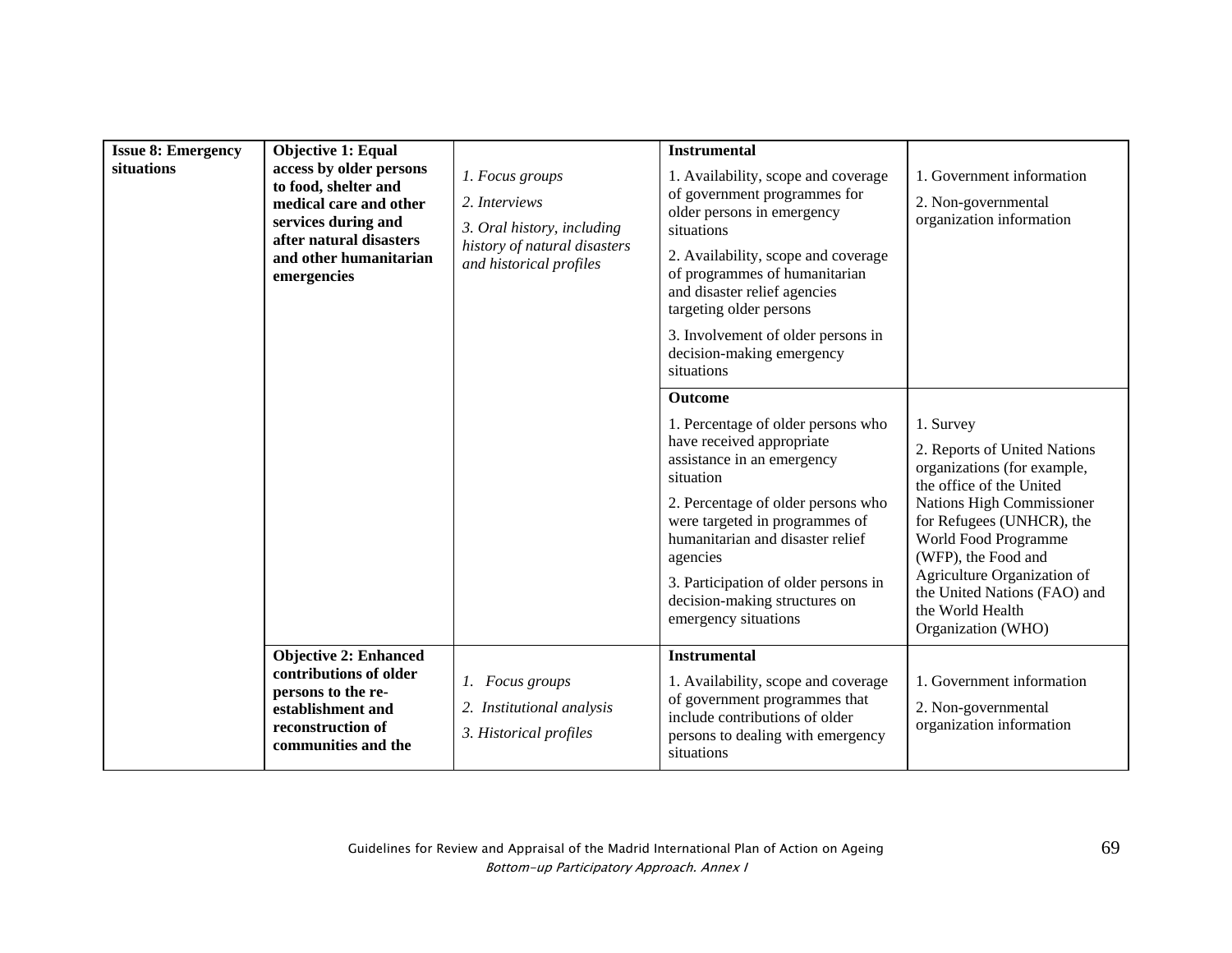| <b>Issue 8: Emergency</b><br>situations | <b>Objective 1: Equal</b><br>access by older persons<br>to food, shelter and<br>medical care and other<br>services during and<br>after natural disasters<br>and other humanitarian<br>emergencies | 1. Focus groups<br>2. Interviews<br>3. Oral history, including<br>history of natural disasters<br>and historical profiles | <b>Instrumental</b><br>1. Availability, scope and coverage<br>of government programmes for<br>older persons in emergency<br>situations<br>2. Availability, scope and coverage<br>of programmes of humanitarian<br>and disaster relief agencies<br>targeting older persons<br>3. Involvement of older persons in<br>decision-making emergency<br>situations | 1. Government information<br>2. Non-governmental<br>organization information                                                                                                                                                                                                                                           |
|-----------------------------------------|---------------------------------------------------------------------------------------------------------------------------------------------------------------------------------------------------|---------------------------------------------------------------------------------------------------------------------------|------------------------------------------------------------------------------------------------------------------------------------------------------------------------------------------------------------------------------------------------------------------------------------------------------------------------------------------------------------|------------------------------------------------------------------------------------------------------------------------------------------------------------------------------------------------------------------------------------------------------------------------------------------------------------------------|
|                                         |                                                                                                                                                                                                   |                                                                                                                           | <b>Outcome</b><br>1. Percentage of older persons who<br>have received appropriate<br>assistance in an emergency<br>situation<br>2. Percentage of older persons who<br>were targeted in programmes of<br>humanitarian and disaster relief<br>agencies<br>3. Participation of older persons in<br>decision-making structures on<br>emergency situations      | 1. Survey<br>2. Reports of United Nations<br>organizations (for example,<br>the office of the United<br>Nations High Commissioner<br>for Refugees (UNHCR), the<br>World Food Programme<br>(WFP), the Food and<br>Agriculture Organization of<br>the United Nations (FAO) and<br>the World Health<br>Organization (WHO) |
|                                         | <b>Objective 2: Enhanced</b><br>contributions of older<br>persons to the re-<br>establishment and<br>reconstruction of<br>communities and the                                                     | 1. Focus groups<br>2. Institutional analysis<br>3. Historical profiles                                                    | <b>Instrumental</b><br>1. Availability, scope and coverage<br>of government programmes that<br>include contributions of older<br>persons to dealing with emergency<br>situations                                                                                                                                                                           | 1. Government information<br>2. Non-governmental<br>organization information                                                                                                                                                                                                                                           |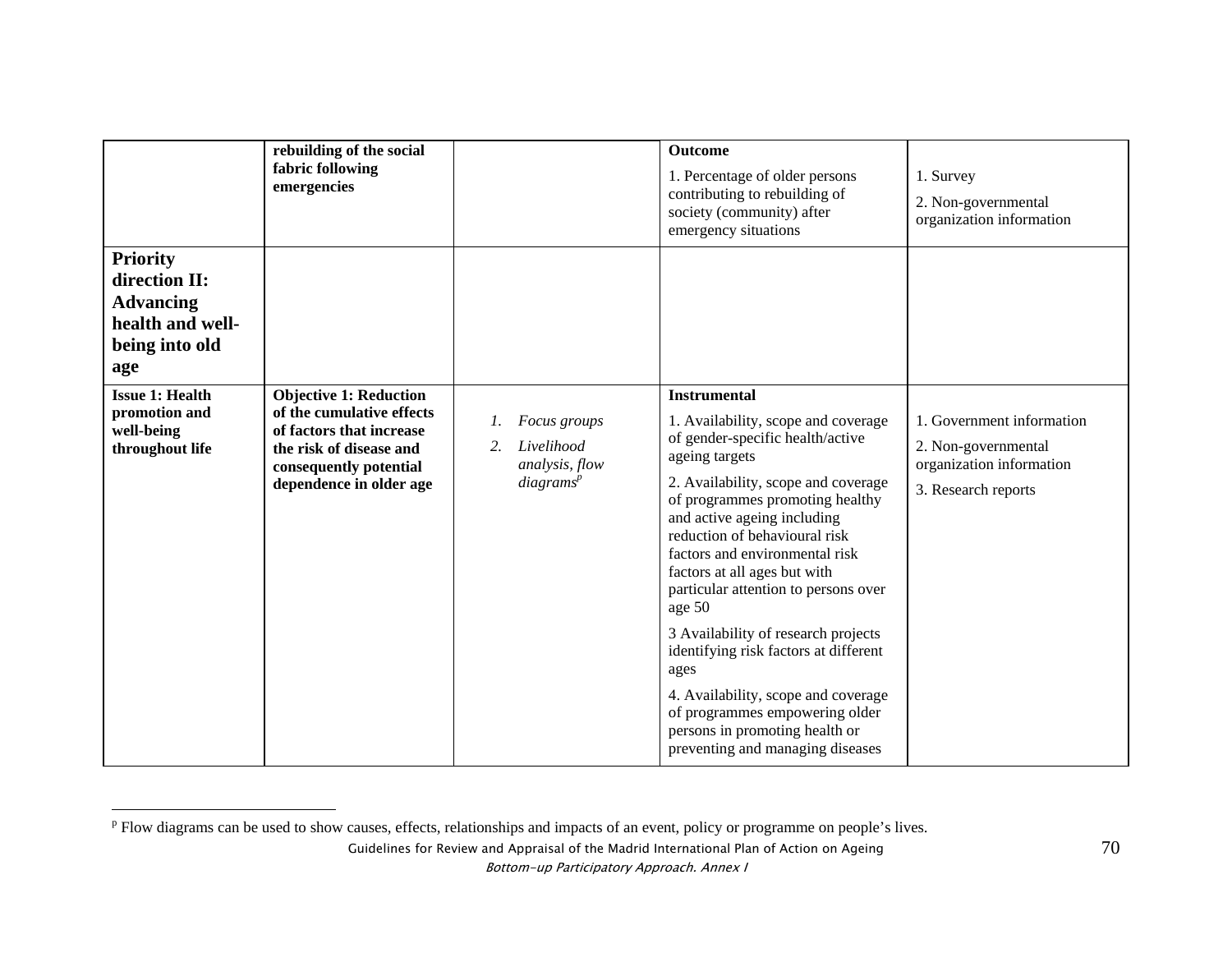|                                                                                                   | rebuilding of the social<br>fabric following<br>emergencies                                                                                                            |                                                                             | <b>Outcome</b><br>1. Percentage of older persons<br>contributing to rebuilding of<br>society (community) after<br>emergency situations                                                                                                                                                                                                                                                                                                                                                                                                                                                                                | 1. Survey<br>2. Non-governmental<br>organization information                                        |
|---------------------------------------------------------------------------------------------------|------------------------------------------------------------------------------------------------------------------------------------------------------------------------|-----------------------------------------------------------------------------|-----------------------------------------------------------------------------------------------------------------------------------------------------------------------------------------------------------------------------------------------------------------------------------------------------------------------------------------------------------------------------------------------------------------------------------------------------------------------------------------------------------------------------------------------------------------------------------------------------------------------|-----------------------------------------------------------------------------------------------------|
| <b>Priority</b><br>direction II:<br><b>Advancing</b><br>health and well-<br>being into old<br>age |                                                                                                                                                                        |                                                                             |                                                                                                                                                                                                                                                                                                                                                                                                                                                                                                                                                                                                                       |                                                                                                     |
| <b>Issue 1: Health</b><br>promotion and<br>well-being<br>throughout life                          | <b>Objective 1: Reduction</b><br>of the cumulative effects<br>of factors that increase<br>the risk of disease and<br>consequently potential<br>dependence in older age | Focus groups<br>Livelihood<br>2.<br>analysis, flow<br>diagrams <sup>p</sup> | <b>Instrumental</b><br>1. Availability, scope and coverage<br>of gender-specific health/active<br>ageing targets<br>2. Availability, scope and coverage<br>of programmes promoting healthy<br>and active ageing including<br>reduction of behavioural risk<br>factors and environmental risk<br>factors at all ages but with<br>particular attention to persons over<br>age 50<br>3 Availability of research projects<br>identifying risk factors at different<br>ages<br>4. Availability, scope and coverage<br>of programmes empowering older<br>persons in promoting health or<br>preventing and managing diseases | 1. Government information<br>2. Non-governmental<br>organization information<br>3. Research reports |

<sup>&</sup>lt;sup>p</sup> Flow diagrams can be used to show causes, effects, relationships and impacts of an event, policy or programme on people's lives.

Guidelines for Review and Appraisal of the Madrid International Plan of Action on Ageing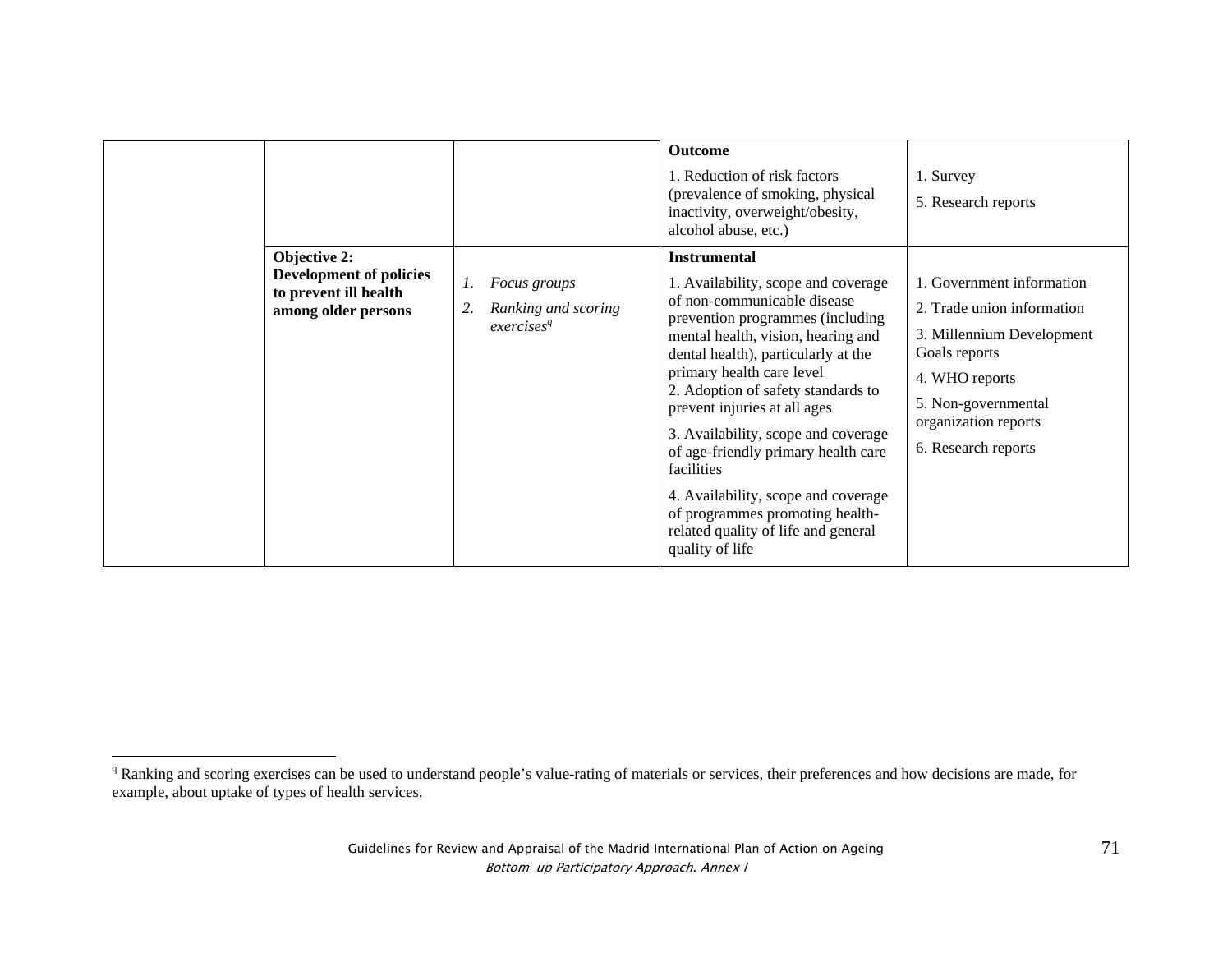|                                                                                                       |                                                                                  | <b>Outcome</b><br>1. Reduction of risk factors<br>(prevalence of smoking, physical<br>inactivity, overweight/obesity,<br>alcohol abuse, etc.)                                                                                                                                                                                                                                                                                                                                                                                                 | 1. Survey<br>5. Research reports                                                                                                                                                              |
|-------------------------------------------------------------------------------------------------------|----------------------------------------------------------------------------------|-----------------------------------------------------------------------------------------------------------------------------------------------------------------------------------------------------------------------------------------------------------------------------------------------------------------------------------------------------------------------------------------------------------------------------------------------------------------------------------------------------------------------------------------------|-----------------------------------------------------------------------------------------------------------------------------------------------------------------------------------------------|
| <b>Objective 2:</b><br><b>Development of policies</b><br>to prevent ill health<br>among older persons | 1.<br><i>Focus groups</i><br>2.<br>Ranking and scoring<br>exercises <sup>q</sup> | <b>Instrumental</b><br>1. Availability, scope and coverage<br>of non-communicable disease<br>prevention programmes (including<br>mental health, vision, hearing and<br>dental health), particularly at the<br>primary health care level<br>2. Adoption of safety standards to<br>prevent injuries at all ages<br>3. Availability, scope and coverage<br>of age-friendly primary health care<br>facilities<br>4. Availability, scope and coverage<br>of programmes promoting health-<br>related quality of life and general<br>quality of life | 1. Government information<br>2. Trade union information<br>3. Millennium Development<br>Goals reports<br>4. WHO reports<br>5. Non-governmental<br>organization reports<br>6. Research reports |

<sup>&</sup>lt;sup>q</sup> Ranking and scoring exercises can be used to understand people's value-rating of materials or services, their preferences and how decisions are made, for example, about uptake of types of health services.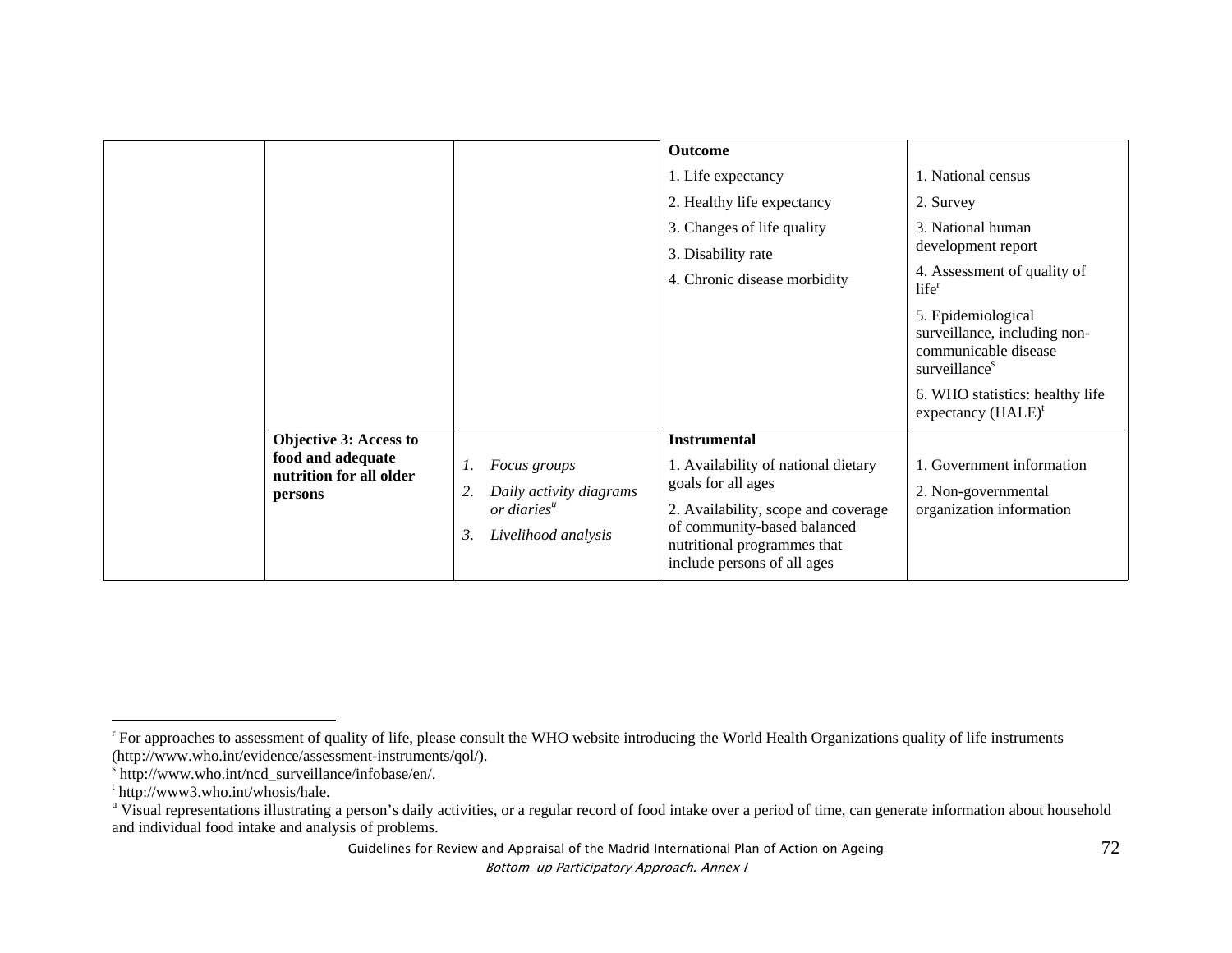|                                                                                          |                                                                                                      | <b>Outcome</b><br>1. Life expectancy<br>2. Healthy life expectancy<br>3. Changes of life quality<br>3. Disability rate<br>4. Chronic disease morbidity                                                               | 1. National census<br>2. Survey<br>3. National human<br>development report<br>4. Assessment of quality of<br>$life^r$<br>5. Epidemiological<br>surveillance, including non-<br>communicable disease<br>surveillance <sup>s</sup><br>6. WHO statistics: healthy life<br>expectancy $(HALE)^t$ |
|------------------------------------------------------------------------------------------|------------------------------------------------------------------------------------------------------|----------------------------------------------------------------------------------------------------------------------------------------------------------------------------------------------------------------------|----------------------------------------------------------------------------------------------------------------------------------------------------------------------------------------------------------------------------------------------------------------------------------------------|
| <b>Objective 3: Access to</b><br>food and adequate<br>nutrition for all older<br>persons | Focus groups<br>1.<br>Daily activity diagrams<br>2.<br>$or$ diaries $u$<br>Livelihood analysis<br>3. | <b>Instrumental</b><br>1. Availability of national dietary<br>goals for all ages<br>2. Availability, scope and coverage<br>of community-based balanced<br>nutritional programmes that<br>include persons of all ages | 1. Government information<br>2. Non-governmental<br>organization information                                                                                                                                                                                                                 |

Guidelines for Review and Appraisal of the Madrid International Plan of Action on Ageing

<sup>&</sup>lt;sup>r</sup> For approaches to assessment of quality of life, please consult the WHO website introducing the World Health Organizations quality of life instruments (http://www.who.int/evidence/assessment-instruments/qol/).

s http://www.who.int/ncd\_surveillance/infobase/en/.

t http://www3.who.int/whosis/hale.

<sup>&</sup>lt;sup>u</sup> Visual representations illustrating a person's daily activities, or a regular record of food intake over a period of time, can generate information about household and individual food intake and analysis of problems.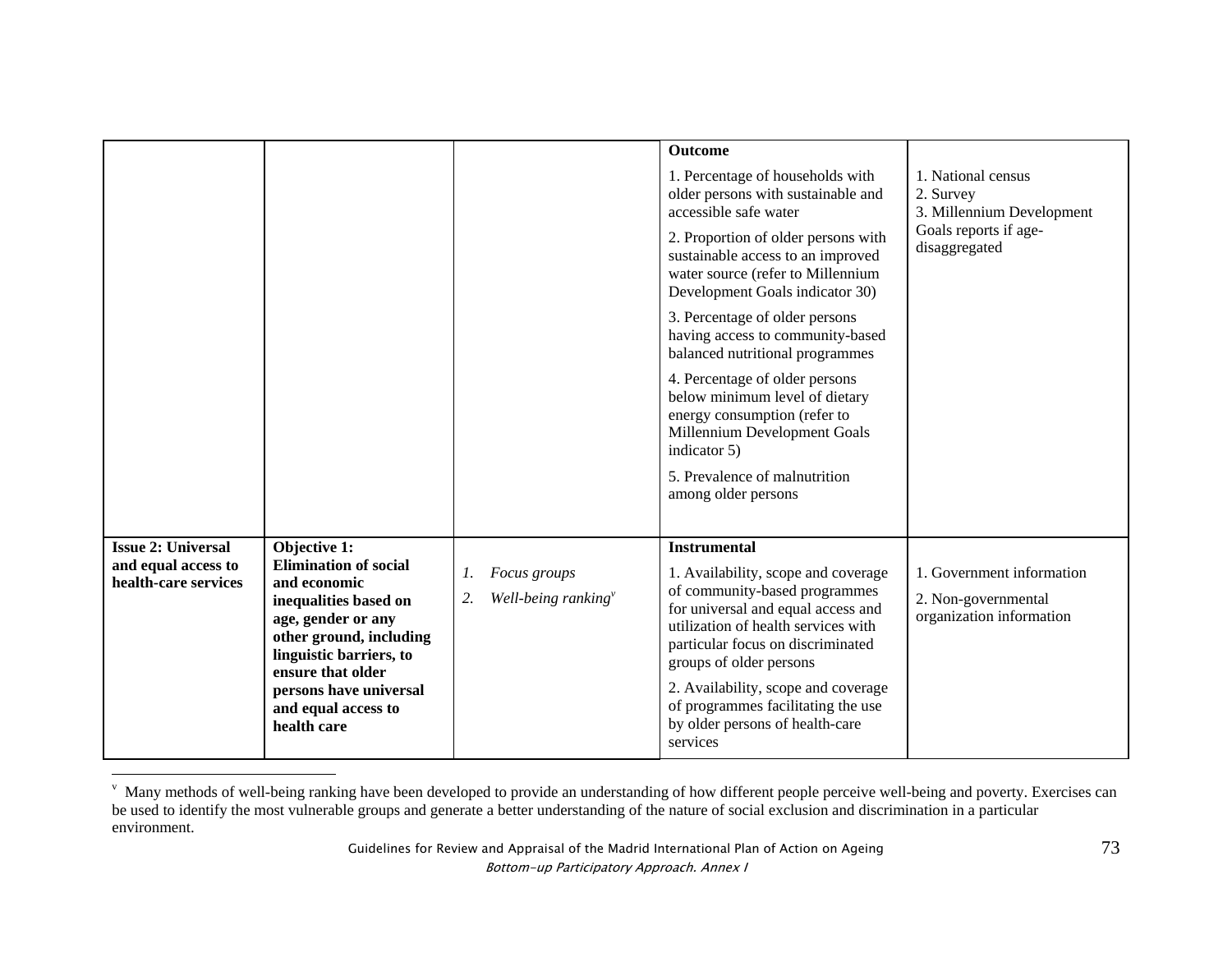|                                             |                                                                                                                                                                        |                                                    | <b>Outcome</b>                                                                                                                                                                                                                                           |                                                                                                        |
|---------------------------------------------|------------------------------------------------------------------------------------------------------------------------------------------------------------------------|----------------------------------------------------|----------------------------------------------------------------------------------------------------------------------------------------------------------------------------------------------------------------------------------------------------------|--------------------------------------------------------------------------------------------------------|
|                                             |                                                                                                                                                                        |                                                    | 1. Percentage of households with<br>older persons with sustainable and<br>accessible safe water<br>2. Proportion of older persons with<br>sustainable access to an improved<br>water source (refer to Millennium<br>Development Goals indicator 30)      | 1. National census<br>2. Survey<br>3. Millennium Development<br>Goals reports if age-<br>disaggregated |
|                                             |                                                                                                                                                                        |                                                    | 3. Percentage of older persons<br>having access to community-based<br>balanced nutritional programmes                                                                                                                                                    |                                                                                                        |
|                                             |                                                                                                                                                                        |                                                    | 4. Percentage of older persons<br>below minimum level of dietary<br>energy consumption (refer to<br>Millennium Development Goals<br>indicator 5)                                                                                                         |                                                                                                        |
|                                             |                                                                                                                                                                        |                                                    | 5. Prevalence of malnutrition<br>among older persons                                                                                                                                                                                                     |                                                                                                        |
| <b>Issue 2: Universal</b>                   | Objective 1:                                                                                                                                                           |                                                    | <b>Instrumental</b>                                                                                                                                                                                                                                      |                                                                                                        |
| and equal access to<br>health-care services | <b>Elimination of social</b><br>and economic<br>inequalities based on<br>age, gender or any<br>other ground, including<br>linguistic barriers, to<br>ensure that older | Focus groups<br>1.<br>Well-being ranking $v$<br>2. | 1. Availability, scope and coverage<br>of community-based programmes<br>for universal and equal access and<br>utilization of health services with<br>particular focus on discriminated<br>groups of older persons<br>2. Availability, scope and coverage | 1. Government information<br>2. Non-governmental<br>organization information                           |
|                                             | persons have universal<br>and equal access to<br>health care                                                                                                           |                                                    | of programmes facilitating the use<br>by older persons of health-care<br>services                                                                                                                                                                        |                                                                                                        |

v Many methods of well-being ranking have been developed to provide an understanding of how different people perceive well-being and poverty. Exercises can be used to identify the most vulnerable groups and generate a better understanding of the nature of social exclusion and discrimination in a particular environment.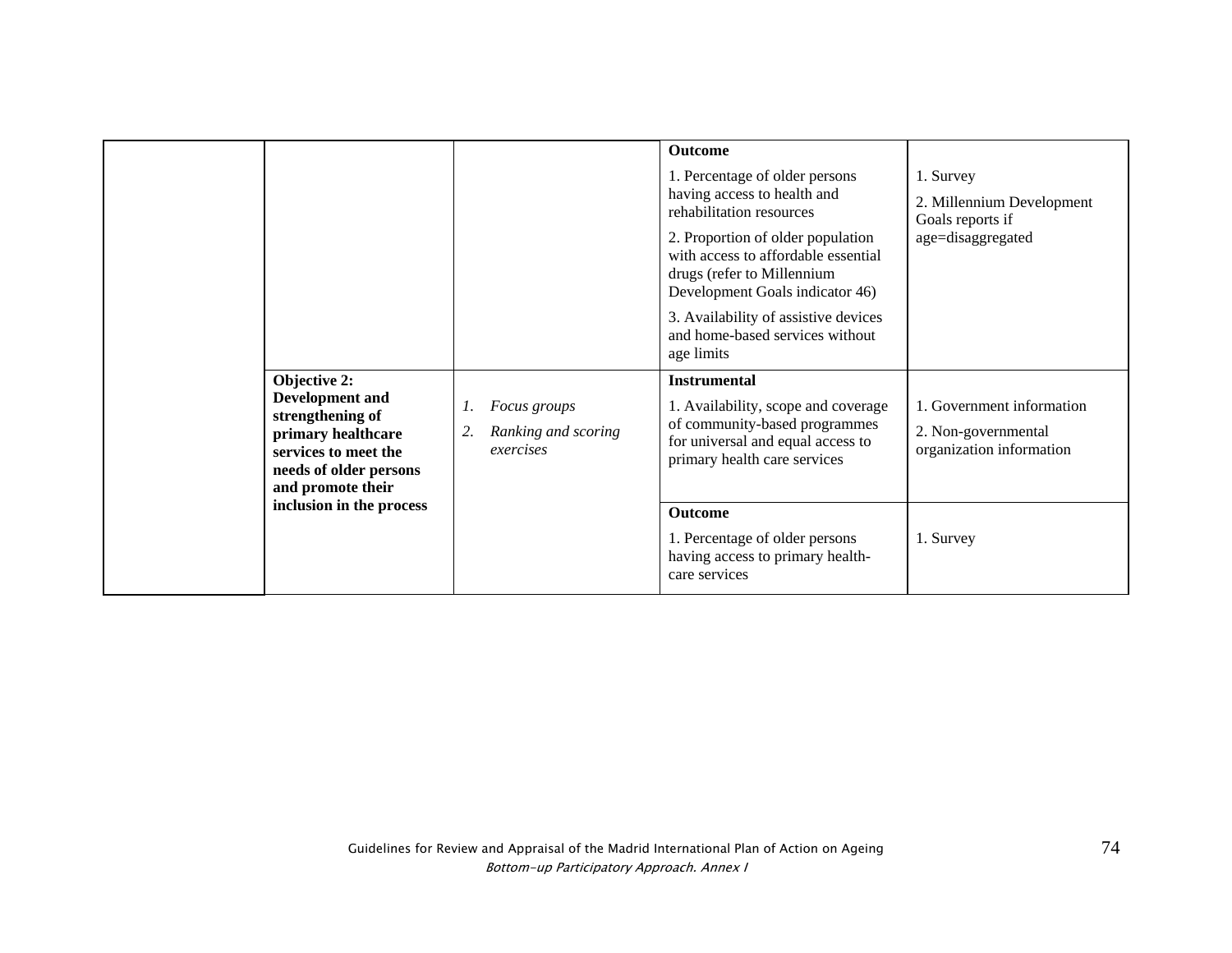|                                  |                                                                                                                                          |                                                        | Outcome<br>1. Percentage of older persons<br>having access to health and<br>rehabilitation resources<br>2. Proportion of older population<br>with access to affordable essential<br>drugs (refer to Millennium<br>Development Goals indicator 46)<br>3. Availability of assistive devices<br>and home-based services without<br>age limits | 1. Survey<br>2. Millennium Development<br>Goals reports if<br>age=disaggregated |
|----------------------------------|------------------------------------------------------------------------------------------------------------------------------------------|--------------------------------------------------------|--------------------------------------------------------------------------------------------------------------------------------------------------------------------------------------------------------------------------------------------------------------------------------------------------------------------------------------------|---------------------------------------------------------------------------------|
| Objective 2:<br>strengthening of | Development and<br>primary healthcare<br>services to meet the<br>needs of older persons<br>and promote their<br>inclusion in the process | Focus groups<br>Ranking and scoring<br>2.<br>exercises | <b>Instrumental</b><br>1. Availability, scope and coverage<br>of community-based programmes<br>for universal and equal access to<br>primary health care services                                                                                                                                                                           | 1. Government information<br>2. Non-governmental<br>organization information    |
|                                  |                                                                                                                                          |                                                        | <b>Outcome</b><br>1. Percentage of older persons<br>having access to primary health-<br>care services                                                                                                                                                                                                                                      | 1. Survey                                                                       |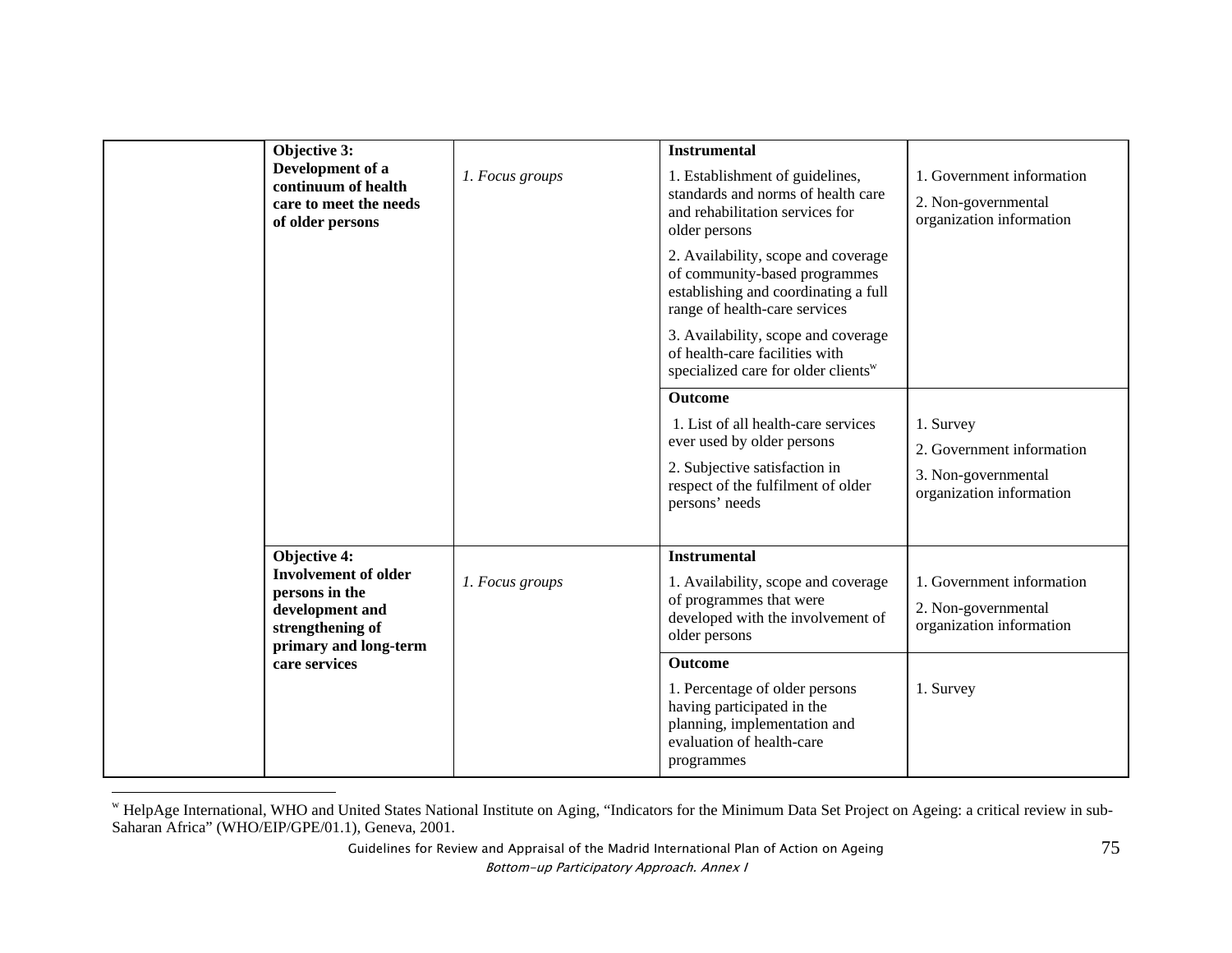| Objective 3:     |                                                                                |                 | <b>Instrumental</b>                                                                                                                           |                                                 |
|------------------|--------------------------------------------------------------------------------|-----------------|-----------------------------------------------------------------------------------------------------------------------------------------------|-------------------------------------------------|
| Development of a | continuum of health                                                            | 1. Focus groups | 1. Establishment of guidelines,<br>standards and norms of health care                                                                         | 1. Government information                       |
| of older persons | care to meet the needs                                                         |                 | and rehabilitation services for<br>older persons                                                                                              | 2. Non-governmental<br>organization information |
|                  |                                                                                |                 | 2. Availability, scope and coverage<br>of community-based programmes<br>establishing and coordinating a full<br>range of health-care services |                                                 |
|                  |                                                                                |                 | 3. Availability, scope and coverage<br>of health-care facilities with<br>specialized care for older clients <sup>w</sup>                      |                                                 |
|                  |                                                                                |                 | <b>Outcome</b>                                                                                                                                |                                                 |
|                  |                                                                                |                 | 1. List of all health-care services                                                                                                           | 1. Survey                                       |
|                  |                                                                                |                 | ever used by older persons                                                                                                                    | 2. Government information                       |
|                  |                                                                                |                 | 2. Subjective satisfaction in<br>respect of the fulfilment of older<br>persons' needs                                                         | 3. Non-governmental<br>organization information |
| Objective 4:     |                                                                                |                 | <b>Instrumental</b>                                                                                                                           |                                                 |
|                  | <b>Involvement of older</b>                                                    | 1. Focus groups | 1. Availability, scope and coverage                                                                                                           | 1. Government information                       |
|                  | persons in the<br>development and<br>strengthening of<br>primary and long-term |                 | of programmes that were<br>developed with the involvement of<br>older persons                                                                 | 2. Non-governmental<br>organization information |
| care services    |                                                                                |                 | <b>Outcome</b>                                                                                                                                |                                                 |
|                  |                                                                                |                 | 1. Percentage of older persons<br>having participated in the<br>planning, implementation and<br>evaluation of health-care<br>programmes       | 1. Survey                                       |

w HelpAge International, WHO and United States National Institute on Aging, "Indicators for the Minimum Data Set Project on Ageing: a critical review in sub-Saharan Africa" (WHO/EIP/GPE/01.1), Geneva, 2001.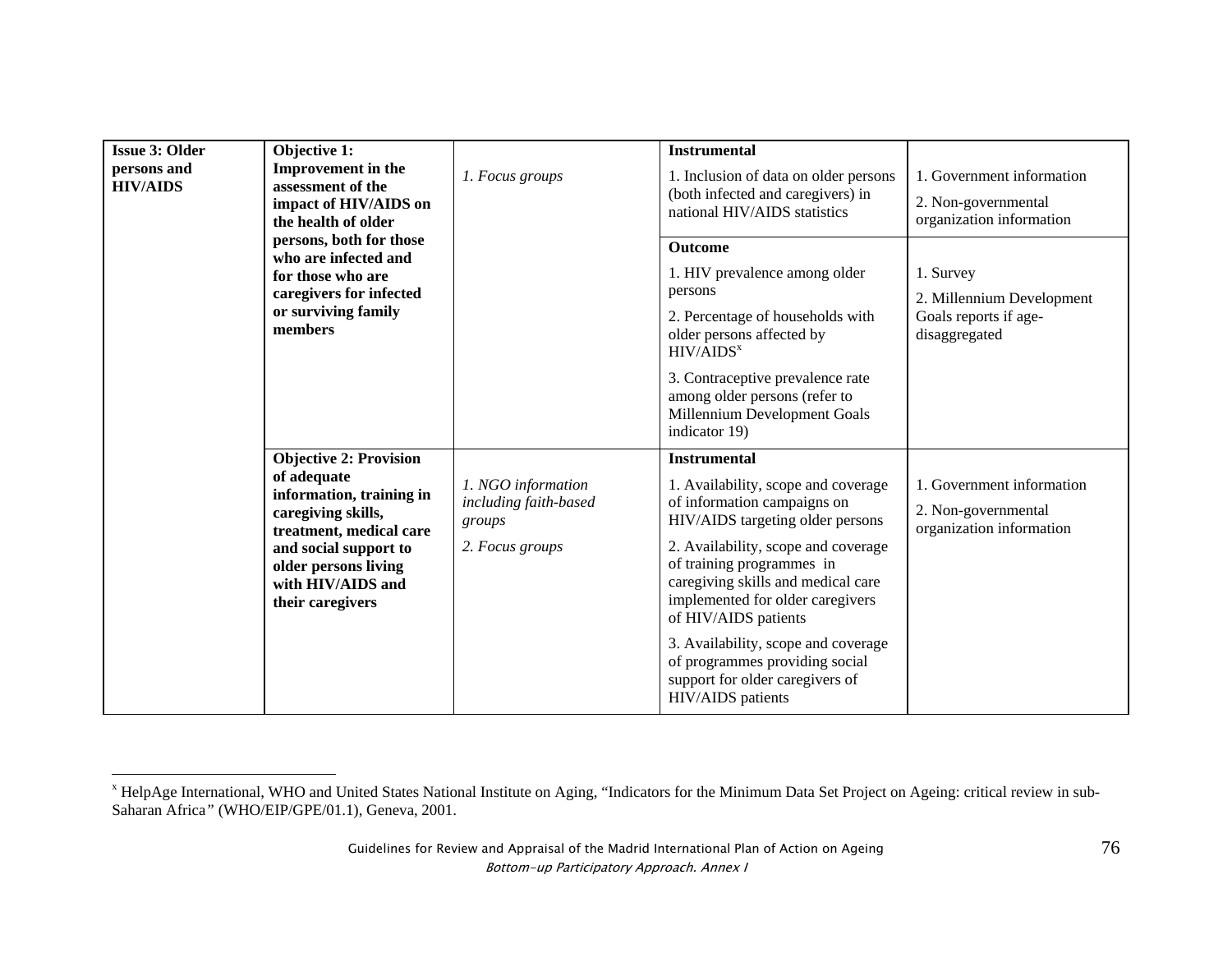| <b>Issue 3: Older</b><br>Objective 1:<br><b>Improvement</b> in the<br>persons and<br>assessment of the<br><b>HIV/AIDS</b><br>impact of HIV/AIDS on<br>the health of older | 1. Focus groups                                                                                                                                                                                                     | <b>Instrumental</b><br>1. Inclusion of data on older persons<br>(both infected and caregivers) in<br>national HIV/AIDS statistics | 1. Government information<br>2. Non-governmental<br>organization information                                                                                                                                                                                                                                                                                                                                                         |                                                                                  |
|---------------------------------------------------------------------------------------------------------------------------------------------------------------------------|---------------------------------------------------------------------------------------------------------------------------------------------------------------------------------------------------------------------|-----------------------------------------------------------------------------------------------------------------------------------|--------------------------------------------------------------------------------------------------------------------------------------------------------------------------------------------------------------------------------------------------------------------------------------------------------------------------------------------------------------------------------------------------------------------------------------|----------------------------------------------------------------------------------|
|                                                                                                                                                                           | persons, both for those<br>who are infected and<br>for those who are<br>caregivers for infected<br>or surviving family<br>members                                                                                   |                                                                                                                                   | <b>Outcome</b><br>1. HIV prevalence among older<br>persons<br>2. Percentage of households with<br>older persons affected by<br>HIV/AIDS <sup>x</sup><br>3. Contraceptive prevalence rate<br>among older persons (refer to<br>Millennium Development Goals<br>indicator 19)                                                                                                                                                           | 1. Survey<br>2. Millennium Development<br>Goals reports if age-<br>disaggregated |
|                                                                                                                                                                           | <b>Objective 2: Provision</b><br>of adequate<br>information, training in<br>caregiving skills,<br>treatment, medical care<br>and social support to<br>older persons living<br>with HIV/AIDS and<br>their caregivers | 1. NGO information<br>including faith-based<br>groups<br>2. Focus groups                                                          | <b>Instrumental</b><br>1. Availability, scope and coverage<br>of information campaigns on<br>HIV/AIDS targeting older persons<br>2. Availability, scope and coverage<br>of training programmes in<br>caregiving skills and medical care<br>implemented for older caregivers<br>of HIV/AIDS patients<br>3. Availability, scope and coverage<br>of programmes providing social<br>support for older caregivers of<br>HIV/AIDS patients | 1. Government information<br>2. Non-governmental<br>organization information     |

x HelpAge International, WHO and United States National Institute on Aging, "Indicators for the Minimum Data Set Project on Ageing: critical review in sub-Saharan Africa*"* (WHO/EIP/GPE/01.1), Geneva, 2001.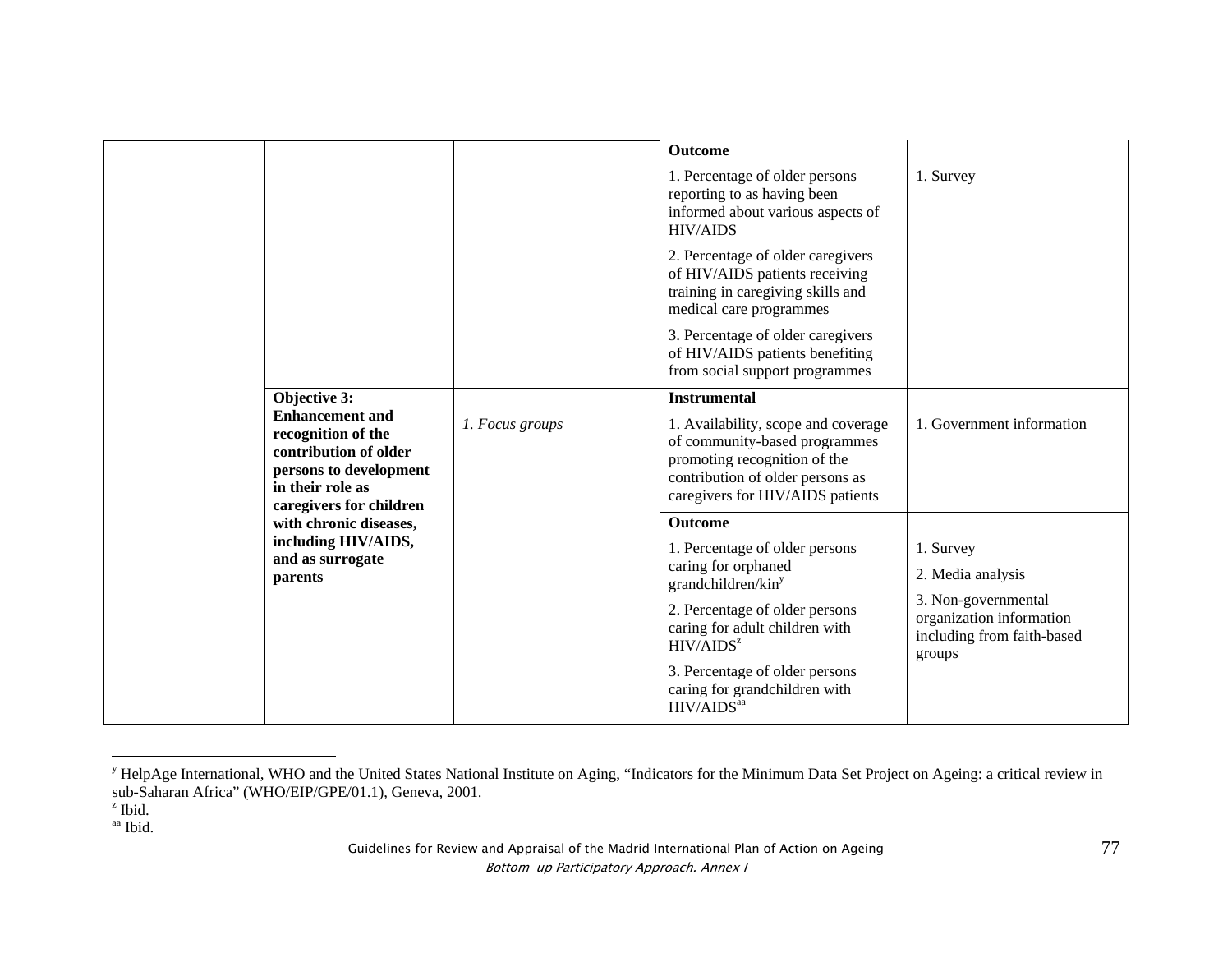|                                                                                                                                                                                                                                |                 | <b>Outcome</b>                                                                                                                                                               |                                                                                         |
|--------------------------------------------------------------------------------------------------------------------------------------------------------------------------------------------------------------------------------|-----------------|------------------------------------------------------------------------------------------------------------------------------------------------------------------------------|-----------------------------------------------------------------------------------------|
|                                                                                                                                                                                                                                |                 | 1. Percentage of older persons<br>reporting to as having been<br>informed about various aspects of<br><b>HIV/AIDS</b>                                                        | 1. Survey                                                                               |
|                                                                                                                                                                                                                                |                 | 2. Percentage of older caregivers<br>of HIV/AIDS patients receiving<br>training in caregiving skills and<br>medical care programmes                                          |                                                                                         |
|                                                                                                                                                                                                                                |                 | 3. Percentage of older caregivers<br>of HIV/AIDS patients benefiting<br>from social support programmes                                                                       |                                                                                         |
| Objective 3:                                                                                                                                                                                                                   |                 | <b>Instrumental</b>                                                                                                                                                          |                                                                                         |
| <b>Enhancement and</b><br>recognition of the<br>contribution of older<br>persons to development<br>in their role as<br>caregivers for children<br>with chronic diseases,<br>including HIV/AIDS,<br>and as surrogate<br>parents | 1. Focus groups | 1. Availability, scope and coverage<br>of community-based programmes<br>promoting recognition of the<br>contribution of older persons as<br>caregivers for HIV/AIDS patients | 1. Government information                                                               |
|                                                                                                                                                                                                                                |                 | <b>Outcome</b>                                                                                                                                                               |                                                                                         |
|                                                                                                                                                                                                                                |                 | 1. Percentage of older persons<br>caring for orphaned<br>grandchildren/kin <sup>y</sup>                                                                                      | 1. Survey<br>2. Media analysis                                                          |
|                                                                                                                                                                                                                                |                 | 2. Percentage of older persons<br>caring for adult children with<br>HIV/AIDS <sup>z</sup>                                                                                    | 3. Non-governmental<br>organization information<br>including from faith-based<br>groups |
|                                                                                                                                                                                                                                |                 | 3. Percentage of older persons<br>caring for grandchildren with<br>HIV/AIDS <sup>aa</sup>                                                                                    |                                                                                         |
|                                                                                                                                                                                                                                |                 |                                                                                                                                                                              |                                                                                         |

<sup>&</sup>lt;sup>y</sup> HelpAge International, WHO and the United States National Institute on Aging, "Indicators for the Minimum Data Set Project on Ageing: a critical review in sub-Saharan Africa" (WHO/EIP/GPE/01.1), Geneva, 2001.<br><sup>z</sup> Ibid.

 $z$  Ibid.

aa Ibid.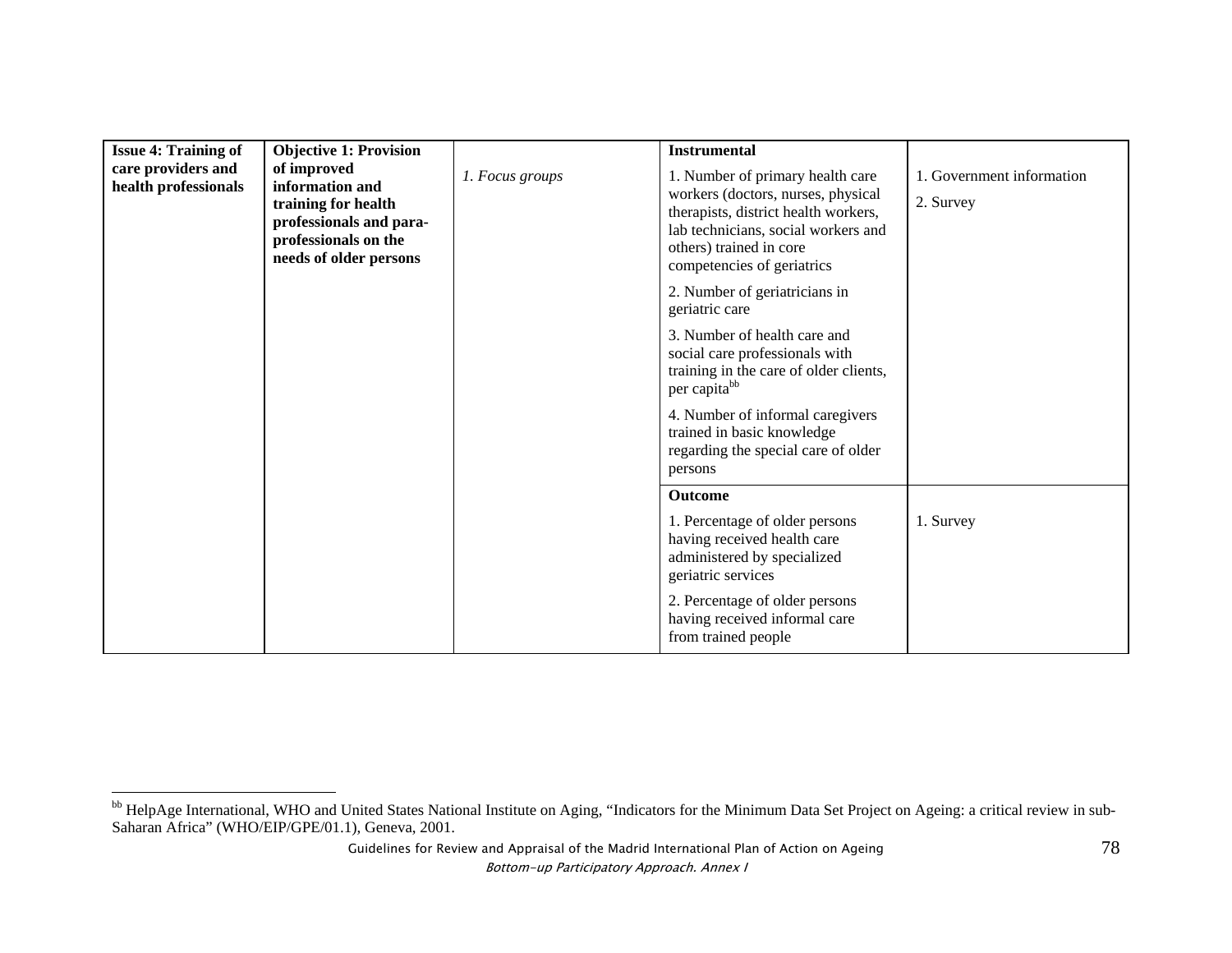| <b>Issue 4: Training of</b>                | <b>Objective 1: Provision</b>                                                                                                      |                 | <b>Instrumental</b>                                                                                                                                                                                            |                                        |
|--------------------------------------------|------------------------------------------------------------------------------------------------------------------------------------|-----------------|----------------------------------------------------------------------------------------------------------------------------------------------------------------------------------------------------------------|----------------------------------------|
| care providers and<br>health professionals | of improved<br>information and<br>training for health<br>professionals and para-<br>professionals on the<br>needs of older persons | 1. Focus groups | 1. Number of primary health care<br>workers (doctors, nurses, physical<br>therapists, district health workers,<br>lab technicians, social workers and<br>others) trained in core<br>competencies of geriatrics | 1. Government information<br>2. Survey |
|                                            |                                                                                                                                    |                 | 2. Number of geriatricians in<br>geriatric care                                                                                                                                                                |                                        |
|                                            |                                                                                                                                    |                 | 3. Number of health care and<br>social care professionals with<br>training in the care of older clients,<br>per capita <sup>bb</sup>                                                                           |                                        |
|                                            |                                                                                                                                    |                 | 4. Number of informal caregivers<br>trained in basic knowledge<br>regarding the special care of older<br>persons                                                                                               |                                        |
|                                            |                                                                                                                                    |                 | <b>Outcome</b>                                                                                                                                                                                                 |                                        |
|                                            |                                                                                                                                    |                 | 1. Percentage of older persons<br>having received health care<br>administered by specialized<br>geriatric services                                                                                             | 1. Survey                              |
|                                            |                                                                                                                                    |                 | 2. Percentage of older persons<br>having received informal care<br>from trained people                                                                                                                         |                                        |

<sup>&</sup>lt;sup>bb</sup> HelpAge International, WHO and United States National Institute on Aging, "Indicators for the Minimum Data Set Project on Ageing: a critical review in sub-Saharan Africa" (WHO/EIP/GPE/01.1), Geneva, 2001.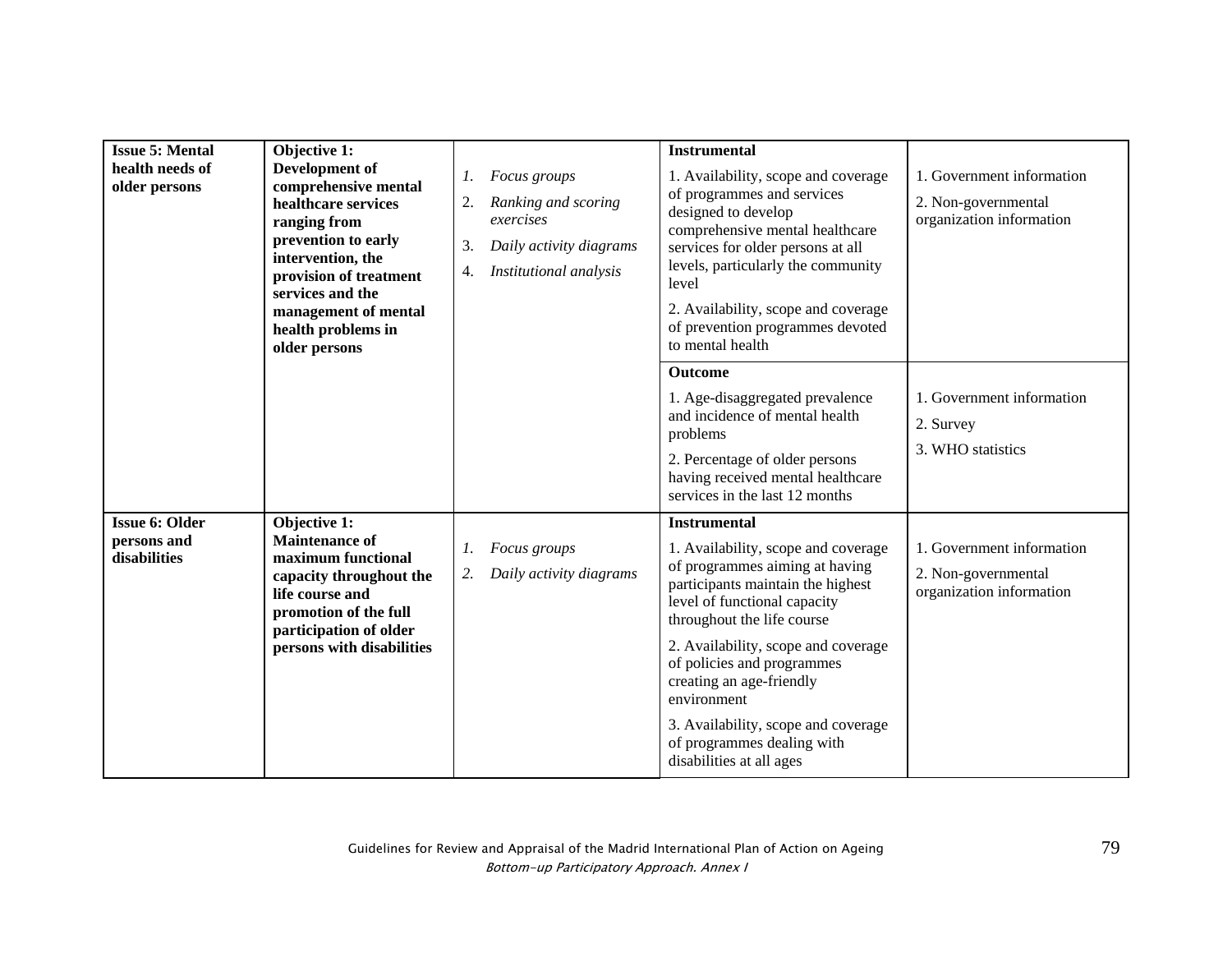| <b>Issue 5: Mental</b><br>health needs of<br>older persons | Objective 1:<br>Development of<br>comprehensive mental<br>healthcare services<br>ranging from<br>prevention to early<br>intervention, the<br>provision of treatment<br>services and the<br>management of mental<br>health problems in<br>older persons | Focus groups<br>1.<br>Ranking and scoring<br>2.<br>exercises<br>3.<br>Daily activity diagrams<br>Institutional analysis<br>4. | <b>Instrumental</b><br>1. Availability, scope and coverage<br>of programmes and services<br>designed to develop<br>comprehensive mental healthcare<br>services for older persons at all<br>levels, particularly the community<br>level<br>2. Availability, scope and coverage<br>of prevention programmes devoted<br>to mental health                                                                            | 1. Government information<br>2. Non-governmental<br>organization information |
|------------------------------------------------------------|--------------------------------------------------------------------------------------------------------------------------------------------------------------------------------------------------------------------------------------------------------|-------------------------------------------------------------------------------------------------------------------------------|------------------------------------------------------------------------------------------------------------------------------------------------------------------------------------------------------------------------------------------------------------------------------------------------------------------------------------------------------------------------------------------------------------------|------------------------------------------------------------------------------|
|                                                            |                                                                                                                                                                                                                                                        |                                                                                                                               | Outcome<br>1. Age-disaggregated prevalence<br>and incidence of mental health<br>problems<br>2. Percentage of older persons<br>having received mental healthcare<br>services in the last 12 months                                                                                                                                                                                                                | 1. Government information<br>2. Survey<br>3. WHO statistics                  |
| <b>Issue 6: Older</b><br>persons and<br>disabilities       | Objective 1:<br><b>Maintenance of</b><br>maximum functional<br>capacity throughout the<br>life course and<br>promotion of the full<br>participation of older<br>persons with disabilities                                                              | Focus groups<br>1.<br>Daily activity diagrams<br>2.                                                                           | <b>Instrumental</b><br>1. Availability, scope and coverage<br>of programmes aiming at having<br>participants maintain the highest<br>level of functional capacity<br>throughout the life course<br>2. Availability, scope and coverage<br>of policies and programmes<br>creating an age-friendly<br>environment<br>3. Availability, scope and coverage<br>of programmes dealing with<br>disabilities at all ages | 1. Government information<br>2. Non-governmental<br>organization information |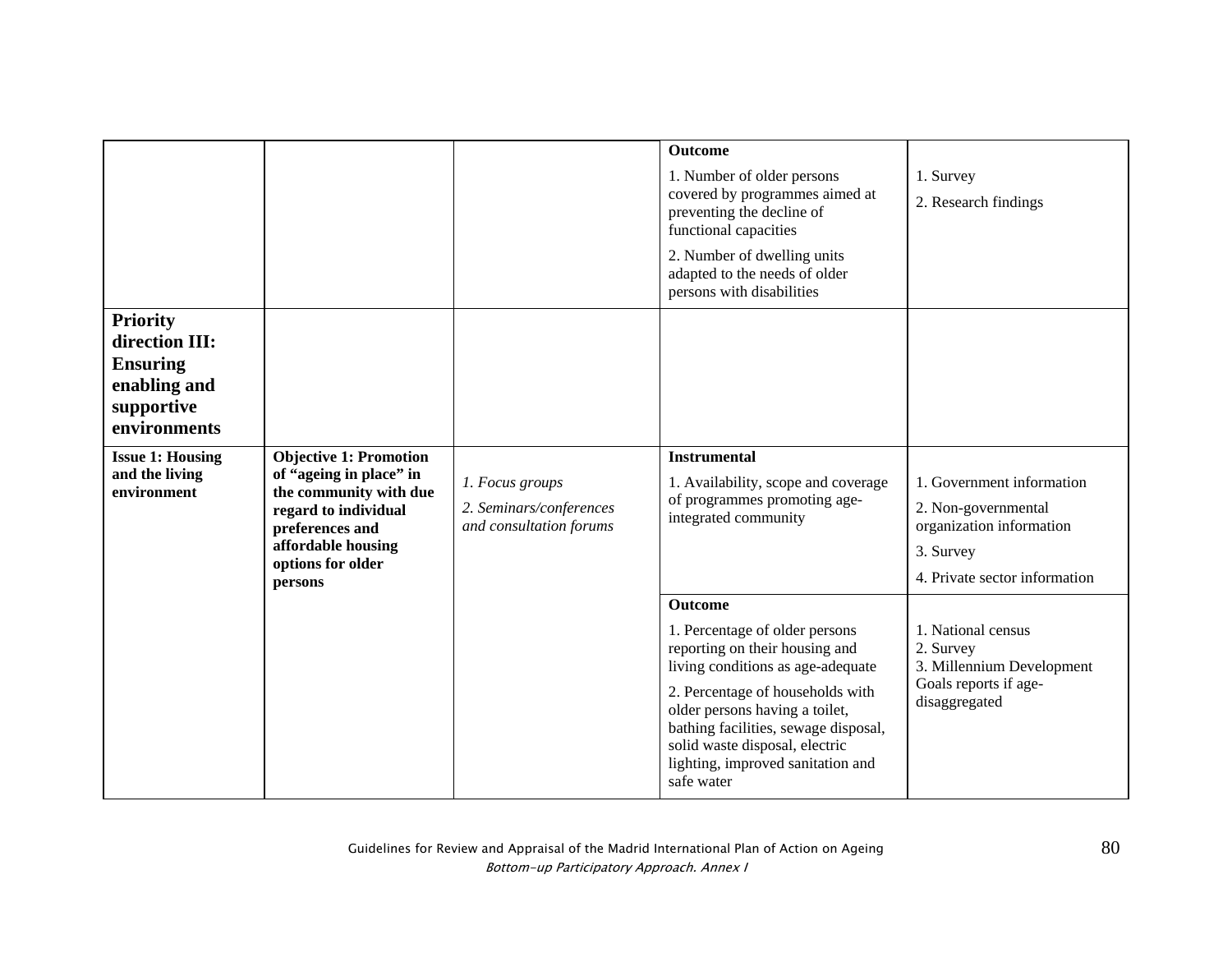|                                                                                                    |                                                                                                                                                                                     |                                                                       | Outcome                                                                                                                                                                                                                                                                                                                    |                                                                                                                            |
|----------------------------------------------------------------------------------------------------|-------------------------------------------------------------------------------------------------------------------------------------------------------------------------------------|-----------------------------------------------------------------------|----------------------------------------------------------------------------------------------------------------------------------------------------------------------------------------------------------------------------------------------------------------------------------------------------------------------------|----------------------------------------------------------------------------------------------------------------------------|
|                                                                                                    |                                                                                                                                                                                     |                                                                       | 1. Number of older persons<br>covered by programmes aimed at<br>preventing the decline of<br>functional capacities                                                                                                                                                                                                         | 1. Survey<br>2. Research findings                                                                                          |
|                                                                                                    |                                                                                                                                                                                     |                                                                       | 2. Number of dwelling units<br>adapted to the needs of older<br>persons with disabilities                                                                                                                                                                                                                                  |                                                                                                                            |
| <b>Priority</b><br>direction III:<br><b>Ensuring</b><br>enabling and<br>supportive<br>environments |                                                                                                                                                                                     |                                                                       |                                                                                                                                                                                                                                                                                                                            |                                                                                                                            |
| <b>Issue 1: Housing</b><br>and the living<br>environment                                           | <b>Objective 1: Promotion</b><br>of "ageing in place" in<br>the community with due<br>regard to individual<br>preferences and<br>affordable housing<br>options for older<br>persons | 1. Focus groups<br>2. Seminars/conferences<br>and consultation forums | <b>Instrumental</b><br>1. Availability, scope and coverage<br>of programmes promoting age-<br>integrated community                                                                                                                                                                                                         | 1. Government information<br>2. Non-governmental<br>organization information<br>3. Survey<br>4. Private sector information |
|                                                                                                    |                                                                                                                                                                                     |                                                                       | <b>Outcome</b><br>1. Percentage of older persons<br>reporting on their housing and<br>living conditions as age-adequate<br>2. Percentage of households with<br>older persons having a toilet,<br>bathing facilities, sewage disposal,<br>solid waste disposal, electric<br>lighting, improved sanitation and<br>safe water | 1. National census<br>2. Survey<br>3. Millennium Development<br>Goals reports if age-<br>disaggregated                     |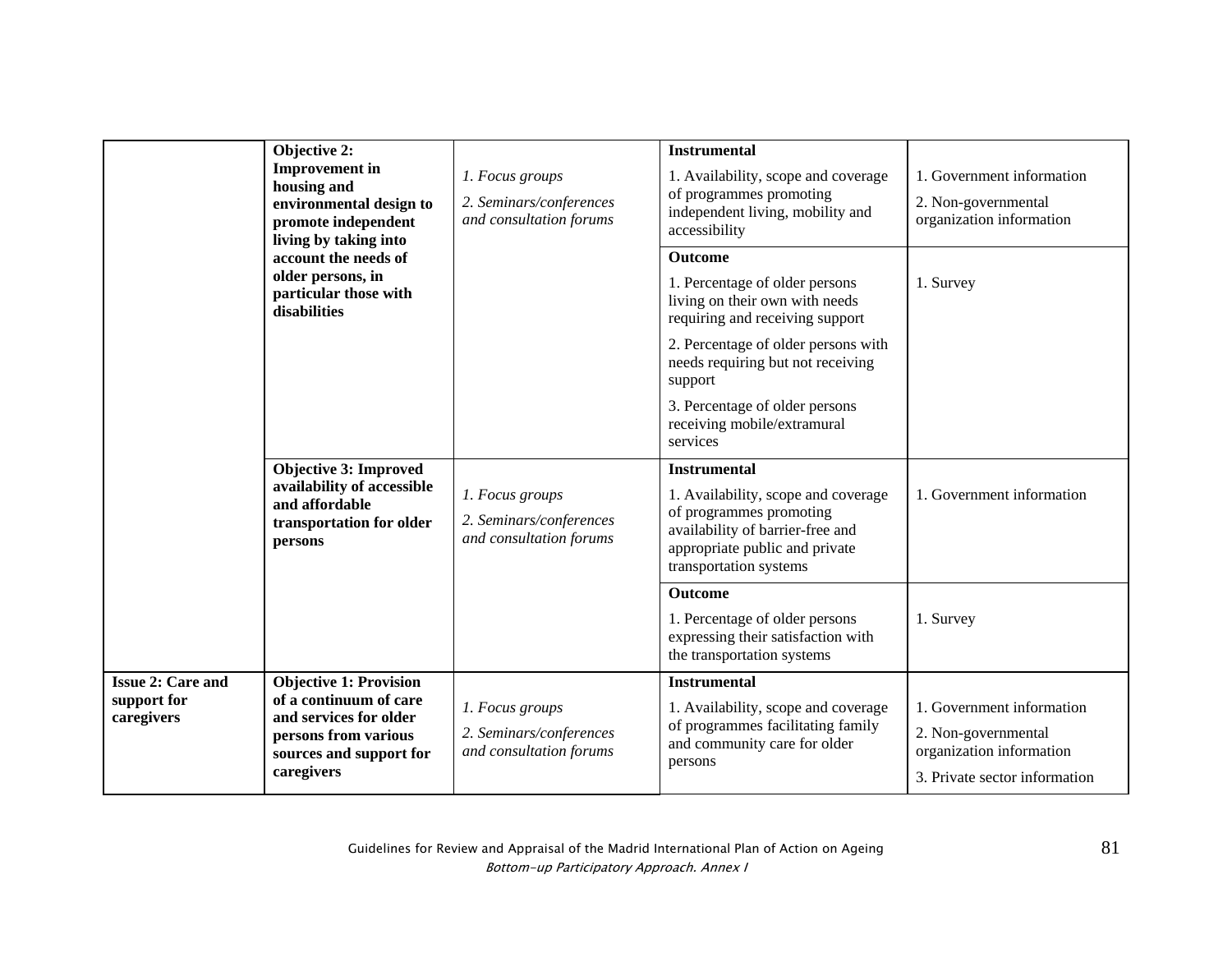| <b>Objective 2:</b><br><b>Improvement</b> in<br>housing and<br>environmental design to<br>promote independent<br>living by taking into<br>account the needs of<br>older persons, in<br>particular those with<br>disabilities | 1. Focus groups<br>2. Seminars/conferences<br>and consultation forums                                                                              | <b>Instrumental</b><br>1. Availability, scope and coverage<br>of programmes promoting<br>independent living, mobility and<br>accessibility | 1. Government information<br>2. Non-governmental<br>organization information                                                                                                          |                                                                                                               |
|------------------------------------------------------------------------------------------------------------------------------------------------------------------------------------------------------------------------------|----------------------------------------------------------------------------------------------------------------------------------------------------|--------------------------------------------------------------------------------------------------------------------------------------------|---------------------------------------------------------------------------------------------------------------------------------------------------------------------------------------|---------------------------------------------------------------------------------------------------------------|
|                                                                                                                                                                                                                              |                                                                                                                                                    | <b>Outcome</b><br>1. Percentage of older persons<br>living on their own with needs<br>requiring and receiving support                      | 1. Survey                                                                                                                                                                             |                                                                                                               |
|                                                                                                                                                                                                                              |                                                                                                                                                    |                                                                                                                                            | 2. Percentage of older persons with<br>needs requiring but not receiving<br>support                                                                                                   |                                                                                                               |
|                                                                                                                                                                                                                              |                                                                                                                                                    |                                                                                                                                            | 3. Percentage of older persons<br>receiving mobile/extramural<br>services                                                                                                             |                                                                                                               |
|                                                                                                                                                                                                                              | <b>Objective 3: Improved</b><br>availability of accessible<br>and affordable<br>transportation for older<br>persons                                | 1. Focus groups<br>2. Seminars/conferences<br>and consultation forums                                                                      | <b>Instrumental</b><br>1. Availability, scope and coverage<br>of programmes promoting<br>availability of barrier-free and<br>appropriate public and private<br>transportation systems | 1. Government information                                                                                     |
|                                                                                                                                                                                                                              |                                                                                                                                                    |                                                                                                                                            | Outcome<br>1. Percentage of older persons<br>expressing their satisfaction with<br>the transportation systems                                                                         | 1. Survey                                                                                                     |
| <b>Issue 2: Care and</b><br>support for<br>caregivers                                                                                                                                                                        | <b>Objective 1: Provision</b><br>of a continuum of care<br>and services for older<br>persons from various<br>sources and support for<br>caregivers | 1. Focus groups<br>2. Seminars/conferences<br>and consultation forums                                                                      | <b>Instrumental</b><br>1. Availability, scope and coverage<br>of programmes facilitating family<br>and community care for older<br>persons                                            | 1. Government information<br>2. Non-governmental<br>organization information<br>3. Private sector information |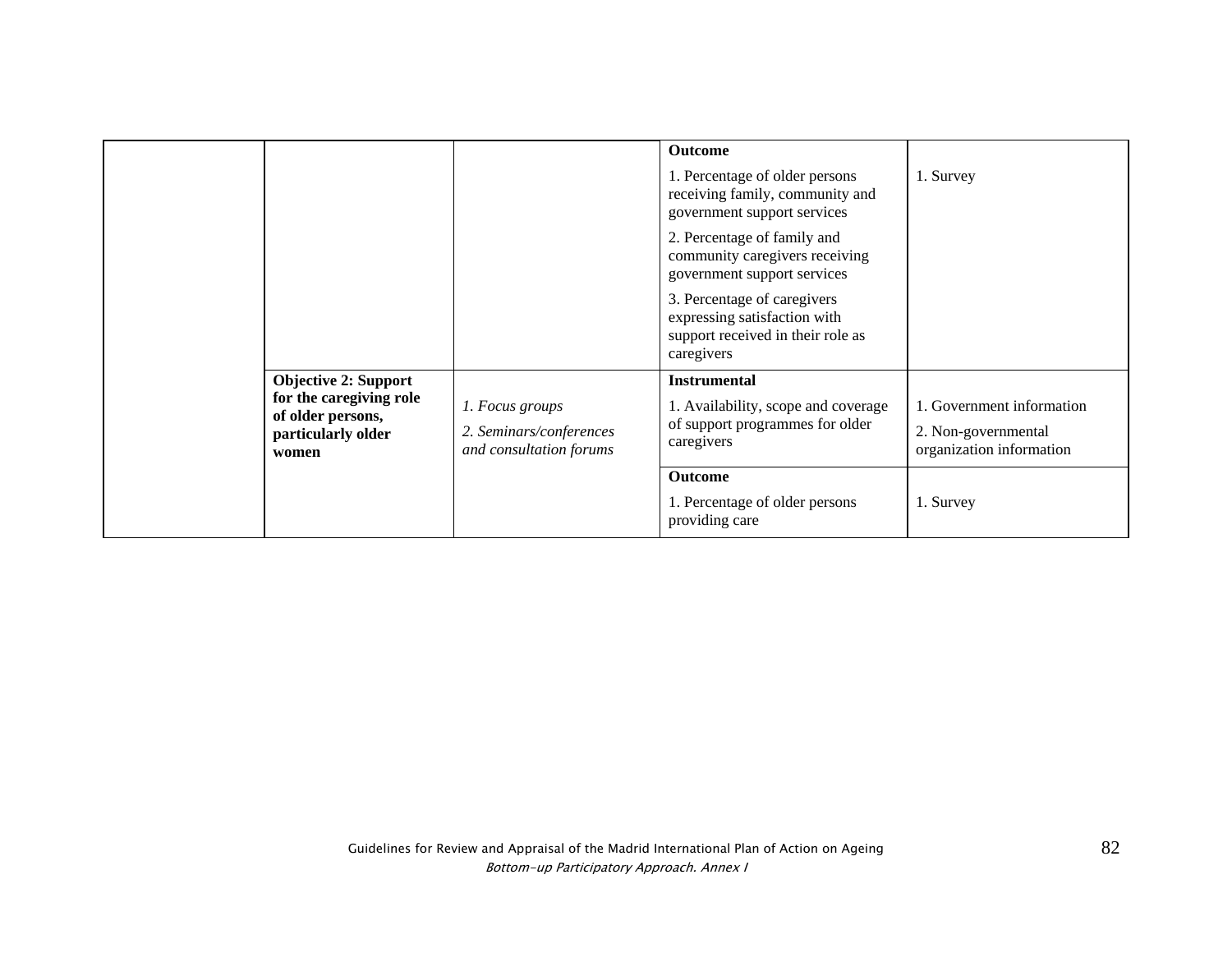|                                                                                                            |                                                                       | <b>Outcome</b><br>1. Percentage of older persons<br>receiving family, community and<br>government support services | 1. Survey                                                                    |
|------------------------------------------------------------------------------------------------------------|-----------------------------------------------------------------------|--------------------------------------------------------------------------------------------------------------------|------------------------------------------------------------------------------|
|                                                                                                            |                                                                       | 2. Percentage of family and<br>community caregivers receiving<br>government support services                       |                                                                              |
|                                                                                                            |                                                                       | 3. Percentage of caregivers<br>expressing satisfaction with<br>support received in their role as<br>caregivers     |                                                                              |
| <b>Objective 2: Support</b><br>for the caregiving role<br>of older persons,<br>particularly older<br>women | 1. Focus groups<br>2. Seminars/conferences<br>and consultation forums | <b>Instrumental</b><br>1. Availability, scope and coverage<br>of support programmes for older<br>caregivers        | 1. Government information<br>2. Non-governmental<br>organization information |
|                                                                                                            |                                                                       | <b>Outcome</b><br>1. Percentage of older persons<br>providing care                                                 | 1. Survey                                                                    |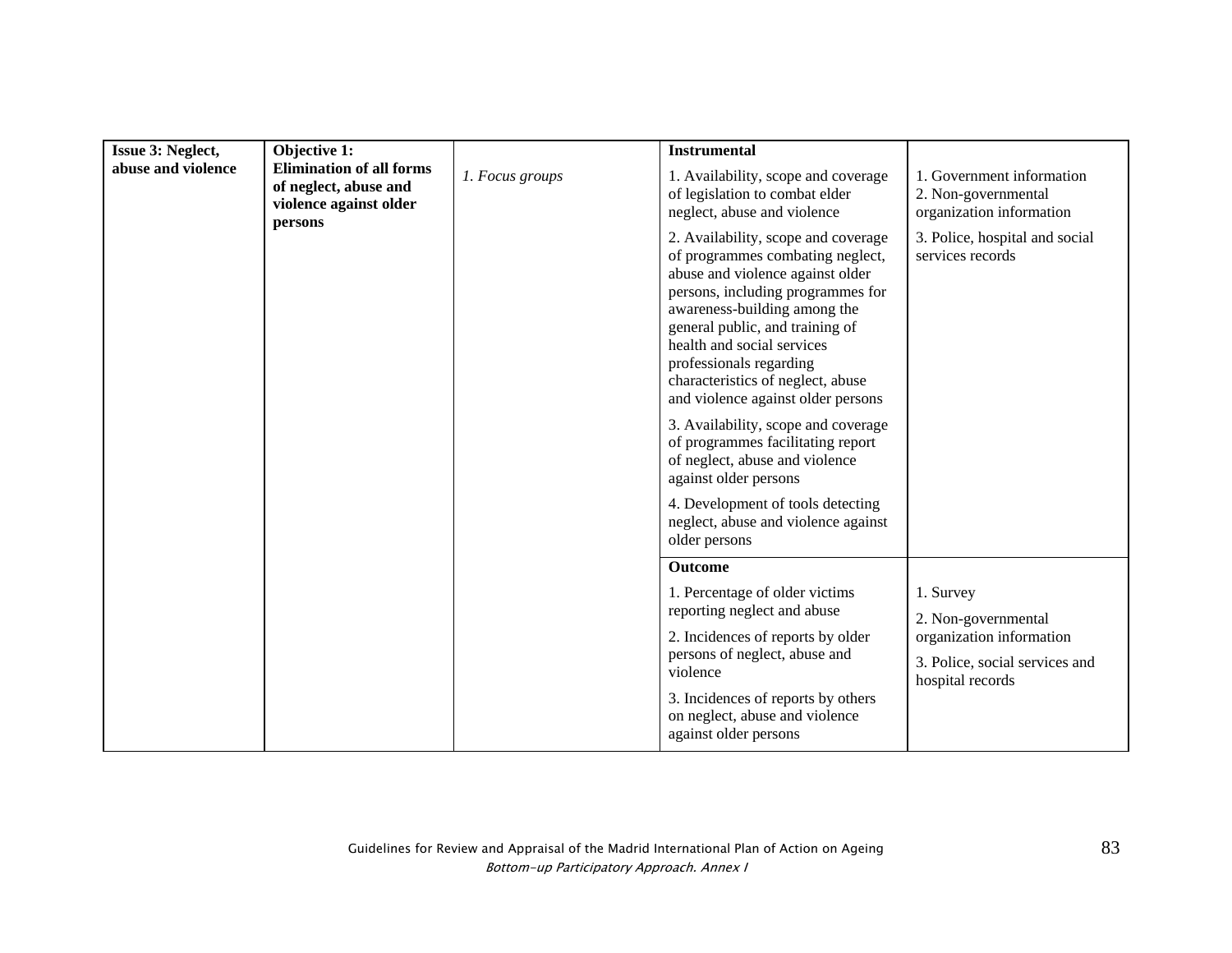| <b>Issue 3: Neglect,</b> | Objective 1:                                                                                  |                 | <b>Instrumental</b>                                                                                                                                                                                                                                                                                                                                                                                                                                                                            |                                                                                |
|--------------------------|-----------------------------------------------------------------------------------------------|-----------------|------------------------------------------------------------------------------------------------------------------------------------------------------------------------------------------------------------------------------------------------------------------------------------------------------------------------------------------------------------------------------------------------------------------------------------------------------------------------------------------------|--------------------------------------------------------------------------------|
| abuse and violence       | <b>Elimination of all forms</b><br>of neglect, abuse and<br>violence against older<br>persons | 1. Focus groups | 1. Availability, scope and coverage<br>of legislation to combat elder<br>neglect, abuse and violence                                                                                                                                                                                                                                                                                                                                                                                           | 1. Government information<br>2. Non-governmental<br>organization information   |
|                          |                                                                                               |                 | 2. Availability, scope and coverage<br>of programmes combating neglect,<br>abuse and violence against older<br>persons, including programmes for<br>awareness-building among the<br>general public, and training of<br>health and social services<br>professionals regarding<br>characteristics of neglect, abuse<br>and violence against older persons<br>3. Availability, scope and coverage<br>of programmes facilitating report<br>of neglect, abuse and violence<br>against older persons | 3. Police, hospital and social<br>services records                             |
|                          |                                                                                               |                 | 4. Development of tools detecting<br>neglect, abuse and violence against<br>older persons                                                                                                                                                                                                                                                                                                                                                                                                      |                                                                                |
|                          |                                                                                               |                 | <b>Outcome</b>                                                                                                                                                                                                                                                                                                                                                                                                                                                                                 |                                                                                |
|                          |                                                                                               |                 | 1. Percentage of older victims<br>reporting neglect and abuse                                                                                                                                                                                                                                                                                                                                                                                                                                  | 1. Survey<br>2. Non-governmental                                               |
|                          |                                                                                               |                 | 2. Incidences of reports by older<br>persons of neglect, abuse and<br>violence                                                                                                                                                                                                                                                                                                                                                                                                                 | organization information<br>3. Police, social services and<br>hospital records |
|                          |                                                                                               |                 | 3. Incidences of reports by others<br>on neglect, abuse and violence<br>against older persons                                                                                                                                                                                                                                                                                                                                                                                                  |                                                                                |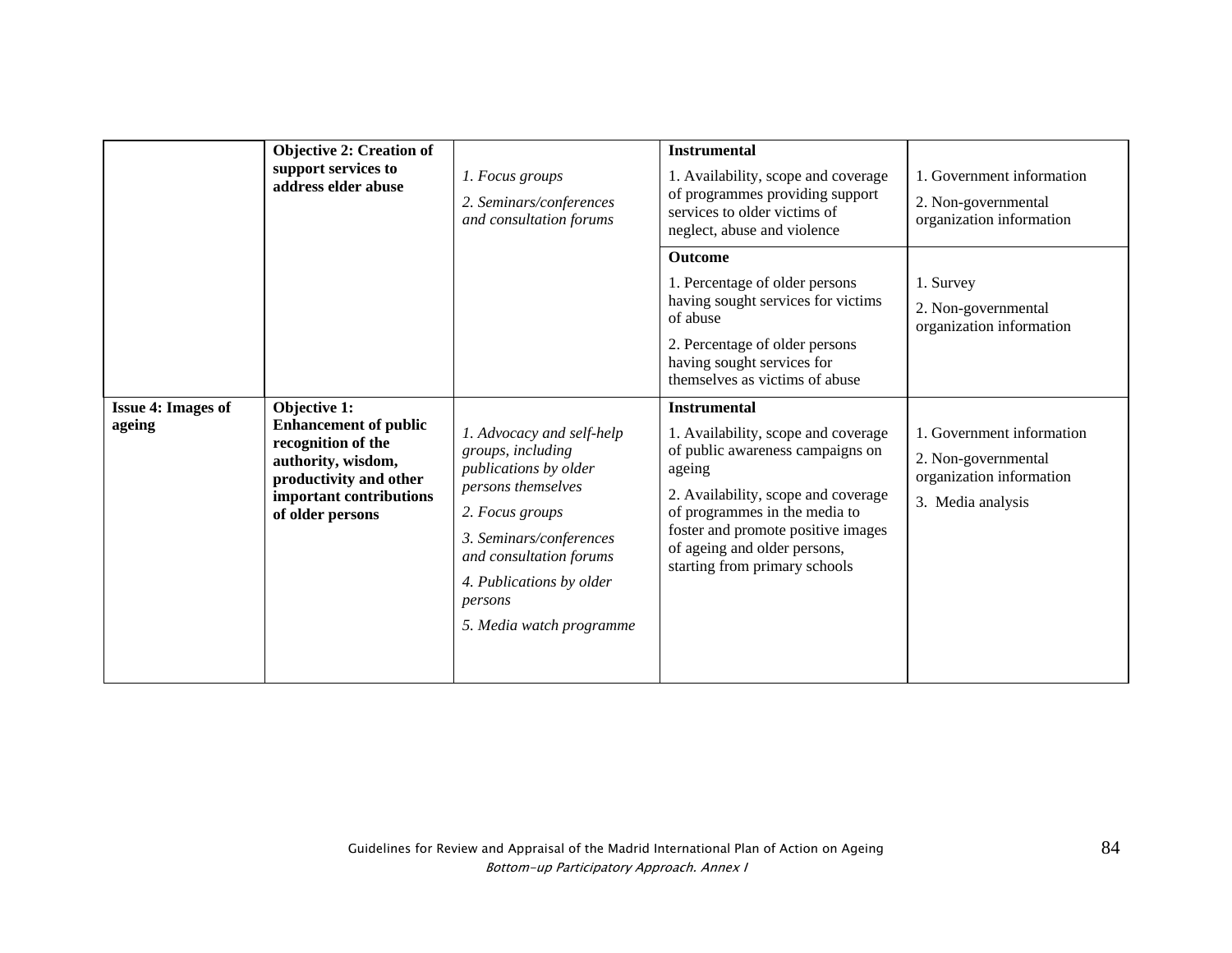|                                     | <b>Objective 2: Creation of</b><br>support services to<br>address elder abuse                                                                                     | 1. Focus groups<br>2. Seminars/conferences<br>and consultation forums                                                                                                                                                                     | <b>Instrumental</b><br>1. Availability, scope and coverage<br>of programmes providing support<br>services to older victims of<br>neglect, abuse and violence<br><b>Outcome</b><br>1. Percentage of older persons<br>having sought services for victims<br>of abuse<br>2. Percentage of older persons<br>having sought services for<br>themselves as victims of abuse | 1. Government information<br>2. Non-governmental<br>organization information<br>1. Survey<br>2. Non-governmental<br>organization information |
|-------------------------------------|-------------------------------------------------------------------------------------------------------------------------------------------------------------------|-------------------------------------------------------------------------------------------------------------------------------------------------------------------------------------------------------------------------------------------|----------------------------------------------------------------------------------------------------------------------------------------------------------------------------------------------------------------------------------------------------------------------------------------------------------------------------------------------------------------------|----------------------------------------------------------------------------------------------------------------------------------------------|
| <b>Issue 4: Images of</b><br>ageing | Objective 1:<br><b>Enhancement of public</b><br>recognition of the<br>authority, wisdom,<br>productivity and other<br>important contributions<br>of older persons | 1. Advocacy and self-help<br>groups, including<br>publications by older<br>persons themselves<br>2. Focus groups<br>3. Seminars/conferences<br>and consultation forums<br>4. Publications by older<br>persons<br>5. Media watch programme | <b>Instrumental</b><br>1. Availability, scope and coverage<br>of public awareness campaigns on<br>ageing<br>2. Availability, scope and coverage<br>of programmes in the media to<br>foster and promote positive images<br>of ageing and older persons,<br>starting from primary schools                                                                              | 1. Government information<br>2. Non-governmental<br>organization information<br>3. Media analysis                                            |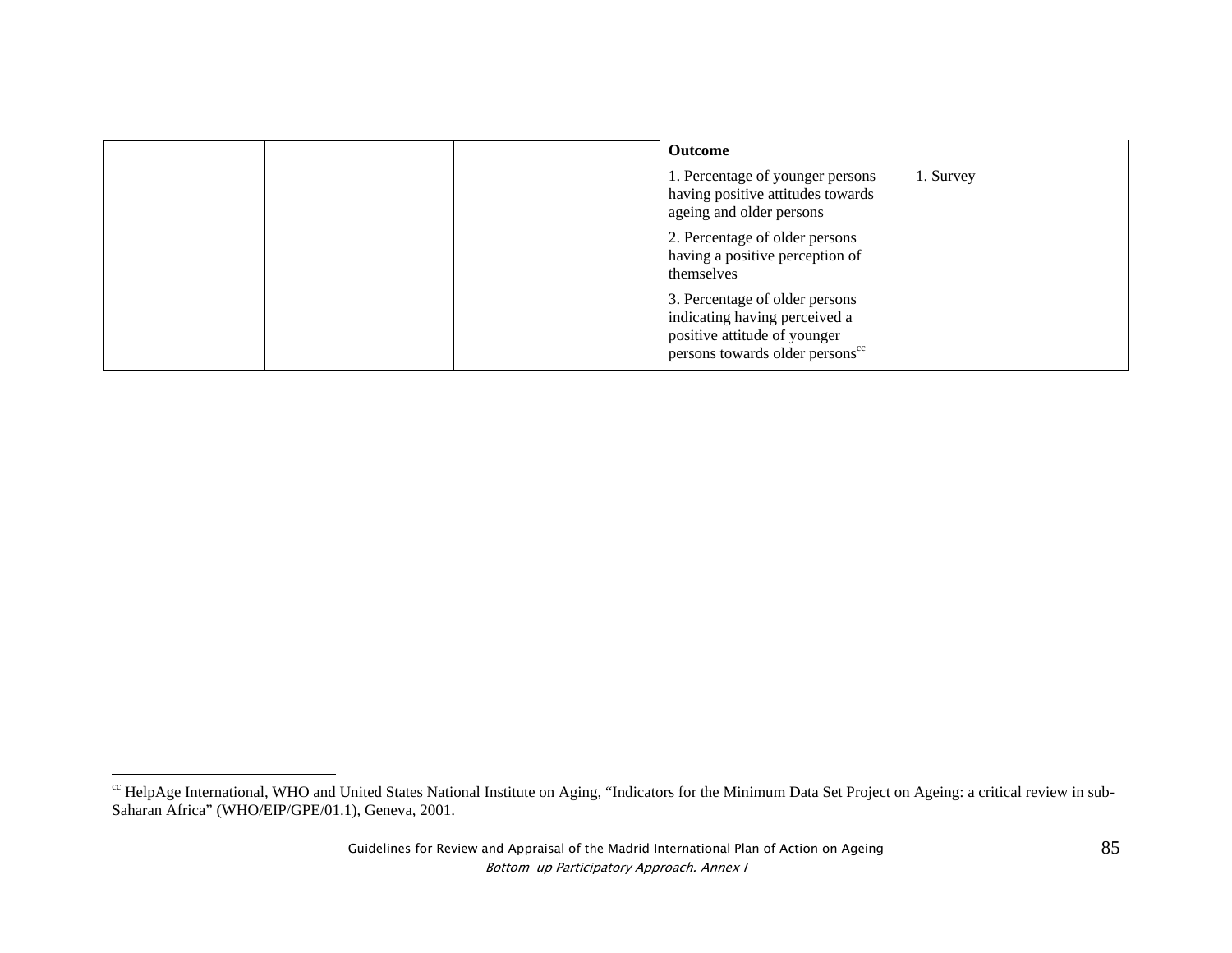|  | Outcome                                                                                                                                        |           |
|--|------------------------------------------------------------------------------------------------------------------------------------------------|-----------|
|  | 1. Percentage of younger persons<br>having positive attitudes towards<br>ageing and older persons                                              | 1. Survey |
|  | 2. Percentage of older persons<br>having a positive perception of<br>themselves                                                                |           |
|  | 3. Percentage of older persons<br>indicating having perceived a<br>positive attitude of younger<br>persons towards older persons <sup>cc</sup> |           |

<sup>&</sup>lt;sup>cc</sup> HelpAge International, WHO and United States National Institute on Aging, "Indicators for the Minimum Data Set Project on Ageing: a critical review in sub-Saharan Africa" (WHO/EIP/GPE/01.1), Geneva, 2001.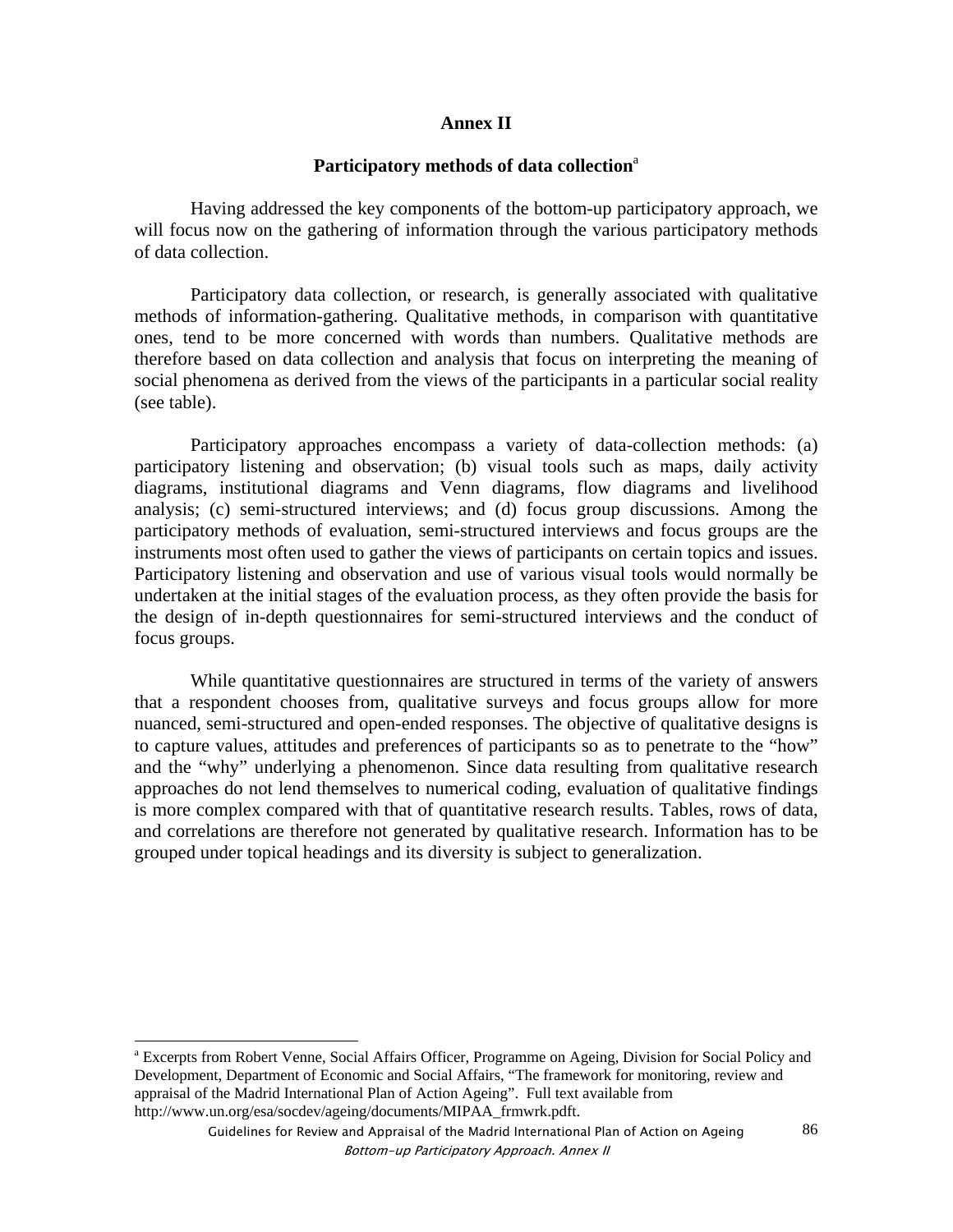### **Annex II**

### Participatory methods of data collection<sup>a</sup>

Having addressed the key components of the bottom-up participatory approach, we will focus now on the gathering of information through the various participatory methods of data collection.

Participatory data collection, or research, is generally associated with qualitative methods of information-gathering. Qualitative methods, in comparison with quantitative ones, tend to be more concerned with words than numbers. Qualitative methods are therefore based on data collection and analysis that focus on interpreting the meaning of social phenomena as derived from the views of the participants in a particular social reality (see table).

Participatory approaches encompass a variety of data-collection methods: (a) participatory listening and observation; (b) visual tools such as maps, daily activity diagrams, institutional diagrams and Venn diagrams, flow diagrams and livelihood analysis; (c) semi-structured interviews; and (d) focus group discussions. Among the participatory methods of evaluation, semi-structured interviews and focus groups are the instruments most often used to gather the views of participants on certain topics and issues. Participatory listening and observation and use of various visual tools would normally be undertaken at the initial stages of the evaluation process, as they often provide the basis for the design of in-depth questionnaires for semi-structured interviews and the conduct of focus groups.

While quantitative questionnaires are structured in terms of the variety of answers that a respondent chooses from, qualitative surveys and focus groups allow for more nuanced, semi-structured and open-ended responses. The objective of qualitative designs is to capture values, attitudes and preferences of participants so as to penetrate to the "how" and the "why" underlying a phenomenon. Since data resulting from qualitative research approaches do not lend themselves to numerical coding, evaluation of qualitative findings is more complex compared with that of quantitative research results. Tables, rows of data, and correlations are therefore not generated by qualitative research. Information has to be grouped under topical headings and its diversity is subject to generalization.

<sup>&</sup>lt;sup>a</sup> Excerpts from Robert Venne, Social Affairs Officer, Programme on Ageing, Division for Social Policy and Development, Department of Economic and Social Affairs, "The framework for monitoring, review and appraisal of the Madrid International Plan of Action Ageing". Full text available from http://www.un.org/esa/socdev/ageing/documents/MIPAA\_frmwrk.pdft.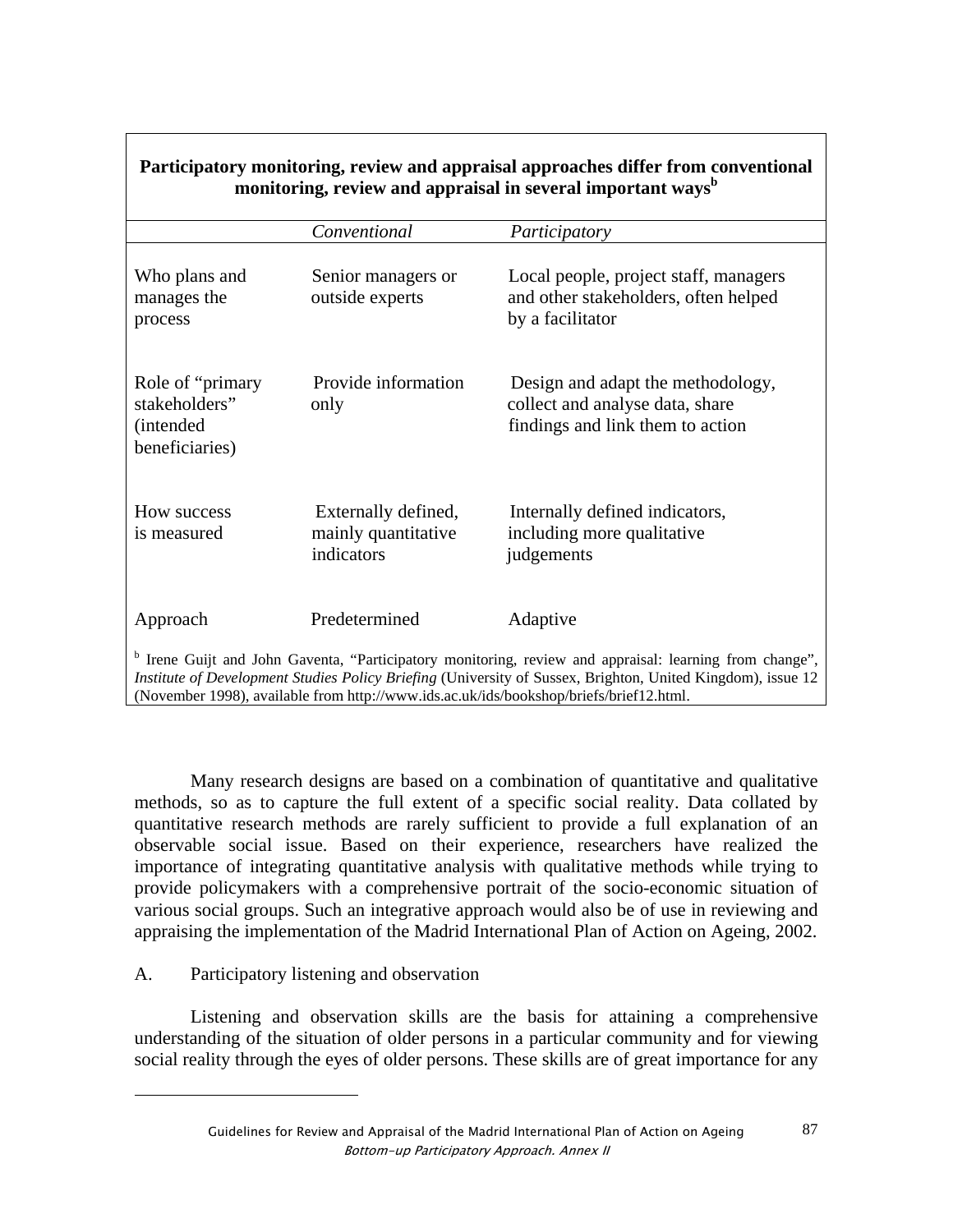| monitoring, review and appraisal in several important ways <sup>b</sup> |                                                                                        |                                                                                                                                                                                                                                   |  |  |
|-------------------------------------------------------------------------|----------------------------------------------------------------------------------------|-----------------------------------------------------------------------------------------------------------------------------------------------------------------------------------------------------------------------------------|--|--|
|                                                                         | Conventional                                                                           | Participatory                                                                                                                                                                                                                     |  |  |
| Who plans and<br>manages the<br>process                                 | Senior managers or<br>outside experts                                                  | Local people, project staff, managers<br>and other stakeholders, often helped<br>by a facilitator                                                                                                                                 |  |  |
| Role of "primary"<br>stakeholders"<br>(intended<br>beneficiaries)       | Provide information<br>only                                                            | Design and adapt the methodology,<br>collect and analyse data, share<br>findings and link them to action                                                                                                                          |  |  |
| How success<br>is measured                                              | Externally defined,<br>mainly quantitative<br>indicators                               | Internally defined indicators,<br>including more qualitative<br>judgements                                                                                                                                                        |  |  |
| Approach                                                                | Predetermined                                                                          | Adaptive                                                                                                                                                                                                                          |  |  |
|                                                                         | (November 1998), available from http://www.ids.ac.uk/ids/bookshop/briefs/brief12.html. | <sup>b</sup> Irene Guijt and John Gaventa, "Participatory monitoring, review and appraisal: learning from change",<br>Institute of Development Studies Policy Briefing (University of Sussex, Brighton, United Kingdom), issue 12 |  |  |

**Participatory monitoring, review and appraisal approaches differ from conventional** 

Many research designs are based on a combination of quantitative and qualitative methods, so as to capture the full extent of a specific social reality. Data collated by quantitative research methods are rarely sufficient to provide a full explanation of an observable social issue. Based on their experience, researchers have realized the importance of integrating quantitative analysis with qualitative methods while trying to provide policymakers with a comprehensive portrait of the socio-economic situation of various social groups. Such an integrative approach would also be of use in reviewing and appraising the implementation of the Madrid International Plan of Action on Ageing, 2002.

# A. Participatory listening and observation

l

Listening and observation skills are the basis for attaining a comprehensive understanding of the situation of older persons in a particular community and for viewing social reality through the eyes of older persons. These skills are of great importance for any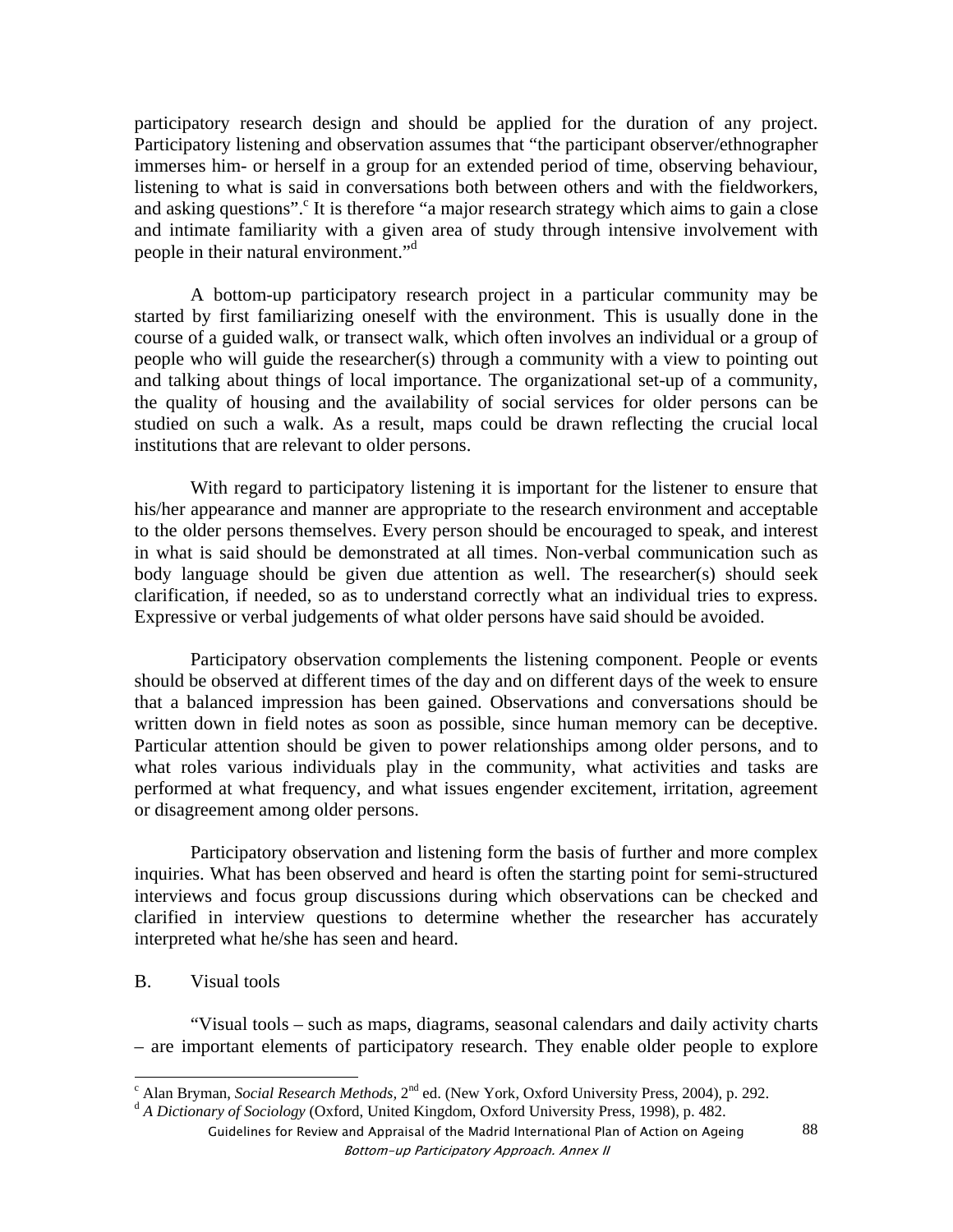participatory research design and should be applied for the duration of any project. Participatory listening and observation assumes that "the participant observer/ethnographer immerses him- or herself in a group for an extended period of time, observing behaviour, listening to what is said in conversations both between others and with the fieldworkers, and asking questions".<sup>c</sup> It is therefore "a major research strategy which aims to gain a close and intimate familiarity with a given area of study through intensive involvement with people in their natural environment."d

A bottom-up participatory research project in a particular community may be started by first familiarizing oneself with the environment. This is usually done in the course of a guided walk, or transect walk, which often involves an individual or a group of people who will guide the researcher(s) through a community with a view to pointing out and talking about things of local importance. The organizational set-up of a community, the quality of housing and the availability of social services for older persons can be studied on such a walk. As a result, maps could be drawn reflecting the crucial local institutions that are relevant to older persons.

With regard to participatory listening it is important for the listener to ensure that his/her appearance and manner are appropriate to the research environment and acceptable to the older persons themselves. Every person should be encouraged to speak, and interest in what is said should be demonstrated at all times. Non-verbal communication such as body language should be given due attention as well. The researcher(s) should seek clarification, if needed, so as to understand correctly what an individual tries to express. Expressive or verbal judgements of what older persons have said should be avoided.

Participatory observation complements the listening component. People or events should be observed at different times of the day and on different days of the week to ensure that a balanced impression has been gained. Observations and conversations should be written down in field notes as soon as possible, since human memory can be deceptive. Particular attention should be given to power relationships among older persons, and to what roles various individuals play in the community, what activities and tasks are performed at what frequency, and what issues engender excitement, irritation, agreement or disagreement among older persons.

Participatory observation and listening form the basis of further and more complex inquiries. What has been observed and heard is often the starting point for semi-structured interviews and focus group discussions during which observations can be checked and clarified in interview questions to determine whether the researcher has accurately interpreted what he/she has seen and heard.

B. Visual tools

"Visual tools – such as maps, diagrams, seasonal calendars and daily activity charts – are important elements of participatory research. They enable older people to explore

<sup>&</sup>lt;sup>c</sup> Alan Bryman, *Social Research Methods*, 2<sup>nd</sup> ed. (New York, Oxford University Press, 2004), p. 292.<br><sup>d</sup> A *Dictionary of Sociology* (Oxford, United Kingdom, Oxford University Press, 1998), p. 482.

Guidelines for Review and Appraisal of the Madrid International Plan of Action on Ageing Bottom-up Participatory Approach. Annex II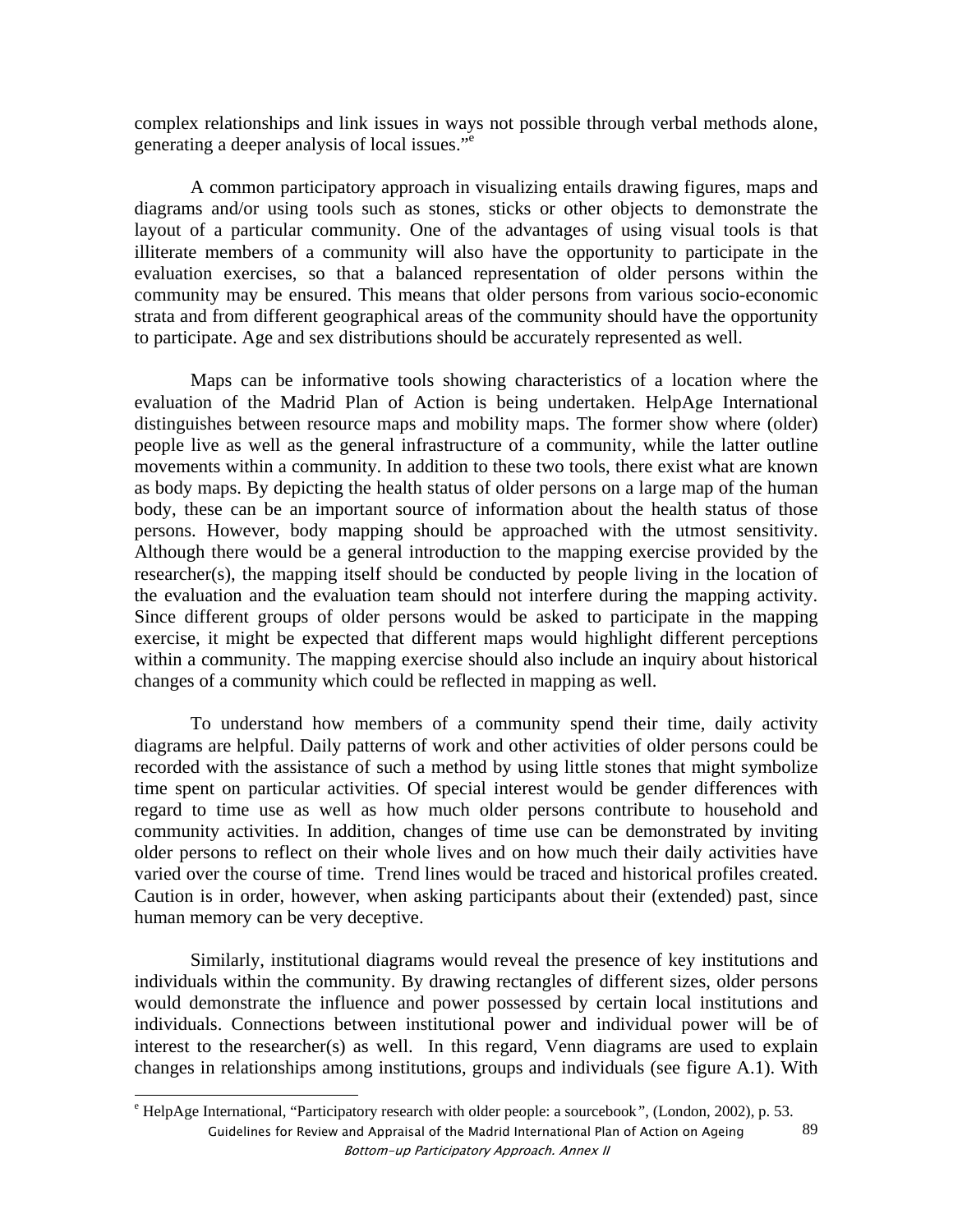complex relationships and link issues in ways not possible through verbal methods alone, generating a deeper analysis of local issues."e

A common participatory approach in visualizing entails drawing figures, maps and diagrams and/or using tools such as stones, sticks or other objects to demonstrate the layout of a particular community. One of the advantages of using visual tools is that illiterate members of a community will also have the opportunity to participate in the evaluation exercises, so that a balanced representation of older persons within the community may be ensured. This means that older persons from various socio-economic strata and from different geographical areas of the community should have the opportunity to participate. Age and sex distributions should be accurately represented as well.

Maps can be informative tools showing characteristics of a location where the evaluation of the Madrid Plan of Action is being undertaken. HelpAge International distinguishes between resource maps and mobility maps. The former show where (older) people live as well as the general infrastructure of a community, while the latter outline movements within a community. In addition to these two tools, there exist what are known as body maps. By depicting the health status of older persons on a large map of the human body, these can be an important source of information about the health status of those persons. However, body mapping should be approached with the utmost sensitivity. Although there would be a general introduction to the mapping exercise provided by the researcher(s), the mapping itself should be conducted by people living in the location of the evaluation and the evaluation team should not interfere during the mapping activity. Since different groups of older persons would be asked to participate in the mapping exercise, it might be expected that different maps would highlight different perceptions within a community. The mapping exercise should also include an inquiry about historical changes of a community which could be reflected in mapping as well.

To understand how members of a community spend their time, daily activity diagrams are helpful. Daily patterns of work and other activities of older persons could be recorded with the assistance of such a method by using little stones that might symbolize time spent on particular activities. Of special interest would be gender differences with regard to time use as well as how much older persons contribute to household and community activities. In addition, changes of time use can be demonstrated by inviting older persons to reflect on their whole lives and on how much their daily activities have varied over the course of time. Trend lines would be traced and historical profiles created. Caution is in order, however, when asking participants about their (extended) past, since human memory can be very deceptive.

Similarly, institutional diagrams would reveal the presence of key institutions and individuals within the community. By drawing rectangles of different sizes, older persons would demonstrate the influence and power possessed by certain local institutions and individuals. Connections between institutional power and individual power will be of interest to the researcher(s) as well. In this regard, Venn diagrams are used to explain changes in relationships among institutions, groups and individuals (see figure A.1). With

Guidelines for Review and Appraisal of the Madrid International Plan of Action on Ageing Bottom-up Participatory Approach. Annex II 89 e HelpAge International, "Participatory research with older people: a sourcebook*"*, (London, 2002), p. 53.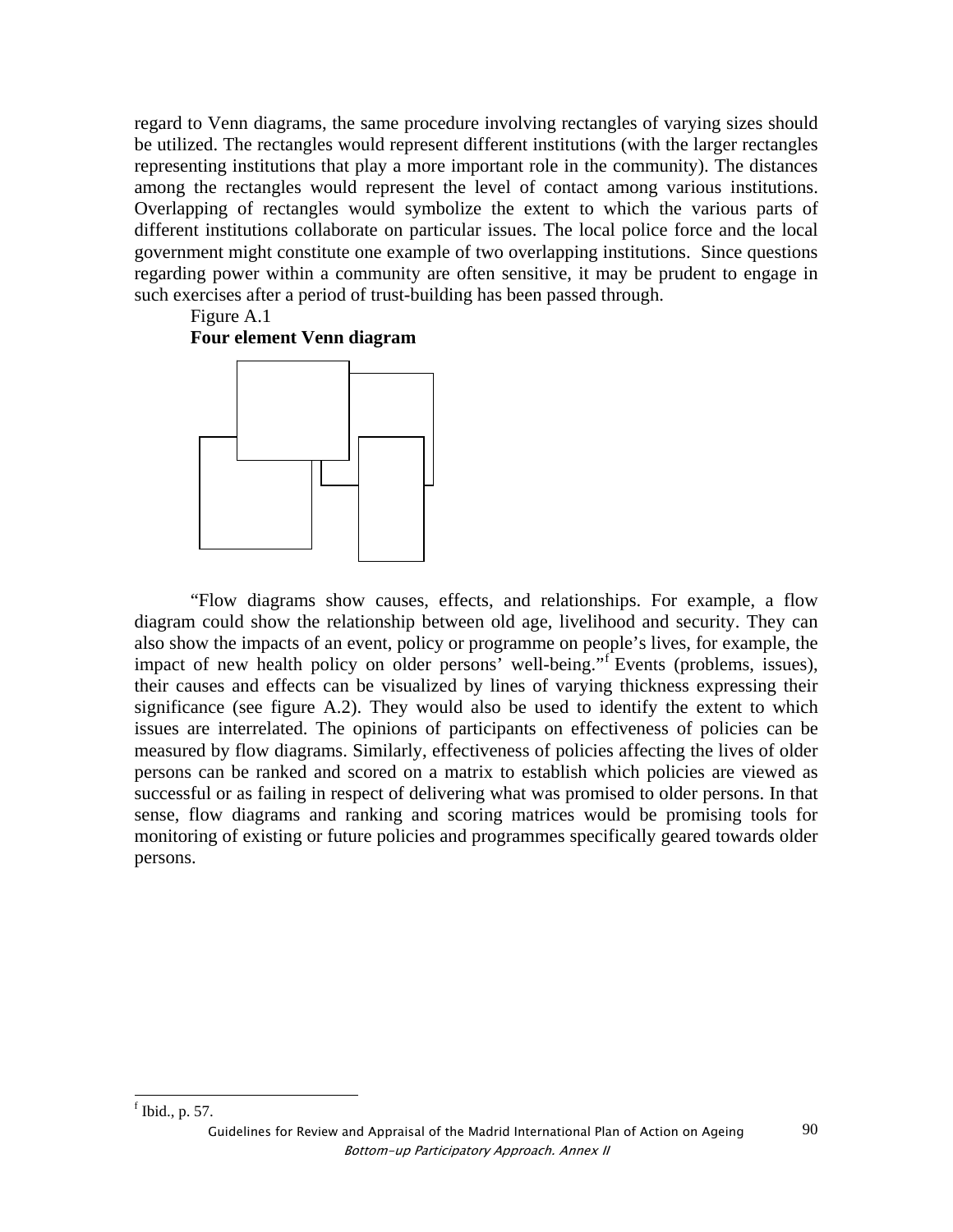regard to Venn diagrams, the same procedure involving rectangles of varying sizes should be utilized. The rectangles would represent different institutions (with the larger rectangles representing institutions that play a more important role in the community). The distances among the rectangles would represent the level of contact among various institutions. Overlapping of rectangles would symbolize the extent to which the various parts of different institutions collaborate on particular issues. The local police force and the local government might constitute one example of two overlapping institutions. Since questions regarding power within a community are often sensitive, it may be prudent to engage in such exercises after a period of trust-building has been passed through.

# Figure A.1 **Four element Venn diagram**

"Flow diagrams show causes, effects, and relationships. For example, a flow diagram could show the relationship between old age, livelihood and security. They can also show the impacts of an event, policy or programme on people's lives, for example, the impact of new health policy on older persons' well-being."<sup>f</sup> Events (problems, issues), their causes and effects can be visualized by lines of varying thickness expressing their significance (see figure A.2). They would also be used to identify the extent to which issues are interrelated. The opinions of participants on effectiveness of policies can be measured by flow diagrams. Similarly, effectiveness of policies affecting the lives of older persons can be ranked and scored on a matrix to establish which policies are viewed as successful or as failing in respect of delivering what was promised to older persons. In that sense, flow diagrams and ranking and scoring matrices would be promising tools for monitoring of existing or future policies and programmes specifically geared towards older persons.

 Guidelines for Review and Appraisal of the Madrid International Plan of Action on Ageing Bottom-up Participatory Approach. Annex II

 $<sup>f</sup>$  Ibid., p. 57.</sup>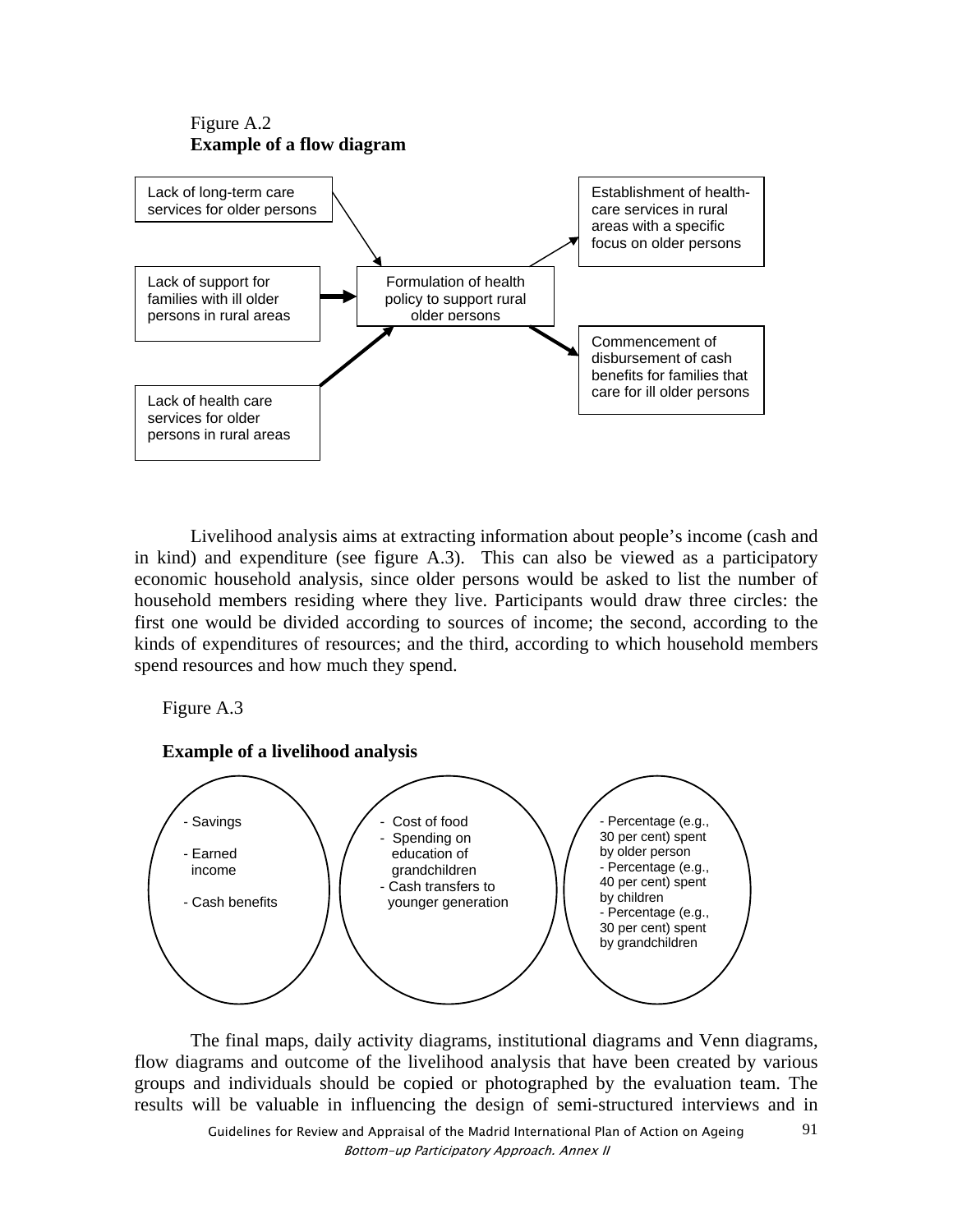



Livelihood analysis aims at extracting information about people's income (cash and in kind) and expenditure (see figure A.3). This can also be viewed as a participatory economic household analysis, since older persons would be asked to list the number of household members residing where they live. Participants would draw three circles: the first one would be divided according to sources of income; the second, according to the kinds of expenditures of resources; and the third, according to which household members spend resources and how much they spend.

Figure A.3



The final maps, daily activity diagrams, institutional diagrams and Venn diagrams, flow diagrams and outcome of the livelihood analysis that have been created by various groups and individuals should be copied or photographed by the evaluation team. The results will be valuable in influencing the design of semi-structured interviews and in

91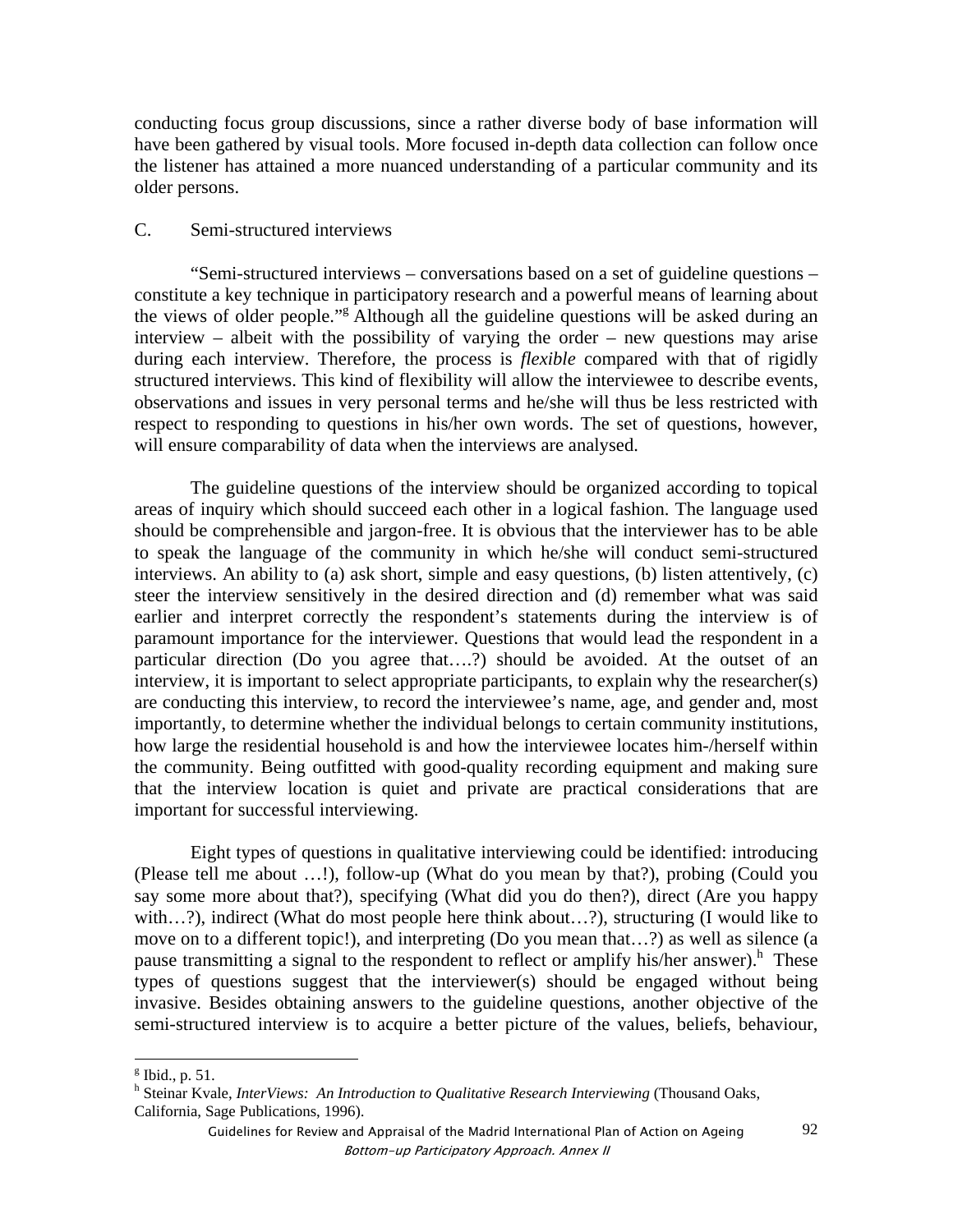conducting focus group discussions, since a rather diverse body of base information will have been gathered by visual tools. More focused in-depth data collection can follow once the listener has attained a more nuanced understanding of a particular community and its older persons.

## C. Semi-structured interviews

"Semi-structured interviews – conversations based on a set of guideline questions – constitute a key technique in participatory research and a powerful means of learning about the views of older people."<sup>g</sup> Although all the guideline questions will be asked during an interview – albeit with the possibility of varying the order – new questions may arise during each interview. Therefore, the process is *flexible* compared with that of rigidly structured interviews. This kind of flexibility will allow the interviewee to describe events, observations and issues in very personal terms and he/she will thus be less restricted with respect to responding to questions in his/her own words. The set of questions, however, will ensure comparability of data when the interviews are analysed.

The guideline questions of the interview should be organized according to topical areas of inquiry which should succeed each other in a logical fashion. The language used should be comprehensible and jargon-free. It is obvious that the interviewer has to be able to speak the language of the community in which he/she will conduct semi-structured interviews. An ability to (a) ask short, simple and easy questions, (b) listen attentively, (c) steer the interview sensitively in the desired direction and (d) remember what was said earlier and interpret correctly the respondent's statements during the interview is of paramount importance for the interviewer. Questions that would lead the respondent in a particular direction (Do you agree that….?) should be avoided. At the outset of an interview, it is important to select appropriate participants, to explain why the researcher(s) are conducting this interview, to record the interviewee's name, age, and gender and, most importantly, to determine whether the individual belongs to certain community institutions, how large the residential household is and how the interviewee locates him-/herself within the community. Being outfitted with good-quality recording equipment and making sure that the interview location is quiet and private are practical considerations that are important for successful interviewing.

Eight types of questions in qualitative interviewing could be identified: introducing (Please tell me about …!), follow-up (What do you mean by that?), probing (Could you say some more about that?), specifying (What did you do then?), direct (Are you happy with…?), indirect (What do most people here think about…?), structuring (I would like to move on to a different topic!), and interpreting (Do you mean that…?) as well as silence (a pause transmitting a signal to the respondent to reflect or amplify his/her answer).<sup>h</sup> These types of questions suggest that the interviewer(s) should be engaged without being invasive. Besides obtaining answers to the guideline questions, another objective of the semi-structured interview is to acquire a better picture of the values, beliefs, behaviour,

 $g$  Ibid., p. 51.

<sup>&</sup>lt;sup>h</sup> Steinar Kvale, *InterViews: An Introduction to Qualitative Research Interviewing* (Thousand Oaks, California, Sage Publications, 1996).

Guidelines for Review and Appraisal of the Madrid International Plan of Action on Ageing Bottom-up Participatory Approach. Annex II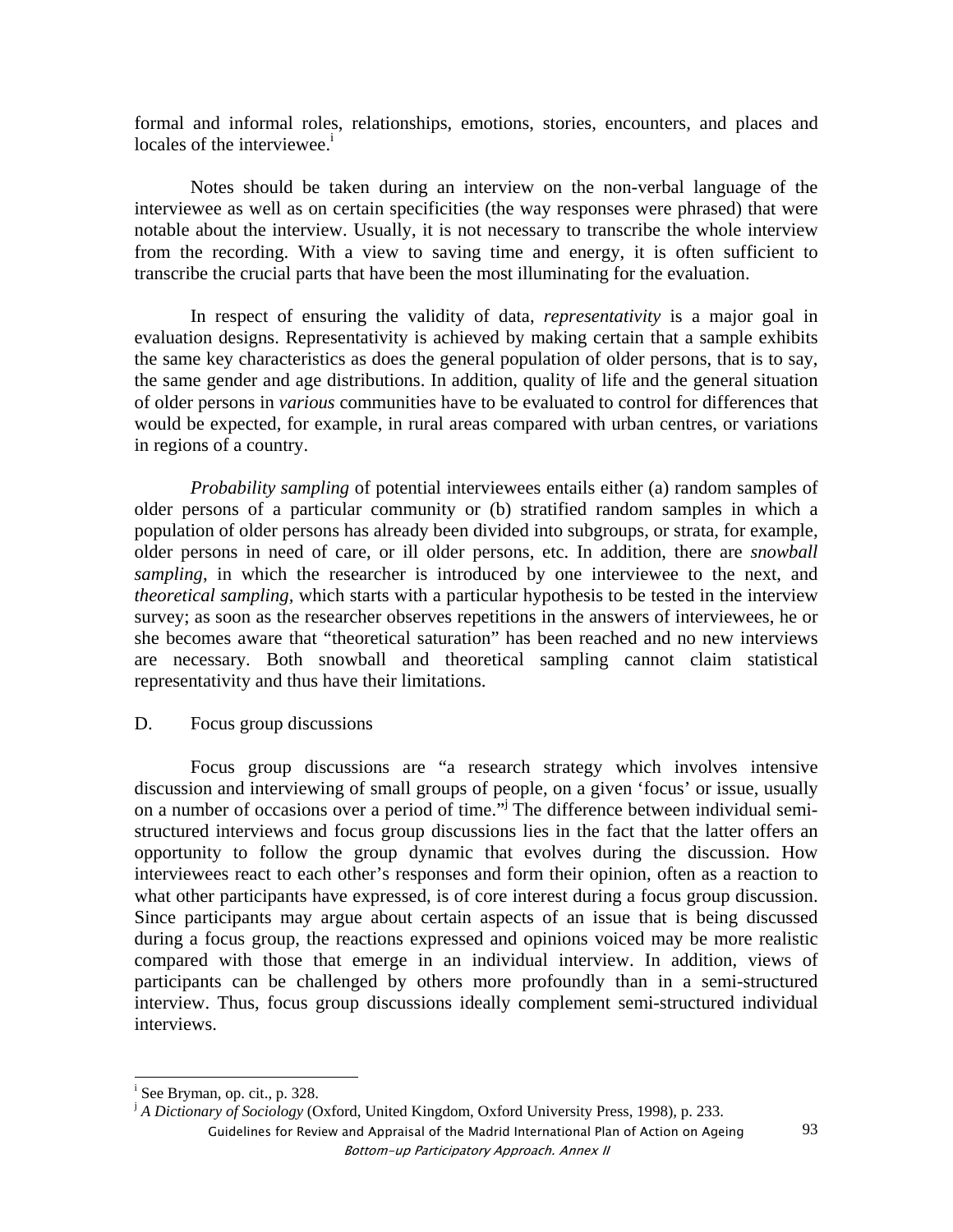formal and informal roles, relationships, emotions, stories, encounters, and places and locales of the interviewee.<sup>i</sup>

Notes should be taken during an interview on the non-verbal language of the interviewee as well as on certain specificities (the way responses were phrased) that were notable about the interview. Usually, it is not necessary to transcribe the whole interview from the recording. With a view to saving time and energy, it is often sufficient to transcribe the crucial parts that have been the most illuminating for the evaluation.

In respect of ensuring the validity of data, *representativity* is a major goal in evaluation designs. Representativity is achieved by making certain that a sample exhibits the same key characteristics as does the general population of older persons, that is to say, the same gender and age distributions. In addition, quality of life and the general situation of older persons in *various* communities have to be evaluated to control for differences that would be expected, for example, in rural areas compared with urban centres, or variations in regions of a country.

*Probability sampling* of potential interviewees entails either (a) random samples of older persons of a particular community or (b) stratified random samples in which a population of older persons has already been divided into subgroups, or strata, for example, older persons in need of care, or ill older persons, etc. In addition, there are *snowball sampling*, in which the researcher is introduced by one interviewee to the next, and *theoretical sampling,* which starts with a particular hypothesis to be tested in the interview survey; as soon as the researcher observes repetitions in the answers of interviewees, he or she becomes aware that "theoretical saturation" has been reached and no new interviews are necessary. Both snowball and theoretical sampling cannot claim statistical representativity and thus have their limitations.

D. Focus group discussions

Focus group discussions are "a research strategy which involves intensive discussion and interviewing of small groups of people, on a given 'focus' or issue, usually on a number of occasions over a period of time."<sup>j</sup> The difference between individual semistructured interviews and focus group discussions lies in the fact that the latter offers an opportunity to follow the group dynamic that evolves during the discussion. How interviewees react to each other's responses and form their opinion, often as a reaction to what other participants have expressed, is of core interest during a focus group discussion. Since participants may argue about certain aspects of an issue that is being discussed during a focus group, the reactions expressed and opinions voiced may be more realistic compared with those that emerge in an individual interview. In addition, views of participants can be challenged by others more profoundly than in a semi-structured interview. Thus, focus group discussions ideally complement semi-structured individual interviews.

i See Bryman, op. cit., p. 328.

<sup>&</sup>lt;sup>j</sup> A Dictionary of Sociology (Oxford, United Kingdom, Oxford University Press, 1998), p. 233.

Guidelines for Review and Appraisal of the Madrid International Plan of Action on Ageing Bottom-up Participatory Approach. Annex II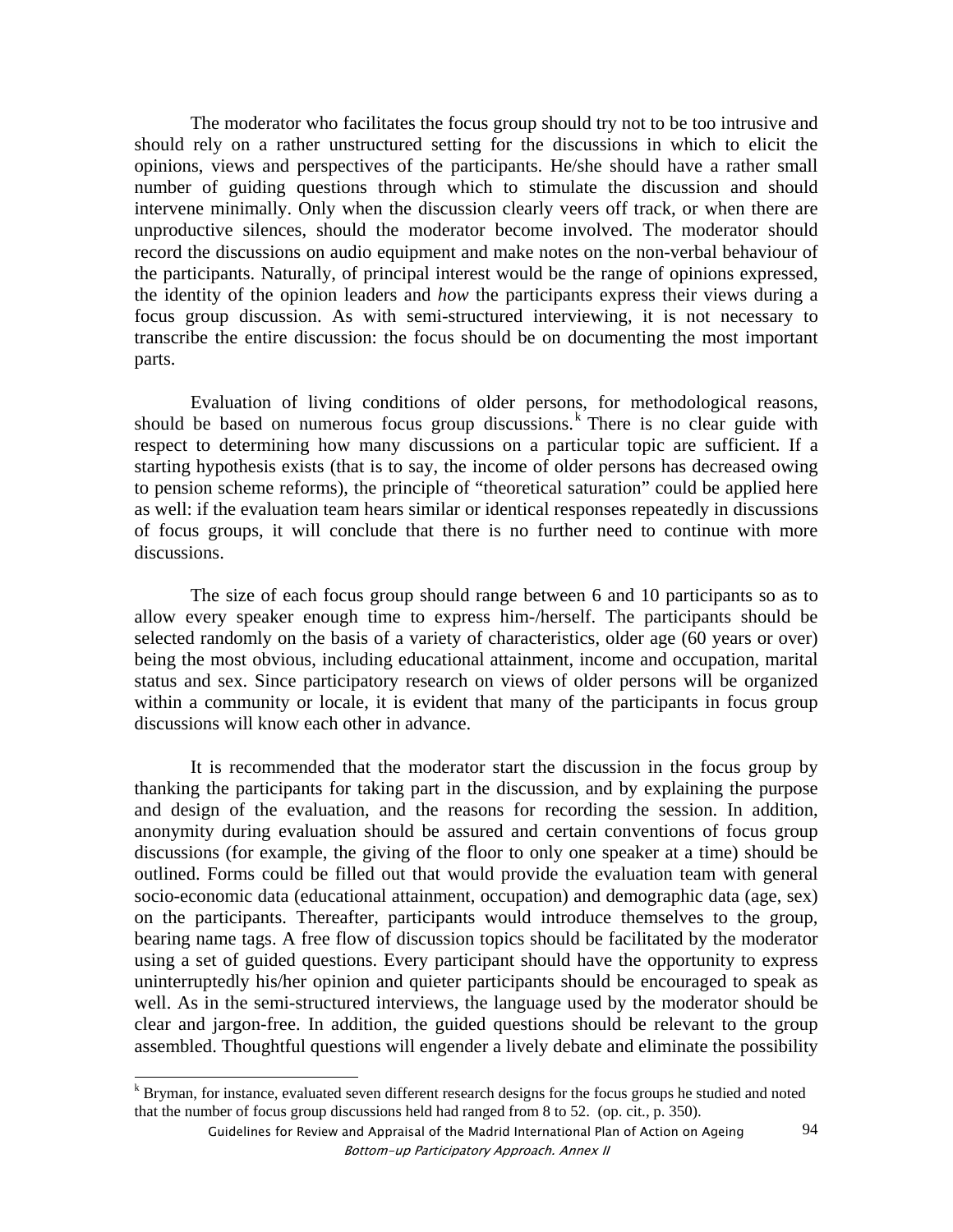The moderator who facilitates the focus group should try not to be too intrusive and should rely on a rather unstructured setting for the discussions in which to elicit the opinions, views and perspectives of the participants. He/she should have a rather small number of guiding questions through which to stimulate the discussion and should intervene minimally. Only when the discussion clearly veers off track, or when there are unproductive silences, should the moderator become involved. The moderator should record the discussions on audio equipment and make notes on the non-verbal behaviour of the participants. Naturally, of principal interest would be the range of opinions expressed, the identity of the opinion leaders and *how* the participants express their views during a focus group discussion. As with semi-structured interviewing, it is not necessary to transcribe the entire discussion: the focus should be on documenting the most important parts.

Evaluation of living conditions of older persons, for methodological reasons, should be based on numerous focus group discussions.<sup>k</sup> There is no clear guide with respect to determining how many discussions on a particular topic are sufficient. If a starting hypothesis exists (that is to say, the income of older persons has decreased owing to pension scheme reforms), the principle of "theoretical saturation" could be applied here as well: if the evaluation team hears similar or identical responses repeatedly in discussions of focus groups, it will conclude that there is no further need to continue with more discussions.

The size of each focus group should range between 6 and 10 participants so as to allow every speaker enough time to express him-/herself. The participants should be selected randomly on the basis of a variety of characteristics, older age (60 years or over) being the most obvious, including educational attainment, income and occupation, marital status and sex. Since participatory research on views of older persons will be organized within a community or locale, it is evident that many of the participants in focus group discussions will know each other in advance.

It is recommended that the moderator start the discussion in the focus group by thanking the participants for taking part in the discussion, and by explaining the purpose and design of the evaluation, and the reasons for recording the session. In addition, anonymity during evaluation should be assured and certain conventions of focus group discussions (for example, the giving of the floor to only one speaker at a time) should be outlined. Forms could be filled out that would provide the evaluation team with general socio-economic data (educational attainment, occupation) and demographic data (age, sex) on the participants. Thereafter, participants would introduce themselves to the group, bearing name tags. A free flow of discussion topics should be facilitated by the moderator using a set of guided questions. Every participant should have the opportunity to express uninterruptedly his/her opinion and quieter participants should be encouraged to speak as well. As in the semi-structured interviews, the language used by the moderator should be clear and jargon-free. In addition, the guided questions should be relevant to the group assembled. Thoughtful questions will engender a lively debate and eliminate the possibility

k<br>
K Bryman, for instance, evaluated seven different research designs for the focus groups he studied and noted that the number of focus group discussions held had ranged from 8 to 52. (op. cit., p. 350).

Guidelines for Review and Appraisal of the Madrid International Plan of Action on Ageing Bottom-up Participatory Approach. Annex II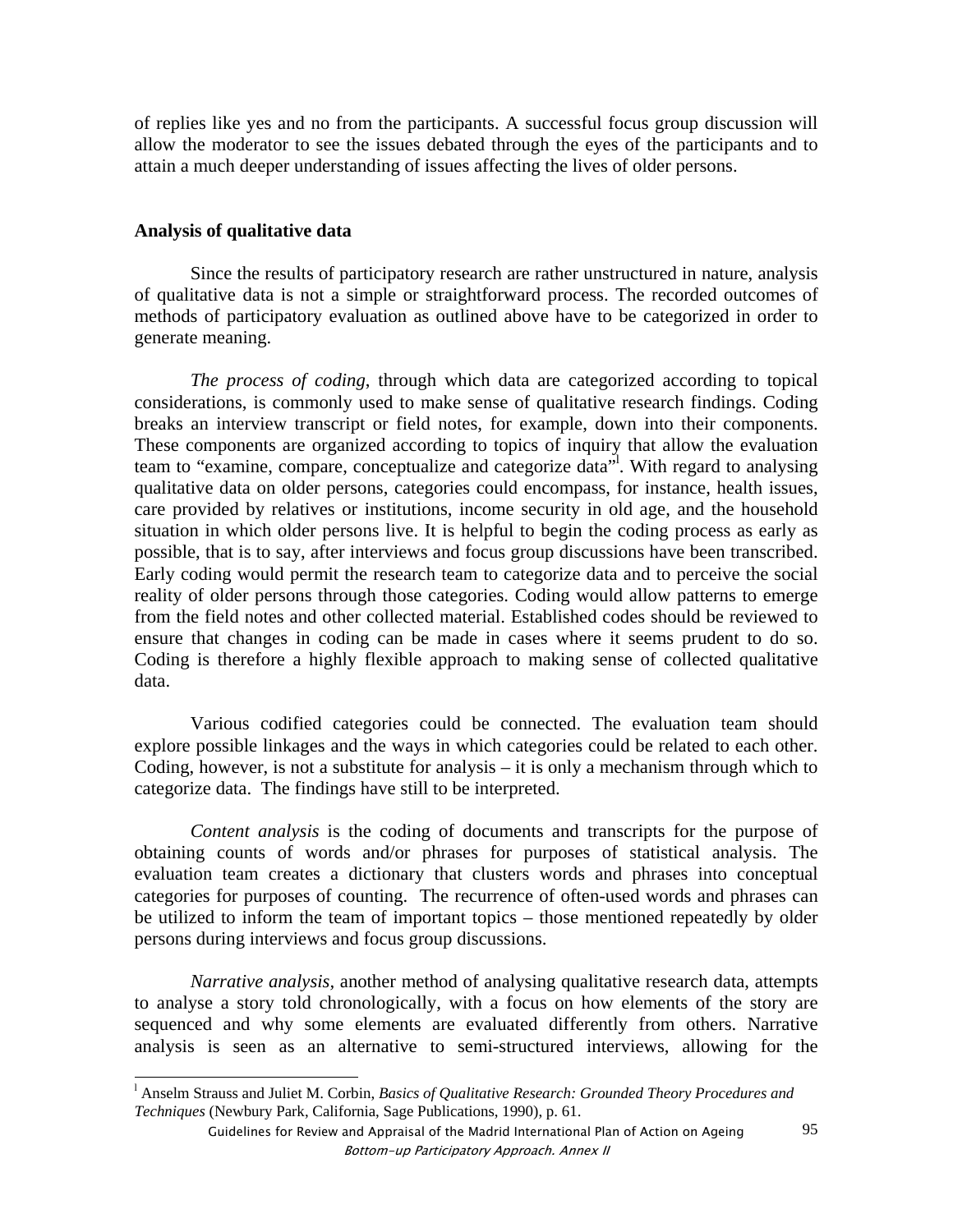of replies like yes and no from the participants. A successful focus group discussion will allow the moderator to see the issues debated through the eyes of the participants and to attain a much deeper understanding of issues affecting the lives of older persons.

#### **Analysis of qualitative data**

Since the results of participatory research are rather unstructured in nature, analysis of qualitative data is not a simple or straightforward process. The recorded outcomes of methods of participatory evaluation as outlined above have to be categorized in order to generate meaning.

*The process of coding*, through which data are categorized according to topical considerations, is commonly used to make sense of qualitative research findings. Coding breaks an interview transcript or field notes, for example, down into their components. These components are organized according to topics of inquiry that allow the evaluation team to "examine, compare, conceptualize and categorize data"l . With regard to analysing qualitative data on older persons, categories could encompass, for instance, health issues, care provided by relatives or institutions, income security in old age, and the household situation in which older persons live. It is helpful to begin the coding process as early as possible, that is to say, after interviews and focus group discussions have been transcribed. Early coding would permit the research team to categorize data and to perceive the social reality of older persons through those categories. Coding would allow patterns to emerge from the field notes and other collected material. Established codes should be reviewed to ensure that changes in coding can be made in cases where it seems prudent to do so. Coding is therefore a highly flexible approach to making sense of collected qualitative data.

Various codified categories could be connected. The evaluation team should explore possible linkages and the ways in which categories could be related to each other. Coding, however, is not a substitute for analysis – it is only a mechanism through which to categorize data. The findings have still to be interpreted.

*Content analysis* is the coding of documents and transcripts for the purpose of obtaining counts of words and/or phrases for purposes of statistical analysis. The evaluation team creates a dictionary that clusters words and phrases into conceptual categories for purposes of counting. The recurrence of often-used words and phrases can be utilized to inform the team of important topics – those mentioned repeatedly by older persons during interviews and focus group discussions.

*Narrative analysis,* another method of analysing qualitative research data, attempts to analyse a story told chronologically, with a focus on how elements of the story are sequenced and why some elements are evaluated differently from others. Narrative analysis is seen as an alternative to semi-structured interviews, allowing for the

 l Anselm Strauss and Juliet M. Corbin, *Basics of Qualitative Research: Grounded Theory Procedures and Techniques* (Newbury Park, California, Sage Publications, 1990), p. 61.

Guidelines for Review and Appraisal of the Madrid International Plan of Action on Ageing Bottom-up Participatory Approach. Annex II